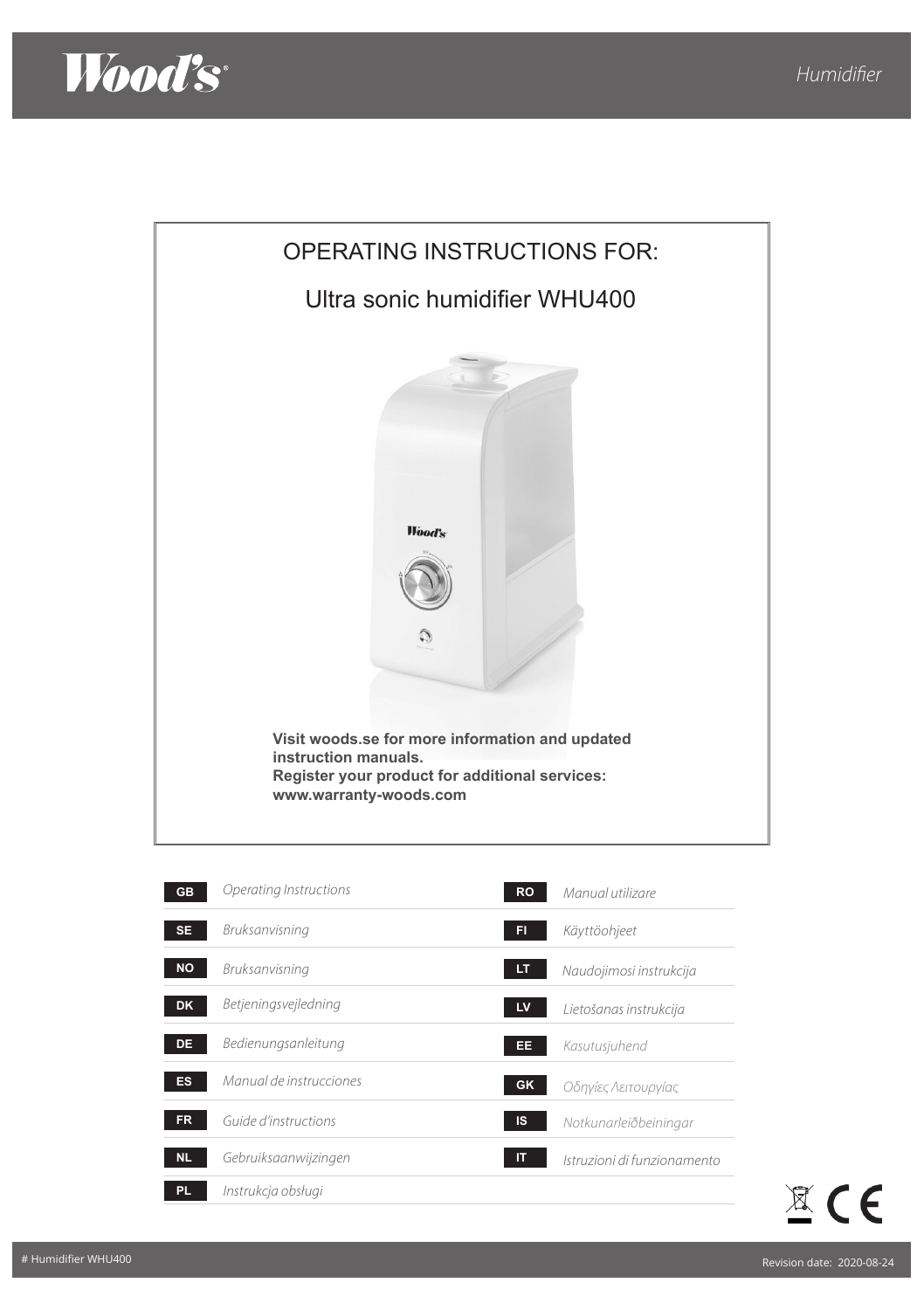



| <b>GB</b> | Operating Instructions  | <b>RO</b> | Manual utilizare            |
|-----------|-------------------------|-----------|-----------------------------|
| <b>SE</b> | Bruksanvisning          | FI.       | Käyttöohjeet                |
| <b>NO</b> | Bruksanvisning          | LT        | Naudojimosi instrukcija     |
| <b>DK</b> | Betjeningsvejledning    | LV        | Lietošanas instrukcija      |
| <b>DE</b> | Bedienungsanleitung     | EE        | Kasutusjuhend               |
| <b>ES</b> | Manual de instrucciones | <b>GK</b> | Οδηγίες Λειτουργίας         |
| <b>FR</b> | Guide d'instructions    | IS        | Notkunarleiðbeiningar       |
| <b>NL</b> | Gebruiksaanwijzingen    | IT        | Istruzioni di funzionamento |
| PL.       | Instrukcja obsługi      |           |                             |

 $\mathbb{Z}$  CE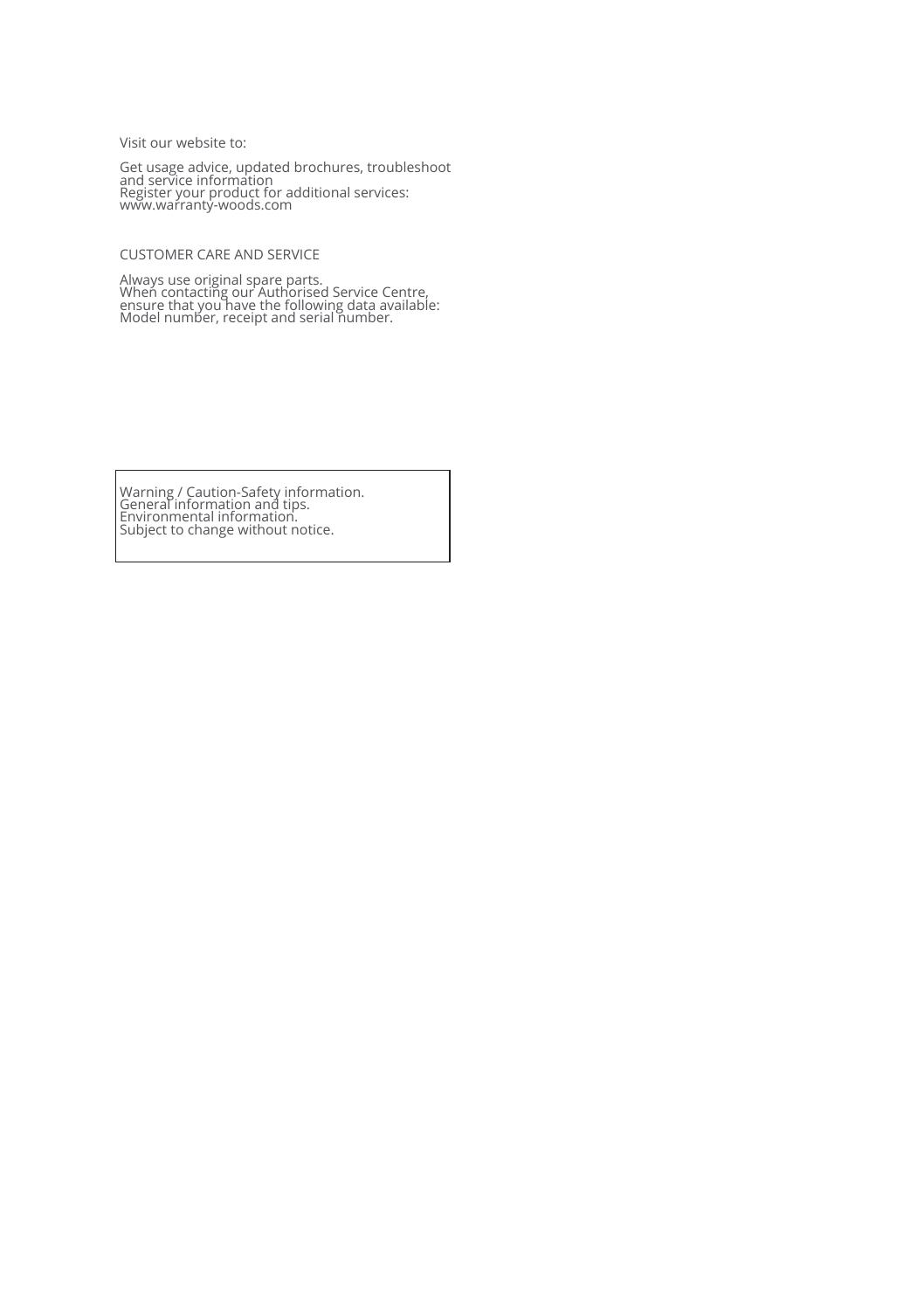Visit our website to:

Get usage advice, updated brochures, troubleshoot and service information Register your product for additional services: www.warranty-woods.com

CUSTOMER CARE AND SERVICE

Always use original spare parts. When contacting our Authorised Service Centre, ensure that you have the following data available: Model number, receipt and serial number.

Warning / Caution-Safety information. General information and tips. Environmental information. Subject to change without notice.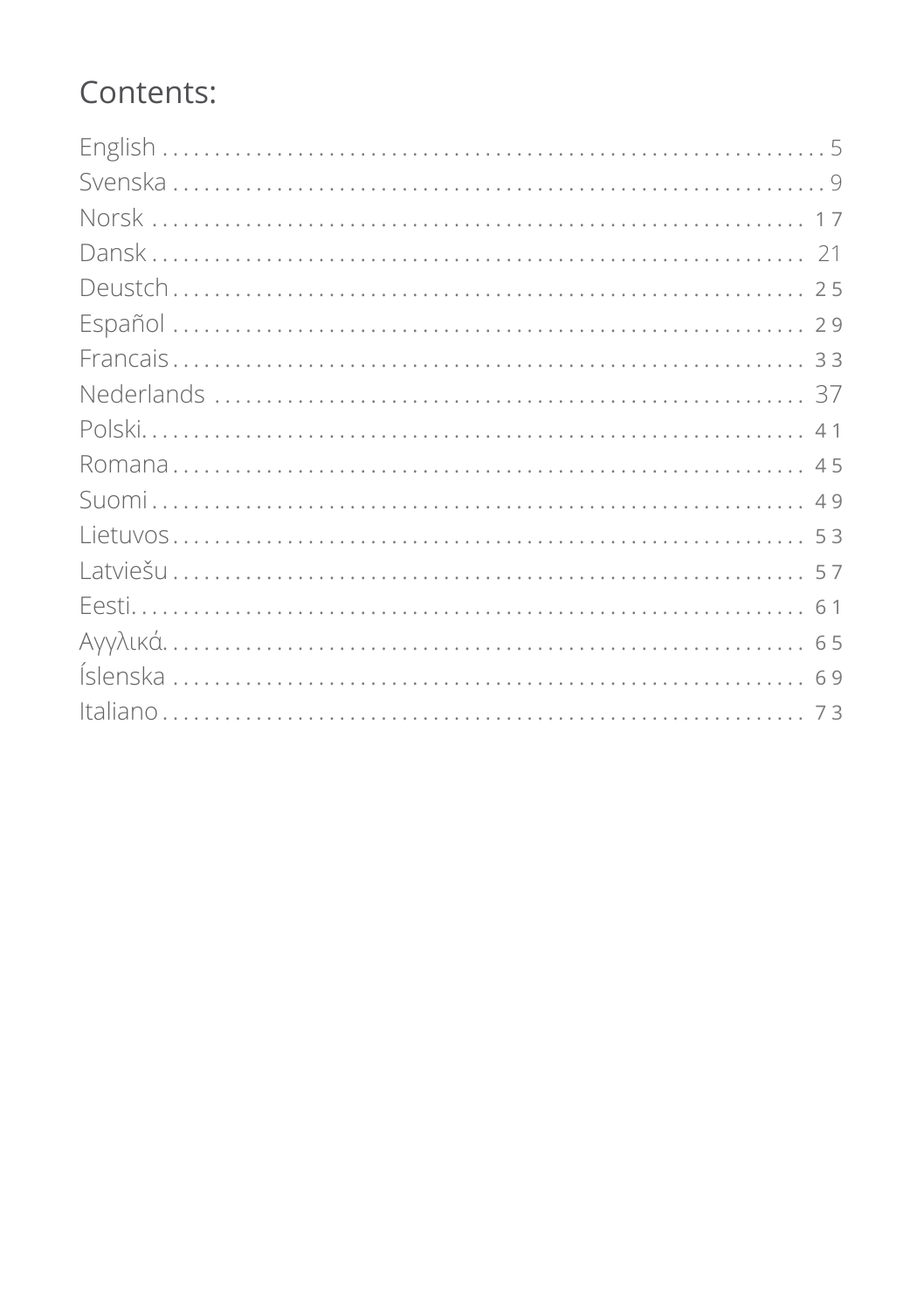# Contents: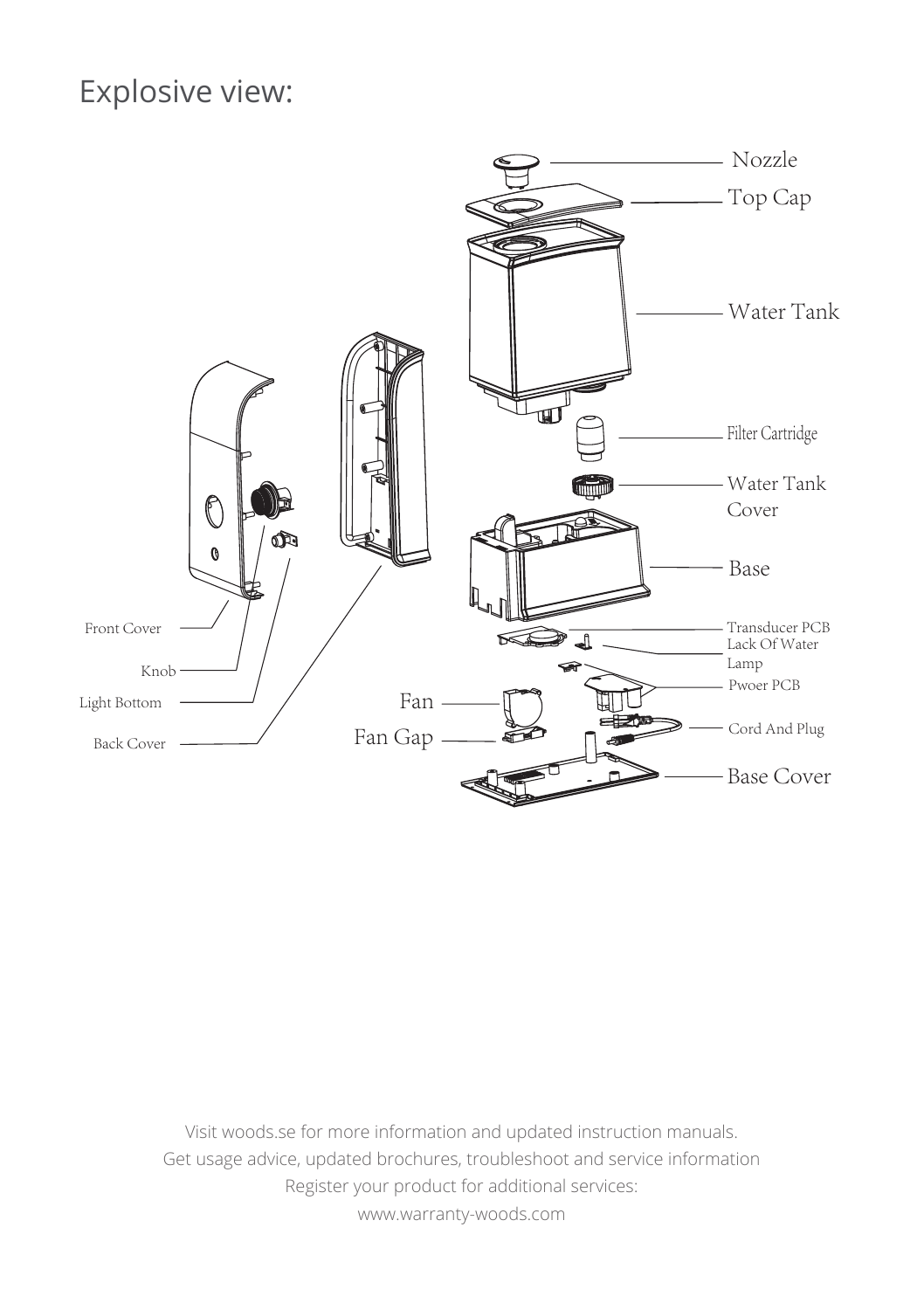# Explosive view:



Visit woods.se for more information and updated instruction manuals. Get usage advice, updated brochures, troubleshoot and service information Register your product for additional services: www.warranty-woods.com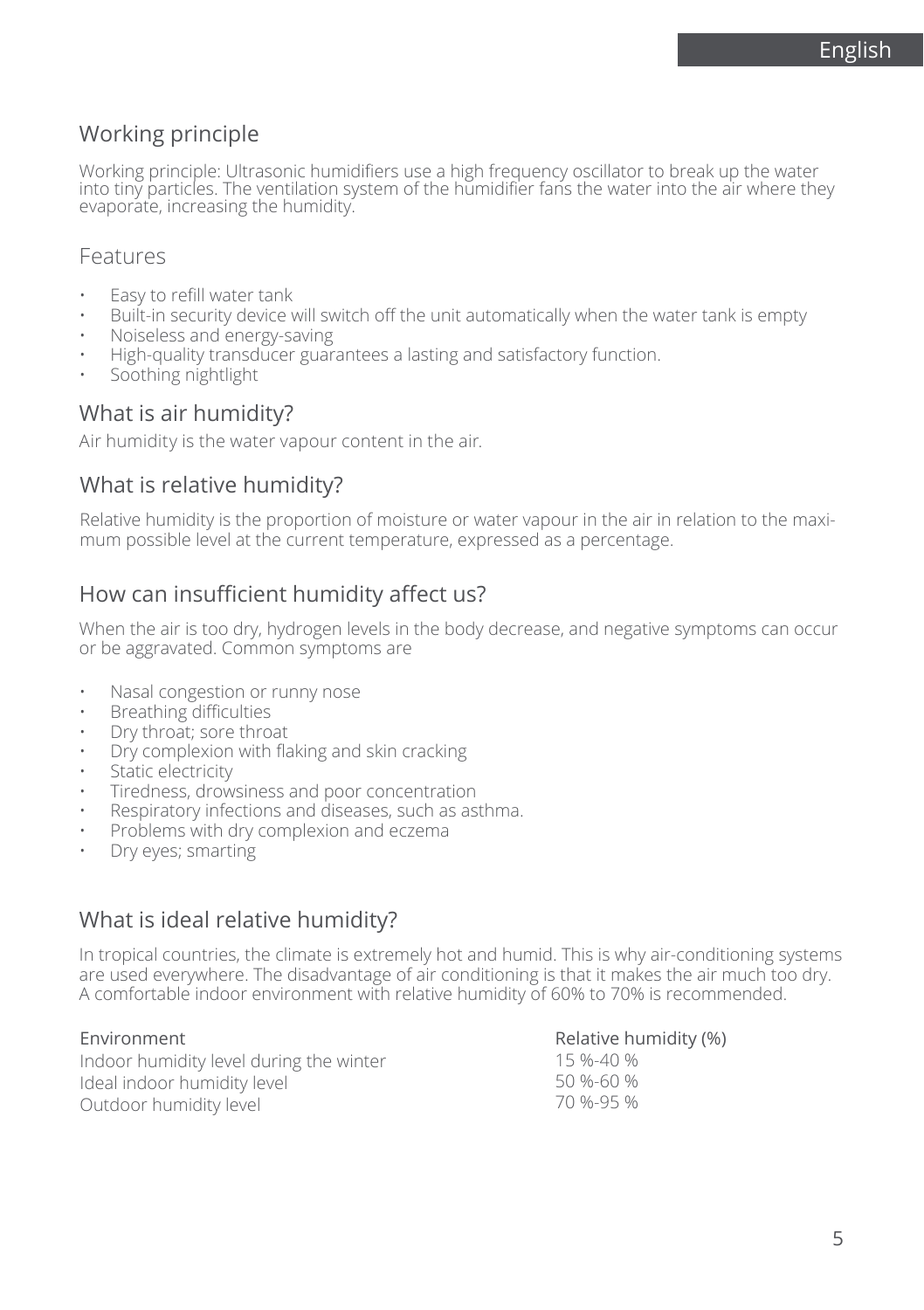English

#### Working principle

Working principle: Ultrasonic humidifiers use a high frequency oscillator to break up the water into tiny particles. The ventilation system of the humidifier fans the water into the air where they evaporate, increasing the humidity.

#### Features

- Easy to refill water tank
- Built-in security device will switch off the unit automatically when the water tank is empty
- Noiseless and energy-saving
- High-quality transducer guarantees a lasting and satisfactory function.
- Soothing nightlight

#### What is air humidity?

Air humidity is the water vapour content in the air.

#### What is relative humidity?

Relative humidity is the proportion of moisture or water vapour in the air in relation to the maximum possible level at the current temperature, expressed as a percentage.

### How can insufficient humidity affect us?

When the air is too dry, hydrogen levels in the body decrease, and negative symptoms can occur or be aggravated. Common symptoms are

- Nasal congestion or runny nose
- Breathing difficulties
- Dry throat; sore throat
- Dry complexion with flaking and skin cracking
- Static electricity
- Tiredness, drowsiness and poor concentration
- Respiratory infections and diseases, such as asthma.
- Problems with dry complexion and eczema
- Dry eyes; smarting

#### What is ideal relative humidity?

In tropical countries, the climate is extremely hot and humid. This is why air-conditioning systems are used everywhere. The disadvantage of air conditioning is that it makes the air much too dry. A comfortable indoor environment with relative humidity of 60% to 70% is recommended.

#### Environment

Indoor humidity level during the winter Ideal indoor humidity level Outdoor humidity level

#### Relative humidity (%)

15 %-40 % 50 %-60 % 70 %-95 %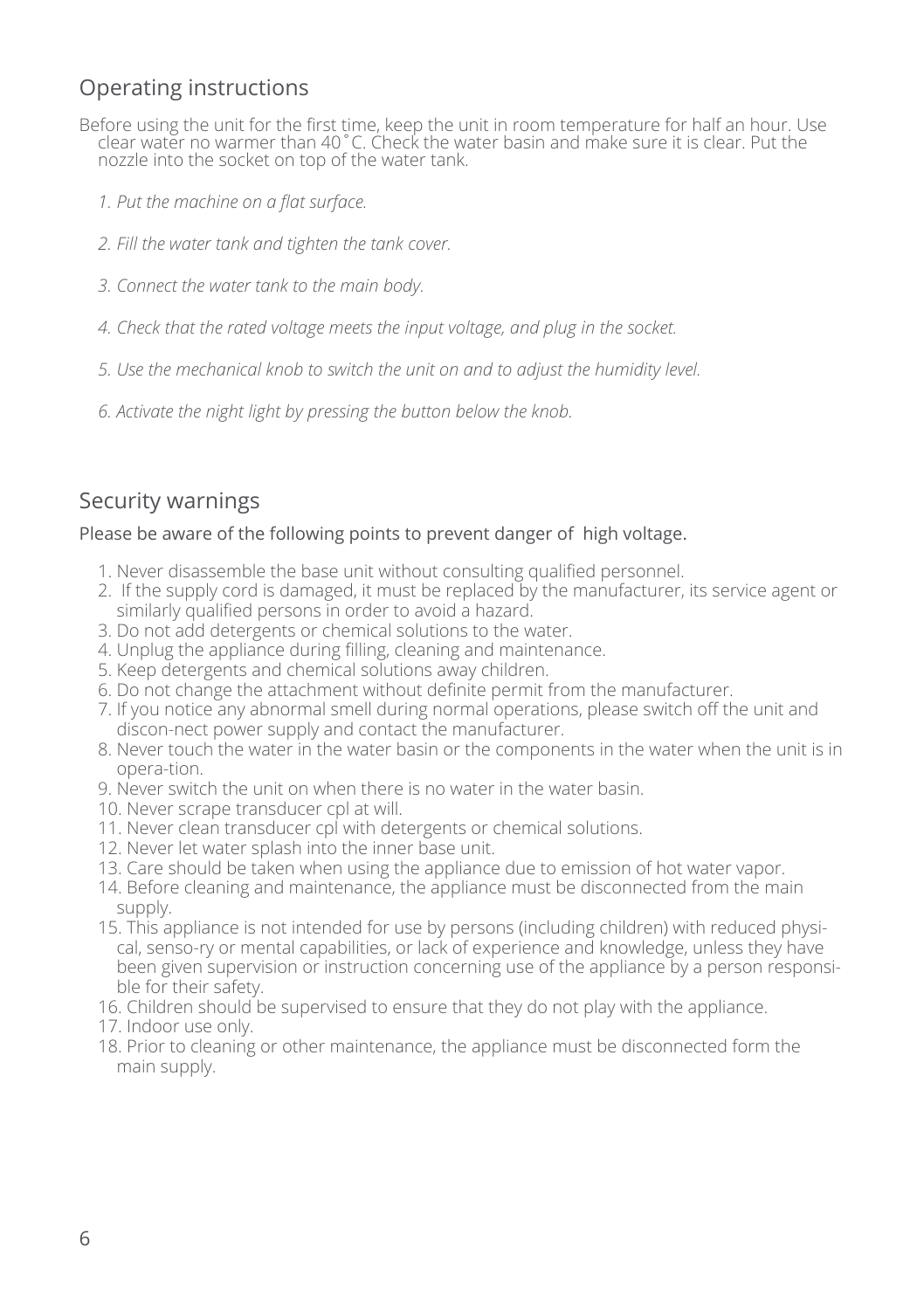# Operating instructions

- Before using the unit for the first time, keep the unit in room temperature for half an hour. Use clear water no warmer than 40˚C. Check the water basin and make sure it is clear. Put the nozzle into the socket on top of the water tank.
	- *1. Put the machine on a flat surface.*
	- *2. Fill the water tank and tighten the tank cover.*
	- *3. Connect the water tank to the main body.*
	- *4. Check that the rated voltage meets the input voltage, and plug in the socket.*
	- *5. Use the mechanical knob to switch the unit on and to adjust the humidity level.*
	- *6. Activate the night light by pressing the button below the knob.*

# Security warnings

#### Please be aware of the following points to prevent danger of high voltage.

- 1. Never disassemble the base unit without consulting qualified personnel.
- 2. If the supply cord is damaged, it must be replaced by the manufacturer, its service agent or similarly qualified persons in order to avoid a hazard.
- 3. Do not add detergents or chemical solutions to the water.
- 4. Unplug the appliance during filling, cleaning and maintenance.
- 5. Keep detergents and chemical solutions away children.
- 6. Do not change the attachment without definite permit from the manufacturer.
- 7. If you notice any abnormal smell during normal operations, please switch off the unit and discon-nect power supply and contact the manufacturer.
- 8. Never touch the water in the water basin or the components in the water when the unit is in opera-tion.
- 9. Never switch the unit on when there is no water in the water basin.
- 10. Never scrape transducer cpl at will.
- 11. Never clean transducer cpl with detergents or chemical solutions.
- 12. Never let water splash into the inner base unit.
- 13. Care should be taken when using the appliance due to emission of hot water vapor.
- 14. Before cleaning and maintenance, the appliance must be disconnected from the main supply.
- 15. This appliance is not intended for use by persons (including children) with reduced physical, senso-ry or mental capabilities, or lack of experience and knowledge, unless they have been given supervision or instruction concerning use of the appliance by a person responsible for their safety.
- 16. Children should be supervised to ensure that they do not play with the appliance.
- 17. Indoor use only.
- 18. Prior to cleaning or other maintenance, the appliance must be disconnected form the main supply.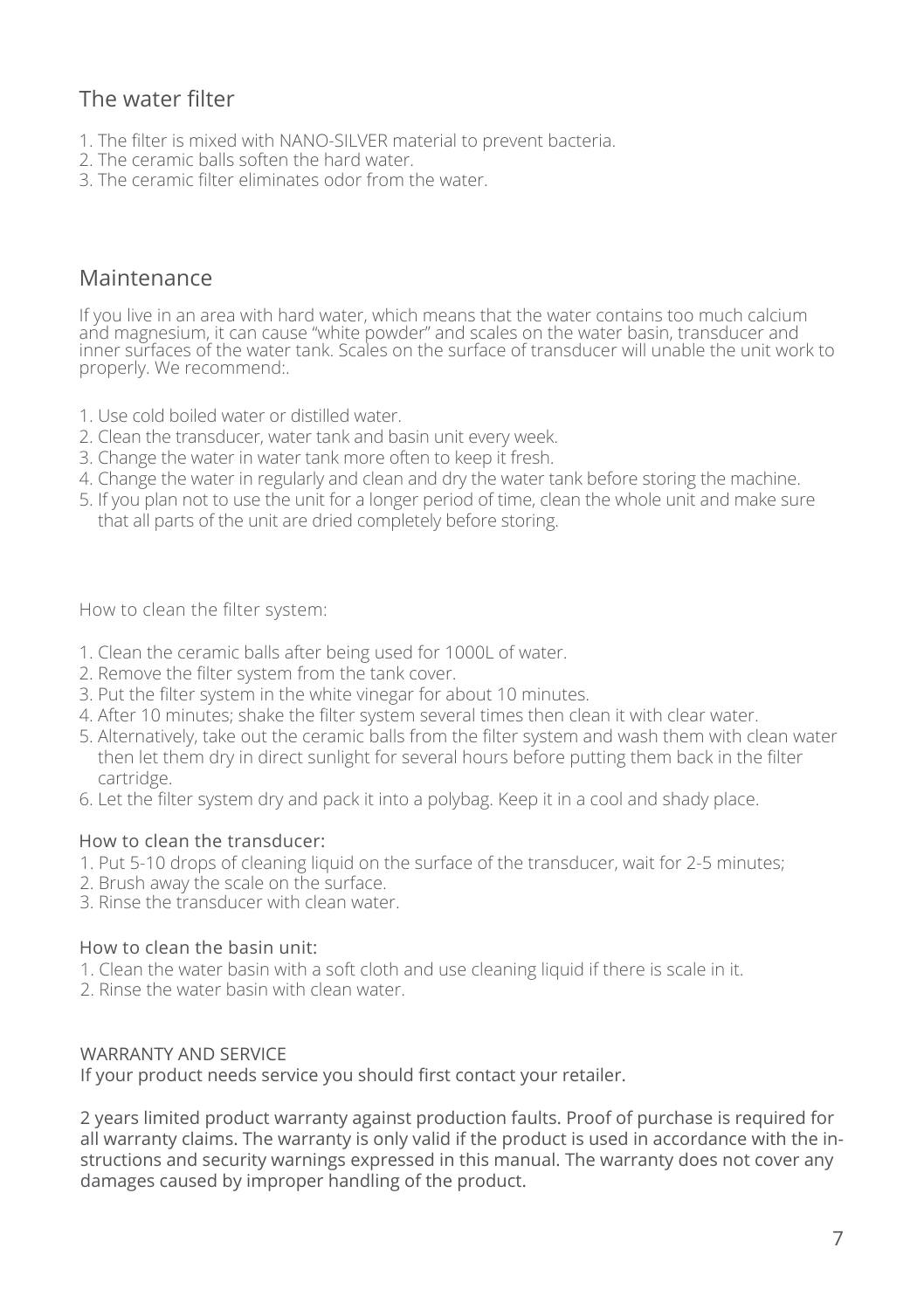# The water filter

- 1. The filter is mixed with NANO-SILVER material to prevent bacteria.
- 2. The ceramic balls soften the hard water.
- 3. The ceramic filter eliminates odor from the water.

### Maintenance

If you live in an area with hard water, which means that the water contains too much calcium and magnesium, it can cause "white powder" and scales on the water basin, transducer and inner surfaces of the water tank. Scales on the surface of transducer will unable the unit work to properly. We recommend:.

- 1. Use cold boiled water or distilled water.
- 2. Clean the transducer, water tank and basin unit every week.
- 3. Change the water in water tank more often to keep it fresh.
- 4. Change the water in regularly and clean and dry the water tank before storing the machine.
- 5. If you plan not to use the unit for a longer period of time, clean the whole unit and make sure that all parts of the unit are dried completely before storing.

How to clean the filter system:

- 1. Clean the ceramic balls after being used for 1000L of water.
- 2. Remove the filter system from the tank cover.
- 3. Put the filter system in the white vinegar for about 10 minutes.
- 4. After 10 minutes; shake the filter system several times then clean it with clear water.
- 5. Alternatively, take out the ceramic balls from the filter system and wash them with clean water then let them dry in direct sunlight for several hours before putting them back in the filter cartridge.
- 6. Let the filter system dry and pack it into a polybag. Keep it in a cool and shady place.

#### How to clean the transducer:

- 1. Put 5-10 drops of cleaning liquid on the surface of the transducer, wait for 2-5 minutes;
- 2. Brush away the scale on the surface.
- 3. Rinse the transducer with clean water.

#### How to clean the basin unit:

- 1. Clean the water basin with a soft cloth and use cleaning liquid if there is scale in it.
- 2. Rinse the water basin with clean water.

#### WARRANTY AND SFRVICE

If your product needs service you should first contact your retailer.

2 years limited product warranty against production faults. Proof of purchase is required for all warranty claims. The warranty is only valid if the product is used in accordance with the instructions and security warnings expressed in this manual. The warranty does not cover any damages caused by improper handling of the product.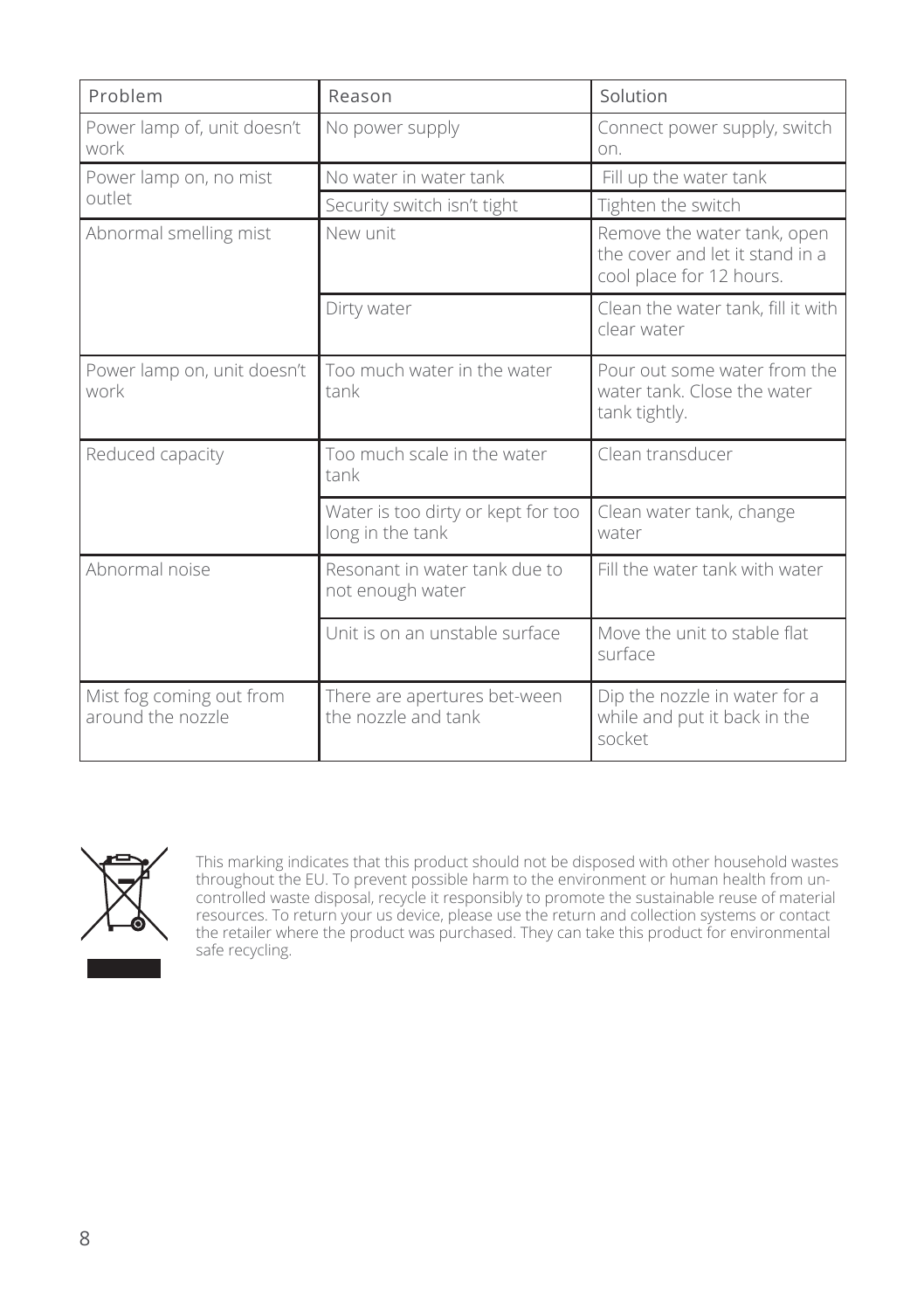| Problem                                       | Reason                                                 | Solution                                                                                   |
|-----------------------------------------------|--------------------------------------------------------|--------------------------------------------------------------------------------------------|
| Power lamp of, unit doesn't<br>work           | No power supply                                        | Connect power supply, switch<br>on.                                                        |
| Power lamp on, no mist                        | No water in water tank                                 | Fill up the water tank                                                                     |
| outlet                                        | Security switch isn't tight                            | Tighten the switch                                                                         |
| Abnormal smelling mist                        | New unit                                               | Remove the water tank, open<br>the cover and let it stand in a<br>cool place for 12 hours. |
|                                               | Dirty water                                            | Clean the water tank, fill it with<br>clear water                                          |
| Power lamp on, unit doesn't<br>work           | Too much water in the water<br>tank                    | Pour out some water from the<br>water tank. Close the water<br>tank tightly.               |
| Reduced capacity                              | Too much scale in the water<br>tank                    | Clean transducer                                                                           |
|                                               | Water is too dirty or kept for too<br>long in the tank | Clean water tank, change<br>water                                                          |
| Abnormal noise                                | Resonant in water tank due to<br>not enough water      | Fill the water tank with water                                                             |
|                                               | Unit is on an unstable surface                         | Move the unit to stable flat<br>surface                                                    |
| Mist fog coming out from<br>around the nozzle | There are apertures bet-ween<br>the nozzle and tank    | Dip the nozzle in water for a<br>while and put it back in the<br>socket                    |



This marking indicates that this product should not be disposed with other household wastes throughout the EU. To prevent possible harm to the environment or human health from uncontrolled waste disposal, recycle it responsibly to promote the sustainable reuse of material resources. To return your us device, please use the return and collection systems or contact the retailer where the product was purchased. They can take this product for environmental safe recycling.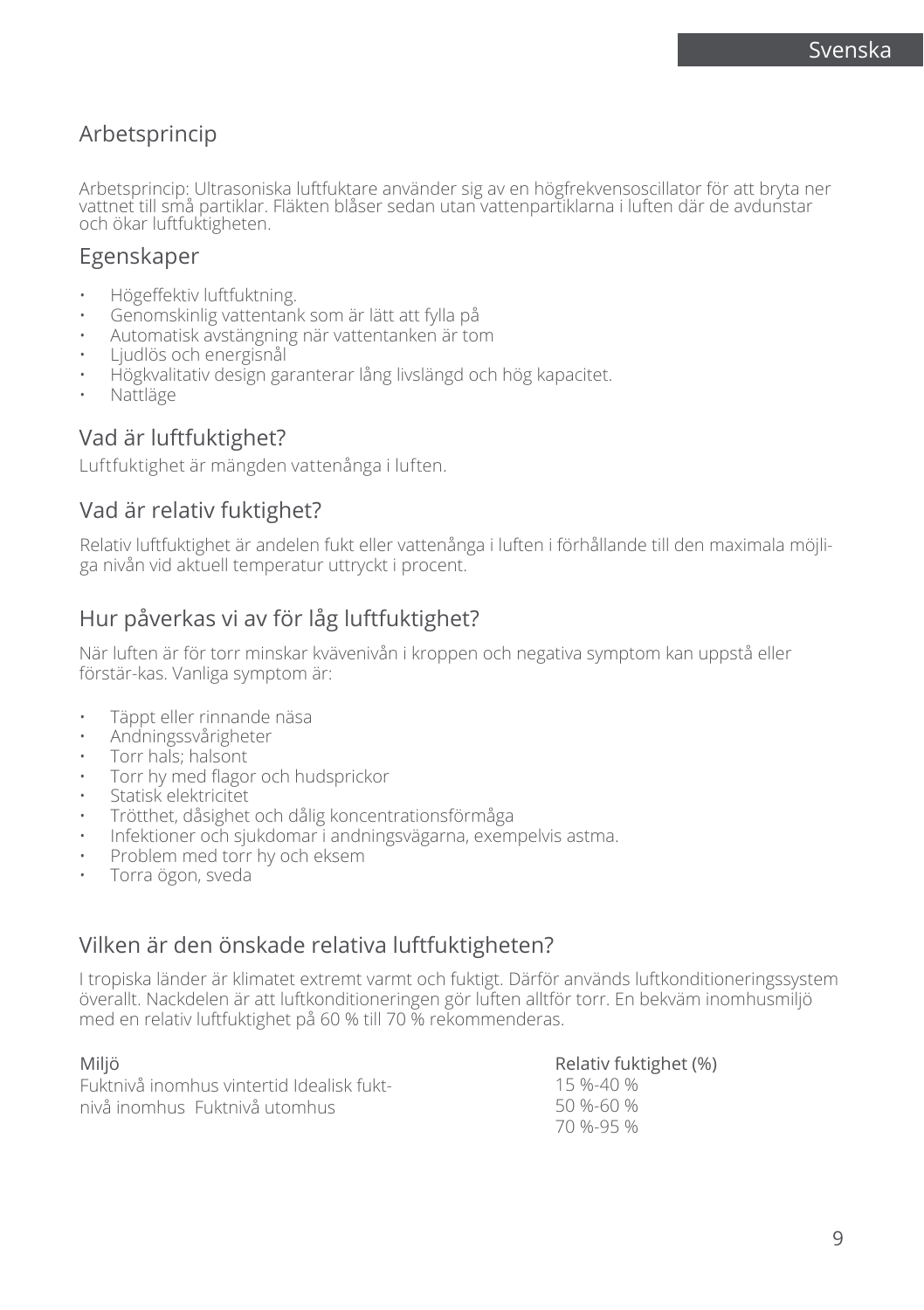# Arbetsprincip

Arbetsprincip: Ultrasoniska luftfuktare använder sig av en högfrekvensoscillator för att bryta ner vattnet till små partiklar. Fläkten blåser sedan utan vattenpartiklarna i luften där de avdunstar och ökar luftfuktigheten.

### Egenskaper

- Högeffektiv luftfuktning.
- Genomskinlig vattentank som är lätt att fylla på
- Automatisk avstängning när vattentanken är tom
- Ljudlös och energisnål
- Högkvalitativ design garanterar lång livslängd och hög kapacitet.
- Nattläge

# Vad är luftfuktighet?

Luftfuktighet är mängden vattenånga i luften.

### Vad är relativ fuktighet?

Relativ luftfuktighet är andelen fukt eller vattenånga i luften i förhållande till den maximala möjliga nivån vid aktuell temperatur uttryckt i procent.

# Hur påverkas vi av för låg luftfuktighet?

När luften är för torr minskar kvävenivån i kroppen och negativa symptom kan uppstå eller förstär-kas. Vanliga symptom är:

- Täppt eller rinnande näsa
- Andningssvårigheter
- Torr hals; halsont
- Torr hy med flagor och hudsprickor
- Statisk elektricitet
- Trötthet, dåsighet och dålig koncentrationsförmåga
- Infektioner och sjukdomar i andningsvägarna, exempelvis astma.
- Problem med torr hy och eksem
- Torra ögon, sveda

### Vilken är den önskade relativa luftfuktigheten?

I tropiska länder är klimatet extremt varmt och fuktigt. Därför används luftkonditioneringssystem överallt. Nackdelen är att luftkonditioneringen gör luften alltför torr. En bekväm inomhusmiljö med en relativ luftfuktighet på 60 % till 70 % rekommenderas.

### Miljö

| Miljö                                     | Relativ fuktighet (%) |
|-------------------------------------------|-----------------------|
| Fuktnivå inomhus vintertid Idealisk fukt- | 15 %-40 %             |
| nivå inomhus. Fuktnivå utomhus.           | 50 %-60 %             |
|                                           | 70 %-95 %             |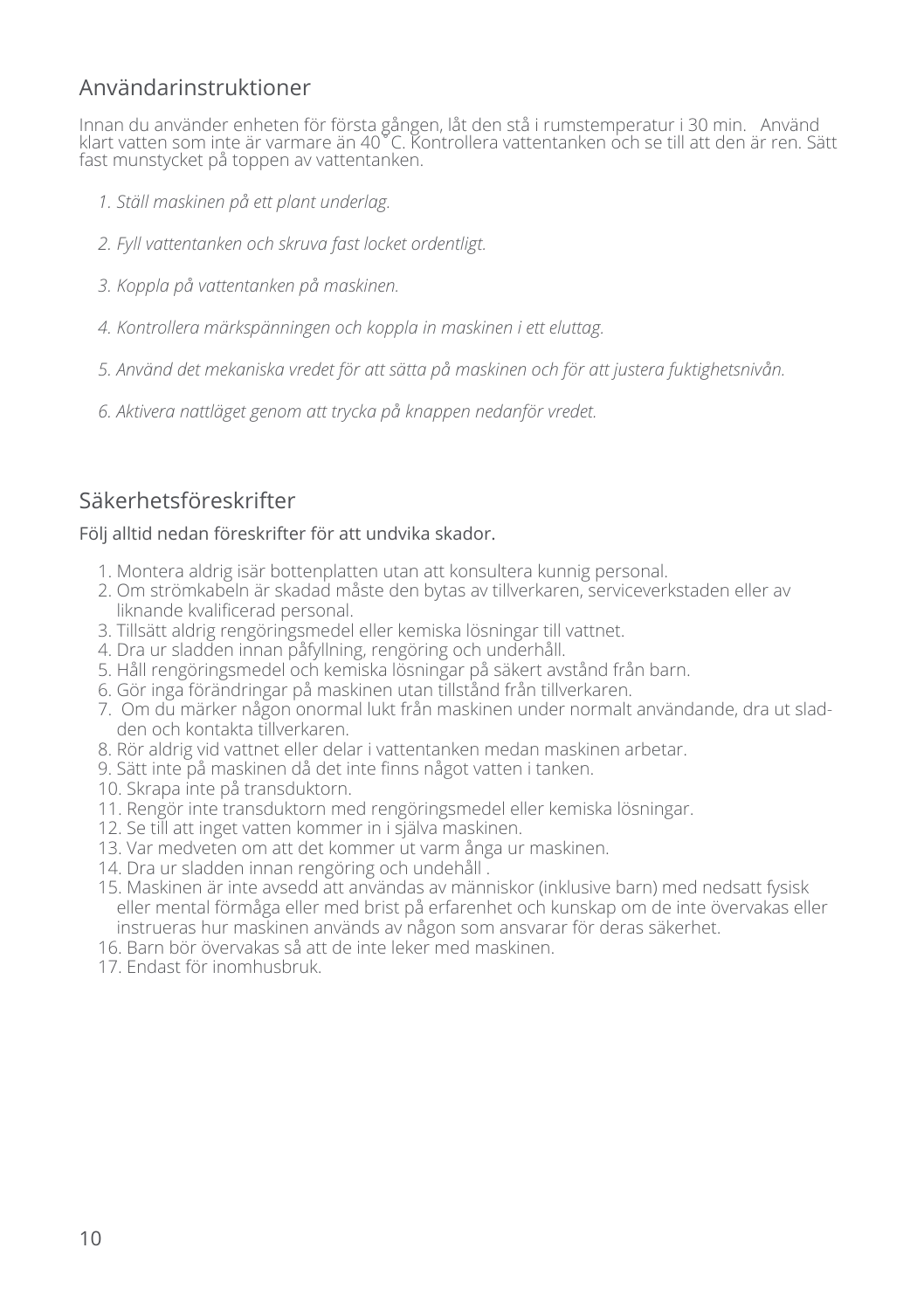# Användarinstruktioner

Innan du använder enheten för första gången, låt den stå i rumstemperatur i 30 min. Använd klart vatten som inte är varmare än 40˚C. Kontrollera vattentanken och se till att den är ren. Sätt fast munstycket på toppen av vattentanken.

- *1. Ställ maskinen på ett plant underlag.*
- *2. Fyll vattentanken och skruva fast locket ordentligt.*
- *3. Koppla på vattentanken på maskinen.*
- *4. Kontrollera märkspänningen och koppla in maskinen i ett eluttag.*
- *5. Använd det mekaniska vredet för att sätta på maskinen och för att justera fuktighetsnivån.*
- *6. Aktivera nattläget genom att trycka på knappen nedanför vredet.*

# Säkerhetsföreskrifter

#### Följ alltid nedan föreskrifter för att undvika skador.

- 1. Montera aldrig isär bottenplatten utan att konsultera kunnig personal.
- 2. Om strömkabeln är skadad måste den bytas av tillverkaren, serviceverkstaden eller av liknande kvalificerad personal.
- 3. Tillsätt aldrig rengöringsmedel eller kemiska lösningar till vattnet.
- 4. Dra ur sladden innan påfyllning, rengöring och underhåll.
- 5. Håll rengöringsmedel och kemiska lösningar på säkert avstånd från barn.
- 6. Gör inga förändringar på maskinen utan tillstånd från tillverkaren.
- 7. Om du märker någon onormal lukt från maskinen under normalt användande, dra ut sladden och kontakta tillverkaren.
- 8. Rör aldrig vid vattnet eller delar i vattentanken medan maskinen arbetar.
- 9. Sätt inte på maskinen då det inte finns något vatten i tanken.
- 10. Skrapa inte på transduktorn.
- 11. Rengör inte transduktorn med rengöringsmedel eller kemiska lösningar.
- 12. Se till att inget vatten kommer in i själva maskinen.
- 13. Var medveten om att det kommer ut varm ånga ur maskinen.
- 14. Dra ur sladden innan rengöring och undehåll .
- 15. Maskinen är inte avsedd att användas av människor (inklusive barn) med nedsatt fysisk eller mental förmåga eller med brist på erfarenhet och kunskap om de inte övervakas eller instrueras hur maskinen används av någon som ansvarar för deras säkerhet.
- 16. Barn bör övervakas så att de inte leker med maskinen.
- 17. Endast för inomhusbruk.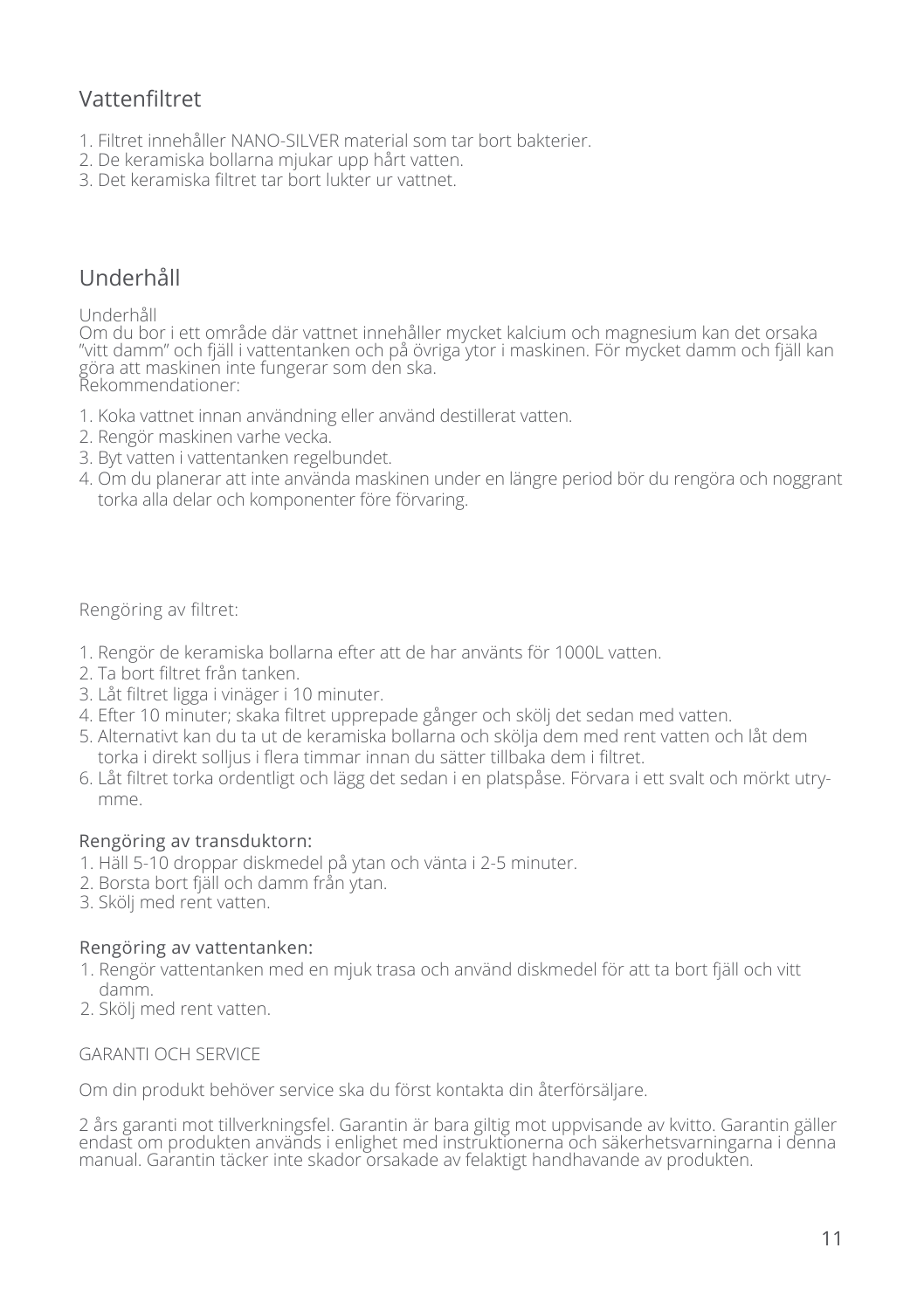# Vattenfiltret

- 1. Filtret innehåller NANO-SILVER material som tar bort bakterier.
- 2. De keramiska bollarna mjukar upp hårt vatten.
- 3. Det keramiska filtret tar bort lukter ur vattnet.

# Underhåll

#### Underhåll

Om du bor i ett område där vattnet innehåller mycket kalcium och magnesium kan det orsaka "vitt damm" och fjäll i vattentanken och på övriga ytor i maskinen. För mycket damm och fjäll kan göra att maskinen inte fungerar som den ska. Rekommendationer:

- 1. Koka vattnet innan användning eller använd destillerat vatten.
- 2. Rengör maskinen varhe vecka.
- 3. Byt vatten i vattentanken regelbundet.
- 4. Om du planerar att inte använda maskinen under en längre period bör du rengöra och noggrant torka alla delar och komponenter före förvaring.

Rengöring av filtret:

- 1. Rengör de keramiska bollarna efter att de har använts för 1000L vatten.
- 2. Ta bort filtret från tanken.
- 3. Låt filtret ligga i vinäger i 10 minuter.
- 4. Efter 10 minuter; skaka filtret upprepade gånger och skölj det sedan med vatten.
- 5. Alternativt kan du ta ut de keramiska bollarna och skölja dem med rent vatten och låt dem torka i direkt solljus i flera timmar innan du sätter tillbaka dem i filtret.
- 6. Låt filtret torka ordentligt och lägg det sedan i en platspåse. Förvara i ett svalt och mörkt utrymme.

#### Rengöring av transduktorn:

- 1. Häll 5-10 droppar diskmedel på ytan och vänta i 2-5 minuter.
- 2. Borsta bort fjäll och damm från ytan.
- 3. Skölj med rent vatten.

#### Rengöring av vattentanken:

- 1. Rengör vattentanken med en mjuk trasa och använd diskmedel för att ta bort fjäll och vitt damm.
- 2. Skölj med rent vatten.

#### GARANTI OCH SERVICE

Om din produkt behöver service ska du först kontakta din återförsäljare.

2 års garanti mot tillverkningsfel. Garantin är bara giltig mot uppvisande av kvitto. Garantin gäller endast om produkten används i enlighet med instruktionerna och säkerhetsvarningarna i denna manual. Garantin täcker inte skador orsakade av felaktigt handhavande av produkten.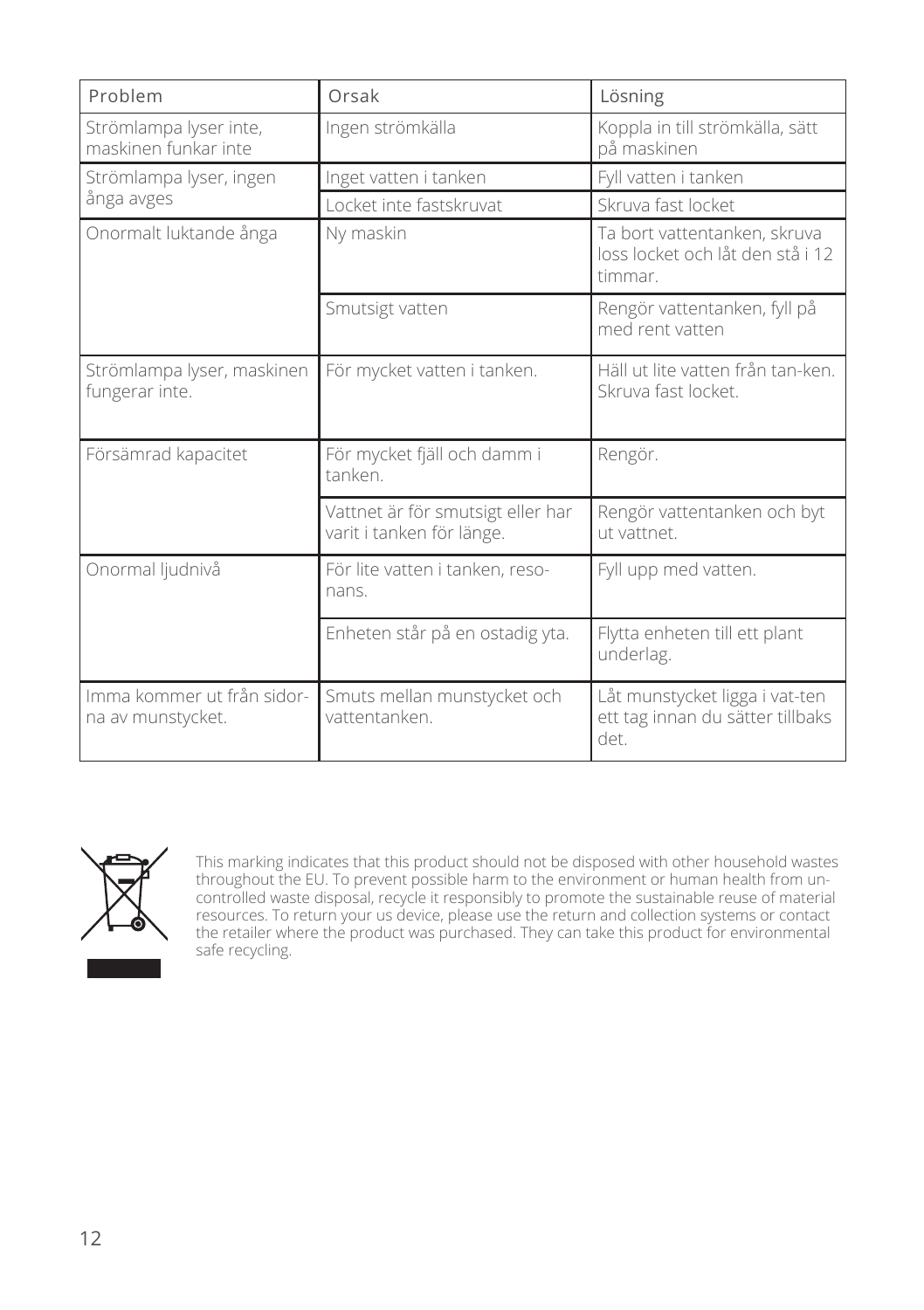| Problem                                         | Orsak                                                          | Lösning                                                                     |
|-------------------------------------------------|----------------------------------------------------------------|-----------------------------------------------------------------------------|
| Strömlampa lyser inte,<br>maskinen funkar inte  | Ingen strömkälla                                               | Koppla in till strömkälla, sätt<br>på maskinen                              |
| Strömlampa lyser, ingen                         | Inget vatten i tanken                                          | Fyll vatten i tanken                                                        |
| ånga avges                                      | Locket inte fastskruvat                                        | Skruva fast locket                                                          |
| Onormalt luktande ånga                          | Ny maskin                                                      | Ta bort vattentanken, skruva<br>loss locket och låt den stå i 12<br>timmar. |
|                                                 | Smutsigt vatten                                                | Rengör vattentanken, fyll på<br>med rent vatten                             |
| Strömlampa lyser, maskinen<br>fungerar inte.    | För mycket vatten i tanken.                                    | Häll ut lite vatten från tan-ken.<br>Skruva fast locket.                    |
| Försämrad kapacitet                             | För mycket fjäll och damm i<br>tanken                          | Rengör.                                                                     |
|                                                 | Vattnet är för smutsigt eller har<br>varit i tanken för länge. | Rengör vattentanken och byt<br>ut vattnet.                                  |
| Onormal ljudnivå                                | För lite vatten i tanken, reso-<br>nans.                       | Fyll upp med vatten.                                                        |
|                                                 | Enheten står på en ostadig yta.                                | Flytta enheten till ett plant<br>underlag.                                  |
| Imma kommer ut från sidor-<br>na av munstycket. | Smuts mellan munstycket och<br>vattentanken.                   | Låt munstycket ligga i vat-ten<br>ett tag innan du sätter tillbaks<br>det.  |



This marking indicates that this product should not be disposed with other household wastes throughout the EU. To prevent possible harm to the environment or human health from uncontrolled waste disposal, recycle it responsibly to promote the sustainable reuse of material resources. To return your us device, please use the return and collection systems or contact the retailer where the product was purchased. They can take this product for environmental safe recycling.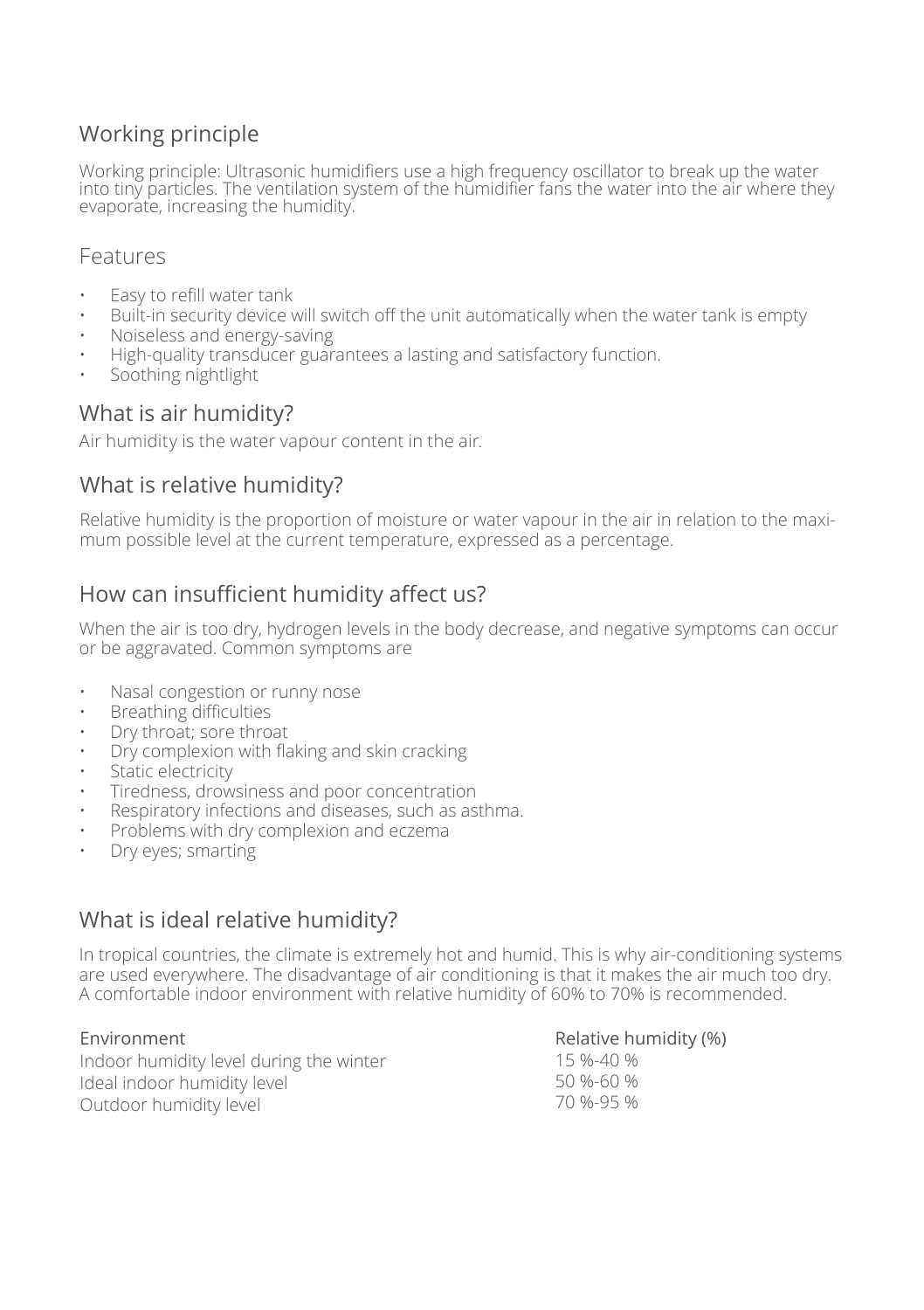# Working principle

Working principle: Ultrasonic humidifiers use a high frequency oscillator to break up the water into tiny particles. The ventilation system of the humidifier fans the water into the air where they evaporate, increasing the humidity.

### Features

- Easy to refill water tank
- Built-in security device will switch off the unit automatically when the water tank is empty
- Noiseless and energy-saving
- High-quality transducer guarantees a lasting and satisfactory function.
- Soothing nightlight

### What is air humidity?

Air humidity is the water vapour content in the air.

# What is relative humidity?

Relative humidity is the proportion of moisture or water vapour in the air in relation to the maximum possible level at the current temperature, expressed as a percentage.

# How can insufficient humidity affect us?

When the air is too dry, hydrogen levels in the body decrease, and negative symptoms can occur or be aggravated. Common symptoms are

- Nasal congestion or runny nose
- Breathing difficulties
- Dry throat; sore throat
- Dry complexion with flaking and skin cracking
- Static electricity
- Tiredness, drowsiness and poor concentration
- Respiratory infections and diseases, such as asthma.
- Problems with dry complexion and eczema
- Dry eyes; smarting

### What is ideal relative humidity?

In tropical countries, the climate is extremely hot and humid. This is why air-conditioning systems are used everywhere. The disadvantage of air conditioning is that it makes the air much too dry. A comfortable indoor environment with relative humidity of 60% to 70% is recommended.

Environment Indoor humidity level during the winter Ideal indoor humidity level Outdoor humidity level

Relative humidity (%)

15 %-40 % 50 %-60 % 70 %-95 %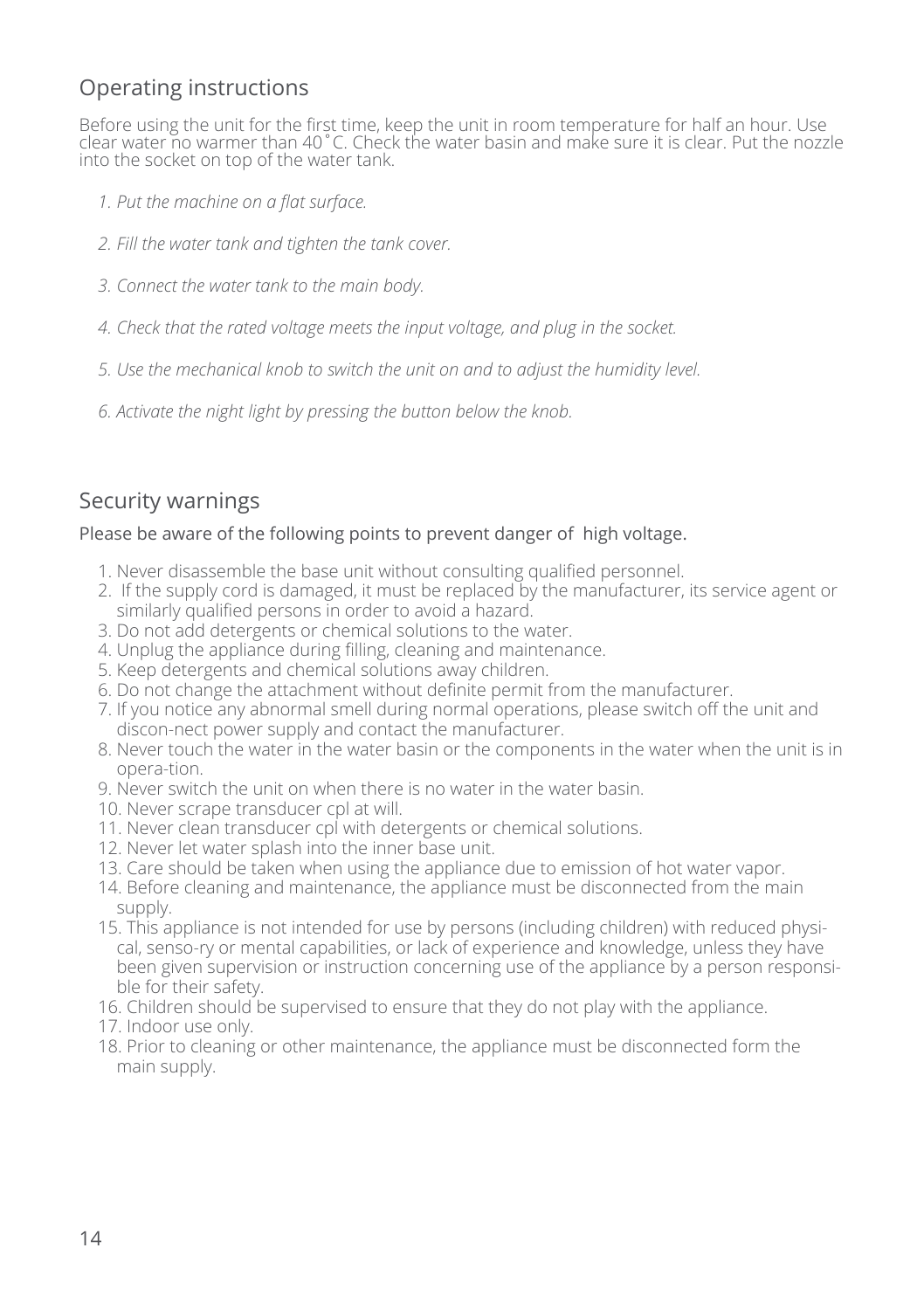# Operating instructions

Before using the unit for the first time, keep the unit in room temperature for half an hour. Use clear water no warmer than 40˚C. Check the water basin and make sure it is clear. Put the nozzle into the socket on top of the water tank.

- *1. Put the machine on a flat surface.*
- *2. Fill the water tank and tighten the tank cover.*
- *3. Connect the water tank to the main body.*
- *4. Check that the rated voltage meets the input voltage, and plug in the socket.*
- *5. Use the mechanical knob to switch the unit on and to adjust the humidity level.*
- *6. Activate the night light by pressing the button below the knob.*

# Security warnings

#### Please be aware of the following points to prevent danger of high voltage.

- 1. Never disassemble the base unit without consulting qualified personnel.
- 2. If the supply cord is damaged, it must be replaced by the manufacturer, its service agent or similarly qualified persons in order to avoid a hazard.
- 3. Do not add detergents or chemical solutions to the water.
- 4. Unplug the appliance during filling, cleaning and maintenance.
- 5. Keep detergents and chemical solutions away children.
- 6. Do not change the attachment without definite permit from the manufacturer.
- 7. If you notice any abnormal smell during normal operations, please switch off the unit and discon-nect power supply and contact the manufacturer.
- 8. Never touch the water in the water basin or the components in the water when the unit is in opera-tion.
- 9. Never switch the unit on when there is no water in the water basin.
- 10. Never scrape transducer cpl at will.
- 11. Never clean transducer cpl with detergents or chemical solutions.
- 12. Never let water splash into the inner base unit.
- 13. Care should be taken when using the appliance due to emission of hot water vapor.
- 14. Before cleaning and maintenance, the appliance must be disconnected from the main supply.
- 15. This appliance is not intended for use by persons (including children) with reduced physical, senso-ry or mental capabilities, or lack of experience and knowledge, unless they have been given supervision or instruction concerning use of the appliance by a person responsible for their safety.
- 16. Children should be supervised to ensure that they do not play with the appliance.
- 17. Indoor use only.
- 18. Prior to cleaning or other maintenance, the appliance must be disconnected form the main supply.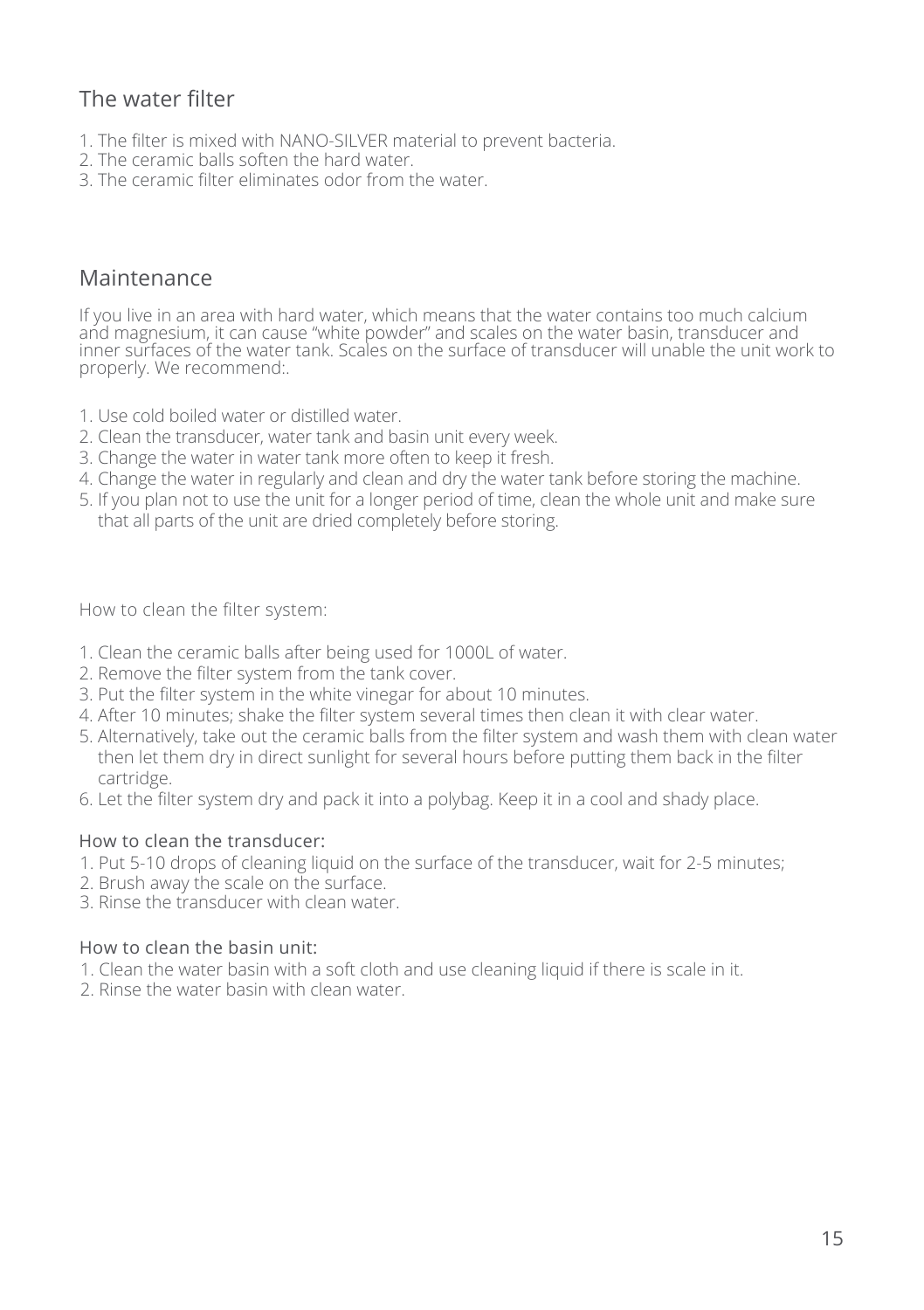# The water filter

- 1. The filter is mixed with NANO-SILVER material to prevent bacteria.
- 2. The ceramic balls soften the hard water.
- 3. The ceramic filter eliminates odor from the water.

### Maintenance

If you live in an area with hard water, which means that the water contains too much calcium and magnesium, it can cause "white powder" and scales on the water basin, transducer and inner surfaces of the water tank. Scales on the surface of transducer will unable the unit work to properly. We recommend:.

- 1. Use cold boiled water or distilled water.
- 2. Clean the transducer, water tank and basin unit every week.
- 3. Change the water in water tank more often to keep it fresh.
- 4. Change the water in regularly and clean and dry the water tank before storing the machine.
- 5. If you plan not to use the unit for a longer period of time, clean the whole unit and make sure that all parts of the unit are dried completely before storing.

How to clean the filter system:

- 1. Clean the ceramic balls after being used for 1000L of water.
- 2. Remove the filter system from the tank cover.
- 3. Put the filter system in the white vinegar for about 10 minutes.
- 4. After 10 minutes; shake the filter system several times then clean it with clear water.
- 5. Alternatively, take out the ceramic balls from the filter system and wash them with clean water then let them dry in direct sunlight for several hours before putting them back in the filter cartridge.
- 6. Let the filter system dry and pack it into a polybag. Keep it in a cool and shady place.

#### How to clean the transducer:

- 1. Put 5-10 drops of cleaning liquid on the surface of the transducer, wait for 2-5 minutes;
- 2. Brush away the scale on the surface.
- 3. Rinse the transducer with clean water.

#### How to clean the basin unit:

- 1. Clean the water basin with a soft cloth and use cleaning liquid if there is scale in it.
- 2. Rinse the water basin with clean water.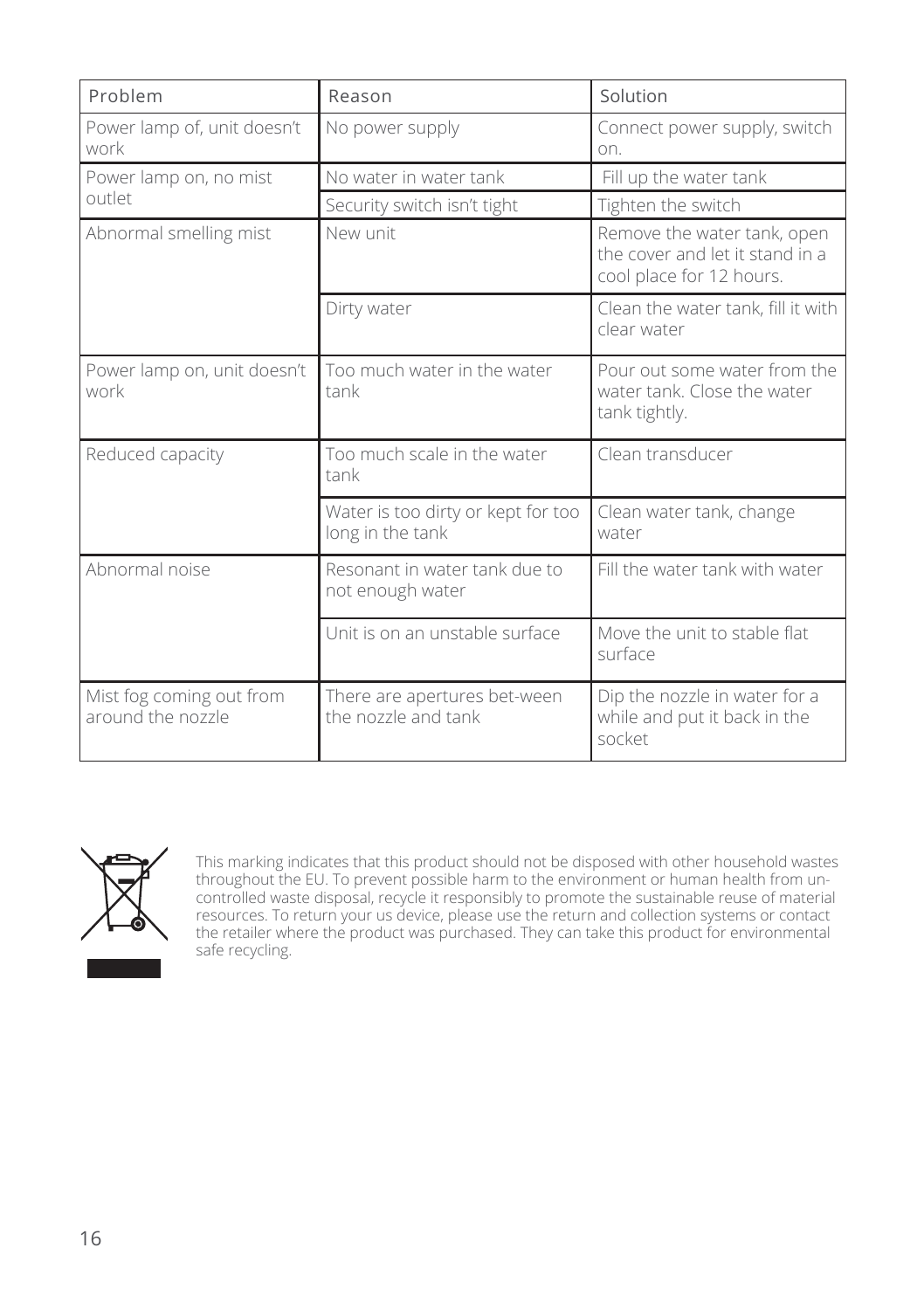| Problem                                       | Reason                                                 | Solution                                                                                   |
|-----------------------------------------------|--------------------------------------------------------|--------------------------------------------------------------------------------------------|
| Power lamp of, unit doesn't<br>work           | No power supply                                        | Connect power supply, switch<br>on.                                                        |
| Power lamp on, no mist                        | No water in water tank                                 | Fill up the water tank                                                                     |
| outlet                                        | Security switch isn't tight                            | Tighten the switch                                                                         |
| Abnormal smelling mist                        | New unit                                               | Remove the water tank, open<br>the cover and let it stand in a<br>cool place for 12 hours. |
|                                               | Dirty water                                            | Clean the water tank, fill it with<br>clear water                                          |
| Power lamp on, unit doesn't<br>work           | Too much water in the water<br>tank                    | Pour out some water from the<br>water tank. Close the water<br>tank tightly.               |
| Reduced capacity                              | Too much scale in the water<br>tank                    | Clean transducer                                                                           |
|                                               | Water is too dirty or kept for too<br>long in the tank | Clean water tank, change<br>water                                                          |
| Abnormal noise                                | Resonant in water tank due to<br>not enough water      | Fill the water tank with water                                                             |
|                                               | Unit is on an unstable surface                         | Move the unit to stable flat<br>surface                                                    |
| Mist fog coming out from<br>around the nozzle | There are apertures bet-ween<br>the nozzle and tank    | Dip the nozzle in water for a<br>while and put it back in the<br>socket                    |



This marking indicates that this product should not be disposed with other household wastes throughout the EU. To prevent possible harm to the environment or human health from uncontrolled waste disposal, recycle it responsibly to promote the sustainable reuse of material resources. To return your us device, please use the return and collection systems or contact the retailer where the product was purchased. They can take this product for environmental safe recycling.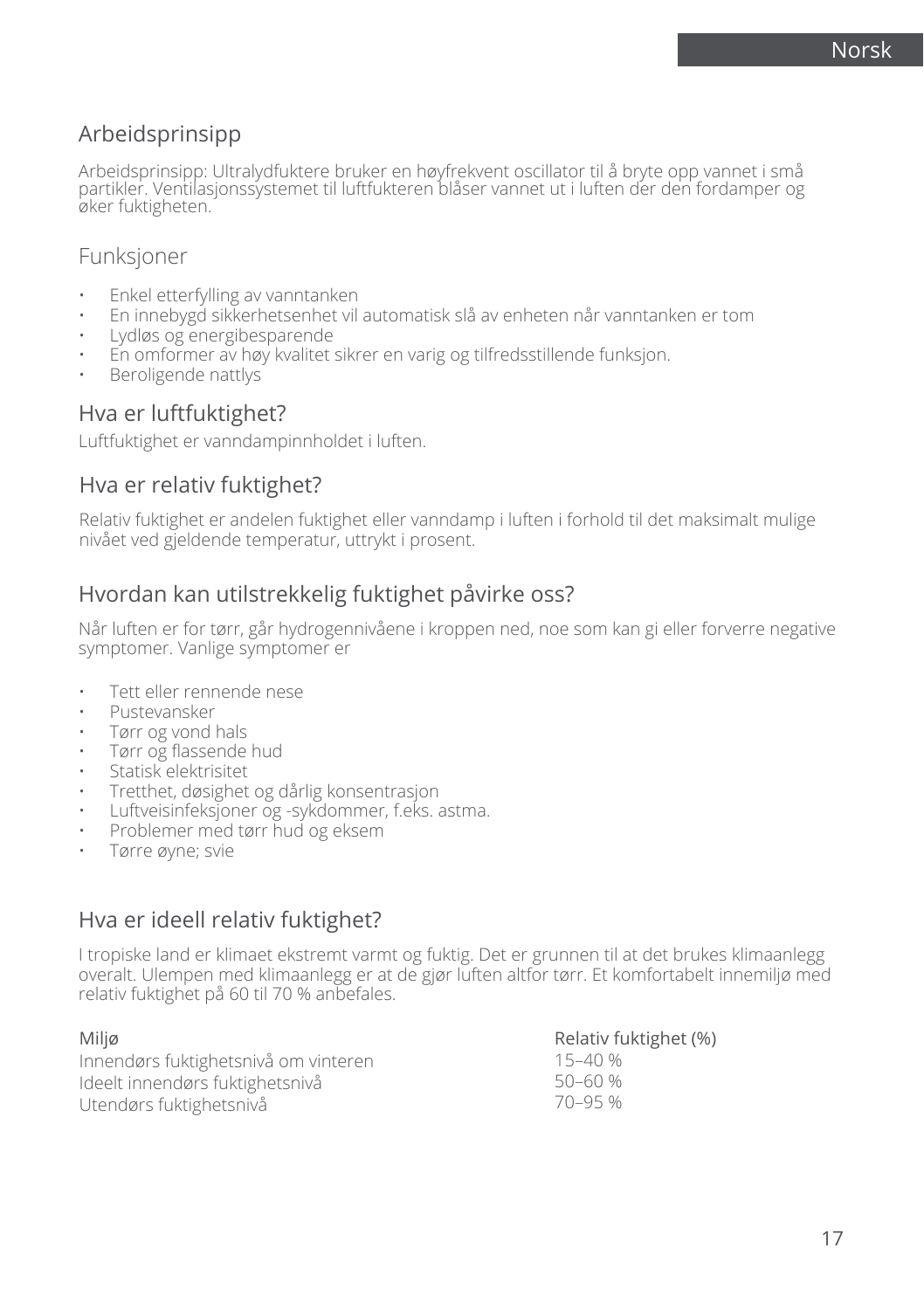# Arbeidsprinsipp

Arbeidsprinsipp: Ultralydfuktere bruker en høyfrekvent oscillator til å bryte opp vannet i små partikler. Ventilasjonssystemet til luftfukteren blåser vannet ut i luften der den fordamper og øker fuktigheten.

### Funksjoner

- Enkel etterfylling av vanntanken
- En innebygd sikkerhetsenhet vil automatisk slå av enheten når vanntanken er tom
- Lydløs og energibesparende
- En omformer av høy kvalitet sikrer en varig og tilfredsstillende funksjon.
- Beroligende nattlys

### Hva er luftfuktighet?

Luftfuktighet er vanndampinnholdet i luften.

### Hva er relativ fuktighet?

Relativ fuktighet er andelen fuktighet eller vanndamp i luften i forhold til det maksimalt mulige nivået ved gjeldende temperatur, uttrykt i prosent.

### Hvordan kan utilstrekkelig fuktighet påvirke oss?

Når luften er for tørr, går hydrogennivåene i kroppen ned, noe som kan gi eller forverre negative symptomer. Vanlige symptomer er

- Tett eller rennende nese
- Pustevansker
- Tørr og vond hals
- Tørr og flassende hud
- Statisk elektrisitet
- Tretthet, døsighet og dårlig konsentrasjon
- Luftveisinfeksjoner og -sykdommer, f.eks. astma.
- Problemer med tørr hud og eksem
- Tørre øyne; svie

### Hva er ideell relativ fuktighet?

I tropiske land er klimaet ekstremt varmt og fuktig. Det er grunnen til at det brukes klimaanlegg overalt. Ulempen med klimaanlegg er at de gjør luften altfor tørr. Et komfortabelt innemiljø med relativ fuktighet på 60 til 70 % anbefales.

| Miljø                                | Relativ fuktighet (%) |
|--------------------------------------|-----------------------|
| Innendørs fuktighetsnivå om vinteren | 15–40 %               |
| Ideelt innendørs fuktighetsnivå      | 50–60 %               |
| Utendørs fuktighetsnivå              | 70–95 %               |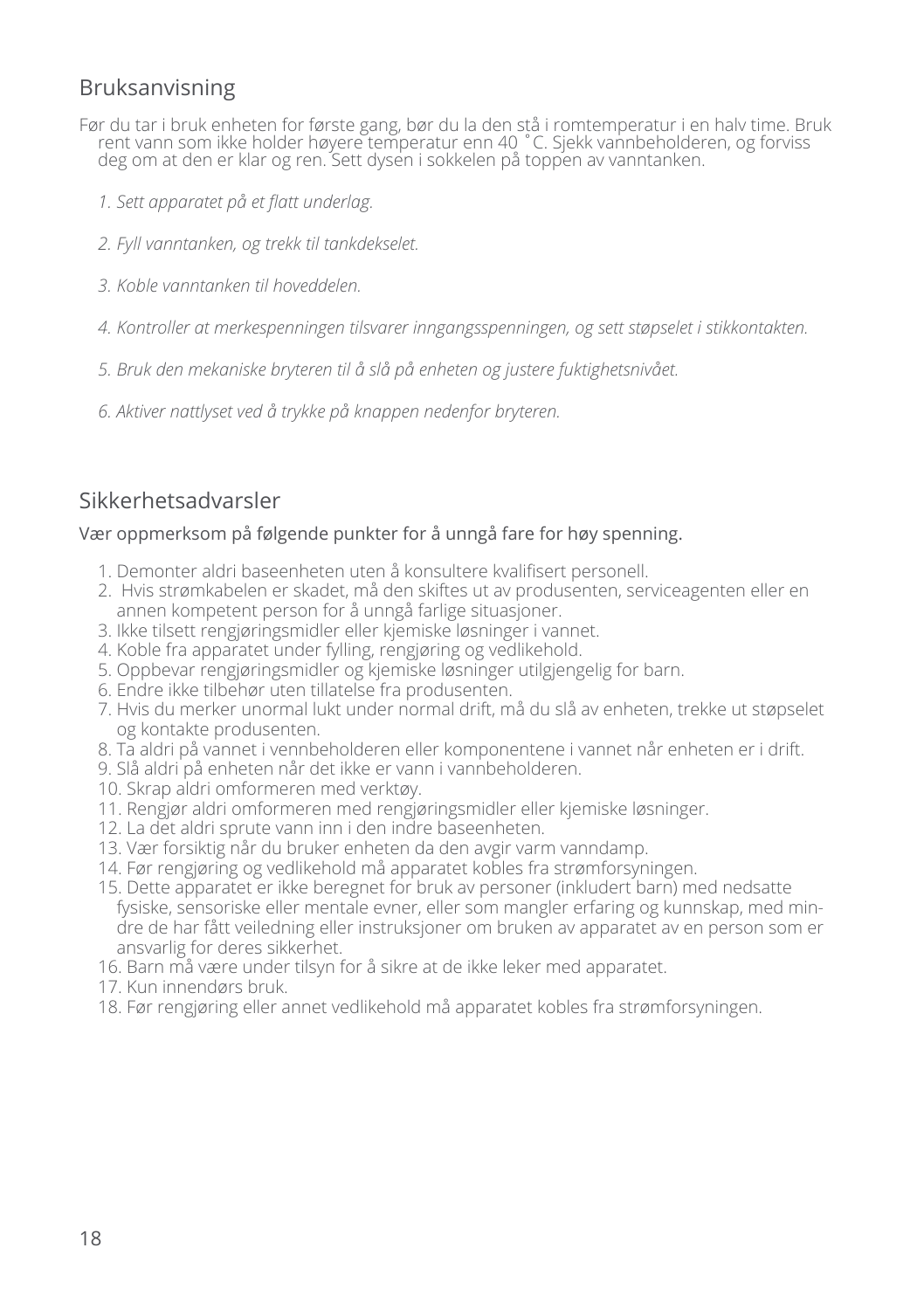# Bruksanvisning

- Før du tar i bruk enheten for første gang, bør du la den stå i romtemperatur i en halv time. Bruk rent vann som ikke holder høyere temperatur enn 40 ˚C. Sjekk vannbeholderen, og forviss deg om at den er klar og ren. Sett dysen i sokkelen på toppen av vanntanken.
	- *1. Sett apparatet på et flatt underlag.*
	- *2. Fyll vanntanken, og trekk til tankdekselet.*
	- *3. Koble vanntanken til hoveddelen.*
	- *4. Kontroller at merkespenningen tilsvarer inngangsspenningen, og sett støpselet i stikkontakten.*
	- *5. Bruk den mekaniske bryteren til å slå på enheten og justere fuktighetsnivået.*
	- *6. Aktiver nattlyset ved å trykke på knappen nedenfor bryteren.*

# Sikkerhetsadvarsler

#### Vær oppmerksom på følgende punkter for å unngå fare for høy spenning.

- 1. Demonter aldri baseenheten uten å konsultere kvalifisert personell.
- 2. Hvis strømkabelen er skadet, må den skiftes ut av produsenten, serviceagenten eller en annen kompetent person for å unngå farlige situasjoner.
- 3. Ikke tilsett rengjøringsmidler eller kjemiske løsninger i vannet.
- 4. Koble fra apparatet under fylling, rengjøring og vedlikehold.
- 5. Oppbevar rengjøringsmidler og kjemiske løsninger utilgjengelig for barn.
- 6. Endre ikke tilbehør uten tillatelse fra produsenten.
- 7. Hvis du merker unormal lukt under normal drift, må du slå av enheten, trekke ut støpselet og kontakte produsenten.
- 8. Ta aldri på vannet i vennbeholderen eller komponentene i vannet når enheten er i drift.
- 9. Slå aldri på enheten når det ikke er vann i vannbeholderen.
- 10. Skrap aldri omformeren med verktøy.
- 11. Rengjør aldri omformeren med rengjøringsmidler eller kjemiske løsninger.
- 12. La det aldri sprute vann inn i den indre baseenheten.
- 13. Vær forsiktig når du bruker enheten da den avgir varm vanndamp.
- 14. Før rengjøring og vedlikehold må apparatet kobles fra strømforsyningen.
- 15. Dette apparatet er ikke beregnet for bruk av personer (inkludert barn) med nedsatte fysiske, sensoriske eller mentale evner, eller som mangler erfaring og kunnskap, med mindre de har fått veiledning eller instruksjoner om bruken av apparatet av en person som er ansvarlig for deres sikkerhet.
- 16. Barn må være under tilsyn for å sikre at de ikke leker med apparatet.
- 17. Kun innendørs bruk.
- 18. Før rengjøring eller annet vedlikehold må apparatet kobles fra strømforsyningen.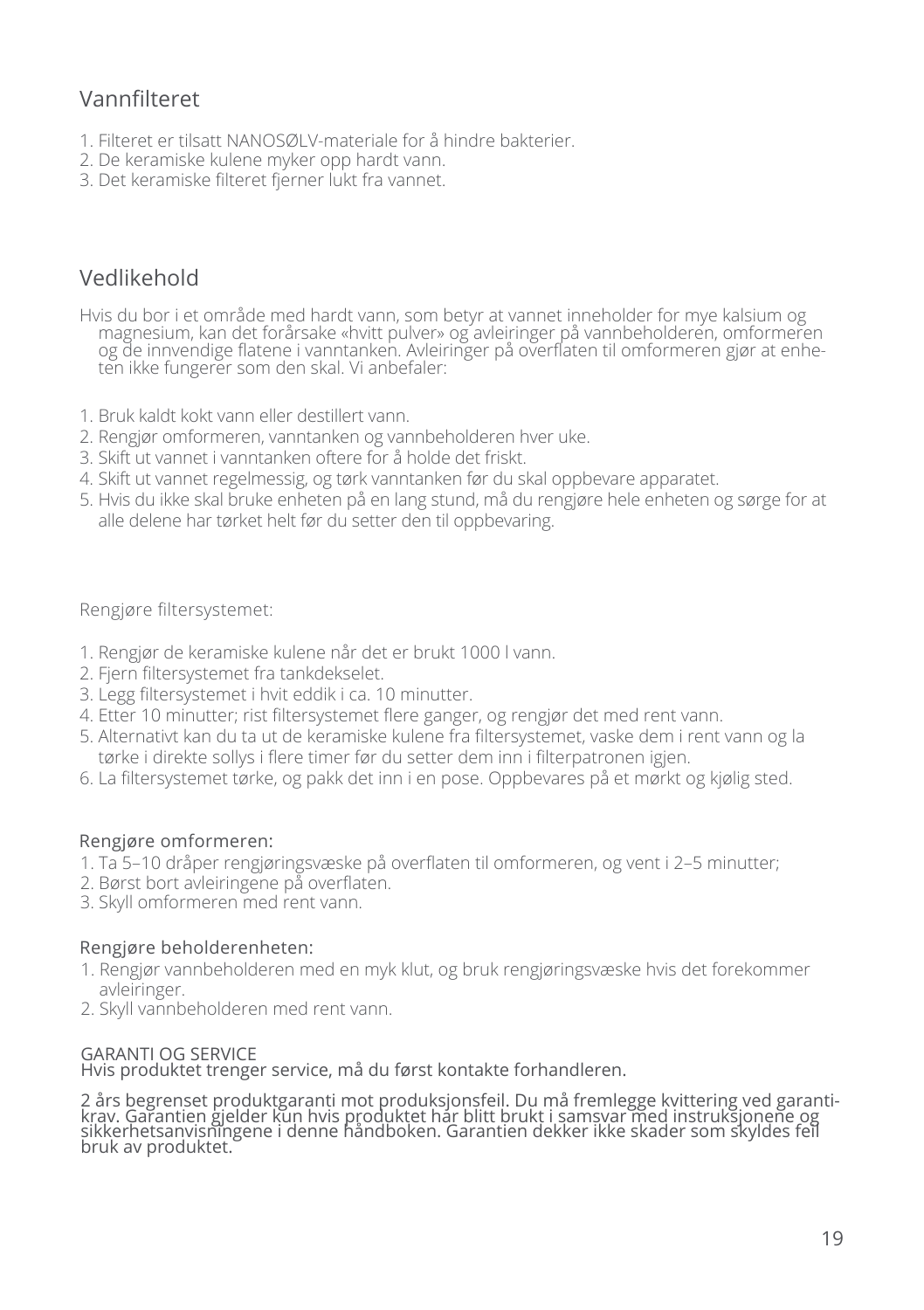# Vannfilteret

- 1. Filteret er tilsatt NANOSØLV-materiale for å hindre bakterier.
- 2. De keramiske kulene myker opp hardt vann.
- 3. Det keramiske filteret fjerner lukt fra vannet.

# Vedlikehold

Hvis du bor i et område med hardt vann, som betyr at vannet inneholder for mye kalsium og magnesium, kan det forårsake «hvitt pulver» og avleiringer på vannbeholderen, omformeren og de innvendige flatene i vanntanken. Avleiringer på overflaten til omformeren gjør at enheten ikke fungerer som den skal. Vi anbefaler:

- 1. Bruk kaldt kokt vann eller destillert vann.
- 2. Rengjør omformeren, vanntanken og vannbeholderen hver uke.
- 3. Skift ut vannet i vanntanken oftere for å holde det friskt.
- 4. Skift ut vannet regelmessig, og tørk vanntanken før du skal oppbevare apparatet.
- 5. Hvis du ikke skal bruke enheten på en lang stund, må du rengjøre hele enheten og sørge for at alle delene har tørket helt før du setter den til oppbevaring.

#### Rengjøre filtersystemet:

- 1. Rengjør de keramiske kulene når det er brukt 1000 l vann.
- 2. Fjern filtersystemet fra tankdekselet.
- 3. Legg filtersystemet i hvit eddik i ca. 10 minutter.
- 4. Etter 10 minutter; rist filtersystemet flere ganger, og rengjør det med rent vann.
- 5. Alternativt kan du ta ut de keramiske kulene fra filtersystemet, vaske dem i rent vann og la tørke i direkte sollys i flere timer før du setter dem inn i filterpatronen igjen.
- 6. La filtersystemet tørke, og pakk det inn i en pose. Oppbevares på et mørkt og kjølig sted.

#### Rengjøre omformeren:

- 1. Ta 5–10 dråper rengjøringsvæske på overflaten til omformeren, og vent i 2–5 minutter;
- 2. Børst bort avleiringene på overflaten.
- 3. Skyll omformeren med rent vann.

#### Rengjøre beholderenheten:

- 1. Rengjør vannbeholderen med en myk klut, og bruk rengjøringsvæske hvis det forekommer avleiringer.
- 2. Skyll vannbeholderen med rent vann.

#### GARANTI OG SERVICE

Hvis produktet trenger service, må du først kontakte forhandleren.

2 års begrenset produktgaranti mot produksjonsfeil. Du må fremlegge kvittering ved garanti-<br>krav. Garantien gjelder kun hvis produktet har blitt brukt i samsvar med instruksjonene og<br>sikkerhetsanvisningene i denne håndboke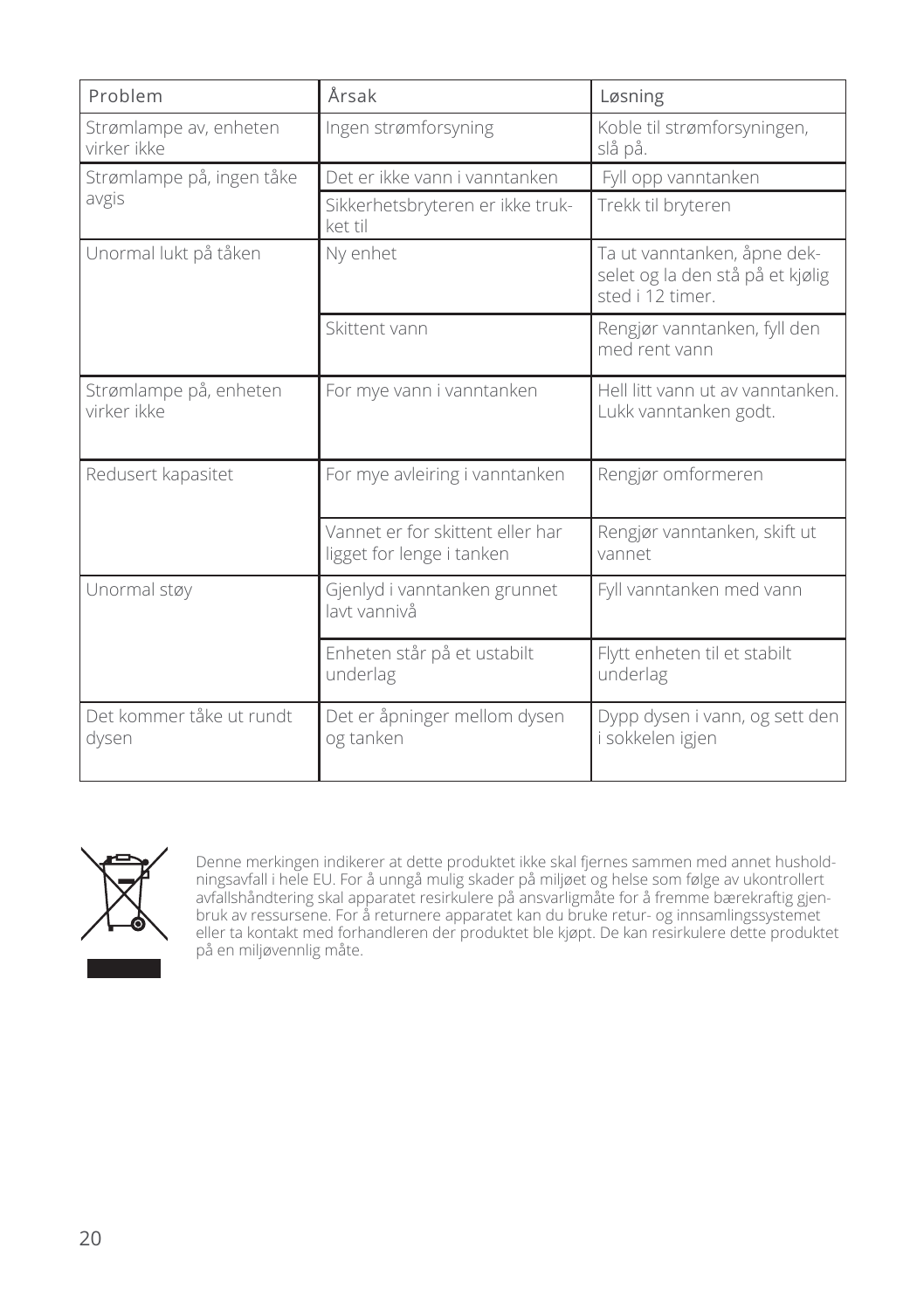| Problem                               | Årsak                                                         | Løsning                                                                             |
|---------------------------------------|---------------------------------------------------------------|-------------------------------------------------------------------------------------|
| Strømlampe av, enheten<br>virker ikke | Ingen strømforsyning                                          | Koble til strømforsyningen,<br>slå på.                                              |
| Strømlampe på, ingen tåke             | Det er ikke vann i vanntanken                                 | Fyll opp vanntanken                                                                 |
| avgis                                 | Sikkerhetsbryteren er ikke truk-<br>ket til                   | Trekk til bryteren                                                                  |
| Unormal lukt på tåken                 | Ny enhet                                                      | Ta ut vanntanken, åpne dek-<br>selet og la den stå på et kjølig<br>sted i 12 timer. |
|                                       | Skittent vann                                                 | Rengjør vanntanken, fyll den<br>med rent vann                                       |
| Strømlampe på, enheten<br>virker ikke | For mye vann i vanntanken                                     | Hell litt vann ut av vanntanken.<br>Lukk vanntanken godt.                           |
| Redusert kapasitet                    | For mye avleiring i vanntanken                                | Rengjør omformeren                                                                  |
|                                       | Vannet er for skittent eller har<br>ligget for lenge i tanken | Rengjør vanntanken, skift ut<br>vannet                                              |
| Unormal støy                          | Gjenlyd i vanntanken grunnet<br>layt vannivå                  | Fyll vanntanken med vann                                                            |
|                                       | Enheten står på et ustabilt<br>underlag                       | Flytt enheten til et stabilt<br>underlag                                            |
| Det kommer tåke ut rundt<br>dysen     | Det er åpninger mellom dysen<br>og tanken                     | Dypp dysen i vann, og sett den<br>i sokkelen igjen                                  |



Denne merkingen indikerer at dette produktet ikke skal fjernes sammen med annet husholdningsavfall i hele EU. For å unngå mulig skader på miljøet og helse som følge av ukontrollert avfallshåndtering skal apparatet resirkulere på ansvarligmåte for å fremme bærekraftig gjenbruk av ressursene. For å returnere apparatet kan du bruke retur- og innsamlingssystemet eller ta kontakt med forhandleren der produktet ble kjøpt. De kan resirkulere dette produktet på en miljøvennlig måte.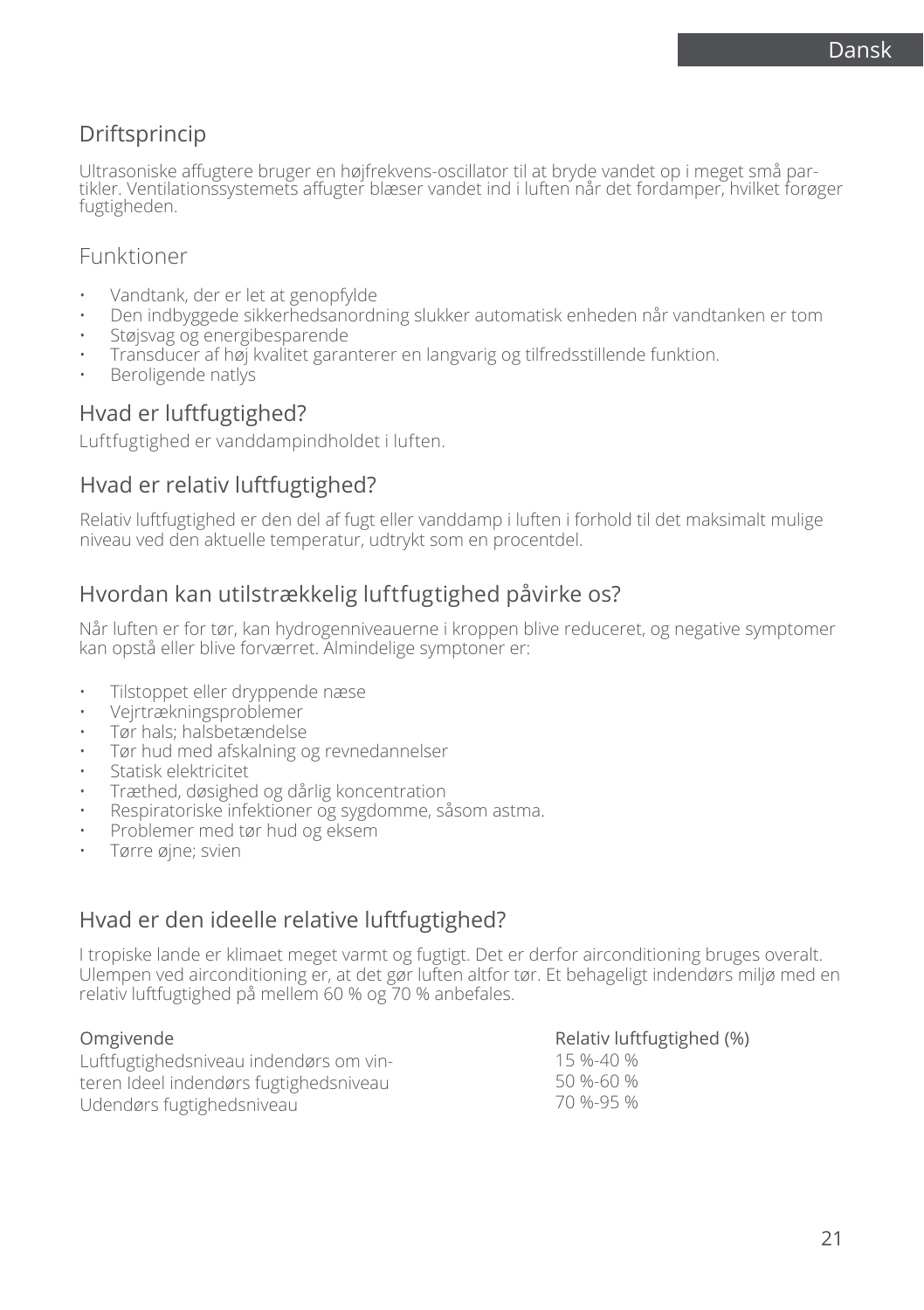# Driftsprincip

Ultrasoniske affugtere bruger en højfrekvens-oscillator til at bryde vandet op i meget små partikler. Ventilationssystemets affugter blæser vandet ind i luften når det fordamper, hvilket forøger fugtigheden.

### Funktioner

- Vandtank, der er let at genopfylde
- Den indbyggede sikkerhedsanordning slukker automatisk enheden når vandtanken er tom
- Støjsvag og energibesparende
- Transducer af høj kvalitet garanterer en langvarig og tilfredsstillende funktion.
- Beroligende natlys

### Hvad er luftfugtighed?

Luftfugtighed er vanddampindholdet i luften.

### Hvad er relativ luftfugtighed?

Relativ luftfugtighed er den del af fugt eller vanddamp i luften i forhold til det maksimalt mulige niveau ved den aktuelle temperatur, udtrykt som en procentdel.

# Hvordan kan utilstrækkelig luftfugtighed påvirke os?

Når luften er for tør, kan hydrogenniveauerne i kroppen blive reduceret, og negative symptomer kan opstå eller blive forværret. Almindelige symptoner er:

- Tilstoppet eller dryppende næse
- Vejrtrækningsproblemer
- Tør hals; halsbetændelse
- Tør hud med afskalning og revnedannelser
- Statisk elektricitet
- Træthed, døsighed og dårlig koncentration
- Respiratoriske infektioner og sygdomme, såsom astma.
- Problemer med tør hud og eksem
- Tørre øjne; svien

# Hvad er den ideelle relative luftfugtighed?

I tropiske lande er klimaet meget varmt og fugtigt. Det er derfor airconditioning bruges overalt. Ulempen ved airconditioning er, at det gør luften altfor tør. Et behageligt indendørs miljø med en relativ luftfugtighed på mellem 60 % og 70 % anbefales.

#### Omgivende

Luftfugtighedsniveau indendørs om vinteren Ideel indendørs fugtighedsniveau Udendørs fugtighedsniveau

#### Relativ luftfugtighed (%)

15 %-40 % 50 %-60 % 70 %-95 %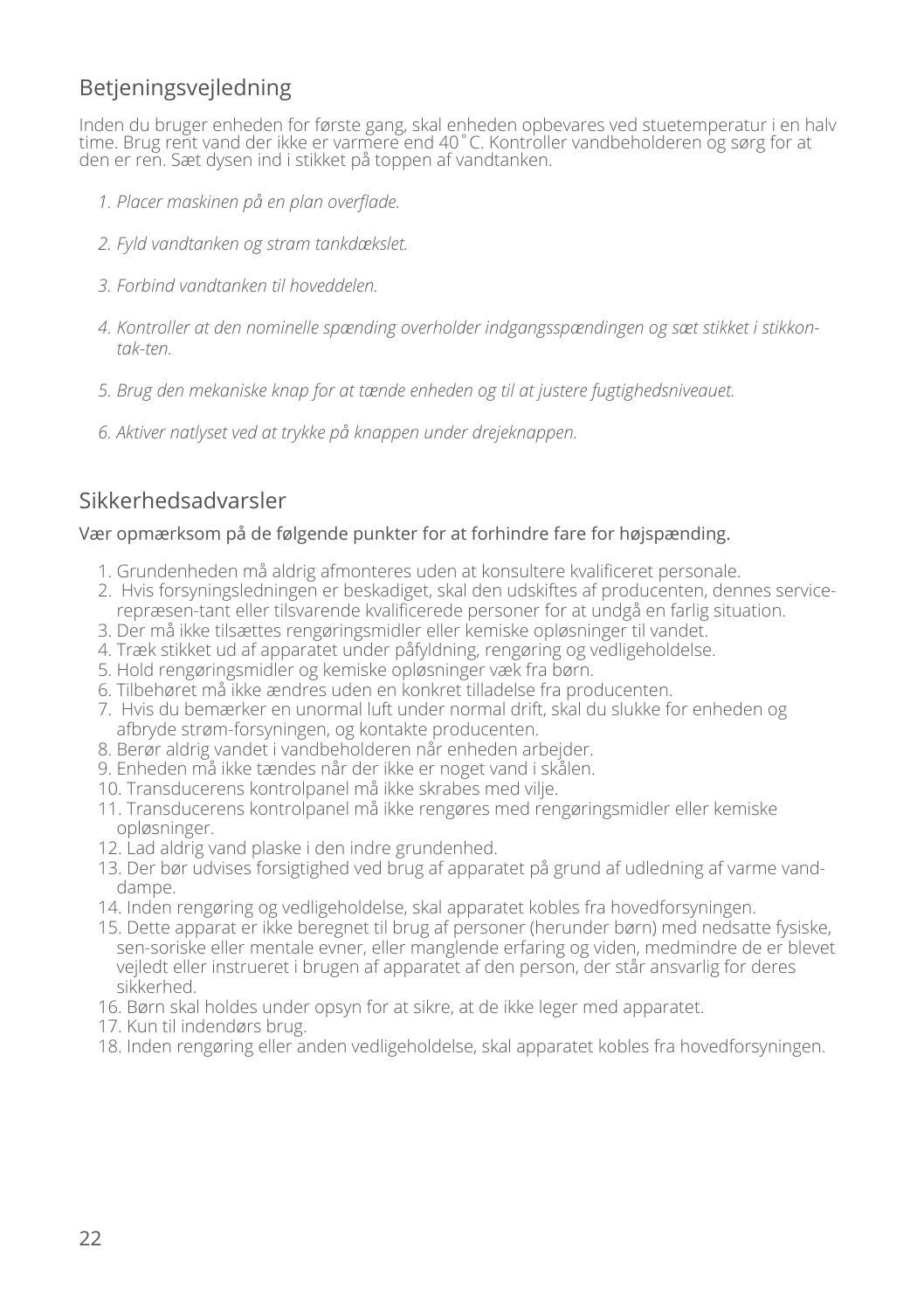# Betjeningsvejledning

Inden du bruger enheden for første gang, skal enheden opbevares ved stuetemperatur i en halv time. Brug rent vand der ikke er varmere end 40˚C. Kontroller vandbeholderen og sørg for at den er ren. Sæt dysen ind i stikket på toppen af vandtanken.

- *1. Placer maskinen på en plan overflade.*
- *2. Fyld vandtanken og stram tankdækslet.*
- *3. Forbind vandtanken til hoveddelen.*
- *4. Kontroller at den nominelle spænding overholder indgangsspændingen og sæt stikket i stikkontak-ten.*
- *5. Brug den mekaniske knap for at tænde enheden og til at justere fugtighedsniveauet.*
- *6. Aktiver natlyset ved at trykke på knappen under drejeknappen.*

# Sikkerhedsadvarsler

#### Vær opmærksom på de følgende punkter for at forhindre fare for højspænding.

- 1. Grundenheden må aldrig afmonteres uden at konsultere kvalificeret personale.
- 2. Hvis forsyningsledningen er beskadiget, skal den udskiftes af producenten, dennes servicerepræsen-tant eller tilsvarende kvalificerede personer for at undgå en farlig situation.
- 3. Der må ikke tilsættes rengøringsmidler eller kemiske opløsninger til vandet.
- 4. Træk stikket ud af apparatet under påfyldning, rengøring og vedligeholdelse.
- 5. Hold rengøringsmidler og kemiske opløsninger væk fra børn.
- 6. Tilbehøret må ikke ændres uden en konkret tilladelse fra producenten.
- 7. Hvis du bemærker en unormal luft under normal drift, skal du slukke for enheden og afbryde strøm-forsyningen, og kontakte producenten.
- 8. Berør aldrig vandet i vandbeholderen når enheden arbejder.
- 9. Enheden må ikke tændes når der ikke er noget vand i skålen.
- 10. Transducerens kontrolpanel må ikke skrabes med vilje.
- 11. Transducerens kontrolpanel må ikke rengøres med rengøringsmidler eller kemiske opløsninger.
- 12. Lad aldrig vand plaske i den indre grundenhed.
- 13. Der bør udvises forsigtighed ved brug af apparatet på grund af udledning af varme vanddampe.
- 14. Inden rengøring og vedligeholdelse, skal apparatet kobles fra hovedforsyningen.
- 15. Dette apparat er ikke beregnet til brug af personer (herunder børn) med nedsatte fysiske, sen-soriske eller mentale evner, eller manglende erfaring og viden, medmindre de er blevet vejledt eller instrueret i brugen af apparatet af den person, der står ansvarlig for deres sikkerhed.
- 16. Børn skal holdes under opsyn for at sikre, at de ikke leger med apparatet.
- 17. Kun til indendørs brug.
- 18. Inden rengøring eller anden vedligeholdelse, skal apparatet kobles fra hovedforsyningen.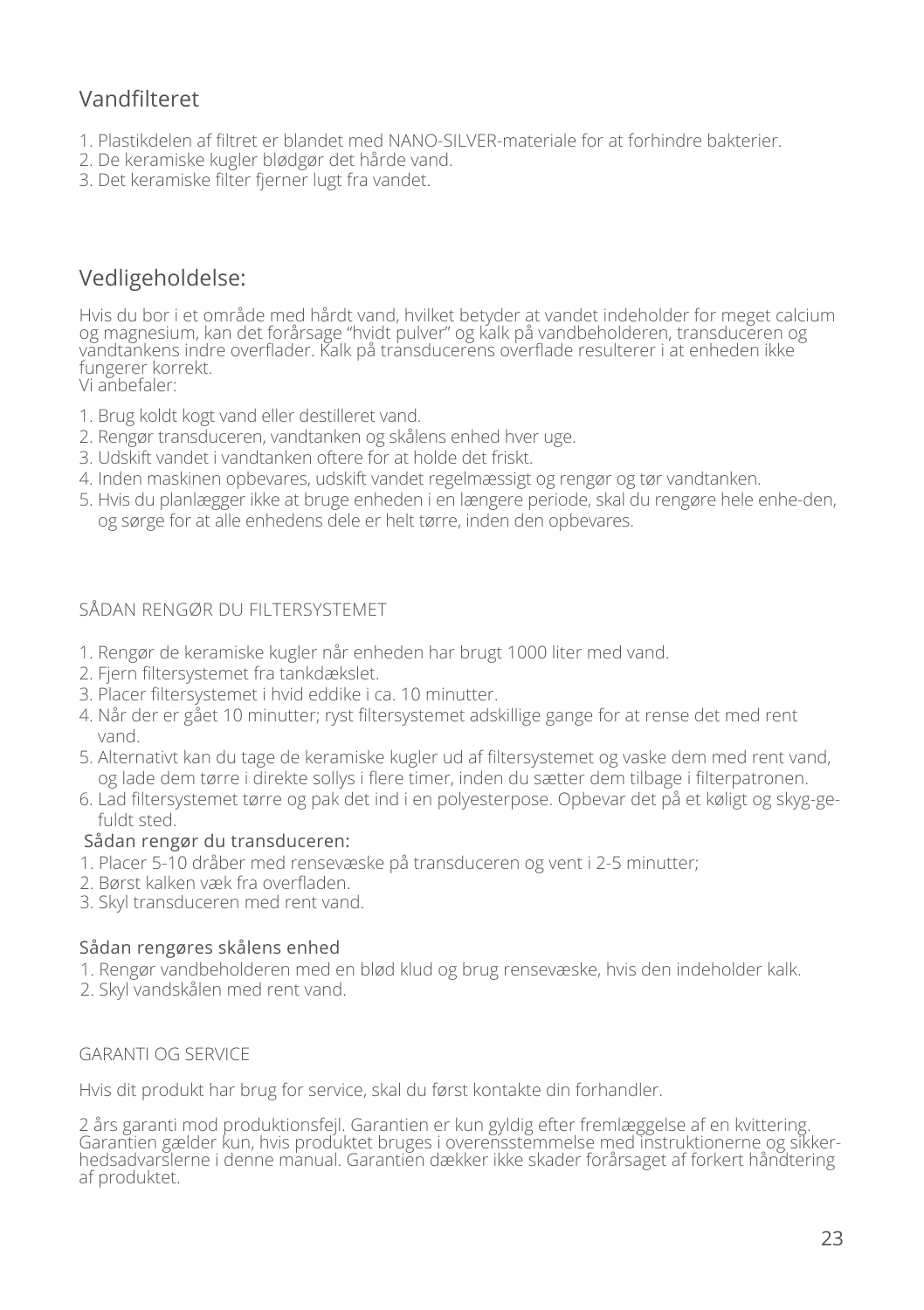# Vandfilteret

- 1. Plastikdelen af filtret er blandet med NANO-SILVER-materiale for at forhindre bakterier.
- 2. De keramiske kugler blødgør det hårde vand.
- 3. Det keramiske filter fjerner lugt fra vandet.

# Vedligeholdelse:

Hvis du bor i et område med hårdt vand, hvilket betyder at vandet indeholder for meget calcium og magnesium, kan det forårsage "hvidt pulver" og kalk på vandbeholderen, transduceren og vandtankens indre overflader. Kalk på transducerens overflade resulterer i at enheden ikke fungerer korrekt.

Vi anbefaler:

- 1. Brug koldt kogt vand eller destilleret vand.
- 2. Rengør transduceren, vandtanken og skålens enhed hver uge.
- 3. Udskift vandet i vandtanken oftere for at holde det friskt.
- 4. Inden maskinen opbevares, udskift vandet regelmæssigt og rengør og tør vandtanken.
- 5. Hvis du planlægger ikke at bruge enheden i en længere periode, skal du rengøre hele enhe-den, og sørge for at alle enhedens dele er helt tørre, inden den opbevares.

### SÅDAN RENGØR DU FILTERSYSTEMET

- 1. Rengør de keramiske kugler når enheden har brugt 1000 liter med vand.
- 2. Fjern filtersystemet fra tankdækslet.
- 3. Placer filtersystemet i hvid eddike i ca. 10 minutter.
- 4. Når der er gået 10 minutter; ryst filtersystemet adskillige gange for at rense det med rent vand.
- 5. Alternativt kan du tage de keramiske kugler ud af filtersystemet og vaske dem med rent vand, og lade dem tørre i direkte sollys i flere timer, inden du sætter dem tilbage i filterpatronen.
- 6. Lad filtersystemet tørre og pak det ind i en polyesterpose. Opbevar det på et køligt og skyg-gefuldt sted.

#### Sådan rengør du transduceren:

- 1. Placer 5-10 dråber med rensevæske på transduceren og vent i 2-5 minutter;
- 2. Børst kalken væk fra overfladen.
- 3. Skyl transduceren med rent vand.

#### Sådan rengøres skålens enhed

- 1. Rengør vandbeholderen med en blød klud og brug rensevæske, hvis den indeholder kalk.
- 2. Skyl vandskålen med rent vand.

#### GARANTI OG SERVICE

Hvis dit produkt har brug for service, skal du først kontakte din forhandler.

2 års garanti mod produktionsfejl. Garantien er kun gyldig efter fremlæggelse af en kvittering. Garantien gælder kun, hvis produktet bruges i overensstemmelse med instruktionerne og sikkerhedsadvarslerne i denne manual. Garantien dækker ikke skader forårsaget af forkert håndtering af produktet.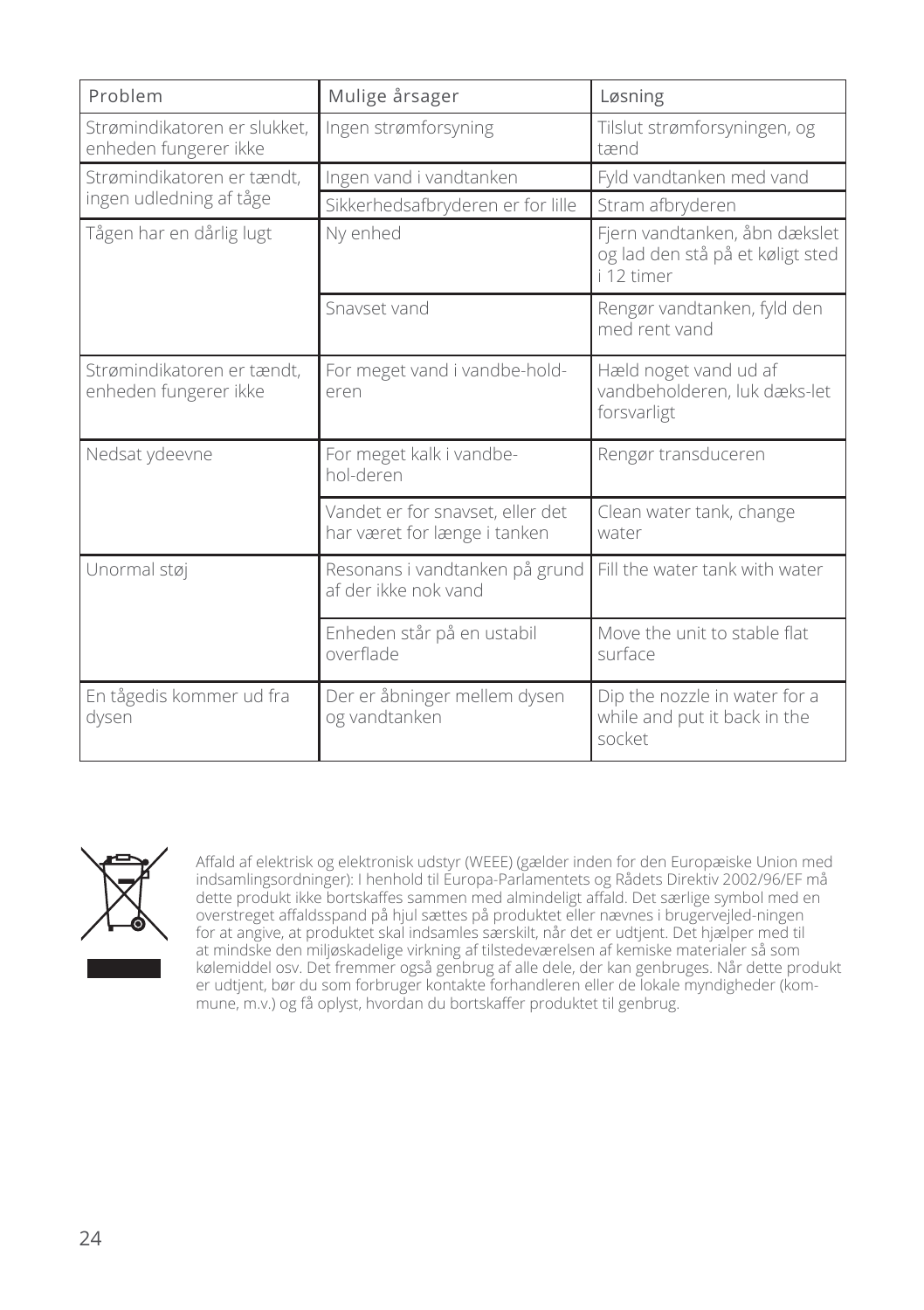| Problem                                               | Mulige årsager                                                   | Løsning                                                                         |
|-------------------------------------------------------|------------------------------------------------------------------|---------------------------------------------------------------------------------|
| Strømindikatoren er slukket,<br>enheden fungerer ikke | Ingen strømforsyning                                             | Tilslut strømforsyningen, og<br>tænd                                            |
| Strømindikatoren er tændt,                            | Ingen vand i vandtanken                                          | Fyld vandtanken med vand                                                        |
| ingen udledning af tåge                               | Sikkerhedsafbryderen er for lille                                | Stram afbryderen                                                                |
| Tågen har en dårlig lugt                              | Ny enhed                                                         | Fjern vandtanken, åbn dækslet<br>og lad den stå på et køligt sted<br>i 12 timer |
|                                                       | Snavset vand                                                     | Rengør vandtanken, fyld den<br>med rent vand                                    |
| Strømindikatoren er tændt.<br>enheden fungerer ikke   | For meget vand i vandbe-hold-<br>eren                            | Hæld noget vand ud af<br>vandbeholderen, luk dæks-let<br>forsvarligt            |
| Nedsat ydeevne                                        | For meget kalk i vandbe-<br>hol-deren                            | Rengør transduceren                                                             |
|                                                       | Vandet er for snavset, eller det<br>har været for længe i tanken | Clean water tank, change<br>water                                               |
| Unormal støj                                          | Resonans i vandtanken på grund<br>af der ikke nok vand           | Fill the water tank with water                                                  |
|                                                       | Enheden står på en ustabil<br>overflade                          | Move the unit to stable flat<br>surface                                         |
| En tågedis kommer ud fra<br>dysen                     | Der er åbninger mellem dysen<br>og vandtanken                    | Dip the nozzle in water for a<br>while and put it back in the<br>socket         |



Affald af elektrisk og elektronisk udstyr (WEEE) (gælder inden for den Europæiske Union med indsamlingsordninger): I henhold til Europa-Parlamentets og Rådets Direktiv 2002/96/EF må dette produkt ikke bortskaffes sammen med almindeligt affald. Det særlige symbol med en overstreget affaldsspand på hjul sættes på produktet eller nævnes i brugervejled-ningen for at angive, at produktet skal indsamles særskilt, når det er udtjent. Det hjælper med til at mindske den miljøskadelige virkning af tilstedeværelsen af kemiske materialer så som kølemiddel osv. Det fremmer også genbrug af alle dele, der kan genbruges. Når dette produkt er udtjent, bør du som forbruger kontakte forhandleren eller de lokale myndigheder (kommune, m.v.) og få oplyst, hvordan du bortskaffer produktet til genbrug.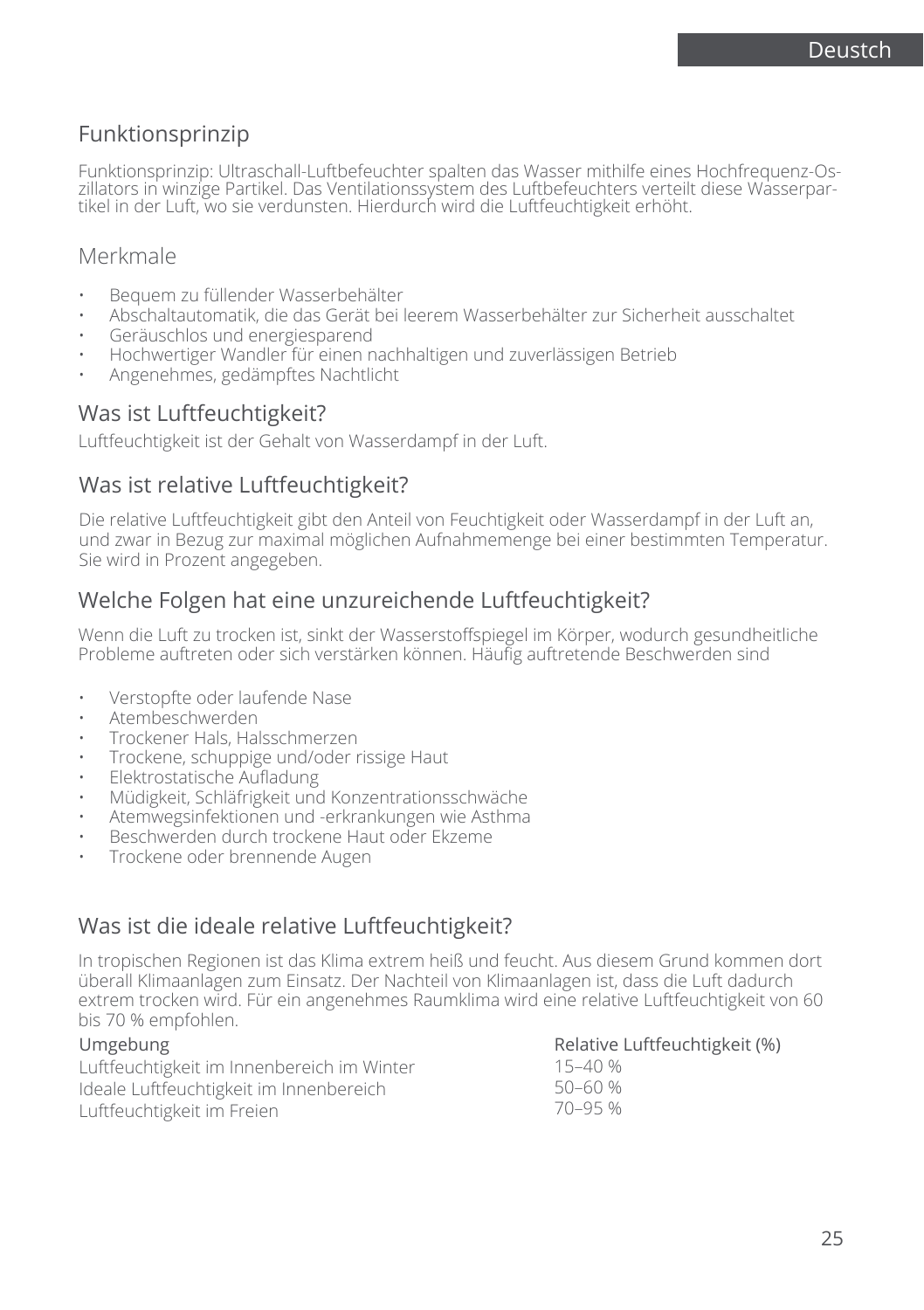# Funktionsprinzip

Funktionsprinzip: Ultraschall-Luftbefeuchter spalten das Wasser mithilfe eines Hochfrequenz-Os- zillators in winzige Partikel. Das Ventilationssystem des Luftbefeuchters verteilt diese Wasserpartikel in der Luft, wo sie verdunsten. Hierdurch wird die Luftfeuchtigkeit erhöht.

### Merkmale

- Bequem zu füllender Wasserbehälter
- Abschaltautomatik, die das Gerät bei leerem Wasserbehälter zur Sicherheit ausschaltet
- Geräuschlos und energiesparend
- Hochwertiger Wandler für einen nachhaltigen und zuverlässigen Betrieb
- Angenehmes, gedämpftes Nachtlicht

### Was ist Luftfeuchtigkeit?

Luftfeuchtigkeit ist der Gehalt von Wasserdampf in der Luft.

### Was ist relative Luftfeuchtigkeit?

Die relative Luftfeuchtigkeit gibt den Anteil von Feuchtigkeit oder Wasserdampf in der Luft an, und zwar in Bezug zur maximal möglichen Aufnahmemenge bei einer bestimmten Temperatur. Sie wird in Prozent angegeben.

### Welche Folgen hat eine unzureichende Luftfeuchtigkeit?

Wenn die Luft zu trocken ist, sinkt der Wasserstoffspiegel im Körper, wodurch gesundheitliche Probleme auftreten oder sich verstärken können. Häufig auftretende Beschwerden sind

- Verstopfte oder laufende Nase
- Atembeschwerden
- Trockener Hals, Halsschmerzen
- Trockene, schuppige und/oder rissige Haut
- Elektrostatische Aufladung
- Müdigkeit, Schläfrigkeit und Konzentrationsschwäche
- Atemwegsinfektionen und -erkrankungen wie Asthma
- Beschwerden durch trockene Haut oder Ekzeme
- Trockene oder brennende Augen

# Was ist die ideale relative Luftfeuchtigkeit?

In tropischen Regionen ist das Klima extrem heiß und feucht. Aus diesem Grund kommen dort überall Klimaanlagen zum Einsatz. Der Nachteil von Klimaanlagen ist, dass die Luft dadurch extrem trocken wird. Für ein angenehmes Raumklima wird eine relative Luftfeuchtigkeit von 60 bis 70 % empfohlen.

| Umgebung                                   | Relative Luftfeuchtigkeit (%) |
|--------------------------------------------|-------------------------------|
| Luftfeuchtigkeit im Innenbereich im Winter | 15–40 %                       |
| Ideale Luftfeuchtigkeit im Innenbereich    | 50–60 %                       |
| Luftfeuchtigkeit im Freien                 | 70-95 %                       |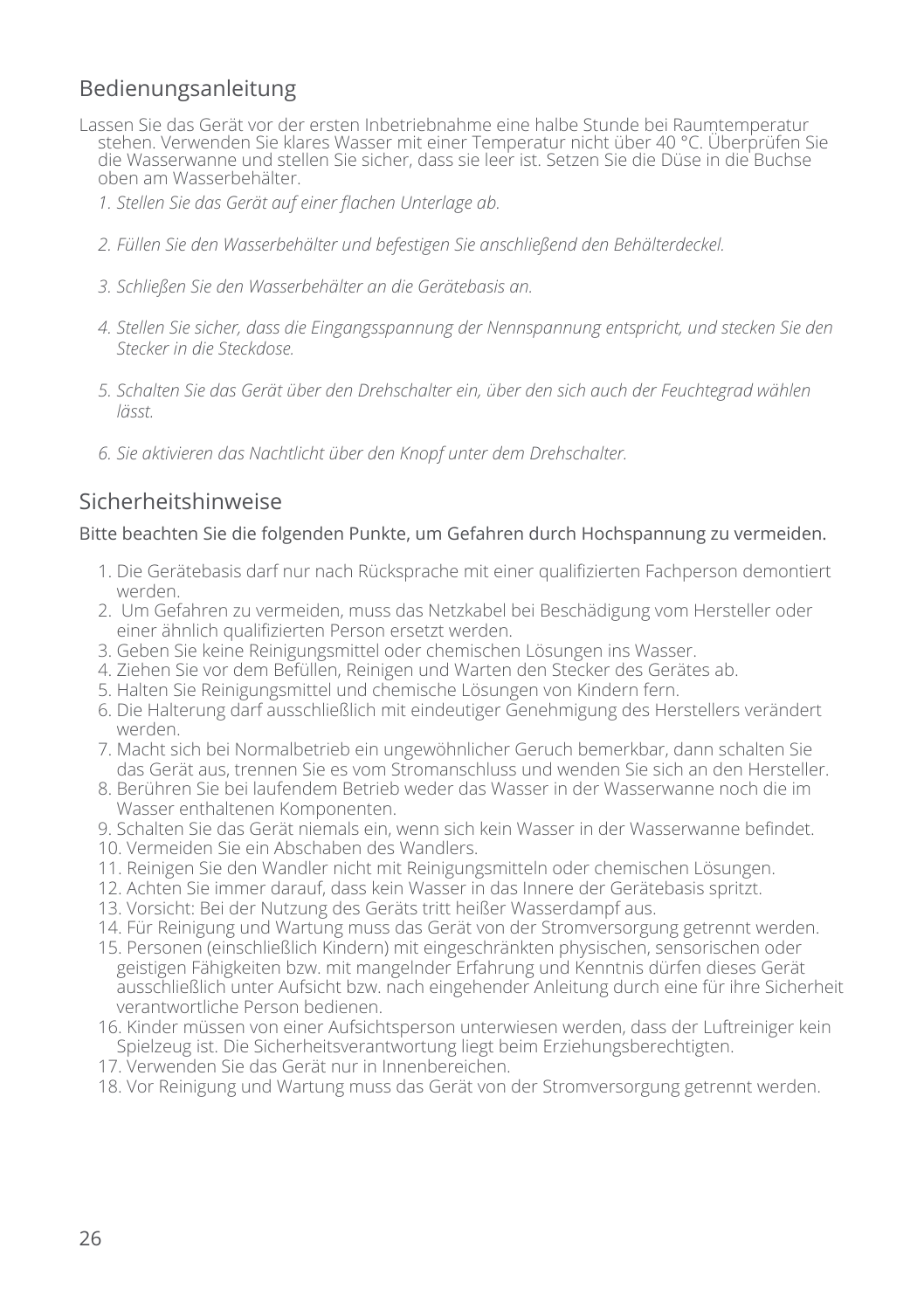# Bedienungsanleitung

- Lassen Sie das Gerät vor der ersten Inbetriebnahme eine halbe Stunde bei Raumtemperatur stehen. Verwenden Sie klares Wasser mit einer Temperatur nicht über 40 °C. Überprüfen Sie die Wasserwanne und stellen Sie sicher, dass sie leer ist. Setzen Sie die Düse in die Buchse oben am Wasserbehälter.
	- *1. Stellen Sie das Gerät auf einer flachen Unterlage ab.*
	- *2. Füllen Sie den Wasserbehälter und befestigen Sie anschließend den Behälterdeckel.*
	- *3. Schließen Sie den Wasserbehälter an die Gerätebasis an.*
	- *4. Stellen Sie sicher, dass die Eingangsspannung der Nennspannung entspricht, und stecken Sie den Stecker in die Steckdose.*
	- *5. Schalten Sie das Gerät über den Drehschalter ein, über den sich auch der Feuchtegrad wählen lässt.*
	- *6. Sie aktivieren das Nachtlicht über den Knopf unter dem Drehschalter.*

# Sicherheitshinweise

#### Bitte beachten Sie die folgenden Punkte, um Gefahren durch Hochspannung zu vermeiden.

- 1. Die Gerätebasis darf nur nach Rücksprache mit einer qualifizierten Fachperson demontiert werden.
- 2. Um Gefahren zu vermeiden, muss das Netzkabel bei Beschädigung vom Hersteller oder einer ähnlich qualifizierten Person ersetzt werden.
- 3. Geben Sie keine Reinigungsmittel oder chemischen Lösungen ins Wasser.
- 4. Ziehen Sie vor dem Befüllen, Reinigen und Warten den Stecker des Gerätes ab.
- 5. Halten Sie Reinigungsmittel und chemische Lösungen von Kindern fern.
- 6. Die Halterung darf ausschließlich mit eindeutiger Genehmigung des Herstellers verändert werden.
- 7. Macht sich bei Normalbetrieb ein ungewöhnlicher Geruch bemerkbar, dann schalten Sie das Gerät aus, trennen Sie es vom Stromanschluss und wenden Sie sich an den Hersteller.
- 8. Berühren Sie bei laufendem Betrieb weder das Wasser in der Wasserwanne noch die im Wasser enthaltenen Komponenten.
- 9. Schalten Sie das Gerät niemals ein, wenn sich kein Wasser in der Wasserwanne befindet.
- 10. Vermeiden Sie ein Abschaben des Wandlers.
- 11. Reinigen Sie den Wandler nicht mit Reinigungsmitteln oder chemischen Lösungen.
- 12. Achten Sie immer darauf, dass kein Wasser in das Innere der Gerätebasis spritzt.
- 13. Vorsicht: Bei der Nutzung des Geräts tritt heißer Wasserdampf aus.
- 14. Für Reinigung und Wartung muss das Gerät von der Stromversorgung getrennt werden.
- 15. Personen (einschließlich Kindern) mit eingeschränkten physischen, sensorischen oder geistigen Fähigkeiten bzw. mit mangelnder Erfahrung und Kenntnis dürfen dieses Gerät ausschließlich unter Aufsicht bzw. nach eingehender Anleitung durch eine für ihre Sicherheit verantwortliche Person bedienen.
- 16. Kinder müssen von einer Aufsichtsperson unterwiesen werden, dass der Luftreiniger kein Spielzeug ist. Die Sicherheitsverantwortung liegt beim Erziehungsberechtigten.
- 17. Verwenden Sie das Gerät nur in Innenbereichen.
- 18. Vor Reinigung und Wartung muss das Gerät von der Stromversorgung getrennt werden.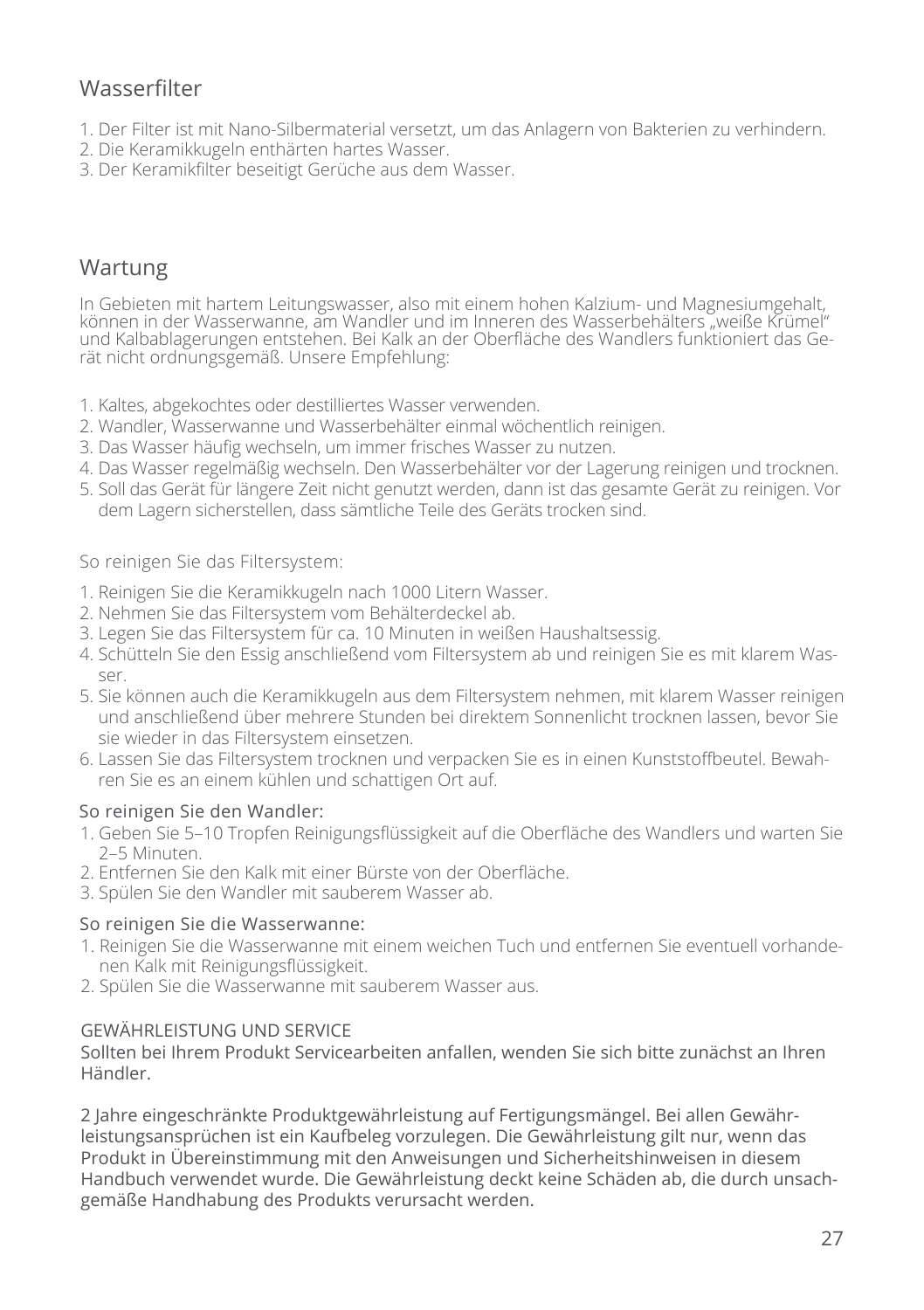# **Wasserfilter**

- 1. Der Filter ist mit Nano-Silbermaterial versetzt, um das Anlagern von Bakterien zu verhindern.
- 2. Die Keramikkugeln enthärten hartes Wasser.
- 3. Der Keramikfilter beseitigt Gerüche aus dem Wasser.

# Wartung

In Gebieten mit hartem Leitungswasser, also mit einem hohen Kalzium- und Magnesiumgehalt, können in der Wasserwanne, am Wandler und im Inneren des Wasserbehälters "weiße Krümel" und Kalbablagerungen entstehen. Bei Kalk an der Oberfläche des Wandlers funktioniert das Gerät nicht ordnungsgemäß. Unsere Empfehlung:

- 1. Kaltes, abgekochtes oder destilliertes Wasser verwenden.
- 2. Wandler, Wasserwanne und Wasserbehälter einmal wöchentlich reinigen.
- 3. Das Wasser häufig wechseln, um immer frisches Wasser zu nutzen.
- 4. Das Wasser regelmäßig wechseln. Den Wasserbehälter vor der Lagerung reinigen und trocknen.
- 5. Soll das Gerät für längere Zeit nicht genutzt werden, dann ist das gesamte Gerät zu reinigen. Vor dem Lagern sicherstellen, dass sämtliche Teile des Geräts trocken sind.

#### So reinigen Sie das Filtersystem:

- 1. Reinigen Sie die Keramikkugeln nach 1000 Litern Wasser.
- 2. Nehmen Sie das Filtersystem vom Behälterdeckel ab.
- 3. Legen Sie das Filtersystem für ca. 10 Minuten in weißen Haushaltsessig.
- 4. Schütteln Sie den Essig anschließend vom Filtersystem ab und reinigen Sie es mit klarem Wasser.
- 5. Sie können auch die Keramikkugeln aus dem Filtersystem nehmen, mit klarem Wasser reinigen und anschließend über mehrere Stunden bei direktem Sonnenlicht trocknen lassen, bevor Sie sie wieder in das Filtersystem einsetzen.
- 6. Lassen Sie das Filtersystem trocknen und verpacken Sie es in einen Kunststoffbeutel. Bewahren Sie es an einem kühlen und schattigen Ort auf.

#### So reinigen Sie den Wandler:

- 1. Geben Sie 5–10 Tropfen Reinigungsflüssigkeit auf die Oberfläche des Wandlers und warten Sie 2–5 Minuten.
- 2. Entfernen Sie den Kalk mit einer Bürste von der Oberfläche.
- 3. Spülen Sie den Wandler mit sauberem Wasser ab.

#### So reinigen Sie die Wasserwanne:

- 1. Reinigen Sie die Wasserwanne mit einem weichen Tuch und entfernen Sie eventuell vorhandenen Kalk mit Reinigungsflüssigkeit.
- 2. Spülen Sie die Wasserwanne mit sauberem Wasser aus.

#### GEWÄHRLEISTUNG UND SERVICE

Sollten bei Ihrem Produkt Servicearbeiten anfallen, wenden Sie sich bitte zunächst an Ihren Händler.

2 Jahre eingeschränkte Produktgewährleistung auf Fertigungsmängel. Bei allen Gewährleistungsansprüchen ist ein Kaufbeleg vorzulegen. Die Gewährleistung gilt nur, wenn das Produkt in Übereinstimmung mit den Anweisungen und Sicherheitshinweisen in diesem Handbuch verwendet wurde. Die Gewährleistung deckt keine Schäden ab, die durch unsachgemäße Handhabung des Produkts verursacht werden.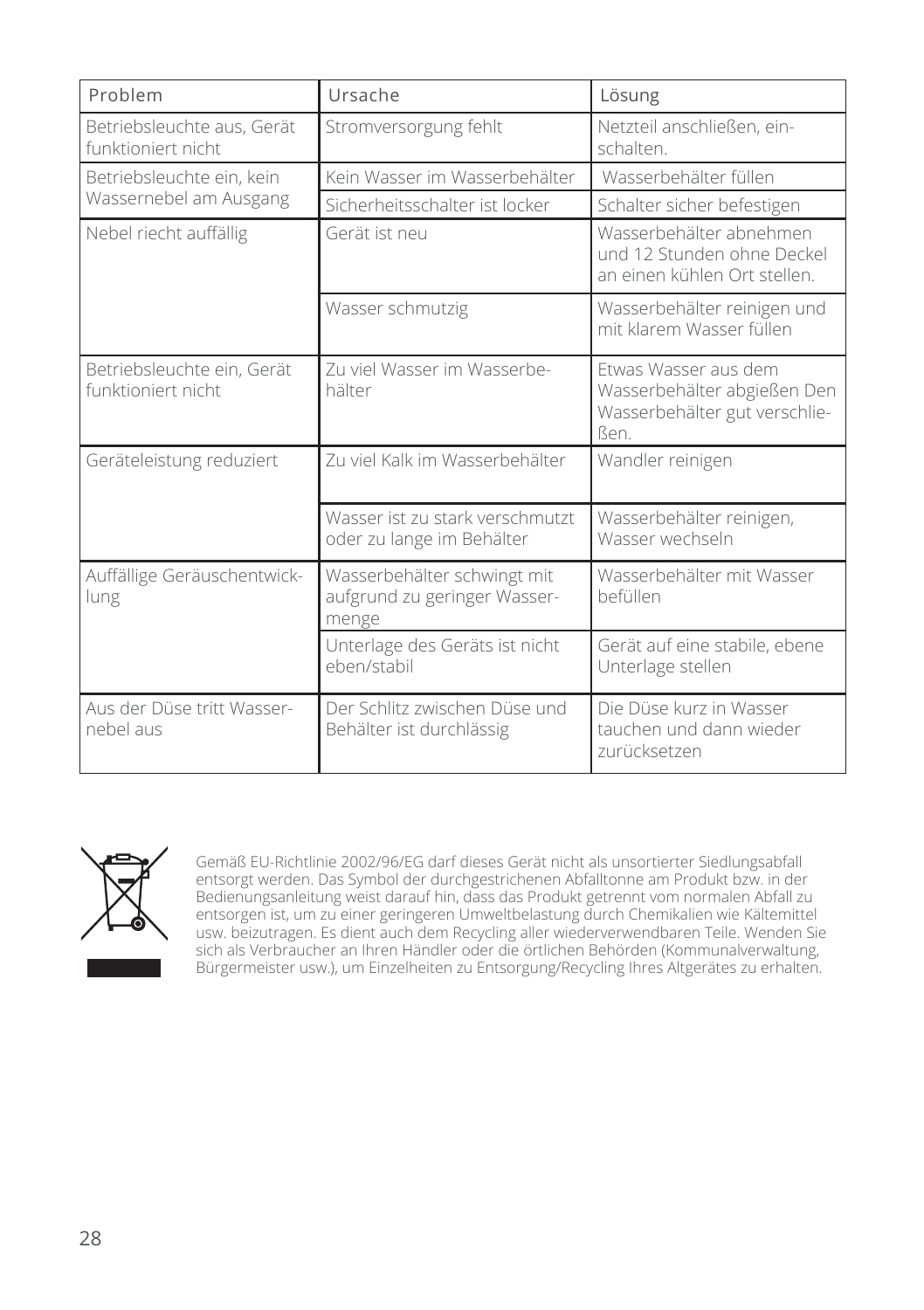| Problem                                          | Ursache                                                              | Lösung                                                                                       |
|--------------------------------------------------|----------------------------------------------------------------------|----------------------------------------------------------------------------------------------|
| Betriebsleuchte aus, Gerät<br>funktioniert nicht | Stromversorgung fehlt                                                | Netzteil anschließen, ein-<br>schalten.                                                      |
| Betriebsleuchte ein, kein                        | Kein Wasser im Wasserbehälter                                        | Wasserbehälter füllen                                                                        |
| Wassernebel am Ausgang                           | Sicherheitsschalter ist locker                                       | Schalter sicher befestigen                                                                   |
| Nebel riecht auffällig                           | Gerät ist neu                                                        | Wasserbehälter abnehmen<br>und 12 Stunden ohne Deckel<br>an einen kühlen Ort stellen.        |
|                                                  | Wasser schmutzig                                                     | Wasserbehälter reinigen und<br>mit klarem Wasser füllen                                      |
| Betriebsleuchte ein, Gerät<br>funktioniert nicht | Zu viel Wasser im Wasserbe-<br>hälter                                | Etwas Wasser aus dem<br>Wasserbehälter abgießen Den<br>Wasserbehälter gut verschlie-<br>ßen. |
| Geräteleistung reduziert                         | Zu viel Kalk im Wasserbehälter                                       | Wandler reinigen                                                                             |
|                                                  | Wasser ist zu stark verschmutzt<br>oder zu lange im Behälter         | Wasserbehälter reinigen,<br>Wasser wechseln                                                  |
| Auffällige Geräuschentwick-<br>lung              | Wasserbehälter schwingt mit<br>aufgrund zu geringer Wasser-<br>menge | Wasserbehälter mit Wasser<br>befüllen                                                        |
|                                                  | Unterlage des Geräts ist nicht<br>eben/stabil                        | Gerät auf eine stabile, ebene<br>Unterlage stellen                                           |
| Aus der Düse tritt Wasser-<br>nebel aus          | Der Schlitz zwischen Düse und<br>Behälter ist durchlässig            | Die Düse kurz in Wasser<br>tauchen und dann wieder<br>zurücksetzen                           |



Gemäß EU-Richtlinie 2002/96/EG darf dieses Gerät nicht als unsortierter Siedlungsabfall entsorgt werden. Das Symbol der durchgestrichenen Abfalltonne am Produkt bzw. in der Bedienungsanleitung weist darauf hin, dass das Produkt getrennt vom normalen Abfall zu entsorgen ist, um zu einer geringeren Umweltbelastung durch Chemikalien wie Kältemittel usw. beizutragen. Es dient auch dem Recycling aller wiederverwendbaren Teile. Wenden Sie sich als Verbraucher an Ihren Händler oder die örtlichen Behörden (Kommunalverwaltung, Bürgermeister usw.), um Einzelheiten zu Entsorgung/Recycling Ihres Altgerätes zu erhalten.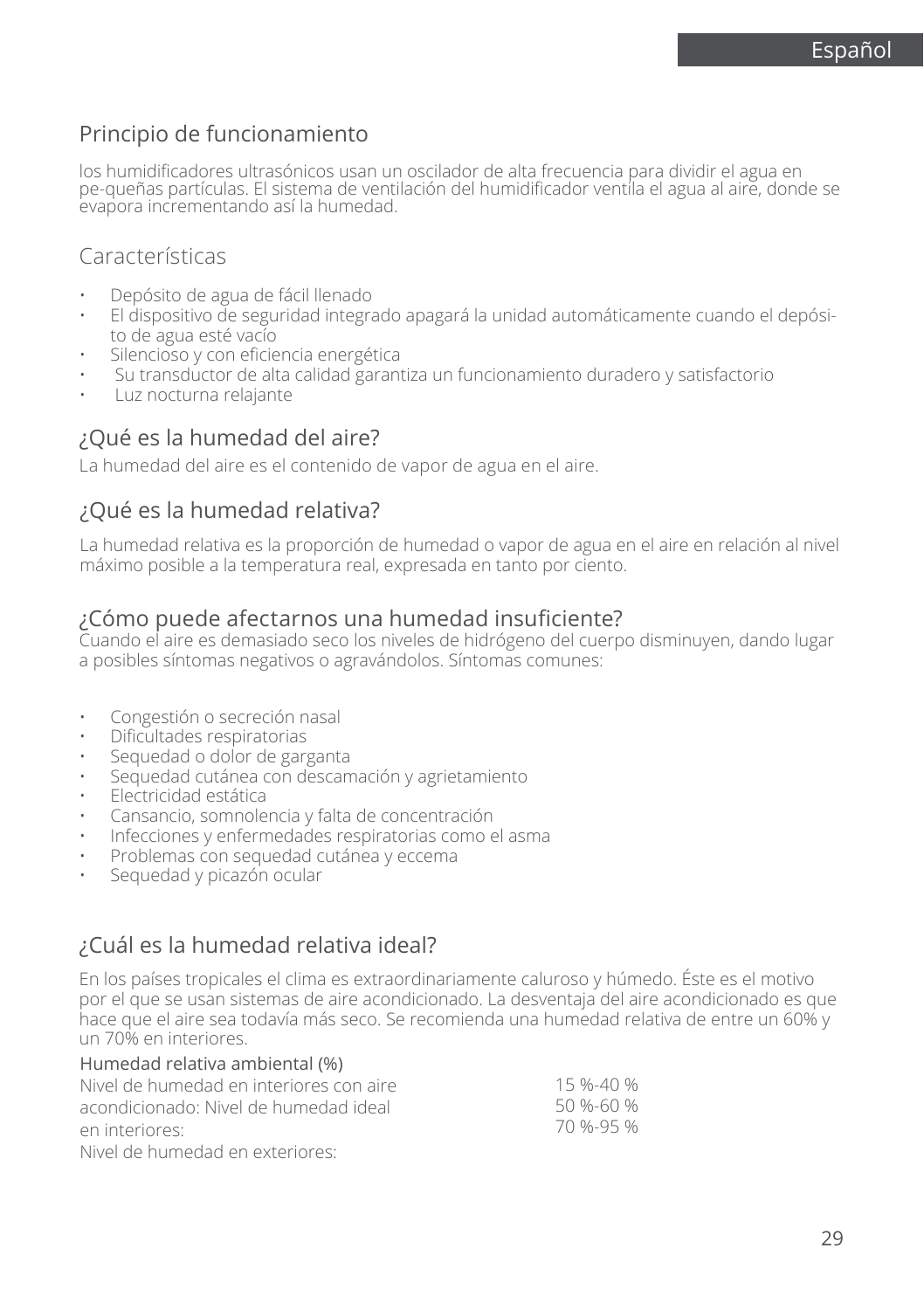# Principio de funcionamiento

los humidificadores ultrasónicos usan un oscilador de alta frecuencia para dividir el agua en pe-queñas partículas. El sistema de ventilación del humidificador ventila el agua al aire, donde se evapora incrementando así la humedad.

### Características

- Depósito de agua de fácil llenado
- El dispositivo de seguridad integrado apagará la unidad automáticamente cuando el depósito de agua esté vacío
- Silencioso y con eficiencia energética
- Su transductor de alta calidad garantiza un funcionamiento duradero y satisfactorio
- Luz nocturna relajante

### ¿Qué es la humedad del aire?

La humedad del aire es el contenido de vapor de agua en el aire.

### ¿Qué es la humedad relativa?

La humedad relativa es la proporción de humedad o vapor de agua en el aire en relación al nivel máximo posible a la temperatura real, expresada en tanto por ciento.

### ¿Cómo puede afectarnos una humedad insuficiente?

Cuando el aire es demasiado seco los niveles de hidrógeno del cuerpo disminuyen, dando lugar a posibles síntomas negativos o agravándolos. Síntomas comunes:

- Congestión o secreción nasal
- Dificultades respiratorias
- Sequedad o dolor de garganta
- Sequedad cutánea con descamación y agrietamiento
- Electricidad estática
- Cansancio, somnolencia y falta de concentración
- Infecciones y enfermedades respiratorias como el asma
- Problemas con sequedad cutánea y eccema
- Sequedad y picazón ocular

# ¿Cuál es la humedad relativa ideal?

En los países tropicales el clima es extraordinariamente caluroso y húmedo. Éste es el motivo por el que se usan sistemas de aire acondicionado. La desventaja del aire acondicionado es que hace que el aire sea todavía más seco. Se recomienda una humedad relativa de entre un 60% y un 70% en interiores.

| Humedad relativa ambiental (%)          |                 |
|-----------------------------------------|-----------------|
| Nivel de humedad en interiores con aire | 15 %-40 %       |
| acondicionado: Nivel de humedad ideal   | $50 \% - 60 \%$ |
| en interiores:                          | 70 %-95 %       |
| Nivel de humedad en exteriores:         |                 |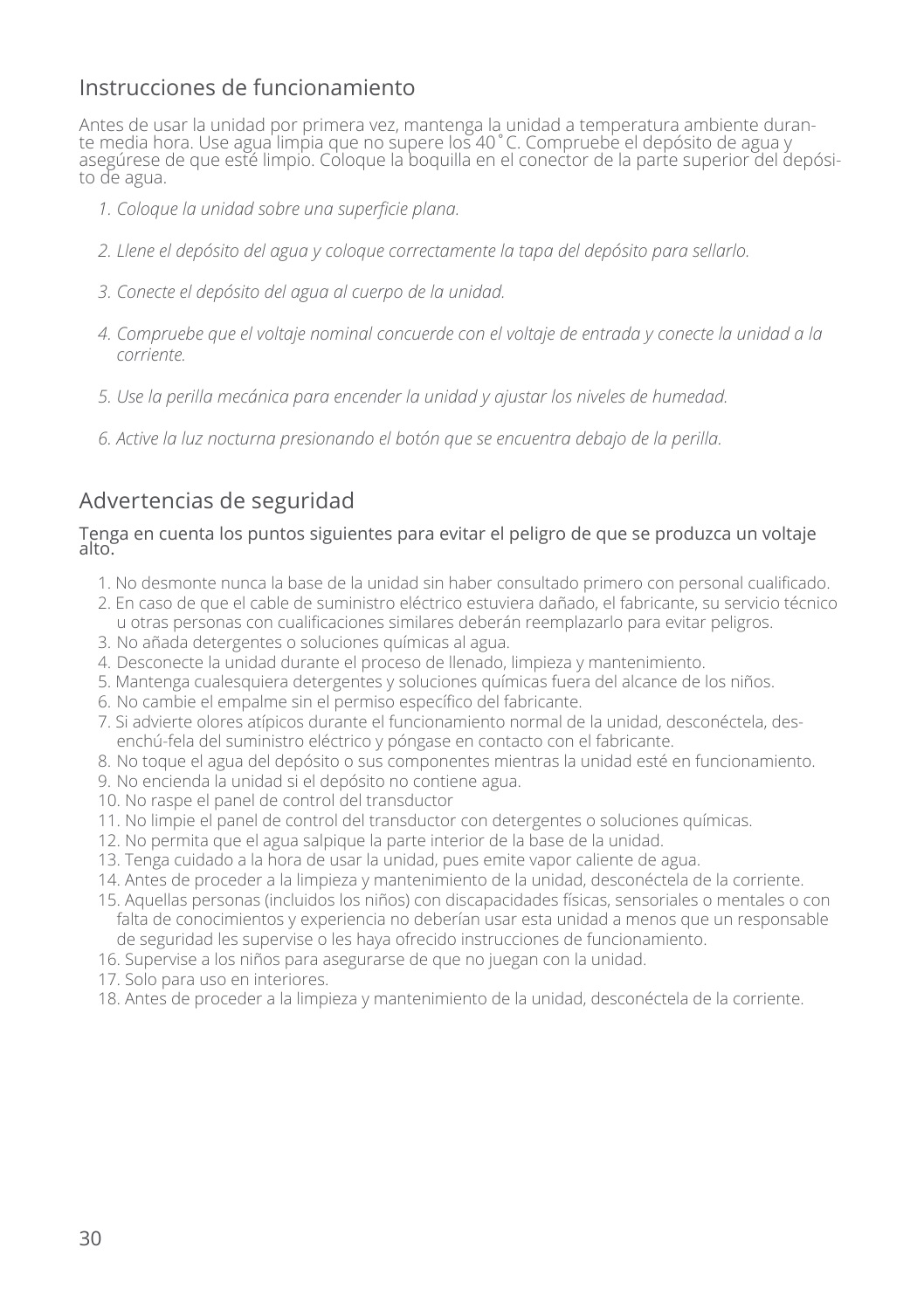# Instrucciones de funcionamiento

Antes de usar la unidad por primera vez, mantenga la unidad a temperatura ambiente durante media hora. Use agua limpia que no supere los 40˚C. Compruebe el depósito de agua y asegúrese de que esté limpio. Coloque la boquilla en el conector de la parte superior del depósito de agua.

- *1. Coloque la unidad sobre una superficie plana.*
- *2. Llene el depósito del agua y coloque correctamente la tapa del depósito para sellarlo.*
- *3. Conecte el depósito del agua al cuerpo de la unidad.*
- *4. Compruebe que el voltaje nominal concuerde con el voltaje de entrada y conecte la unidad a la corriente.*
- *5. Use la perilla mecánica para encender la unidad y ajustar los niveles de humedad.*
- *6. Active la luz nocturna presionando el botón que se encuentra debajo de la perilla.*

# Advertencias de seguridad

#### Tenga en cuenta los puntos siguientes para evitar el peligro de que se produzca un voltaje alto.

- 1. No desmonte nunca la base de la unidad sin haber consultado primero con personal cualificado.
- 2. En caso de que el cable de suministro eléctrico estuviera dañado, el fabricante, su servicio técnico u otras personas con cualificaciones similares deberán reemplazarlo para evitar peligros.
- 3. No añada detergentes o soluciones químicas al agua.
- 4. Desconecte la unidad durante el proceso de llenado, limpieza y mantenimiento.
- 5. Mantenga cualesquiera detergentes y soluciones químicas fuera del alcance de los niños.
- 6. No cambie el empalme sin el permiso específico del fabricante.
- 7. Si advierte olores atípicos durante el funcionamiento normal de la unidad, desconéctela, desenchú-fela del suministro eléctrico y póngase en contacto con el fabricante.
- 8. No toque el agua del depósito o sus componentes mientras la unidad esté en funcionamiento.
- 9. No encienda la unidad si el depósito no contiene agua.
- 10. No raspe el panel de control del transductor
- 11. No limpie el panel de control del transductor con detergentes o soluciones químicas.
- 12. No permita que el agua salpique la parte interior de la base de la unidad.
- 13. Tenga cuidado a la hora de usar la unidad, pues emite vapor caliente de agua.
- 14. Antes de proceder a la limpieza y mantenimiento de la unidad, desconéctela de la corriente.
- 15. Aquellas personas (incluidos los niños) con discapacidades físicas, sensoriales o mentales o con falta de conocimientos y experiencia no deberían usar esta unidad a menos que un responsable de seguridad les supervise o les haya ofrecido instrucciones de funcionamiento.
- 16. Supervise a los niños para asegurarse de que no juegan con la unidad.
- 17. Solo para uso en interiores.
- 18. Antes de proceder a la limpieza y mantenimiento de la unidad, desconéctela de la corriente.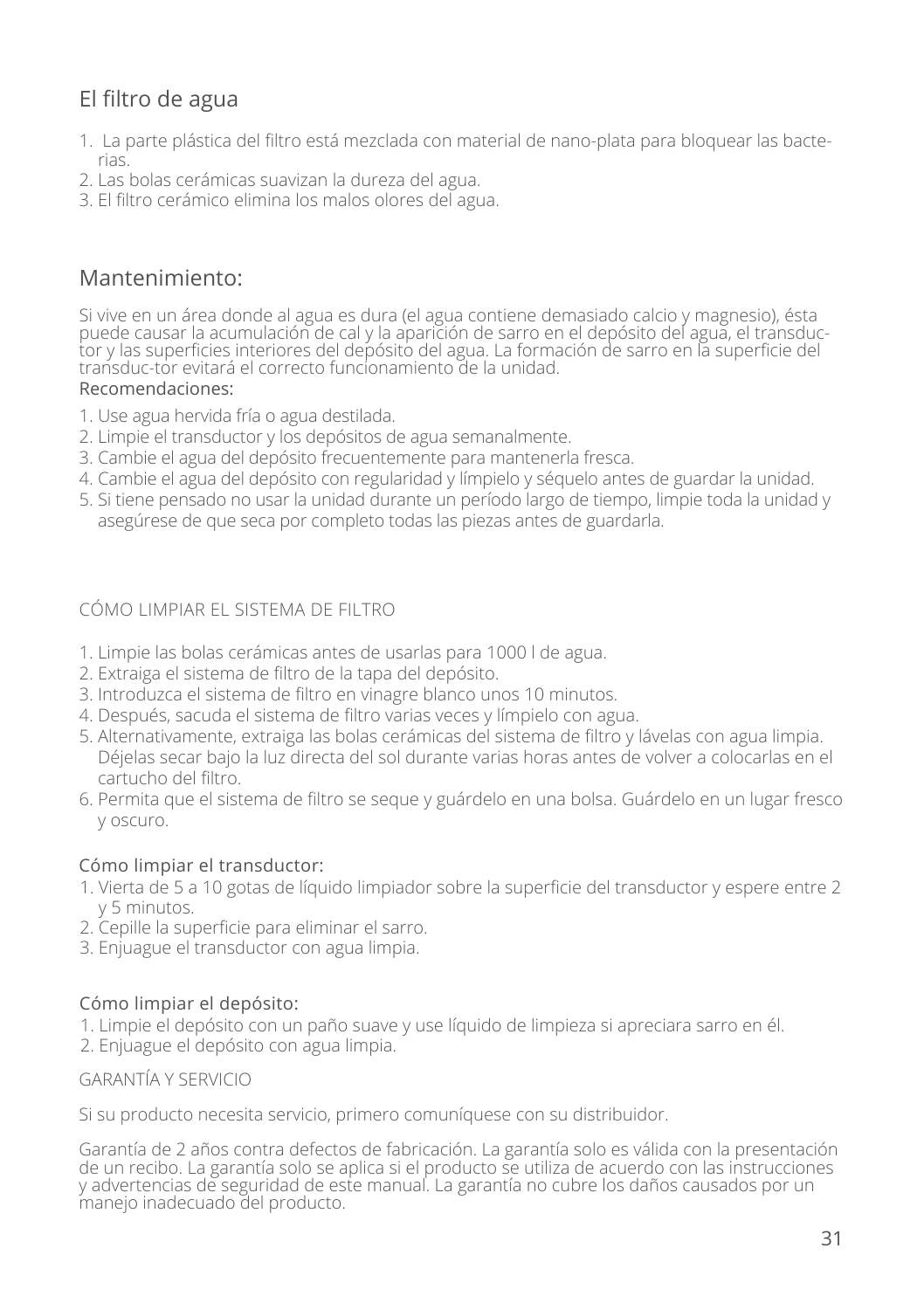# El filtro de agua

- 1. La parte plástica del filtro está mezclada con material de nano-plata para bloquear las bacterias.
- 2. Las bolas cerámicas suavizan la dureza del agua.
- 3. El filtro cerámico elimina los malos olores del agua.

# Mantenimiento:

Si vive en un área donde al agua es dura (el agua contiene demasiado calcio y magnesio), ésta puede causar la acumulación de cal y la aparición de sarro en el depósito del agua, el transductor y las superficies interiores del depósito del agua. La formación de sarro en la superficie del transduc-tor evitará el correcto funcionamiento de la unidad.

#### Recomendaciones:

- 1. Use agua hervida fría o agua destilada.
- 2. Limpie el transductor y los depósitos de agua semanalmente.
- 3. Cambie el agua del depósito frecuentemente para mantenerla fresca.
- 4. Cambie el agua del depósito con regularidad y límpielo y séquelo antes de guardar la unidad.
- 5. Si tiene pensado no usar la unidad durante un período largo de tiempo, limpie toda la unidad y asegúrese de que seca por completo todas las piezas antes de guardarla.

### CÓMO LIMPIAR EL SISTEMA DE FILTRO

- 1. Limpie las bolas cerámicas antes de usarlas para 1000 l de agua.
- 2. Extraiga el sistema de filtro de la tapa del depósito.
- 3. Introduzca el sistema de filtro en vinagre blanco unos 10 minutos.
- 4. Después, sacuda el sistema de filtro varias veces y límpielo con agua.
- 5. Alternativamente, extraiga las bolas cerámicas del sistema de filtro y lávelas con agua limpia. Déjelas secar bajo la luz directa del sol durante varias horas antes de volver a colocarlas en el cartucho del filtro.
- 6. Permita que el sistema de filtro se seque y guárdelo en una bolsa. Guárdelo en un lugar fresco y oscuro.

### Cómo limpiar el transductor:

- 1. Vierta de 5 a 10 gotas de líquido limpiador sobre la superficie del transductor y espere entre 2 y 5 minutos.
- 2. Cepille la superficie para eliminar el sarro.
- 3. Enjuague el transductor con agua limpia.

### Cómo limpiar el depósito:

1. Limpie el depósito con un paño suave y use líquido de limpieza si apreciara sarro en él.

2. Enjuague el depósito con agua limpia.

GARANTÍA Y SERVICIO

Si su producto necesita servicio, primero comuníquese con su distribuidor.

Garantía de 2 años contra defectos de fabricación. La garantía solo es válida con la presentación de un recibo. La garantía solo se aplica si el producto se utiliza de acuerdo con las instrucciones y advertencias de seguridad de este manual. La garantía no cubre los daños causados por un manejo inadecuado del producto.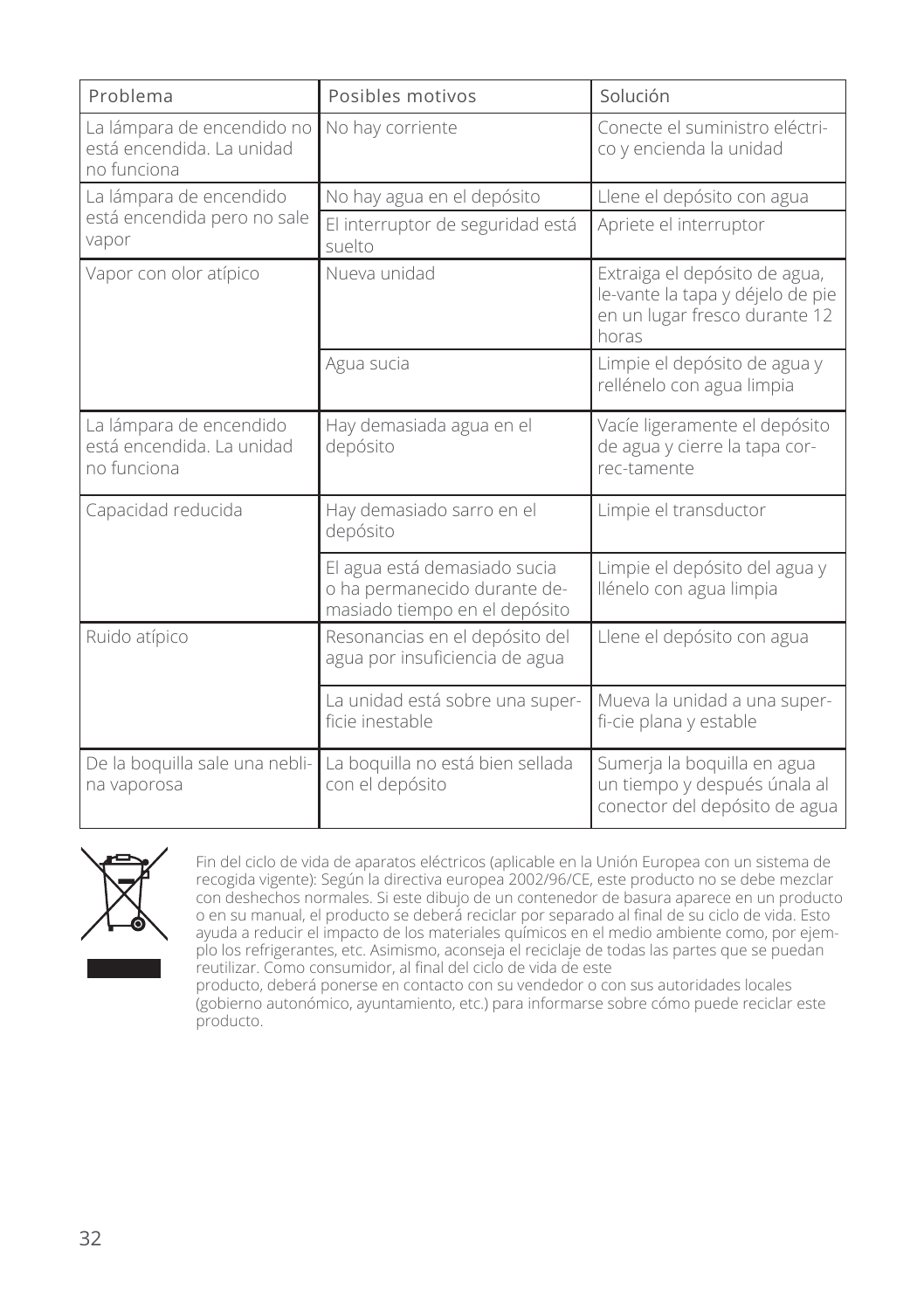| Problema                                                               | Posibles motivos                                                                              | Solución                                                                                                    |
|------------------------------------------------------------------------|-----------------------------------------------------------------------------------------------|-------------------------------------------------------------------------------------------------------------|
| La lámpara de encendido no<br>está encendida. La unidad<br>no funciona | No hay corriente                                                                              | Conecte el suministro eléctri-<br>co y encienda la unidad                                                   |
| La lámpara de encendido<br>está encendida pero no sale<br>vapor        | No hay agua en el depósito                                                                    | Llene el depósito con agua                                                                                  |
|                                                                        | El interruptor de seguridad está<br>suelto                                                    | Apriete el interruptor                                                                                      |
| Vapor con olor atípico                                                 | Nueva unidad                                                                                  | Extraiga el depósito de agua,<br>le-vante la tapa y déjelo de pie<br>en un lugar fresco durante 12<br>horas |
|                                                                        | Agua sucia                                                                                    | Limpie el depósito de agua y<br>rellénelo con agua limpia                                                   |
| La lámpara de encendido<br>está encendida. La unidad<br>no funciona    | Hay demasiada agua en el<br>depósito                                                          | Vacíe ligeramente el depósito<br>de agua y cierre la tapa cor-<br>rec-tamente                               |
| Capacidad reducida                                                     | Hay demasiado sarro en el<br>depósito                                                         | Limpie el transductor                                                                                       |
|                                                                        | El agua está demasiado sucia<br>o ha permanecido durante de-<br>masiado tiempo en el depósito | Limpie el depósito del agua y<br>llénelo con agua limpia                                                    |
| Ruido atípico                                                          | Resonancias en el depósito del<br>agua por insuficiencia de agua                              | Llene el depósito con agua                                                                                  |
|                                                                        | La unidad está sobre una super-<br>ficie inestable                                            | Mueva la unidad a una super-<br>fi-cie plana y estable                                                      |
| De la boquilla sale una nebli-<br>na vaporosa                          | La boquilla no está bien sellada<br>con el depósito                                           | Sumerja la boguilla en agua<br>un tiempo y después únala al<br>conector del depósito de agua                |



Fin del ciclo de vida de aparatos eléctricos (aplicable en la Unión Europea con un sistema de recogida vigente): Según la directiva europea 2002/96/CE, este producto no se debe mezclar con deshechos normales. Si este dibujo de un contenedor de basura aparece en un producto o en su manual, el producto se deberá reciclar por separado al final de su ciclo de vida. Esto ayuda a reducir el impacto de los materiales químicos en el medio ambiente como, por ejemplo los refrigerantes, etc. Asimismo, aconseja el reciclaje de todas las partes que se puedan reutilizar. Como consumidor, al final del ciclo de vida de este

producto, deberá ponerse en contacto con su vendedor o con sus autoridades locales (gobierno autonómico, ayuntamiento, etc.) para informarse sobre cómo puede reciclar este producto.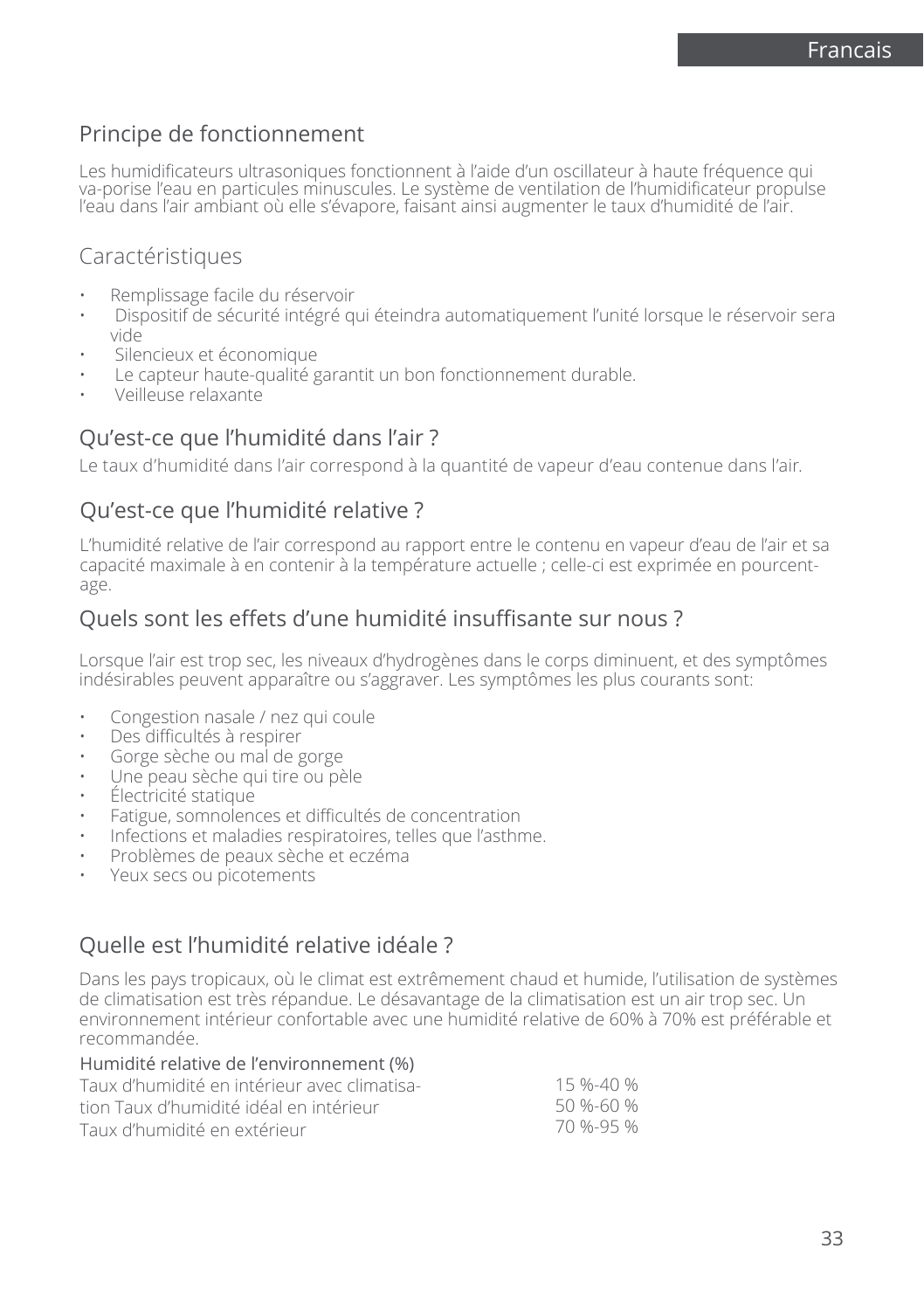# Principe de fonctionnement

Les humidificateurs ultrasoniques fonctionnent à l'aide d'un oscillateur à haute fréquence qui va-porise l'eau en particules minuscules. Le système de ventilation de l'humidificateur propulse l'eau dans l'air ambiant où elle s'évapore, faisant ainsi augmenter le taux d'humidité de l'air.

# Caractéristiques

- Remplissage facile du réservoir
- Dispositif de sécurité intégré qui éteindra automatiquement l'unité lorsque le réservoir sera vide
- Silencieux et économique
- Le capteur haute-qualité garantit un bon fonctionnement durable.
- Veilleuse relaxante

# Qu'est-ce que l'humidité dans l'air ?

Le taux d'humidité dans l'air correspond à la quantité de vapeur d'eau contenue dans l'air.

# Qu'est-ce que l'humidité relative ?

L'humidité relative de l'air correspond au rapport entre le contenu en vapeur d'eau de l'air et sa capacité maximale à en contenir à la température actuelle ; celle-ci est exprimée en pourcentage.

# Quels sont les effets d'une humidité insuffisante sur nous ?

Lorsque l'air est trop sec, les niveaux d'hydrogènes dans le corps diminuent, et des symptômes indésirables peuvent apparaître ou s'aggraver. Les symptômes les plus courants sont:

- Congestion nasale / nez qui coule
- Des difficultés à respirer
- Gorge sèche ou mal de gorge
- Une peau sèche qui tire ou pèle
- Électricité statique
- Fatigue, somnolences et difficultés de concentration
- Infections et maladies respiratoires, telles que l'asthme.
- Problèmes de peaux sèche et eczéma
- Yeux secs ou picotements

# Quelle est l'humidité relative idéale ?

Dans les pays tropicaux, où le climat est extrêmement chaud et humide, l'utilisation de systèmes de climatisation est très répandue. Le désavantage de la climatisation est un air trop sec. Un environnement intérieur confortable avec une humidité relative de 60% à 70% est préférable et recommandée.

| Humidité relative de l'environnement (%)     |           |
|----------------------------------------------|-----------|
| Taux d'humidité en intérieur avec climatisa- | 15 %-40 % |
| tion Taux d'humidité idéal en intérieur      | 50 %-60 % |
| Taux d'humidité en extérieur                 | 70 %-95 % |
|                                              |           |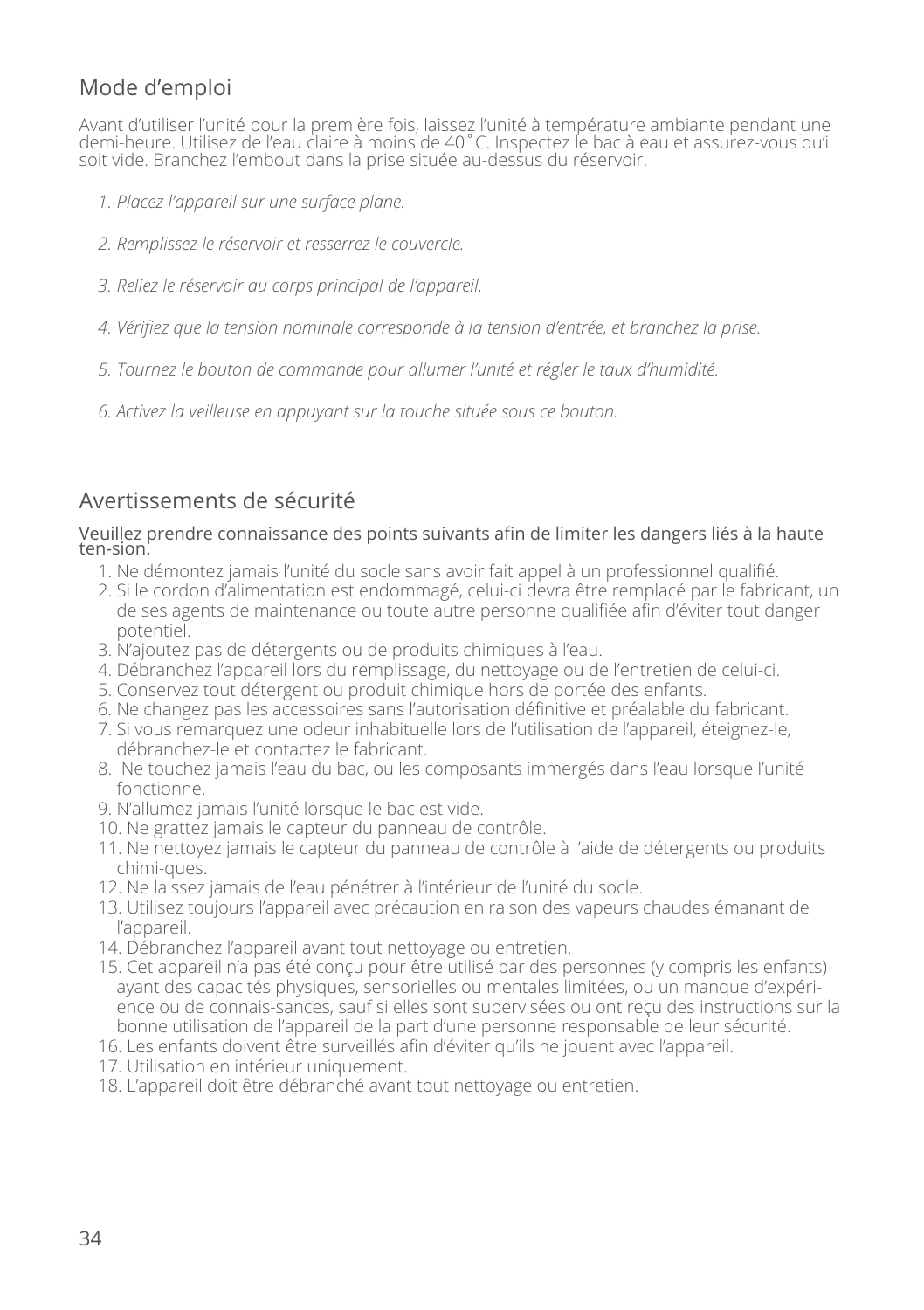# Mode d'emploi

Avant d'utiliser l'unité pour la première fois, laissez l'unité à température ambiante pendant une demi-heure. Utilisez de l'eau claire à moins de 40˚C. Inspectez le bac à eau et assurez-vous qu'il soit vide. Branchez l'embout dans la prise située au-dessus du réservoir.

- *1. Placez l'appareil sur une surface plane.*
- *2. Remplissez le réservoir et resserrez le couvercle.*
- *3. Reliez le réservoir au corps principal de l'appareil.*
- *4. Vérifiez que la tension nominale corresponde à la tension d'entrée, et branchez la prise.*
- *5. Tournez le bouton de commande pour allumer l'unité et régler le taux d'humidité.*
- *6. Activez la veilleuse en appuyant sur la touche située sous ce bouton.*

# Avertissements de sécurité

#### Veuillez prendre connaissance des points suivants afin de limiter les dangers liés à la haute ten-sion.

- 1. Ne démontez jamais l'unité du socle sans avoir fait appel à un professionnel qualifié.
- 2. Si le cordon d'alimentation est endommagé, celui-ci devra être remplacé par le fabricant, un de ses agents de maintenance ou toute autre personne qualifiée afin d'éviter tout danger potentiel.
- 3. N'ajoutez pas de détergents ou de produits chimiques à l'eau.
- 4. Débranchez l'appareil lors du remplissage, du nettoyage ou de l'entretien de celui-ci.
- 5. Conservez tout détergent ou produit chimique hors de portée des enfants.
- 6. Ne changez pas les accessoires sans l'autorisation définitive et préalable du fabricant.
- 7. Si vous remarquez une odeur inhabituelle lors de l'utilisation de l'appareil, éteignez-le, débranchez-le et contactez le fabricant.
- 8. Ne touchez jamais l'eau du bac, ou les composants immergés dans l'eau lorsque l'unité fonctionne.
- 9. N'allumez jamais l'unité lorsque le bac est vide.
- 10. Ne grattez jamais le capteur du panneau de contrôle.
- 11. Ne nettoyez jamais le capteur du panneau de contrôle à l'aide de détergents ou produits chimi-ques.
- 12. Ne laissez jamais de l'eau pénétrer à l'intérieur de l'unité du socle.
- 13. Utilisez toujours l'appareil avec précaution en raison des vapeurs chaudes émanant de l'appareil.
- 14. Débranchez l'appareil avant tout nettoyage ou entretien.
- 15. Cet appareil n'a pas été conçu pour être utilisé par des personnes (y compris les enfants) ayant des capacités physiques, sensorielles ou mentales limitées, ou un manque d'expérience ou de connais-sances, sauf si elles sont supervisées ou ont reçu des instructions sur la bonne utilisation de l'appareil de la part d'une personne responsable de leur sécurité.
- 16. Les enfants doivent être surveillés afin d'éviter qu'ils ne jouent avec l'appareil.
- 17. Utilisation en intérieur uniquement.
- 18. L'appareil doit être débranché avant tout nettoyage ou entretien.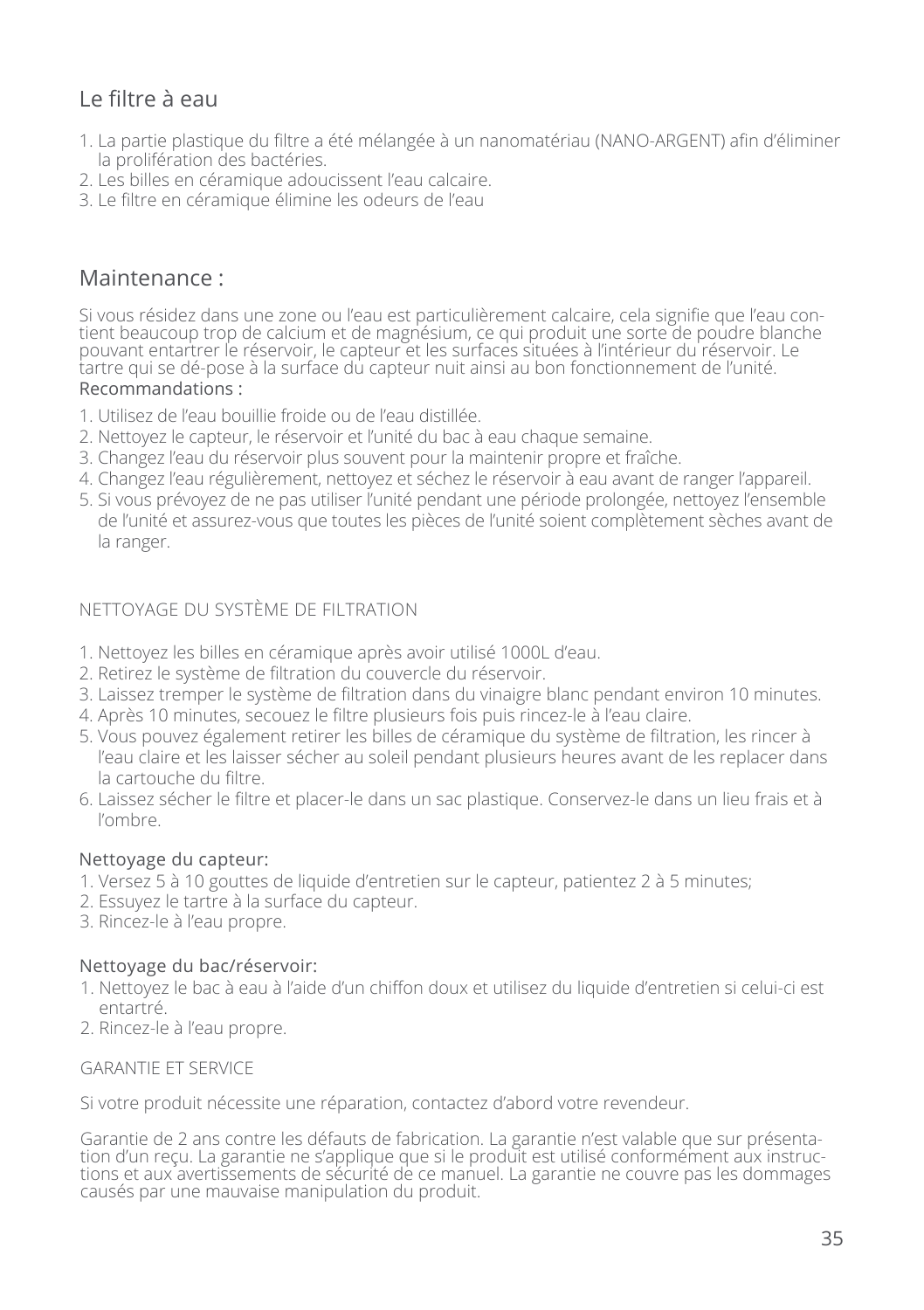# Le filtre à eau

- 1. La partie plastique du filtre a été mélangée à un nanomatériau (NANO-ARGENT) afin d'éliminer la prolifération des bactéries.
- 2. Les billes en céramique adoucissent l'eau calcaire.
- 3. Le filtre en céramique élimine les odeurs de l'eau

### Maintenance :

Si vous résidez dans une zone ou l'eau est particulièrement calcaire, cela signifie que l'eau contient beaucoup trop de calcium et de magnésium, ce qui produit une sorte de poudre blanche pouvant entartrer le réservoir, le capteur et les surfaces situées à l'intérieur du réservoir. Le tartre qui se dé-pose à la surface du capteur nuit ainsi au bon fonctionnement de l'unité. Recommandations :

- 1. Utilisez de l'eau bouillie froide ou de l'eau distillée.
- 2. Nettoyez le capteur, le réservoir et l'unité du bac à eau chaque semaine.
- 3. Changez l'eau du réservoir plus souvent pour la maintenir propre et fraîche.
- 4. Changez l'eau régulièrement, nettoyez et séchez le réservoir à eau avant de ranger l'appareil.
- 5. Si vous prévoyez de ne pas utiliser l'unité pendant une période prolongée, nettoyez l'ensemble de l'unité et assurez-vous que toutes les pièces de l'unité soient complètement sèches avant de la ranger.

#### NETTOYAGE DU SYSTÈME DE FILTRATION

- 1. Nettoyez les billes en céramique après avoir utilisé 1000L d'eau.
- 2. Retirez le système de filtration du couvercle du réservoir.
- 3. Laissez tremper le système de filtration dans du vinaigre blanc pendant environ 10 minutes.
- 4. Après 10 minutes, secouez le filtre plusieurs fois puis rincez-le à l'eau claire.
- 5. Vous pouvez également retirer les billes de céramique du système de filtration, les rincer à l'eau claire et les laisser sécher au soleil pendant plusieurs heures avant de les replacer dans la cartouche du filtre.
- 6. Laissez sécher le filtre et placer-le dans un sac plastique. Conservez-le dans un lieu frais et à l'ombre.

#### Nettoyage du capteur:

- 1. Versez 5 à 10 gouttes de liquide d'entretien sur le capteur, patientez 2 à 5 minutes;
- 2. Essuyez le tartre à la surface du capteur.
- 3. Rincez-le à l'eau propre.

#### Nettoyage du bac/réservoir:

- 1. Nettoyez le bac à eau à l'aide d'un chiffon doux et utilisez du liquide d'entretien si celui-ci est entartré.
- 2. Rincez-le à l'eau propre.

#### GARANTIE ET SERVICE

Si votre produit nécessite une réparation, contactez d'abord votre revendeur.

Garantie de 2 ans contre les défauts de fabrication. La garantie n'est valable que sur présenta-<br>tion d'un recu. La garantie ne s'applique que si le produit est utilisé conformément aux instruction d'un reçu. La garantie ne s'applique que si le produit est utilisé conformément aux instruc- tions et aux avertissements de sécurité de ce manuel. La garantie ne couvre pas les dommages causés par une mauvaise manipulation du produit.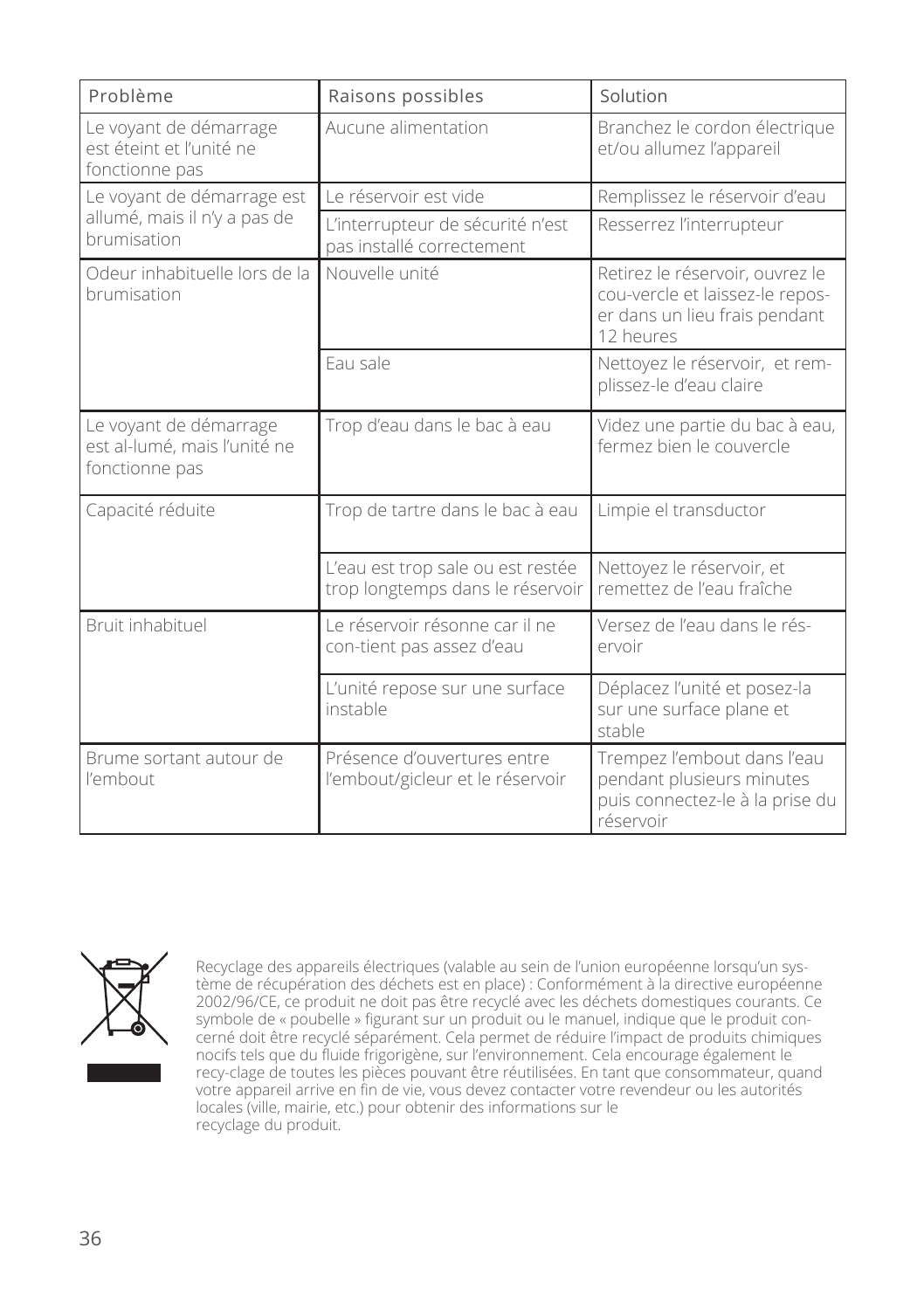| Problème                                                                  | Raisons possibles                                                     | Solution                                                                                                         |
|---------------------------------------------------------------------------|-----------------------------------------------------------------------|------------------------------------------------------------------------------------------------------------------|
| Le voyant de démarrage<br>est éteint et l'unité ne<br>fonctionne pas      | Aucune alimentation                                                   | Branchez le cordon électrique<br>et/ou allumez l'appareil                                                        |
| Le voyant de démarrage est<br>allumé, mais il n'y a pas de<br>brumisation | Le réservoir est vide                                                 | Remplissez le réservoir d'eau                                                                                    |
|                                                                           | L'interrupteur de sécurité n'est<br>pas installé correctement         | Resserrez l'interrupteur                                                                                         |
| Odeur inhabituelle lors de la<br>brumisation                              | Nouvelle unité                                                        | Retirez le réservoir, ouvrez le<br>cou-vercle et laissez-le repos-<br>er dans un lieu frais pendant<br>12 heures |
|                                                                           | Fau sale                                                              | Nettoyez le réservoir, et rem-<br>plissez-le d'eau claire                                                        |
| Le voyant de démarrage<br>est al-lumé, mais l'unité ne<br>fonctionne pas  | Trop d'eau dans le bac à eau                                          | Videz une partie du bac à eau,<br>fermez bien le couvercle                                                       |
| Capacité réduite                                                          | Trop de tartre dans le bac à eau                                      | Limpie el transductor                                                                                            |
|                                                                           | L'eau est trop sale ou est restée<br>trop longtemps dans le réservoir | Nettoyez le réservoir, et<br>remettez de l'eau fraîche                                                           |
| Bruit inhabituel                                                          | Le réservoir résonne car il ne<br>con-tient pas assez d'eau           | Versez de l'eau dans le rés-<br>ervoir                                                                           |
|                                                                           | L'unité repose sur une surface<br>instable                            | Déplacez l'unité et posez-la<br>sur une surface plane et<br>stable                                               |
| Brume sortant autour de<br>l'embout                                       | Présence d'ouvertures entre<br>l'embout/gicleur et le réservoir       | Trempez l'embout dans l'eau<br>pendant plusieurs minutes<br>puis connectez-le à la prise du<br>réservoir         |



Recyclage des appareils électriques (valable au sein de l'union européenne lorsqu'un système de récupération des déchets est en place) : Conformément à la directive européenne 2002/96/CE, ce produit ne doit pas être recyclé avec les déchets domestiques courants. Ce symbole de « poubelle » figurant sur un produit ou le manuel, indique que le produit concerné doit être recyclé séparément. Cela permet de réduire l'impact de produits chimiques nocifs tels que du fluide frigorigène, sur l'environnement. Cela encourage également le recy-clage de toutes les pièces pouvant être réutilisées. En tant que consommateur, quand votre appareil arrive en fin de vie, vous devez contacter votre revendeur ou les autorités locales (ville, mairie, etc.) pour obtenir des informations sur le recyclage du produit.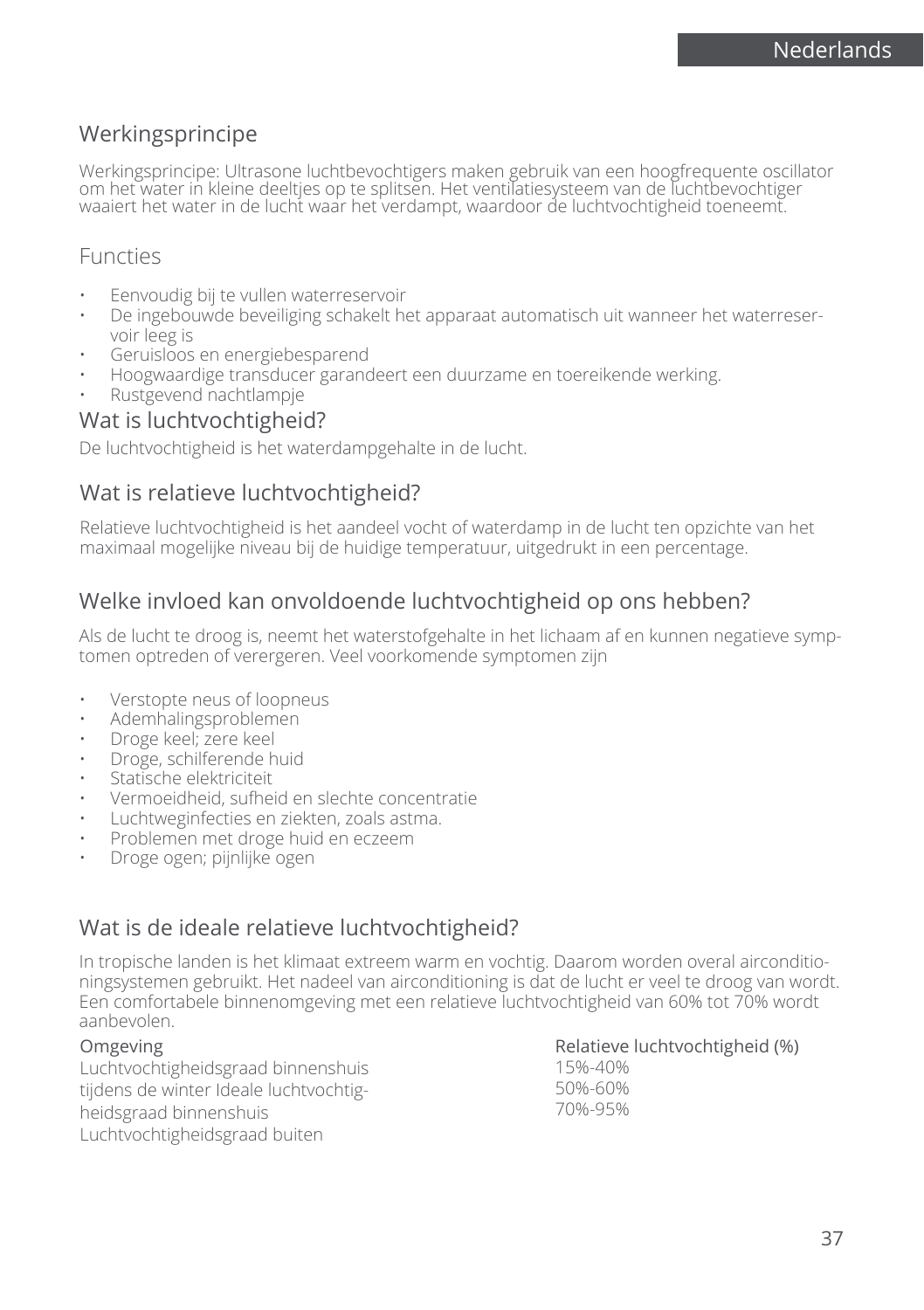## Werkingsprincipe

Werkingsprincipe: Ultrasone luchtbevochtigers maken gebruik van een hoogfrequente oscillator om het water in kleine deeltjes op te splitsen. Het ventilatiesysteem van de luchtbevochtiger waaiert het water in de lucht waar het verdampt, waardoor de luchtvochtigheid toeneemt.

### Functies

- Eenvoudig bij te vullen waterreservoir
- De ingebouwde beveiliging schakelt het apparaat automatisch uit wanneer het waterreservoir leeg is
- Geruisloos en energiebesparend
- Hoogwaardige transducer garandeert een duurzame en toereikende werking.
- Rustgevend nachtlampje

### Wat is luchtvochtigheid?

De luchtvochtigheid is het waterdampgehalte in de lucht.

### Wat is relatieve luchtvochtigheid?

Relatieve luchtvochtigheid is het aandeel vocht of waterdamp in de lucht ten opzichte van het maximaal mogelijke niveau bij de huidige temperatuur, uitgedrukt in een percentage.

## Welke invloed kan onvoldoende luchtvochtigheid op ons hebben?

Als de lucht te droog is, neemt het waterstofgehalte in het lichaam af en kunnen negatieve symptomen optreden of verergeren. Veel voorkomende symptomen zijn

- Verstopte neus of loopneus
- Ademhalingsproblemen
- Droge keel; zere keel
- Droge, schilferende huid
- Statische elektriciteit
- Vermoeidheid, sufheid en slechte concentratie
- Luchtweginfecties en ziekten, zoals astma.
- Problemen met droge huid en eczeem
- Droge ogen; pijnlijke ogen

## Wat is de ideale relatieve luchtvochtigheid?

In tropische landen is het klimaat extreem warm en vochtig. Daarom worden overal airconditioningsystemen gebruikt. Het nadeel van airconditioning is dat de lucht er veel te droog van wordt. Een comfortabele binnenomgeving met een relatieve luchtvochtigheid van 60% tot 70% wordt aanbevolen.

#### Omgeving

Luchtvochtigheidsgraad binnenshuis tijdens de winter Ideale luchtvochtigheidsgraad binnenshuis Luchtvochtigheidsgraad buiten

Relatieve luchtvochtigheid (%)

15%-40% 50%-60% 70%-95%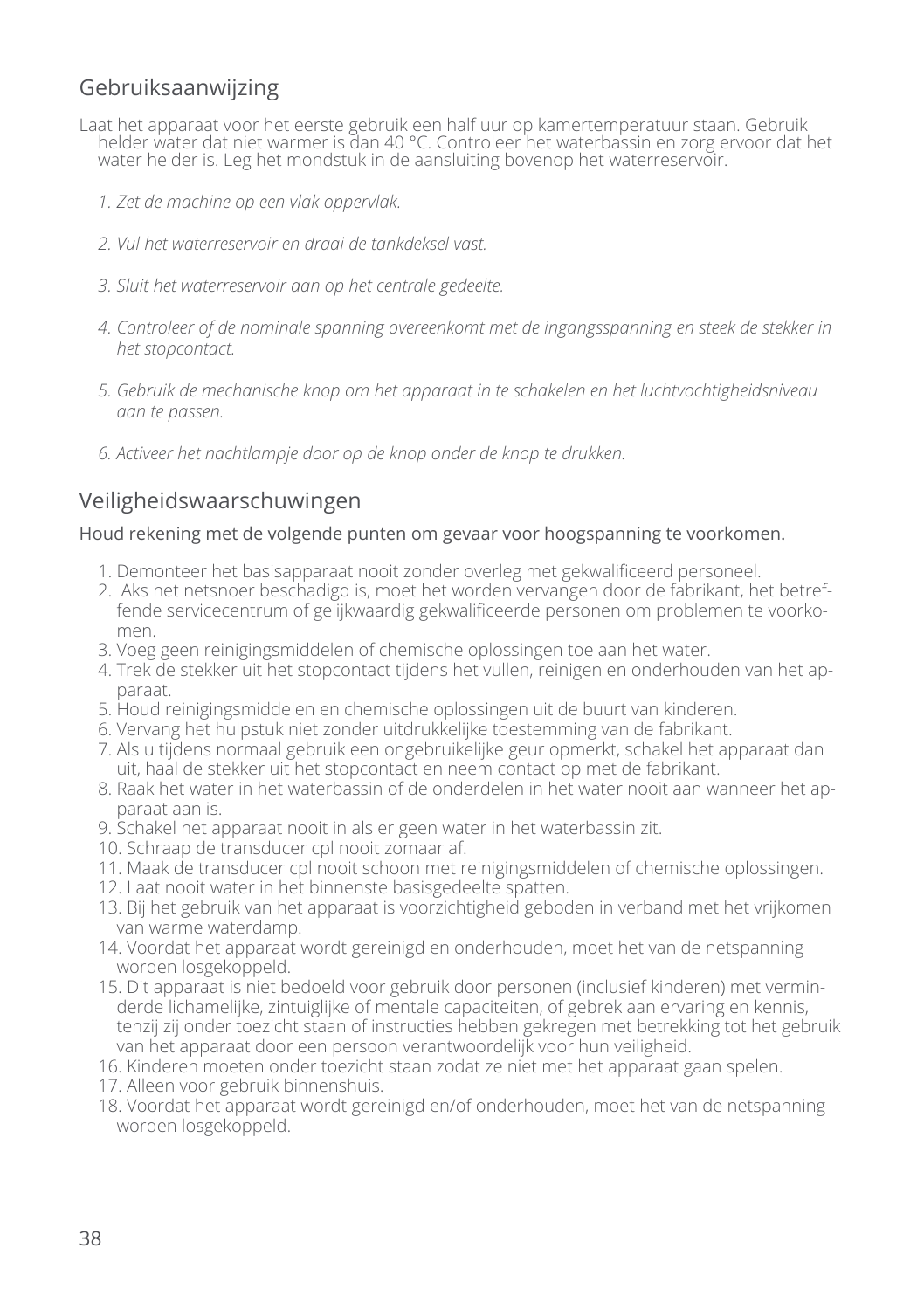## Gebruiksaanwijzing

- Laat het apparaat voor het eerste gebruik een half uur op kamertemperatuur staan. Gebruik helder water dat niet warmer is dan 40 °C. Controleer het waterbassin en zorg ervoor dat het water helder is. Leg het mondstuk in de aansluiting bovenop het waterreservoir.
	- *1. Zet de machine op een vlak oppervlak.*
	- *2. Vul het waterreservoir en draai de tankdeksel vast.*
	- *3. Sluit het waterreservoir aan op het centrale gedeelte.*
	- *4. Controleer of de nominale spanning overeenkomt met de ingangsspanning en steek de stekker in het stopcontact.*
	- *5. Gebruik de mechanische knop om het apparaat in te schakelen en het luchtvochtigheidsniveau aan te passen.*
	- *6. Activeer het nachtlampje door op de knop onder de knop te drukken.*

## Veiligheidswaarschuwingen

#### Houd rekening met de volgende punten om gevaar voor hoogspanning te voorkomen.

- 1. Demonteer het basisapparaat nooit zonder overleg met gekwalificeerd personeel.
- 2. Aks het netsnoer beschadigd is, moet het worden vervangen door de fabrikant, het betreffende servicecentrum of gelijkwaardig gekwalificeerde personen om problemen te voorkomen.
- 3. Voeg geen reinigingsmiddelen of chemische oplossingen toe aan het water.
- 4. Trek de stekker uit het stopcontact tijdens het vullen, reinigen en onderhouden van het apparaat.
- 5. Houd reinigingsmiddelen en chemische oplossingen uit de buurt van kinderen.
- 6. Vervang het hulpstuk niet zonder uitdrukkelijke toestemming van de fabrikant.
- 7. Als u tijdens normaal gebruik een ongebruikelijke geur opmerkt, schakel het apparaat dan uit, haal de stekker uit het stopcontact en neem contact op met de fabrikant.
- 8. Raak het water in het waterbassin of de onderdelen in het water nooit aan wanneer het apparaat aan is.
- 9. Schakel het apparaat nooit in als er geen water in het waterbassin zit.
- 10. Schraap de transducer cpl nooit zomaar af.
- 11. Maak de transducer cpl nooit schoon met reinigingsmiddelen of chemische oplossingen.
- 12. Laat nooit water in het binnenste basisgedeelte spatten.
- 13. Bij het gebruik van het apparaat is voorzichtigheid geboden in verband met het vrijkomen van warme waterdamp.
- 14. Voordat het apparaat wordt gereinigd en onderhouden, moet het van de netspanning worden losgekoppeld.
- 15. Dit apparaat is niet bedoeld voor gebruik door personen (inclusief kinderen) met verminderde lichamelijke, zintuiglijke of mentale capaciteiten, of gebrek aan ervaring en kennis, tenzij zij onder toezicht staan of instructies hebben gekregen met betrekking tot het gebruik van het apparaat door een persoon verantwoordelijk voor hun veiligheid.
- 16. Kinderen moeten onder toezicht staan zodat ze niet met het apparaat gaan spelen.
- 17. Alleen voor gebruik binnenshuis.
- 18. Voordat het apparaat wordt gereinigd en/of onderhouden, moet het van de netspanning worden losgekoppeld.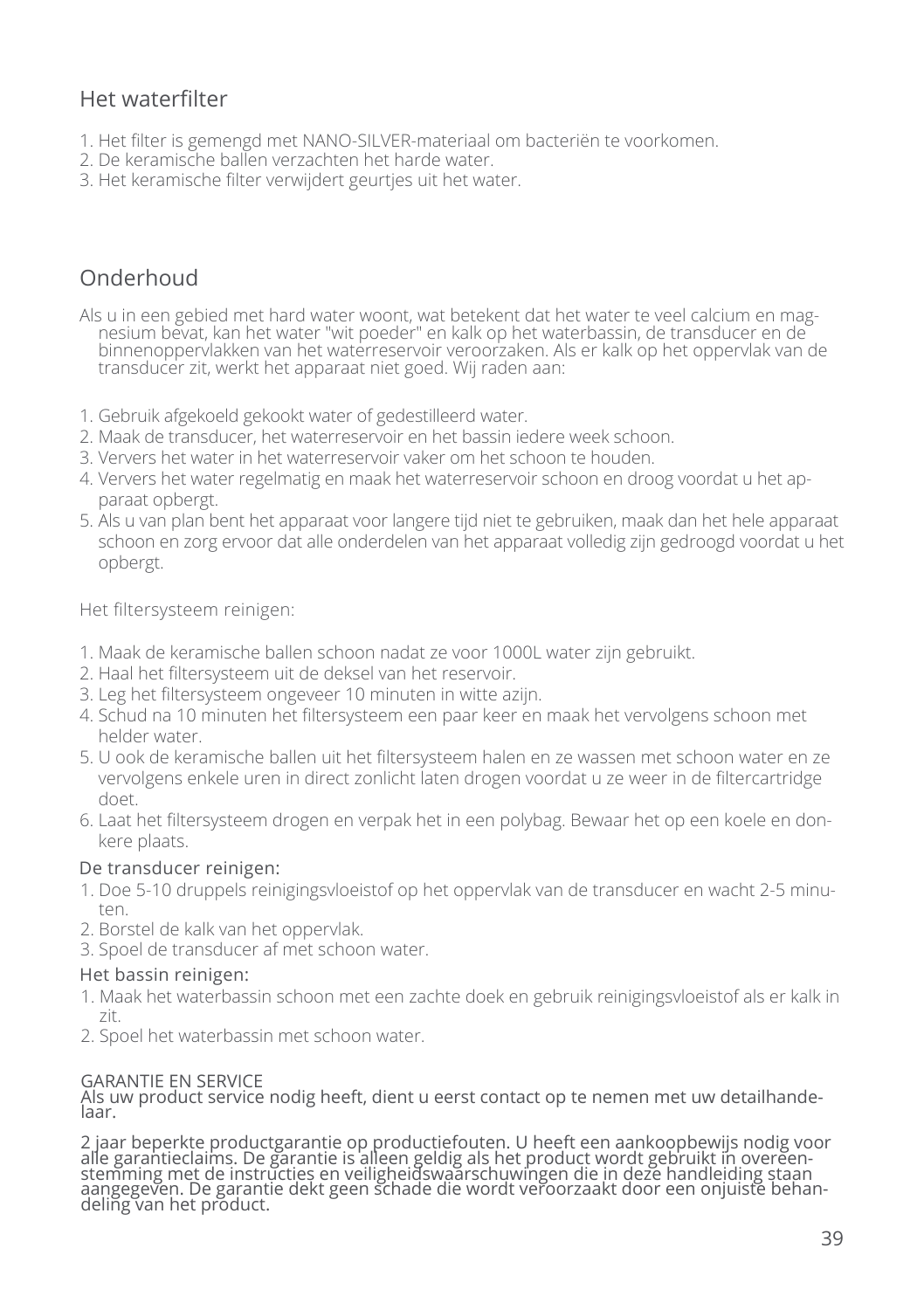## Het waterfilter

- 1. Het filter is gemengd met NANO-SILVER-materiaal om bacteriën te voorkomen.
- 2. De keramische ballen verzachten het harde water.
- 3. Het keramische filter verwijdert geurtjes uit het water.

## Onderhoud

- Als u in een gebied met hard water woont, wat betekent dat het water te veel calcium en magnesium bevat, kan het water "wit poeder" en kalk op het waterbassin, de transducer en de binnenoppervlakken van het waterreservoir veroorzaken. Als er kalk op het oppervlak van de transducer zit, werkt het apparaat niet goed. Wij raden aan:
- 1. Gebruik afgekoeld gekookt water of gedestilleerd water.
- 2. Maak de transducer, het waterreservoir en het bassin iedere week schoon.
- 3. Ververs het water in het waterreservoir vaker om het schoon te houden.
- 4. Ververs het water regelmatig en maak het waterreservoir schoon en droog voordat u het apparaat opbergt.
- 5. Als u van plan bent het apparaat voor langere tijd niet te gebruiken, maak dan het hele apparaat schoon en zorg ervoor dat alle onderdelen van het apparaat volledig zijn gedroogd voordat u het opbergt.

Het filtersysteem reinigen:

- 1. Maak de keramische ballen schoon nadat ze voor 1000L water zijn gebruikt.
- 2. Haal het filtersysteem uit de deksel van het reservoir.
- 3. Leg het filtersysteem ongeveer 10 minuten in witte azijn.
- 4. Schud na 10 minuten het filtersysteem een paar keer en maak het vervolgens schoon met helder water.
- 5. U ook de keramische ballen uit het filtersysteem halen en ze wassen met schoon water en ze vervolgens enkele uren in direct zonlicht laten drogen voordat u ze weer in de filtercartridge doet.
- 6. Laat het filtersysteem drogen en verpak het in een polybag. Bewaar het op een koele en donkere plaats.

#### De transducer reinigen:

- 1. Doe 5-10 druppels reinigingsvloeistof op het oppervlak van de transducer en wacht 2-5 minuten.
- 2. Borstel de kalk van het oppervlak.
- 3. Spoel de transducer af met schoon water.

#### Het bassin reinigen:

- 1. Maak het waterbassin schoon met een zachte doek en gebruik reinigingsvloeistof als er kalk in zit.
- 2. Spoel het waterbassin met schoon water.

#### GARANTIE EN SERVICE

Als uw product service nodig heeft, dient u eerst contact op te nemen met uw detailhande-<br>laar.

2 jaar beperkte productgarantie op productiefouten. U heeft een aankoopbewijs nodig voor<br>alle garantieclaims. De garantie is alleen geldig als het product wordt gebruikt in overeen-<br>stemming met de instructies en veilighei aangegeven. De garantie dekt geen schade die wordt veroorzaakt door een onjuiste behan-<br>deling van het product.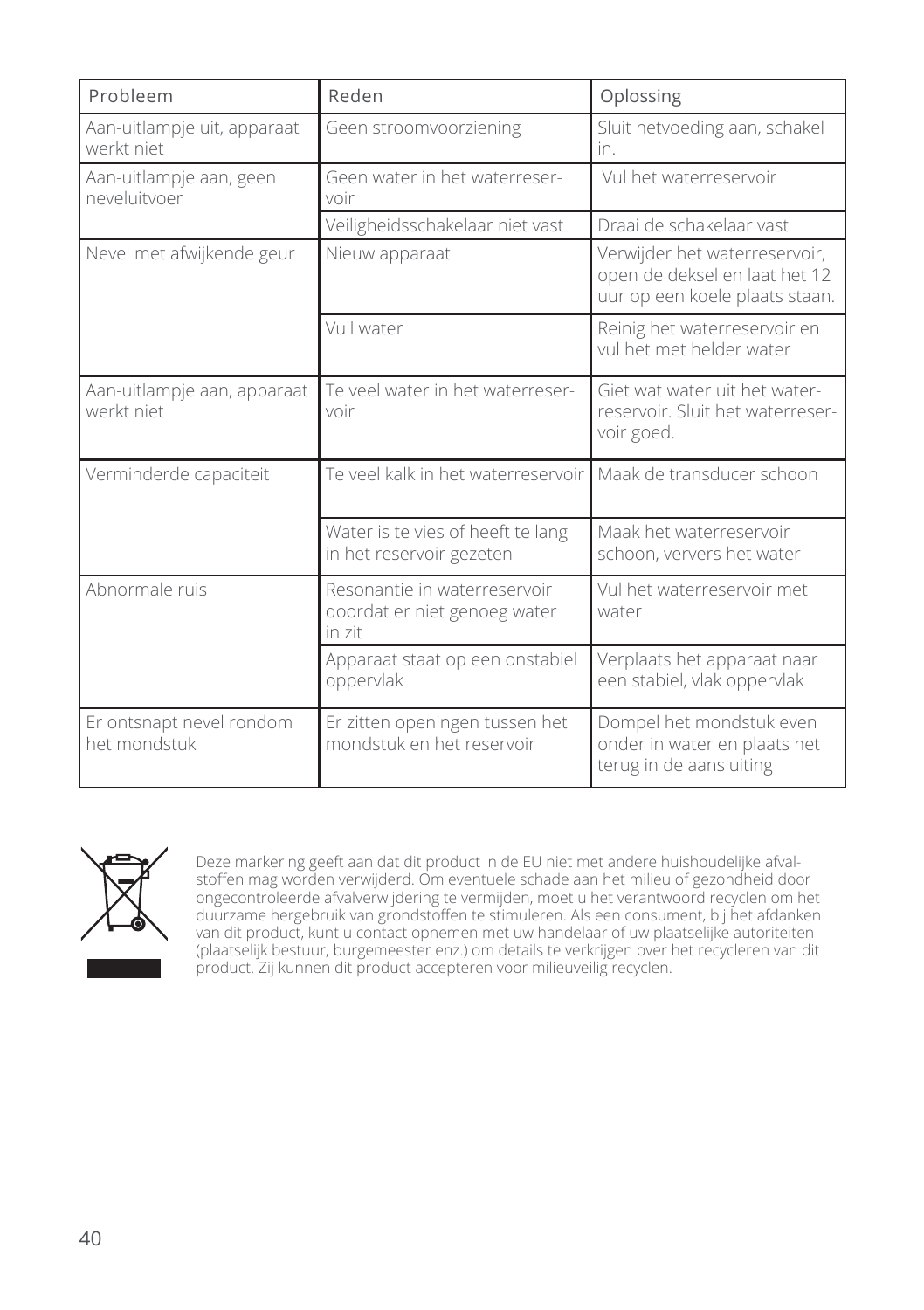| Probleem                                  | Reden                                                                  | Oplossing                                                                                        |
|-------------------------------------------|------------------------------------------------------------------------|--------------------------------------------------------------------------------------------------|
| Aan-uitlampje uit, apparaat<br>werkt niet | Geen stroomvoorziening                                                 | Sluit netvoeding aan, schakel<br>in.                                                             |
| Aan-uitlampje aan, geen<br>neveluitvoer   | Geen water in het waterreser-<br>voir                                  | Vul het waterreservoir                                                                           |
|                                           | Veiligheidsschakelaar niet vast                                        | Draai de schakelaar vast                                                                         |
| Nevel met afwijkende geur                 | Nieuw apparaat                                                         | Verwijder het waterreservoir,<br>open de deksel en laat het 12<br>uur op een koele plaats staan. |
|                                           | Vuil water                                                             | Reinig het waterreservoir en<br>vul het met helder water                                         |
| Aan-uitlampje aan, apparaat<br>werkt niet | Te veel water in het waterreser-<br>voir                               | Giet wat water uit het water-<br>reservoir. Sluit het waterreser-<br>voir goed.                  |
| Verminderde capaciteit                    | Te veel kalk in het waterreservoir                                     | Maak de transducer schoon                                                                        |
|                                           | Water is te vies of heeft te lang<br>in het reservoir gezeten          | Maak het waterreservoir<br>schoon, ververs het water                                             |
| Abnormale ruis                            | Resonantie in waterreservoir<br>doordat er niet genoeg water<br>in zit | Vul het waterreservoir met<br>water                                                              |
|                                           | Apparaat staat op een onstabiel<br>oppervlak                           | Verplaats het apparaat naar<br>een stabiel, vlak oppervlak                                       |
| Er ontsnapt nevel rondom<br>het mondstuk  | Er zitten openingen tussen het<br>mondstuk en het reservoir            | Dompel het mondstuk even<br>onder in water en plaats het<br>terug in de aansluiting              |



Deze markering geeft aan dat dit product in de EU niet met andere huishoudelijke afvalstoffen mag worden verwijderd. Om eventuele schade aan het milieu of gezondheid door ongecontroleerde afvalverwijdering te vermijden, moet u het verantwoord recyclen om het duurzame hergebruik van grondstoffen te stimuleren. Als een consument, bij het afdanken van dit product, kunt u contact opnemen met uw handelaar of uw plaatselijke autoriteiten (plaatselijk bestuur, burgemeester enz.) om details te verkrijgen over het recycleren van dit product. Zij kunnen dit product accepteren voor milieuveilig recyclen.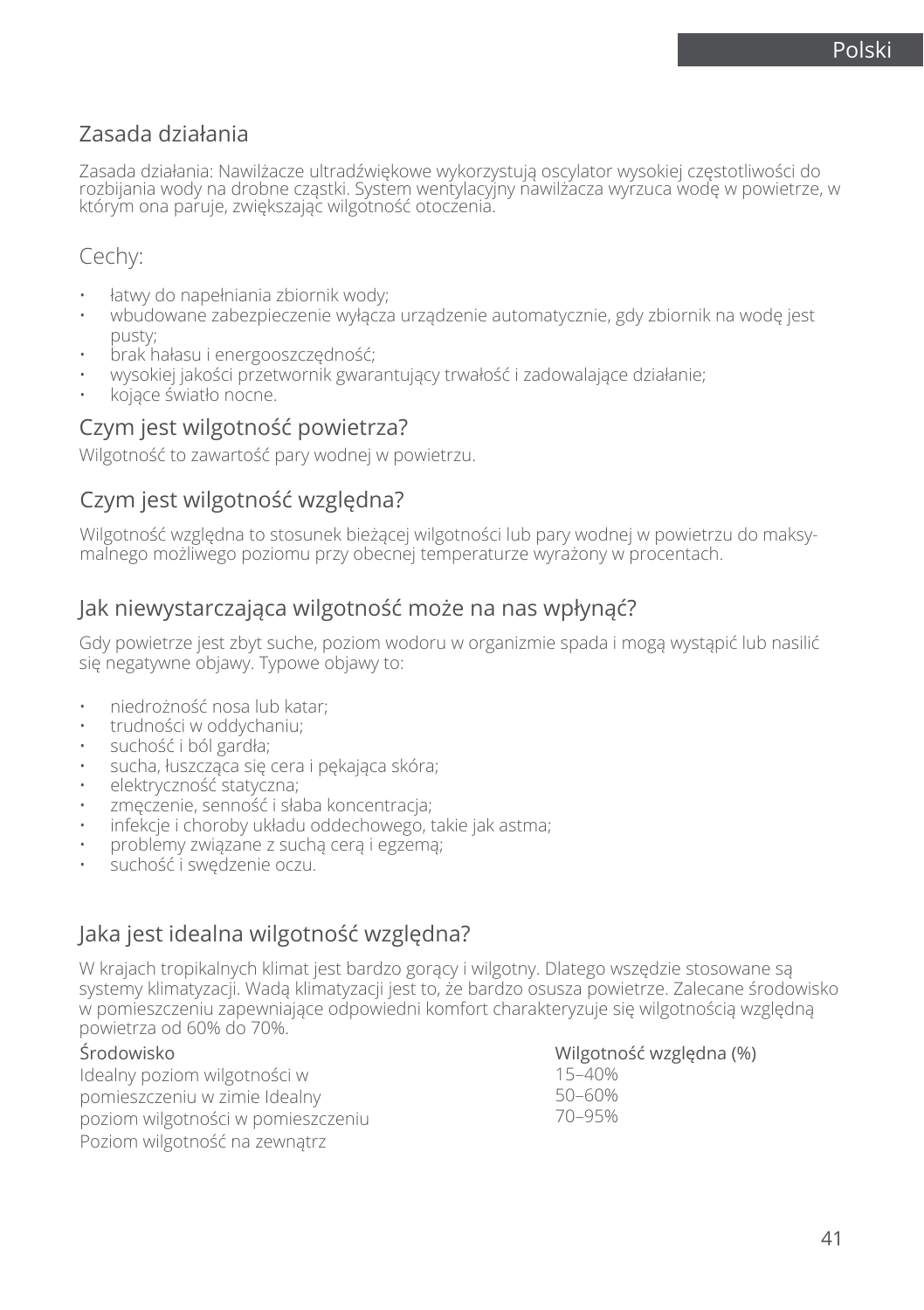## Zasada działania

Zasada działania: Nawilżacze ultradźwiękowe wykorzystują oscylator wysokiej częstotliwości do rozbijania wody na drobne cząstki. System wentylacyjny nawilżacza wyrzuca wodę w powietrze, w którym ona paruje, zwiększając wilgotność otoczenia.

## Cechy:

- łatwy do napełniania zbiornik wody;
- wbudowane zabezpieczenie wyłącza urządzenie automatycznie, gdy zbiornik na wodę jest pusty;
- brak hałasu i energooszczędność;
- wysokiej jakości przetwornik gwarantujący trwałość i zadowalające działanie;
- kojące światło nocne.

### Czym jest wilgotność powietrza?

Wilgotność to zawartość pary wodnej w powietrzu.

### Czym jest wilgotność względna?

Wilgotność względna to stosunek bieżącej wilgotności lub pary wodnej w powietrzu do maksymalnego możliwego poziomu przy obecnej temperaturze wyrażony w procentach.

### Jak niewystarczająca wilgotność może na nas wpłynąć?

Gdy powietrze jest zbyt suche, poziom wodoru w organizmie spada i mogą wystąpić lub nasilić się negatywne objawy. Typowe objawy to:

- niedrożność nosa lub katar;
- trudności w oddychaniu;
- suchość i ból gardła;
- sucha, łuszcząca się cera i pękająca skóra;
- elektryczność statyczna;
- zmęczenie, senność i słaba koncentracja;
- infekcje i choroby układu oddechowego, takie jak astma;
- problemy związane z suchą cerą i egzemą;
- suchość i swędzenie oczu.

## Jaka jest idealna wilgotność względna?

W krajach tropikalnych klimat jest bardzo gorący i wilgotny. Dlatego wszędzie stosowane są systemy klimatyzacji. Wadą klimatyzacji jest to, że bardzo osusza powietrze. Zalecane środowisko w pomieszczeniu zapewniające odpowiedni komfort charakteryzuje się wilgotnością względną powietrza od 60% do 70%.

#### Środowisko

Idealny poziom wilgotności w pomieszczeniu w zimie Idealny poziom wilgotności w pomieszczeniu Poziom wilgotność na zewnątrz

Wilgotność względna (%)

15–40% 50–60% 70–95%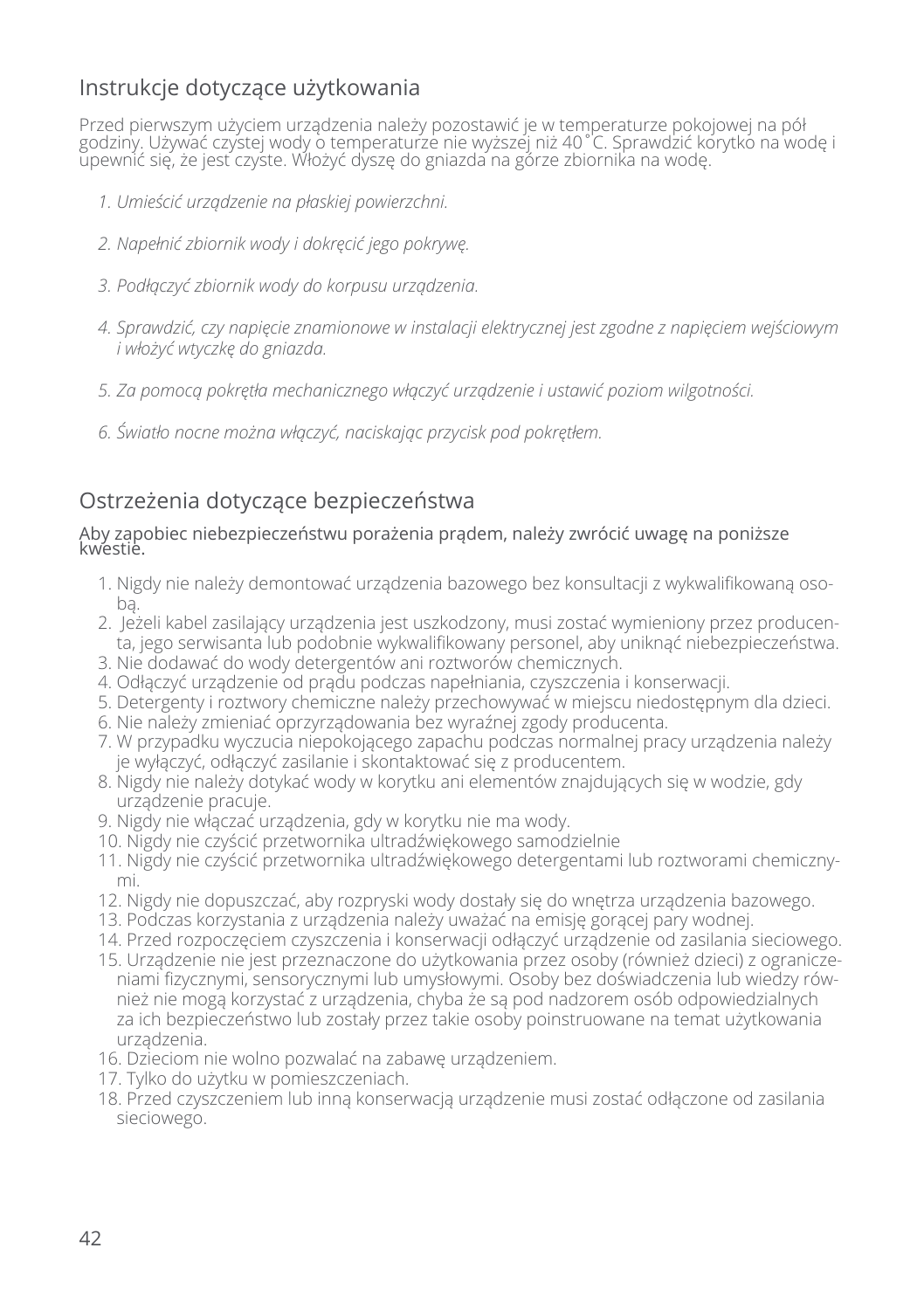## Instrukcje dotyczące użytkowania

Przed pierwszym użyciem urządzenia należy pozostawić je w temperaturze pokojowej na pół godziny. Używać czystej wody o temperaturze nie wyższej niż 40˚C. Sprawdzić korytko na wodę i upewnić się, że jest czyste. Włożyć dyszę do gniazda na górze zbiornika na wodę.

- *1. Umieścić urządzenie na płaskiej powierzchni.*
- *2. Napełnić zbiornik wody i dokręcić jego pokrywę.*
- *3. Podłączyć zbiornik wody do korpusu urządzenia.*
- *4. Sprawdzić, czy napięcie znamionowe w instalacji elektrycznej jest zgodne z napięciem wejściowym i włożyć wtyczkę do gniazda.*
- *5. Za pomocą pokrętła mechanicznego włączyć urządzenie i ustawić poziom wilgotności.*
- *6. Światło nocne można włączyć, naciskając przycisk pod pokrętłem.*

## Ostrzeżenia dotyczące bezpieczeństwa

#### Aby zapobiec niebezpieczeństwu porażenia prądem, należy zwrócić uwagę na poniższe kwestie.

- 1. Nigdy nie należy demontować urządzenia bazowego bez konsultacji z wykwalifikowaną osobą.
- 2. Jeżeli kabel zasilający urządzenia jest uszkodzony, musi zostać wymieniony przez producenta, jego serwisanta lub podobnie wykwalifikowany personel, aby uniknąć niebezpieczeństwa.
- 3. Nie dodawać do wody detergentów ani roztworów chemicznych.
- 4. Odłączyć urządzenie od prądu podczas napełniania, czyszczenia i konserwacji.
- 5. Detergenty i roztwory chemiczne należy przechowywać w miejscu niedostępnym dla dzieci.
- 6. Nie należy zmieniać oprzyrządowania bez wyraźnej zgody producenta.
- 7. W przypadku wyczucia niepokojącego zapachu podczas normalnej pracy urządzenia należy je wyłączyć, odłączyć zasilanie i skontaktować się z producentem.
- 8. Nigdy nie należy dotykać wody w korytku ani elementów znajdujących się w wodzie, gdy urządzenie pracuje.
- 9. Nigdy nie włączać urządzenia, gdy w korytku nie ma wody.
- 10. Nigdy nie czyścić przetwornika ultradźwiękowego samodzielnie
- 11. Nigdy nie czyścić przetwornika ultradźwiękowego detergentami lub roztworami chemicznymi.
- 12. Nigdy nie dopuszczać, aby rozpryski wody dostały się do wnętrza urządzenia bazowego.
- 13. Podczas korzystania z urządzenia należy uważać na emisję gorącej pary wodnej.
- 14. Przed rozpoczęciem czyszczenia i konserwacji odłączyć urządzenie od zasilania sieciowego.
- 15. Urządzenie nie jest przeznaczone do użytkowania przez osoby (również dzieci) z ograniczeniami fizycznymi, sensorycznymi lub umysłowymi. Osoby bez doświadczenia lub wiedzy również nie mogą korzystać z urządzenia, chyba że są pod nadzorem osób odpowiedzialnych za ich bezpieczeństwo lub zostały przez takie osoby poinstruowane na temat użytkowania urządzenia.
- 16. Dzieciom nie wolno pozwalać na zabawę urządzeniem.
- 17. Tylko do użytku w pomieszczeniach.
- 18. Przed czyszczeniem lub inną konserwacją urządzenie musi zostać odłączone od zasilania sieciowego.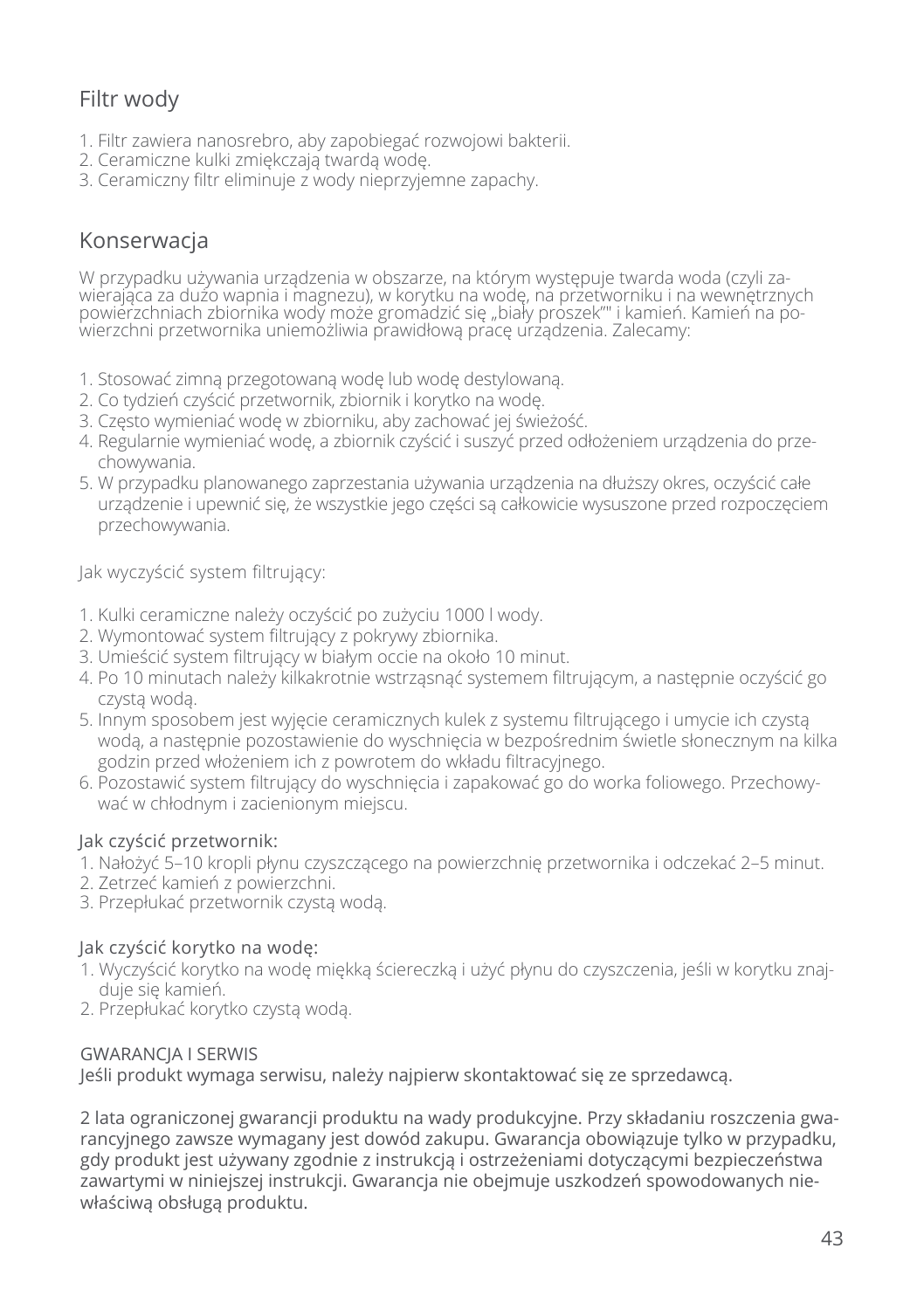## Filtr wody

- 1. Filtr zawiera nanosrebro, aby zapobiegać rozwojowi bakterii.
- 2. Ceramiczne kulki zmiękczają twardą wodę.
- 3. Ceramiczny filtr eliminuje z wody nieprzyjemne zapachy.

## Konserwacja

W przypadku używania urządzenia w obszarze, na którym występuje twarda woda (czyli zawierająca za dużo wapnia i magnezu), w korytku na wodę, na przetworniku i na wewnętrznych powierzchniach zbiornika wody może gromadzić się "biały proszek"" i kamień. Kamień na powierzchni przetwornika uniemożliwia prawidłową pracę urządzenia. Zalecamy:

- 1. Stosować zimną przegotowaną wodę lub wodę destylowaną.
- 2. Co tydzień czyścić przetwornik, zbiornik i korytko na wodę.
- 3. Często wymieniać wodę w zbiorniku, aby zachować jej świeżość.
- 4. Regularnie wymieniać wodę, a zbiornik czyścić i suszyć przed odłożeniem urządzenia do przechowywania.
- 5. W przypadku planowanego zaprzestania używania urządzenia na dłuższy okres, oczyścić całe urządzenie i upewnić się, że wszystkie jego części są całkowicie wysuszone przed rozpoczęciem przechowywania.

Jak wyczyścić system filtrujący:

- 1. Kulki ceramiczne należy oczyścić po zużyciu 1000 l wody.
- 2. Wymontować system filtrujący z pokrywy zbiornika.
- 3. Umieścić system filtrujący w białym occie na około 10 minut.
- 4. Po 10 minutach należy kilkakrotnie wstrząsnąć systemem filtrującym, a następnie oczyścić go czystą wodą.
- 5. Innym sposobem jest wyjęcie ceramicznych kulek z systemu filtrującego i umycie ich czystą wodą, a następnie pozostawienie do wyschnięcia w bezpośrednim świetle słonecznym na kilka godzin przed włożeniem ich z powrotem do wkładu filtracyjnego.
- 6. Pozostawić system filtrujący do wyschnięcia i zapakować go do worka foliowego. Przechowywać w chłodnym i zacienionym miejscu.

#### Jak czyścić przetwornik:

- 1. Nałożyć 5–10 kropli płynu czyszczącego na powierzchnię przetwornika i odczekać 2–5 minut.
- 2. Zetrzeć kamień z powierzchni.
- 3. Przepłukać przetwornik czystą wodą.

#### Jak czyścić korytko na wodę:

- 1. Wyczyścić korytko na wodę miękką ściereczką i użyć płynu do czyszczenia, jeśli w korytku znajduje się kamień.
- 2. Przepłukać korytko czystą wodą.

#### GWARANCJA I SERWIS

Jeśli produkt wymaga serwisu, należy najpierw skontaktować się ze sprzedawcą.

2 lata ograniczonej gwarancji produktu na wady produkcyjne. Przy składaniu roszczenia gwarancyjnego zawsze wymagany jest dowód zakupu. Gwarancja obowiązuje tylko w przypadku, gdy produkt jest używany zgodnie z instrukcją i ostrzeżeniami dotyczącymi bezpieczeństwa zawartymi w niniejszej instrukcji. Gwarancja nie obejmuje uszkodzeń spowodowanych niewłaściwą obsługą produktu.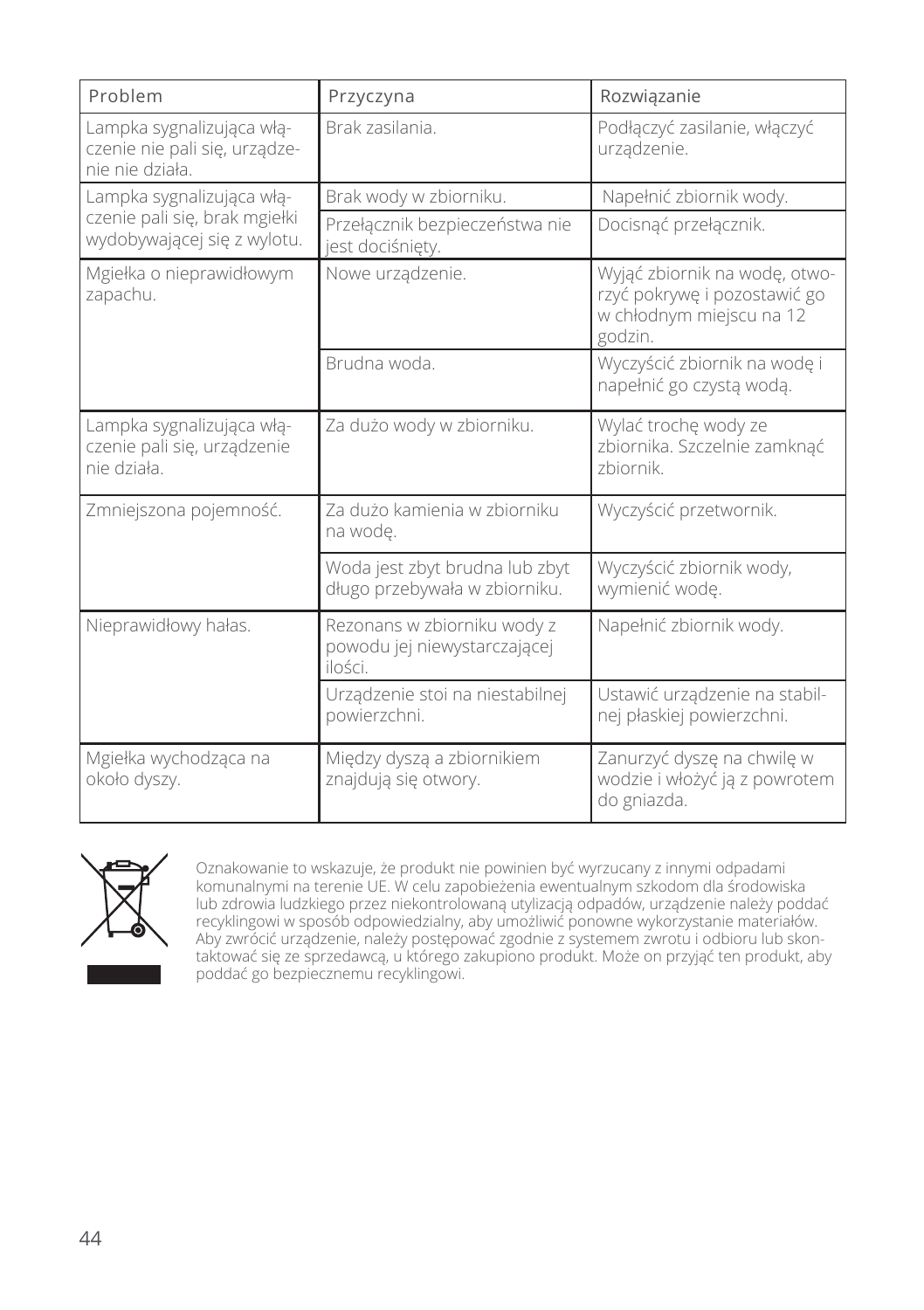| Problem                                                                       | Przyczyna                                                              | Rozwiązanie                                                                                          |
|-------------------------------------------------------------------------------|------------------------------------------------------------------------|------------------------------------------------------------------------------------------------------|
| Lampka sygnalizująca włą-<br>czenie nie pali się, urządze-<br>nie nie działa. | Brak zasilania.                                                        | Podłączyć zasilanie, włączyć<br>urządzenie.                                                          |
| Lampka sygnalizująca włą-                                                     | Brak wody w zbiorniku.                                                 | Napełnić zbiornik wody.                                                                              |
| czenie pali się, brak mgiełki<br>wydobywającej się z wylotu.                  | Przełącznik bezpieczeństwa nie<br>jest dociśnięty.                     | Docisnąć przełącznik.                                                                                |
| Mgiełka o nieprawidłowym<br>zapachu.                                          | Nowe urządzenie.                                                       | Wyjąć zbiornik na wodę, otwo-<br>rzyć pokrywę i pozostawić go<br>w chłodnym miejscu na 12<br>godzin. |
|                                                                               | Brudna woda.                                                           | Wyczyścić zbiornik na wodę i<br>napełnić go czystą wodą.                                             |
| Lampka sygnalizująca włą-<br>czenie pali się, urządzenie<br>nie działa.       | Za dużo wody w zbiorniku.                                              | Wylać trochę wody ze<br>zbiornika. Szczelnie zamknąć<br>zbiornik.                                    |
| Zmniejszona pojemność.                                                        | Za dużo kamienia w zbiorniku<br>na wode.                               | Wyczyścić przetwornik.                                                                               |
|                                                                               | Woda jest zbyt brudna lub zbyt<br>długo przebywała w zbiorniku.        | Wyczyścić zbiornik wody,<br>wymienić wode.                                                           |
| Nieprawidłowy hałas.                                                          | Rezonans w zbiorniku wody z<br>powodu jej niewystarczającej<br>ilości. | Napełnić zbiornik wody.                                                                              |
|                                                                               | Urządzenie stoi na niestabilnej<br>powierzchni.                        | Ustawić urządzenie na stabil-<br>nej płaskiej powierzchni.                                           |
| Mgiełka wychodząca na<br>około dyszy.                                         | Między dyszą a zbiornikiem<br>znajdują się otwory.                     | Zanurzyć dyszę na chwilę w<br>wodzie i włożyć ją z powrotem<br>do gniazda.                           |



Oznakowanie to wskazuje, że produkt nie powinien być wyrzucany z innymi odpadami komunalnymi na terenie UE. W celu zapobieżenia ewentualnym szkodom dla środowiska lub zdrowia ludzkiego przez niekontrolowaną utylizacją odpadów, urządzenie należy poddać recyklingowi w sposób odpowiedzialny, aby umożliwić ponowne wykorzystanie materiałów. Aby zwrócić urządzenie, należy postępować zgodnie z systemem zwrotu i odbioru lub skontaktować się ze sprzedawcą, u którego zakupiono produkt. Może on przyjąć ten produkt, aby poddać go bezpiecznemu recyklingowi.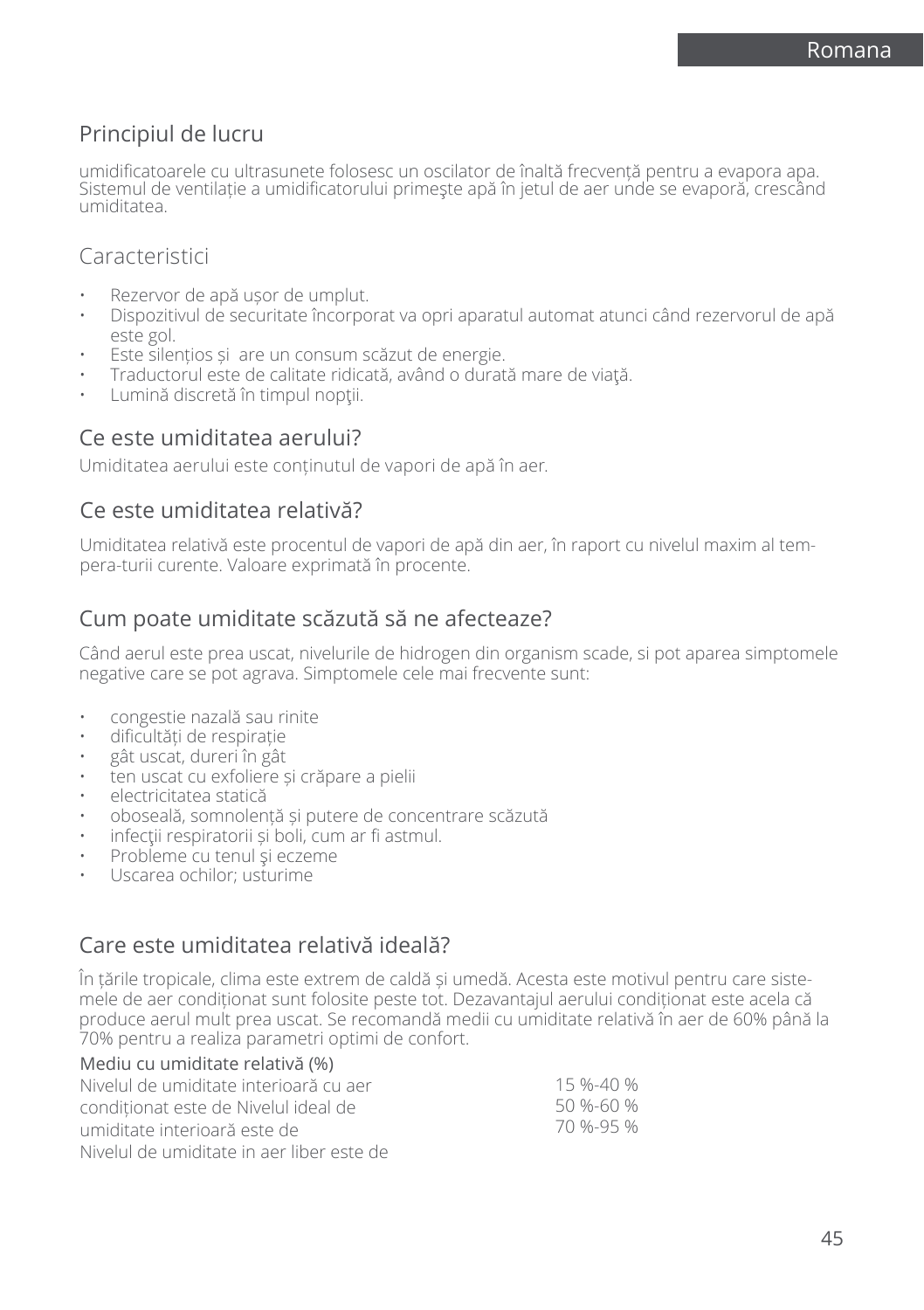## Principiul de lucru

umidificatoarele cu ultrasunete folosesc un oscilator de înaltă frecvență pentru a evapora apa. Sistemul de ventilație a umidificatorului primeşte apă în jetul de aer unde se evaporă, crescând umiditatea.

### **Caracteristici**

- Rezervor de apă ușor de umplut.
- Dispozitivul de securitate încorporat va opri aparatul automat atunci când rezervorul de apă este gol.
- Este silentios și are un consum scăzut de energie.
- Traductorul este de calitate ridicată, având o durată mare de viaţă.
- Lumină discretă în timpul nopții.

### Ce este umiditatea aerului?

Umiditatea aerului este conținutul de vapori de apă în aer.

### Ce este umiditatea relativă?

Umiditatea relativă este procentul de vapori de apă din aer, în raport cu nivelul maxim al tempera-turii curente. Valoare exprimată în procente.

### Cum poate umiditate scăzută să ne afecteaze?

Când aerul este prea uscat, nivelurile de hidrogen din organism scade, si pot aparea simptomele negative care se pot agrava. Simptomele cele mai frecvente sunt:

- congestie nazală sau rinite
- dificultăți de respirație
- gât uscat, dureri în gât
- ten uscat cu exfoliere și crăpare a pielii
- electricitatea statică
- oboseală, somnolență și putere de concentrare scăzută
- infecții respiratorii și boli, cum ar fi astmul.
- Probleme cu tenul şi eczeme
- Uscarea ochilor; usturime

### Care este umiditatea relativă ideală?

În țările tropicale, clima este extrem de caldă și umedă. Acesta este motivul pentru care sistemele de aer condiționat sunt folosite peste tot. Dezavantajul aerului condiționat este acela că produce aerul mult prea uscat. Se recomandă medii cu umiditate relativă în aer de 60% până la 70% pentru a realiza parametri optimi de confort.  $M_{\odot}$ diu cu umiditate relativă ( $0/$ )

| <u>Mediu cu umiditate relativa (%)</u>    |           |
|-------------------------------------------|-----------|
| Nivelul de umiditate interioară cu aer    | 15 %-40 % |
| conditionat este de Nivelul ideal de      | 50 %-60 % |
| umiditate interioară este de              | 70 %-95 % |
| Nivelul de umiditate in aer liber este de |           |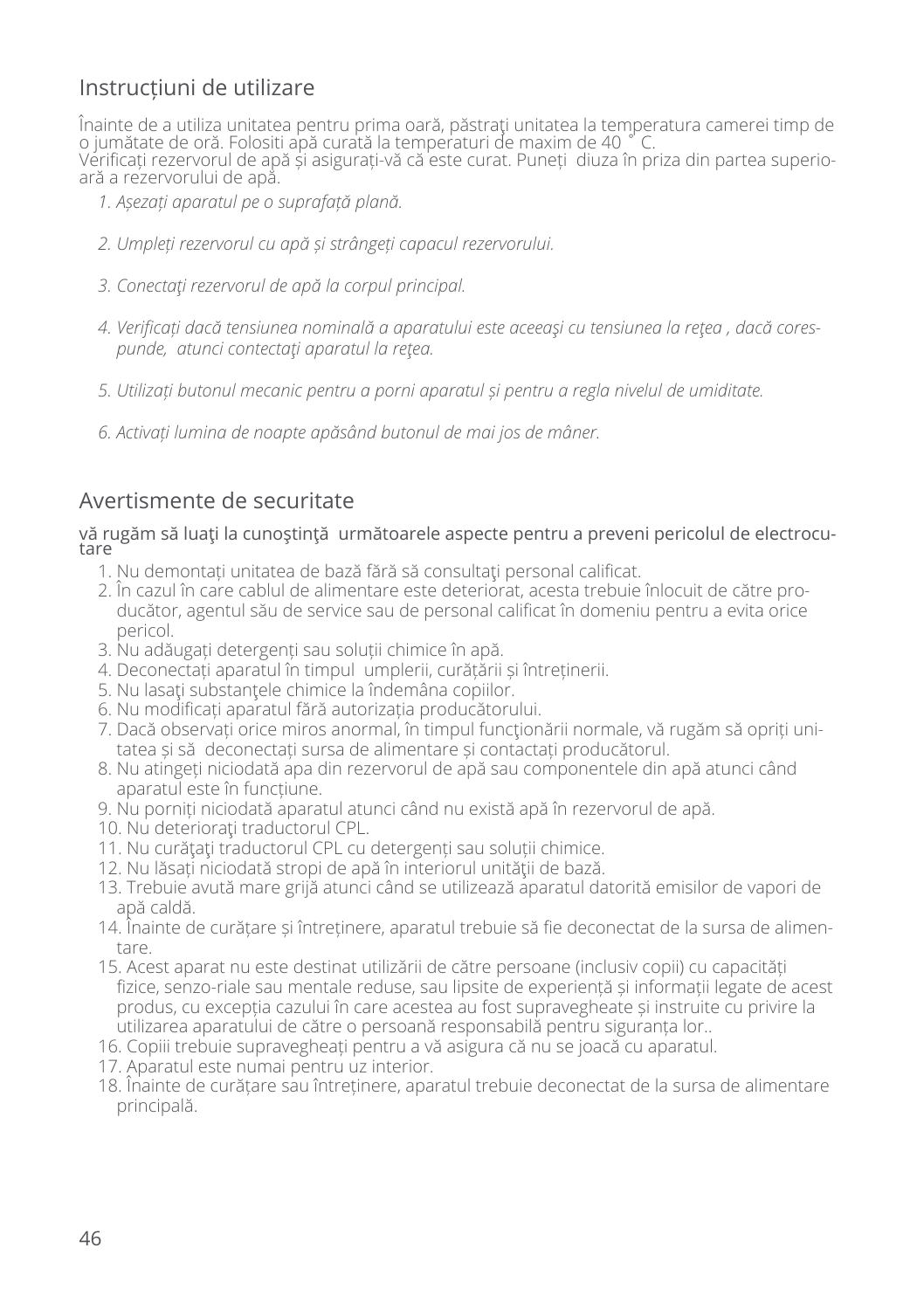## Instrucțiuni de utilizare

Înainte de a utiliza unitatea pentru prima oară, păstraţi unitatea la temperatura camerei timp de o jumătate de oră. Folositi apă curată la temperaturi de maxim de 40 ˚ C. Verificați rezervorul de apă și asigurați-vă că este curat. Puneți diuza în priza din partea superioară a rezervorului de apă.

- *1. Așezați aparatul pe o suprafață plană.*
- *2. Umpleți rezervorul cu apă și strângeți capacul rezervorului.*
- *3. Conectaţi rezervorul de apă la corpul principal.*
- *4. Verificați dacă tensiunea nominală a aparatului este aceeaşi cu tensiunea la reţea , dacă corespunde, atunci contectaţi aparatul la reţea.*
- *5. Utilizați butonul mecanic pentru a porni aparatul și pentru a regla nivelul de umiditate.*
- *6. Activați lumina de noapte apăsând butonul de mai jos de mâner.*

### Avertismente de securitate

# vă rugăm să luați la cunoștință următoarele aspecte pentru a preveni pericolul de electrocu-<br>tare

- 1. Nu demontați unitatea de bază fără să consultați personal calificat.
- 2. În cazul în care cablul de alimentare este deteriorat, acesta trebuie înlocuit de către producător, agentul său de service sau de personal calificat în domeniu pentru a evita orice pericol.
- 3. Nu adăugați detergenți sau soluții chimice în apă.
- 4. Deconectați aparatul în timpul umplerii, curățării și întreținerii.
- 5. Nu lasati substantele chimice la îndemâna copiilor.
- 6. Nu modificați aparatul fără autorizația producătorului.
- 7. Dacă observati orice miros anormal, în timpul funcționării normale, vă rugăm să opriți unitatea și să deconectați sursa de alimentare și contactați producătorul.
- 8. Nu atingeți niciodată apa din rezervorul de apă sau componentele din apă atunci când aparatul este în funcțiune.
- 9. Nu porniți niciodată aparatul atunci când nu există apă în rezervorul de apă.
- 10. Nu deteriorati traductorul CPL.
- 11. Nu curățați traductorul CPL cu detergenți sau soluții chimice.
- 12. Nu lăsați niciodată stropi de apă în interiorul unității de bază.
- 13. Trebuie avută mare grijă atunci când se utilizează aparatul datorită emisilor de vapori de apă caldă.
- 14. Înainte de curățare și întreținere, aparatul trebuie să fie deconectat de la sursa de alimentare.
- 15. Acest aparat nu este destinat utilizării de către persoane (inclusiv copii) cu capacități fizice, senzo-riale sau mentale reduse, sau lipsite de experiență și informații legate de acest produs, cu excepția cazului în care acestea au fost supravegheate și instruite cu privire la utilizarea aparatului de către o persoană responsabilă pentru siguranța lor..
- 16. Copiii trebuie supravegheați pentru a vă asigura că nu se joacă cu aparatul.
- 17. Aparatul este numai pentru uz interior.
- 18. Înainte de curățare sau întreținere, aparatul trebuie deconectat de la sursa de alimentare principală.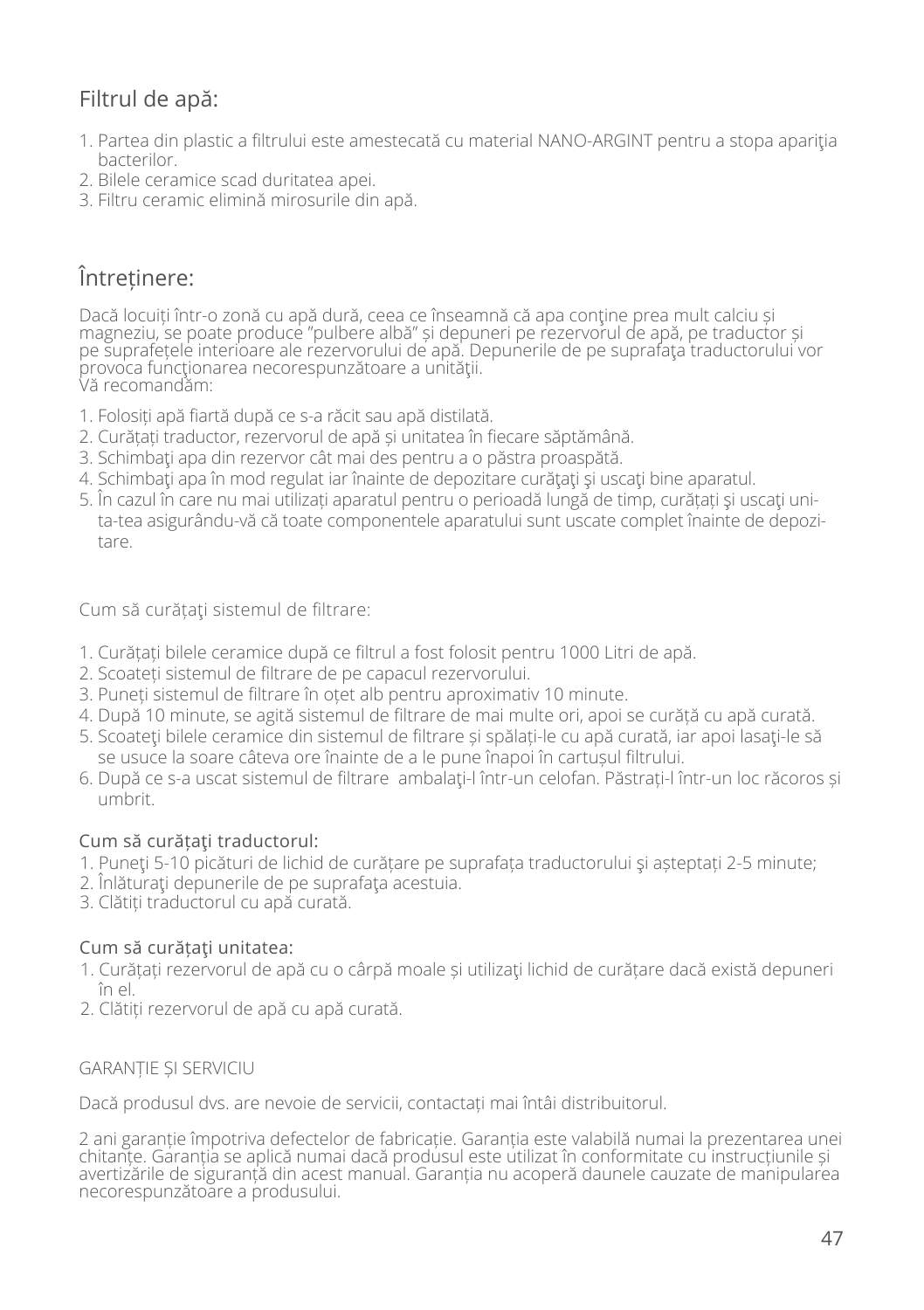## Filtrul de apă:

- 1. Partea din plastic a filtrului este amestecată cu material NANO-ARGINT pentru a stopa apariția bacterilor.
- 2. Bilele ceramice scad duritatea apei.
- 3. Filtru ceramic elimină mirosurile din apă.

## Întreținere:

Dacă locuiți într-o zonă cu apă dură, ceea ce înseamnă că apa conține prea mult calciu și magneziu, se poate produce "pulbere albă" și depuneri pe rezervorul de apă, pe traductor și pe suprafețele interioare ale rezervorului de apă. Depunerile de pe suprafaţa traductorului vor provoca funcționarea necorespunzătoare a unității. Vă recomandăm:

- 1. Folosiți apă fiartă după ce s-a răcit sau apă distilată.
- 2. Curățați traductor, rezervorul de apă și unitatea în fiecare săptămână.
- 3. Schimbaţi apa din rezervor cât mai des pentru a o păstra proaspătă.
- 4. Schimbati apa în mod regulat iar înainte de depozitare curătați și uscați bine aparatul.
- 5. În cazul în care nu mai utilizați aparatul pentru o perioadă lungă de timp, curățați şi uscaţi unita-tea asigurându-vă că toate componentele aparatului sunt uscate complet înainte de depozitare.

Cum să curătați sistemul de filtrare:

- 1. Curățați bilele ceramice după ce filtrul a fost folosit pentru 1000 Litri de apă.
- 2. Scoateți sistemul de filtrare de pe capacul rezervorului.
- 3. Puneți sistemul de filtrare în oțet alb pentru aproximativ 10 minute.
- 4. După 10 minute, se agită sistemul de filtrare de mai multe ori, apoi se curăță cu apă curată.
- 5. Scoateți bilele ceramice din sistemul de filtrare și spălați-le cu apă curată, iar apoi lasați-le să se usuce la soare câteva ore înainte de a le pune înapoi în cartușul filtrului.
- 6. După ce s-a uscat sistemul de filtrare ambalaţi-l într-un celofan. Păstrați-l într-un loc răcoros și umbrit.

### Cum să curățaţi traductorul:

- 1. Puneţi 5-10 picături de lichid de curățare pe suprafața traductorului şi așteptați 2-5 minute;
- 2. Înlăturaţi depunerile de pe suprafaţa acestuia.
- 3. Clătiți traductorul cu apă curată.

### Cum să curătați unitatea:

- 1. Curățați rezervorul de apă cu o cârpă moale și utilizaţi lichid de curățare dacă există depuneri în el.
- 2. Clătiți rezervorul de apă cu apă curată.

#### GARANȚIE ȘI SERVICIU

Dacă produsul dvs. are nevoie de servicii, contactați mai întâi distribuitorul.

2 ani garanție împotriva defectelor de fabricație. Garanția este valabilă numai la prezentarea unei chitanțe. Garanția se aplică numai dacă produsul este utilizat în conformitate cu instrucțiunile și avertizările de siguranță din acest manual. Garanția nu acoperă daunele cauzate de manipularea necorespunzătoare a produsului.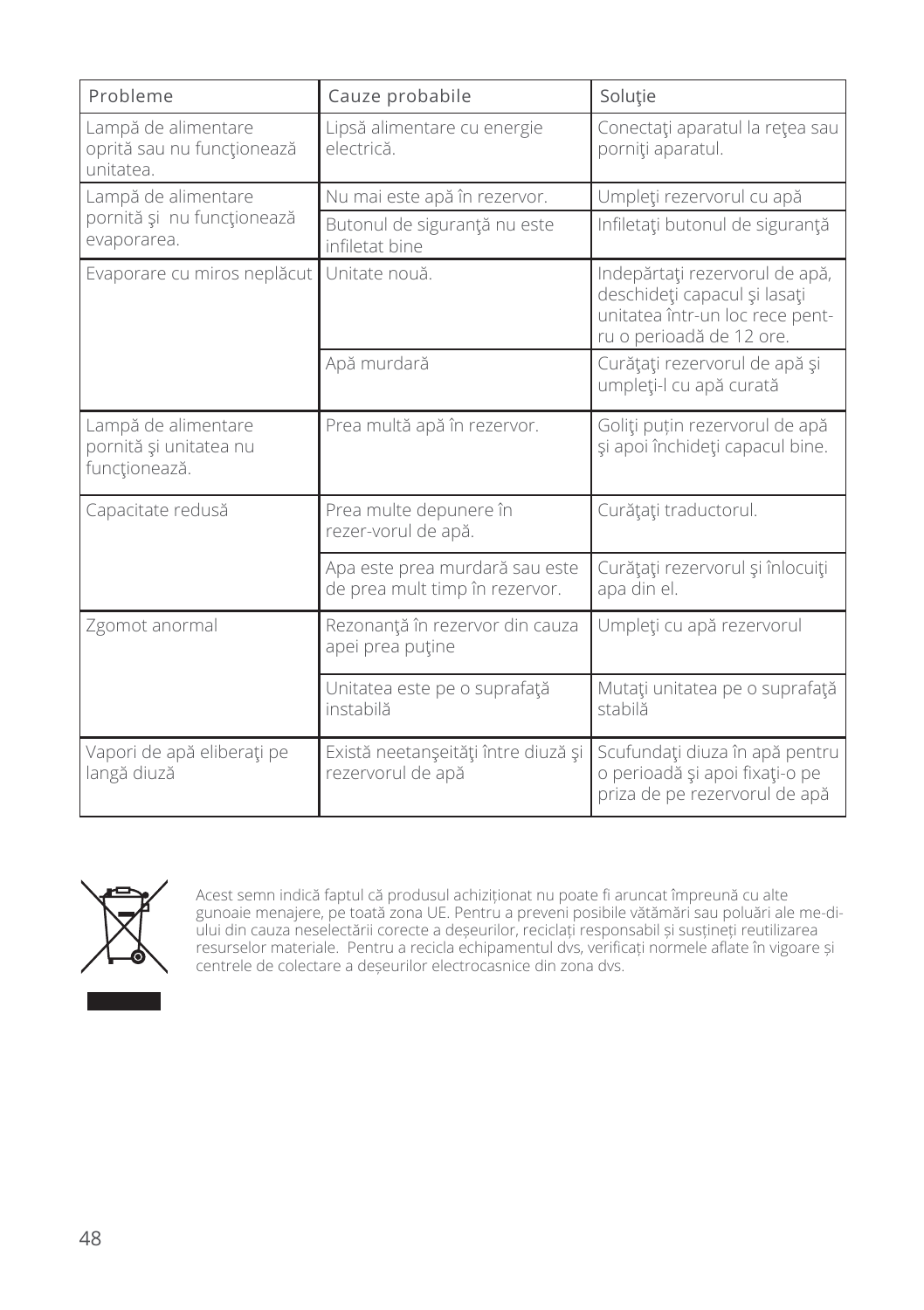| Probleme                                                       | Cauze probabile                                                  | Solutie                                                                                                                       |
|----------------------------------------------------------------|------------------------------------------------------------------|-------------------------------------------------------------------------------------------------------------------------------|
| Lampă de alimentare<br>oprită sau nu funcționează<br>unitatea. | Lipsă alimentare cu energie<br>electrică.                        | Conectați aparatul la rețea sau<br>porniți aparatul.                                                                          |
| Lampă de alimentare                                            | Nu mai este apă în rezervor.                                     | Umpleți rezervorul cu apă                                                                                                     |
| pornită și nu funcționează<br>evaporarea.                      | Butonul de siguranță nu este<br>infiletat bine                   | Infiletați butonul de siguranță                                                                                               |
| Evaporare cu miros neplăcut                                    | Unitate nouă.                                                    | Indepărtați rezervorul de apă,<br>deschideți capacul și lasați<br>unitatea într-un loc rece pent-<br>ru o perioadă de 12 ore. |
|                                                                | Apă murdară                                                      | Curățați rezervorul de apă și<br>umpleți-l cu apă curată                                                                      |
| Lampă de alimentare<br>pornită și unitatea nu<br>funcționează. | Prea multă apă în rezervor.                                      | Goliți puțin rezervorul de apă<br>și apoi închideți capacul bine.                                                             |
| Capacitate redusă                                              | Prea multe depunere în<br>rezer-vorul de apă.                    | Curățați traductorul.                                                                                                         |
|                                                                | Apa este prea murdară sau este<br>de prea mult timp în rezervor. | Curățați rezervorul și înlocuiți<br>apa din el.                                                                               |
| Zgomot anormal                                                 | Rezonanță în rezervor din cauza<br>apei prea puține              | Umpleți cu apă rezervorul                                                                                                     |
|                                                                | Unitatea este pe o suprafață<br>instabilă                        | Mutați unitatea pe o suprafață<br>stabilă                                                                                     |
| Vapori de apă eliberați pe<br>langă diuză                      | Există neetanșeități între diuză și<br>rezervorul de apă         | Scufundați diuza în apă pentru<br>o perioadă și apoi fixați-o pe<br>priza de pe rezervorul de apă                             |



Acest semn indică faptul că produsul achiziționat nu poate fi aruncat împreună cu alte gunoaie menajere, pe toată zona UE. Pentru a preveni posibile vătămări sau poluări ale me-diului din cauza neselectării corecte a deșeurilor, reciclați responsabil și susțineți reutilizarea resurselor materiale. Pentru a recicla echipamentul dvs, verificați normele aflate în vigoare și centrele de colectare a deșeurilor electrocasnice din zona dvs.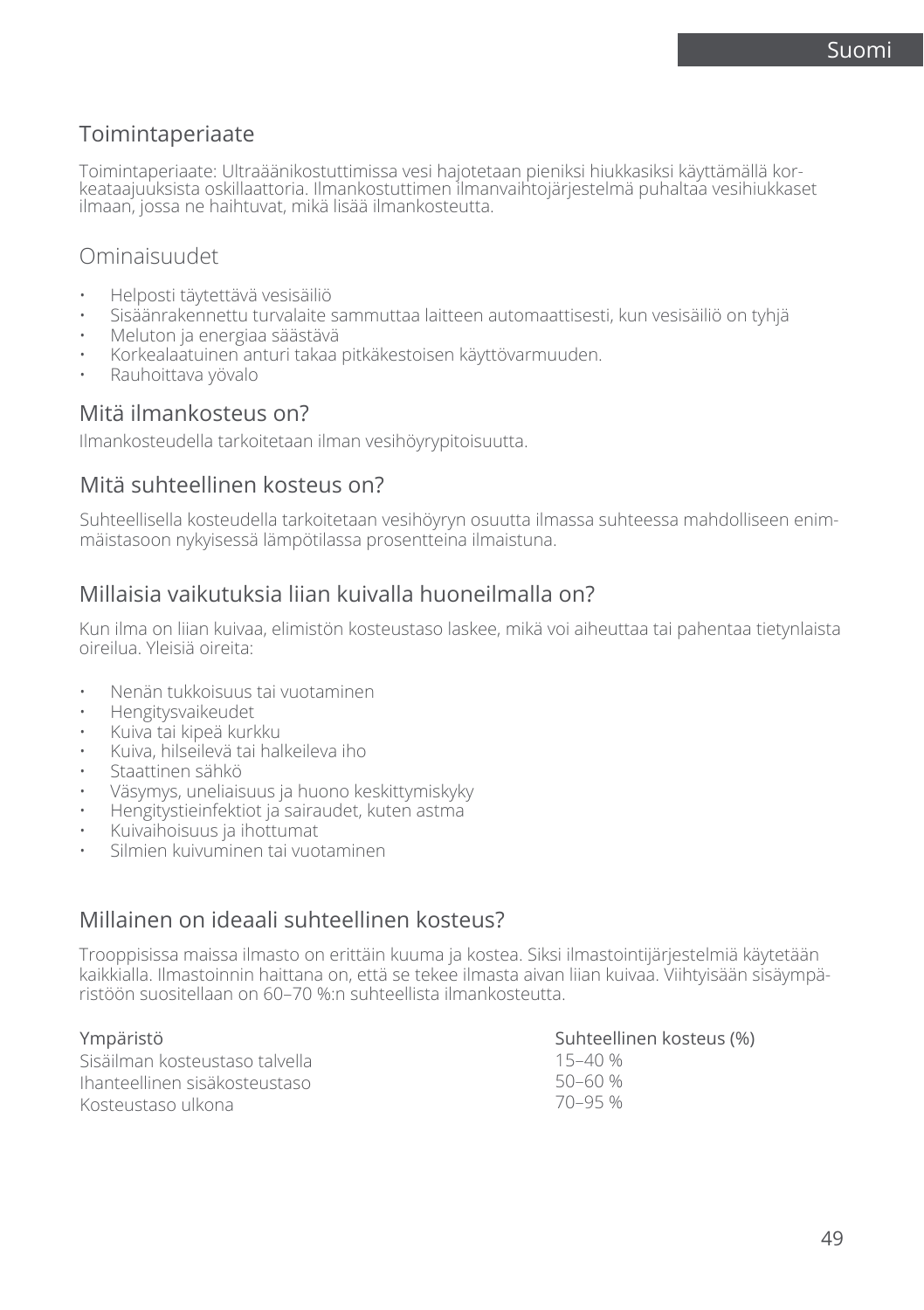## Toimintaperiaate

Toimintaperiaate: Ultraäänikostuttimissa vesi hajotetaan pieniksi hiukkasiksi käyttämällä kor-<br>keataajuuksista oskillaattoria. Ilmankostuttimen ilmanvaihtojärjestelmä puhaltaa vesihiukkaset ilmaan, jossa ne haihtuvat, mikä lisää ilmankosteutta.

### Ominaisuudet

- Helposti täytettävä vesisäiliö
- Sisäänrakennettu turvalaite sammuttaa laitteen automaattisesti, kun vesisäiliö on tyhjä
- Meluton ja energiaa säästävä
- Korkealaatuinen anturi takaa pitkäkestoisen käyttövarmuuden.
- Rauhoittava yövalo

### Mitä ilmankosteus on?

Ilmankosteudella tarkoitetaan ilman vesihöyrypitoisuutta.

### Mitä suhteellinen kosteus on?

Suhteellisella kosteudella tarkoitetaan vesihöyryn osuutta ilmassa suhteessa mahdolliseen enimmäistasoon nykyisessä lämpötilassa prosentteina ilmaistuna.

### Millaisia vaikutuksia liian kuivalla huoneilmalla on?

Kun ilma on liian kuivaa, elimistön kosteustaso laskee, mikä voi aiheuttaa tai pahentaa tietynlaista oireilua. Yleisiä oireita:

- Nenän tukkoisuus tai vuotaminen
- Hengitysvaikeudet
- Kuiva tai kipeä kurkku
- Kuiva, hilseilevä tai halkeileva iho
- Staattinen sähkö
- Väsymys, uneliaisuus ja huono keskittymiskyky
- Hengitystieinfektiot ja sairaudet, kuten astma
- Kuivaihoisuus ja ihottumat
- Silmien kuivuminen tai vuotaminen

### Millainen on ideaali suhteellinen kosteus?

Trooppisissa maissa ilmasto on erittäin kuuma ja kostea. Siksi ilmastointijärjestelmiä käytetään kaikkialla. Ilmastoinnin haittana on, että se tekee ilmasta aivan liian kuivaa. Viihtyisään sisäympäristöön suositellaan on 60–70 %:n suhteellista ilmankosteutta.

| Ympäristö                       | Suhteellinen kosteus (%) |
|---------------------------------|--------------------------|
| Sisäilman kosteustaso talvella. | 15–40 %                  |
| Ihanteellinen sisäkosteustaso   | 50–60 %                  |
| Kosteustaso ulkona              | 70-95 %                  |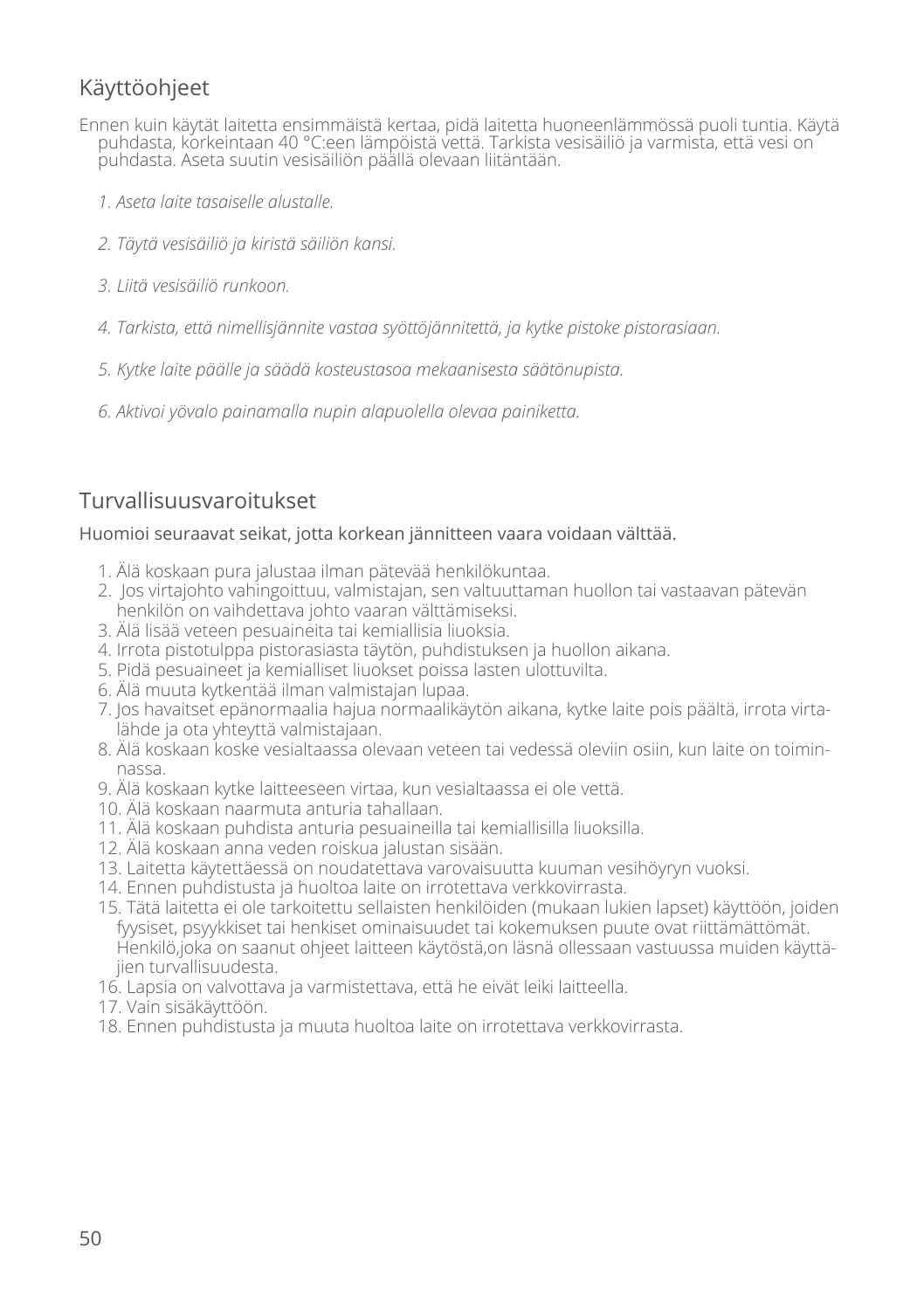## Käyttöohjeet

- Ennen kuin käytät laitetta ensimmäistä kertaa, pidä laitetta huoneenlämmössä puoli tuntia. Käytä puhdasta, korkeintaan 40 °C:een lämpöistä vettä. Tarkista vesisäiliö ja varmista, että vesi on puhdasta. Aseta suutin vesisäiliön päällä olevaan liitäntään.
	- *1. Aseta laite tasaiselle alustalle.*
	- *2. Täytä vesisäiliö ja kiristä säiliön kansi.*
	- *3. Liitä vesisäiliö runkoon.*
	- *4. Tarkista, että nimellisjännite vastaa syöttöjännitettä, ja kytke pistoke pistorasiaan.*
	- *5. Kytke laite päälle ja säädä kosteustasoa mekaanisesta säätönupista.*
	- *6. Aktivoi yövalo painamalla nupin alapuolella olevaa painiketta.*

## Turvallisuusvaroitukset

#### Huomioi seuraavat seikat, jotta korkean jännitteen vaara voidaan välttää.

- 1. Älä koskaan pura jalustaa ilman pätevää henkilökuntaa.
- 2. Jos virtajohto vahingoittuu, valmistajan, sen valtuuttaman huollon tai vastaavan pätevän henkilön on vaihdettava johto vaaran välttämiseksi.
- 3. Älä lisää veteen pesuaineita tai kemiallisia liuoksia.
- 4. Irrota pistotulppa pistorasiasta täytön, puhdistuksen ja huollon aikana.
- 5. Pidä pesuaineet ja kemialliset liuokset poissa lasten ulottuvilta.
- 6. Älä muuta kytkentää ilman valmistajan lupaa.
- 7. Jos havaitset epänormaalia hajua normaalikäytön aikana, kytke laite pois päältä, irrota virtalähde ja ota yhteyttä valmistajaan.
- 8. Älä koskaan koske vesialtaassa olevaan veteen tai vedessä oleviin osiin, kun laite on toiminnassa.
- 9. Älä koskaan kytke laitteeseen virtaa, kun vesialtaassa ei ole vettä.
- 10. Älä koskaan naarmuta anturia tahallaan.
- 11. Älä koskaan puhdista anturia pesuaineilla tai kemiallisilla liuoksilla.
- 12. Älä koskaan anna veden roiskua jalustan sisään.
- 13. Laitetta käytettäessä on noudatettava varovaisuutta kuuman vesihöyryn vuoksi.
- 14. Ennen puhdistusta ja huoltoa laite on irrotettava verkkovirrasta.
- 15. Tätä laitetta ei ole tarkoitettu sellaisten henkilöiden (mukaan lukien lapset) käyttöön, joiden fyysiset, psyykkiset tai henkiset ominaisuudet tai kokemuksen puute ovat riittämättömät. Henkilö,joka on saanut ohjeet laitteen käytöstä,on läsnä ollessaan vastuussa muiden käyttäjien turvallisuudesta.
- 16. Lapsia on valvottava ja varmistettava, että he eivät leiki laitteella.
- 17. Vain sisäkäyttöön.
- 18. Ennen puhdistusta ja muuta huoltoa laite on irrotettava verkkovirrasta.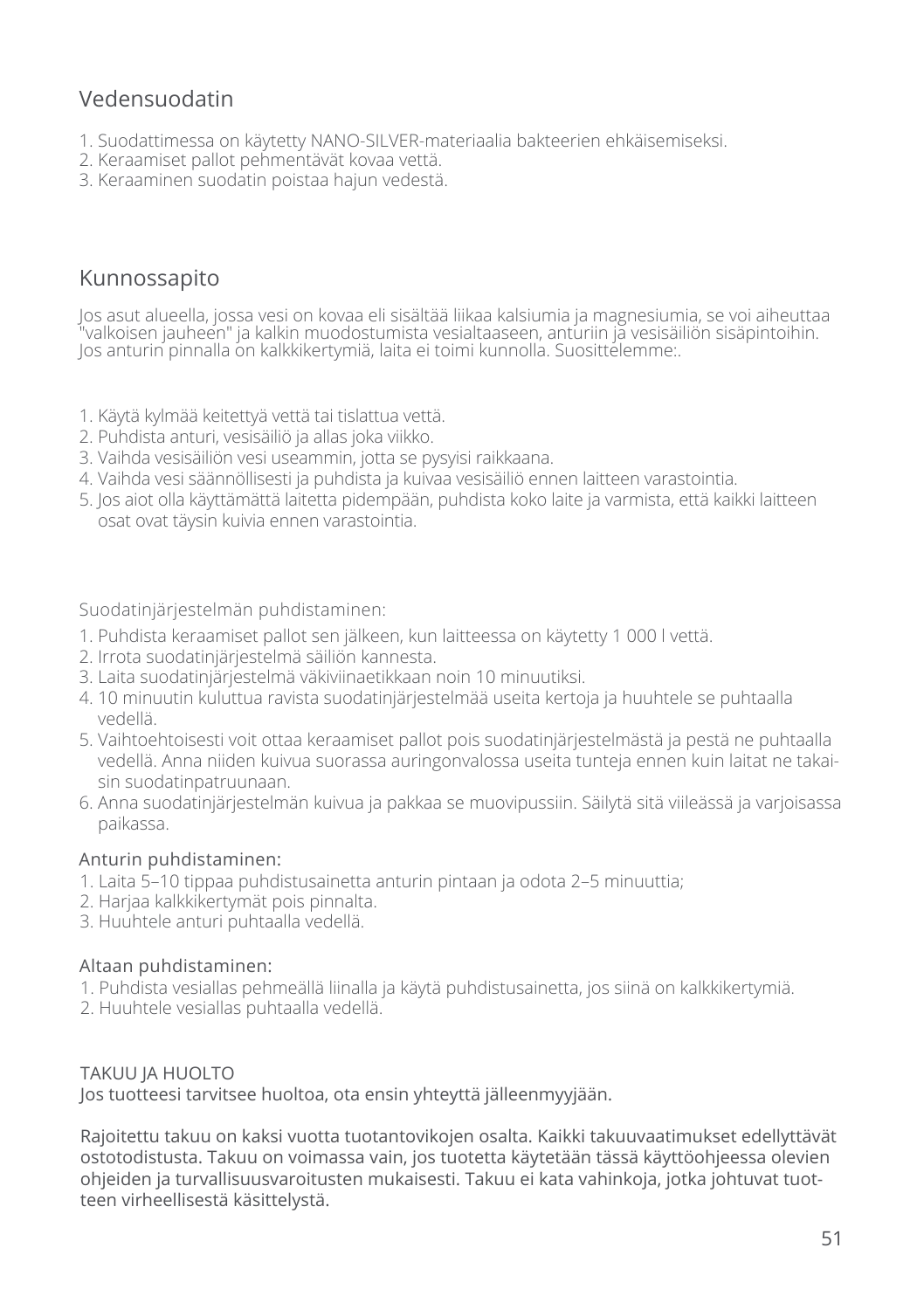## Vedensuodatin

- 1. Suodattimessa on käytetty NANO-SILVER-materiaalia bakteerien ehkäisemiseksi.
- 2. Keraamiset pallot pehmentävät kovaa vettä.
- 3. Keraaminen suodatin poistaa hajun vedestä.

### Kunnossapito

Jos asut alueella, jossa vesi on kovaa eli sisältää liikaa kalsiumia ja magnesiumia, se voi aiheuttaa "valkoisen jauheen" ja kalkin muodostumista vesialtaaseen, anturiin ja vesisäiliön sisäpintoihin. Jos anturin pinnalla on kalkkikertymiä, laita ei toimi kunnolla. Suosittelemme:.

- 1. Käytä kylmää keitettyä vettä tai tislattua vettä.
- 2. Puhdista anturi, vesisäiliö ja allas joka viikko.
- 3. Vaihda vesisäiliön vesi useammin, jotta se pysyisi raikkaana.
- 4. Vaihda vesi säännöllisesti ja puhdista ja kuivaa vesisäiliö ennen laitteen varastointia.
- 5. Jos aiot olla käyttämättä laitetta pidempään, puhdista koko laite ja varmista, että kaikki laitteen osat ovat täysin kuivia ennen varastointia.

Suodatinjärjestelmän puhdistaminen:

- 1. Puhdista keraamiset pallot sen jälkeen, kun laitteessa on käytetty 1 000 l vettä.
- 2. Irrota suodatinjärjestelmä säiliön kannesta.
- 3. Laita suodatinjärjestelmä väkiviinaetikkaan noin 10 minuutiksi.
- 4. 10 minuutin kuluttua ravista suodatinjärjestelmää useita kertoja ja huuhtele se puhtaalla vedellä.
- 5. Vaihtoehtoisesti voit ottaa keraamiset pallot pois suodatinjärjestelmästä ja pestä ne puhtaalla vedellä. Anna niiden kuivua suorassa auringonvalossa useita tunteja ennen kuin laitat ne takaisin suodatinpatruunaan.
- 6. Anna suodatinjärjestelmän kuivua ja pakkaa se muovipussiin. Säilytä sitä viileässä ja varjoisassa paikassa.

#### Anturin puhdistaminen:

- 1. Laita 5–10 tippaa puhdistusainetta anturin pintaan ja odota 2–5 minuuttia;
- 2. Harjaa kalkkikertymät pois pinnalta.
- 3. Huuhtele anturi puhtaalla vedellä.

#### Altaan puhdistaminen:

- 1. Puhdista vesiallas pehmeällä liinalla ja käytä puhdistusainetta, jos siinä on kalkkikertymiä.
- 2. Huuhtele vesiallas puhtaalla vedellä.

TAKUU JA HUOLTO Jos tuotteesi tarvitsee huoltoa, ota ensin yhteyttä jälleenmyyjään.

Rajoitettu takuu on kaksi vuotta tuotantovikojen osalta. Kaikki takuuvaatimukset edellyttävät ostotodistusta. Takuu on voimassa vain, jos tuotetta käytetään tässä käyttöohjeessa olevien ohjeiden ja turvallisuusvaroitusten mukaisesti. Takuu ei kata vahinkoja, jotka johtuvat tuotteen virheellisestä käsittelystä.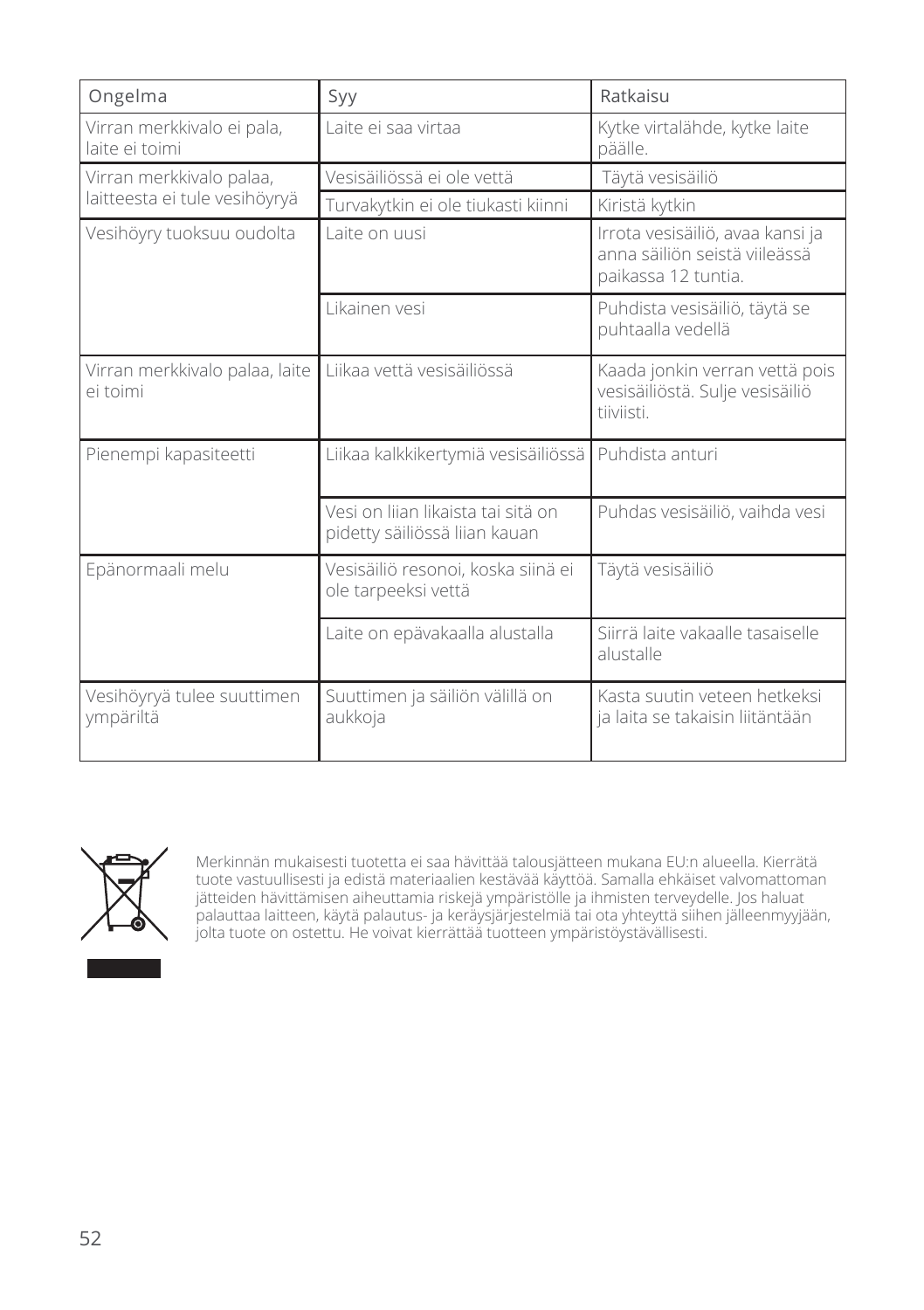| Ongelma                                      | Syy                                                                 | Ratkaisu                                                                                 |
|----------------------------------------------|---------------------------------------------------------------------|------------------------------------------------------------------------------------------|
| Virran merkkivalo ei pala,<br>laite ei toimi | Laite ei saa virtaa                                                 | Kytke virtalähde, kytke laite<br>päälle.                                                 |
| Virran merkkivalo palaa,                     | Vesisäiliössä ei ole vettä                                          | Täytä vesisäiliö                                                                         |
| laitteesta ei tule vesihöyryä                | Turvakytkin ei ole tiukasti kiinni                                  | Kiristä kytkin                                                                           |
| Vesihöyry tuoksuu oudolta                    | Laite on uusi                                                       | Irrota vesisäiliö, avaa kansi ja<br>anna säiliön seistä viileässä<br>paikassa 12 tuntia. |
|                                              | Likainen vesi                                                       | Puhdista vesisäiliö, täytä se<br>puhtaalla vedellä                                       |
| Virran merkkivalo palaa, laite<br>ei toimi   | Liikaa vettä vesisäiliössä                                          | Kaada jonkin verran vettä pois<br>vesisäiliöstä. Sulje vesisäiliö<br>tiiviisti.          |
| Pienempi kapasiteetti                        | Liikaa kalkkikertymiä vesisäiliössä                                 | Puhdista anturi                                                                          |
|                                              | Vesi on liian likaista tai sitä on<br>pidetty säiliössä liian kauan | Puhdas vesisäiliö, vaihda vesi                                                           |
| Epänormaali melu                             | Vesisäiliö resonoi, koska siinä ei<br>ole tarpeeksi vettä           | Täytä vesisäiliö                                                                         |
|                                              | Laite on epävakaalla alustalla                                      | Siirrä laite vakaalle tasaiselle<br>alustalle                                            |
| Vesihöyryä tulee suuttimen<br>ympäriltä      | Suuttimen ja säiliön välillä on<br>aukkoja                          | Kasta suutin veteen hetkeksi.<br>ja laita se takaisin liitäntään                         |



Merkinnän mukaisesti tuotetta ei saa hävittää talousjätteen mukana EU:n alueella. Kierrätä tuote vastuullisesti ja edistä materiaalien kestävää käyttöä. Samalla ehkäiset valvomattoman jätteiden hävittämisen aiheuttamia riskejä ympäristölle ja ihmisten terveydelle. Jos haluat palauttaa laitteen, käytä palautus- ja keräysjärjestelmiä tai ota yhteyttä siihen jälleenmyyjään, jolta tuote on ostettu. He voivat kierrättää tuotteen ympäristöystävällisesti.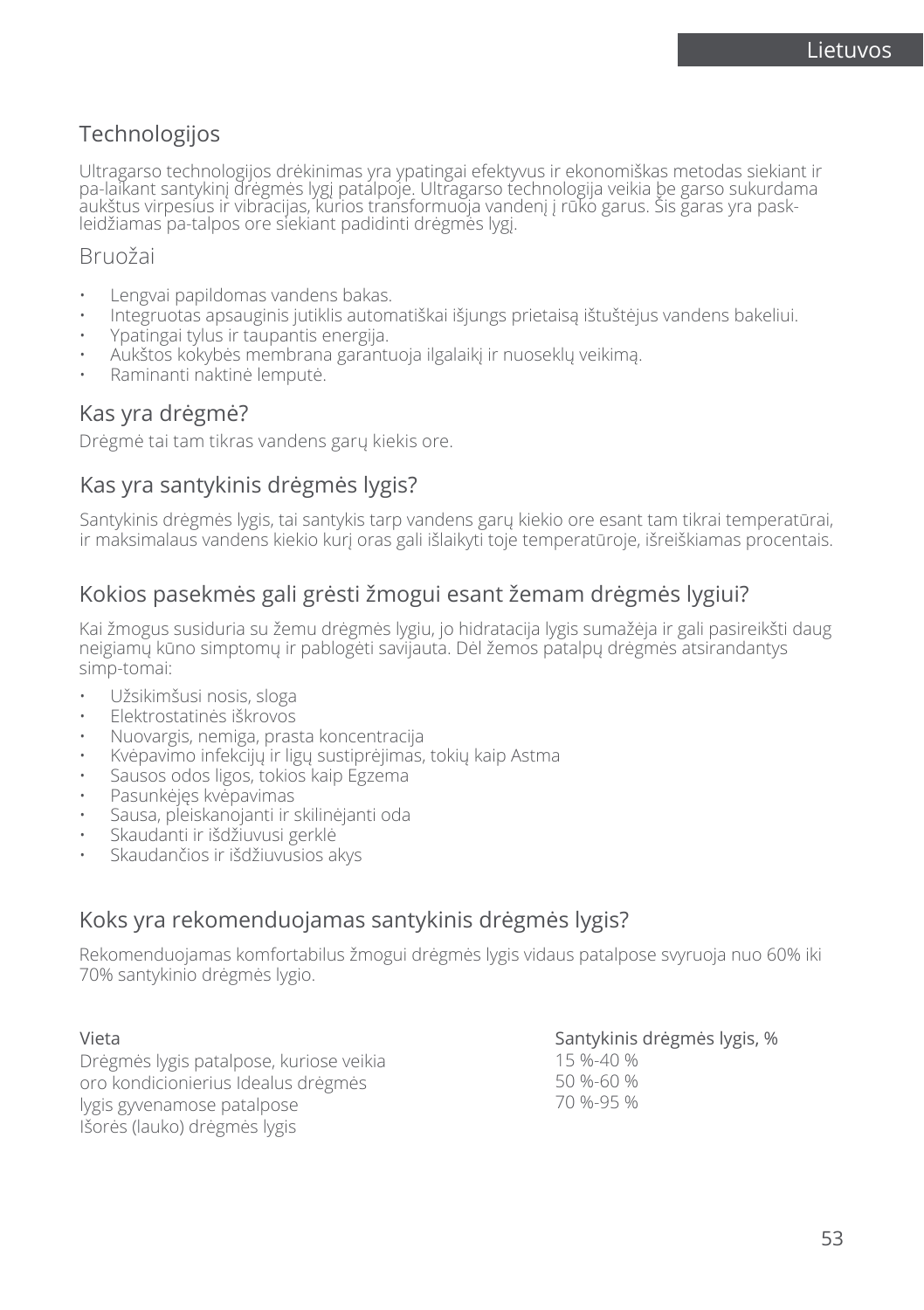## Technologijos

Ultragarso technologijos drėkinimas yra ypatingai efektyvus ir ekonomiškas metodas siekiant ir pa-laikant santykinį drėgmės lygį patalpoje. Ultragarso technologija veikia be garso sukurdama aukštus virpesius ir vibracijas, kurios transformuoja vandenį į rūko garus. Šis garas yra paskleidžiamas pa-talpos ore siekiant padidinti drėgmės lygį.

### Bruožai

- Lengvai papildomas vandens bakas.
- Integruotas apsauginis jutiklis automatiškai išjungs prietaisą ištuštėjus vandens bakeliui.
- Ypatingai tylus ir taupantis energija.
- Aukštos kokybės membrana garantuoja ilgalaikį ir nuoseklų veikimą.
- Raminanti naktinė lemputė.

### Kas yra drėgmė?

Drėgmė tai tam tikras vandens garų kiekis ore.

### Kas yra santykinis drėgmės lygis?

Santykinis drėgmės lygis, tai santykis tarp vandens garų kiekio ore esant tam tikrai temperatūrai, ir maksimalaus vandens kiekio kurį oras gali išlaikyti toje temperatūroje, išreiškiamas procentais.

## Kokios pasekmės gali grėsti žmogui esant žemam drėgmės lygiui?

Kai žmogus susiduria su žemu drėgmės lygiu, jo hidratacija lygis sumažėja ir gali pasireikšti daug neigiamų kūno simptomų ir pablogėti savijauta. Dėl žemos patalpų drėgmės atsirandantys simp-tomai:

- Užsikimšusi nosis, sloga
- Elektrostatinės iškrovos
- Nuovargis, nemiga, prasta koncentracija
- Kvėpavimo infekcijų ir ligų sustiprėjimas, tokių kaip Astma
- Sausos odos ligos, tokios kaip Egzema
- Pasunkėjęs kvėpavimas
- Sausa, pleiskanojanti ir skilinėjanti oda
- Skaudanti ir išdžiuvusi gerklė
- Skaudančios ir išdžiuvusios akys

## Koks yra rekomenduojamas santykinis drėgmės lygis?

Rekomenduojamas komfortabilus žmogui drėgmės lygis vidaus patalpose svyruoja nuo 60% iki 70% santykinio drėgmės lygio.

| Vieta                                   | Santykinis drėgmės lygis, % |
|-----------------------------------------|-----------------------------|
| Drėgmės lygis patalpose, kuriose veikia | 15 %-40 %                   |
| oro kondicionierius Idealus drėgmės     | 50 %-60 %                   |
| lygis gyvenamose patalpose              | 70 %-95 %                   |
| Išorės (lauko) drėgmės lygis            |                             |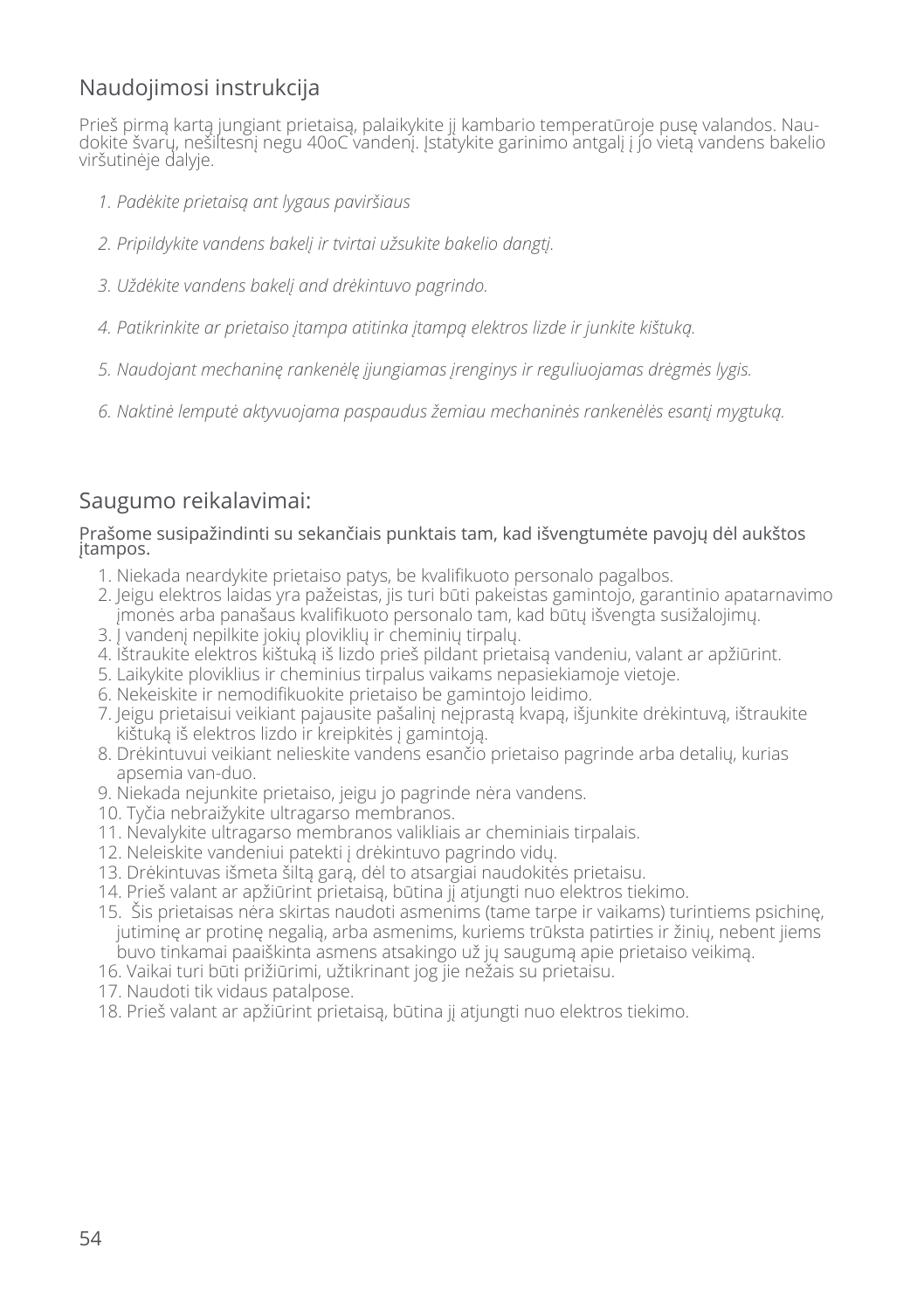## Naudojimosi instrukcija

Prieš pirmą kartą jungiant prietaisą, palaikykite jį kambario temperatūroje pusę valandos. Naudokite švarų, nešiltesnį negu 40oC vandenį. Įstatykite garinimo antgalį į jo vietą vandens bakelio viršutinėje dalyje.

- *1. Padėkite prietaisą ant lygaus paviršiaus*
- *2. Pripildykite vandens bakelį ir tvirtai užsukite bakelio dangtį.*
- *3. Uždėkite vandens bakelį and drėkintuvo pagrindo.*
- *4. Patikrinkite ar prietaiso įtampa atitinka įtampą elektros lizde ir junkite kištuką.*
- *5. Naudojant mechaninę rankenėlę įjungiamas įrenginys ir reguliuojamas drėgmės lygis.*
- *6. Naktinė lemputė aktyvuojama paspaudus žemiau mechaninės rankenėlės esantį mygtuką.*

## Saugumo reikalavimai:

#### Prašome susipažindinti su sekančiais punktais tam, kad išvengtumėte pavojų dėl aukštos įtampos.

- 1. Niekada neardykite prietaiso patys, be kvalifikuoto personalo pagalbos.
- 2. Jeigu elektros laidas yra pažeistas, jis turi būti pakeistas gamintojo, garantinio apatarnavimo įmonės arba panašaus kvalifikuoto personalo tam, kad būtų išvengta susižalojimų.
- 3. Į vandenį nepilkite jokių ploviklių ir cheminių tirpalų.
- 4. Ištraukite elektros kištuką iš lizdo prieš pildant prietaisą vandeniu, valant ar apžiūrint.
- 5. Laikykite ploviklius ir cheminius tirpalus vaikams nepasiekiamoje vietoje.
- 6. Nekeiskite ir nemodifikuokite prietaiso be gamintojo leidimo.
- 7. Jeigu prietaisui veikiant pajausite pašalinį neįprastą kvapą, išjunkite drėkintuvą, ištraukite kištuką iš elektros lizdo ir kreipkitės į gamintoją.
- 8. Drėkintuvui veikiant nelieskite vandens esančio prietaiso pagrinde arba detalių, kurias apsemia van-duo.
- 9. Niekada nejunkite prietaiso, jeigu jo pagrinde nėra vandens.
- 10. Tyčia nebraižykite ultragarso membranos.
- 11. Nevalykite ultragarso membranos valikliais ar cheminiais tirpalais.
- 12. Neleiskite vandeniui patekti į drėkintuvo pagrindo vidų.
- 13. Drėkintuvas išmeta šiltą garą, dėl to atsargiai naudokitės prietaisu.
- 14. Prieš valant ar apžiūrint prietaisą, būtina jį atjungti nuo elektros tiekimo.
- 15. Šis prietaisas nėra skirtas naudoti asmenims (tame tarpe ir vaikams) turintiems psichinę, jutiminę ar protinę negalią, arba asmenims, kuriems trūksta patirties ir žinių, nebent jiems buvo tinkamai paaiškinta asmens atsakingo už jų saugumą apie prietaiso veikimą.
- 16. Vaikai turi būti prižiūrimi, užtikrinant jog jie nežais su prietaisu.
- 17. Naudoti tik vidaus patalpose.
- 18. Prieš valant ar apžiūrint prietaisą, būtina jį atjungti nuo elektros tiekimo.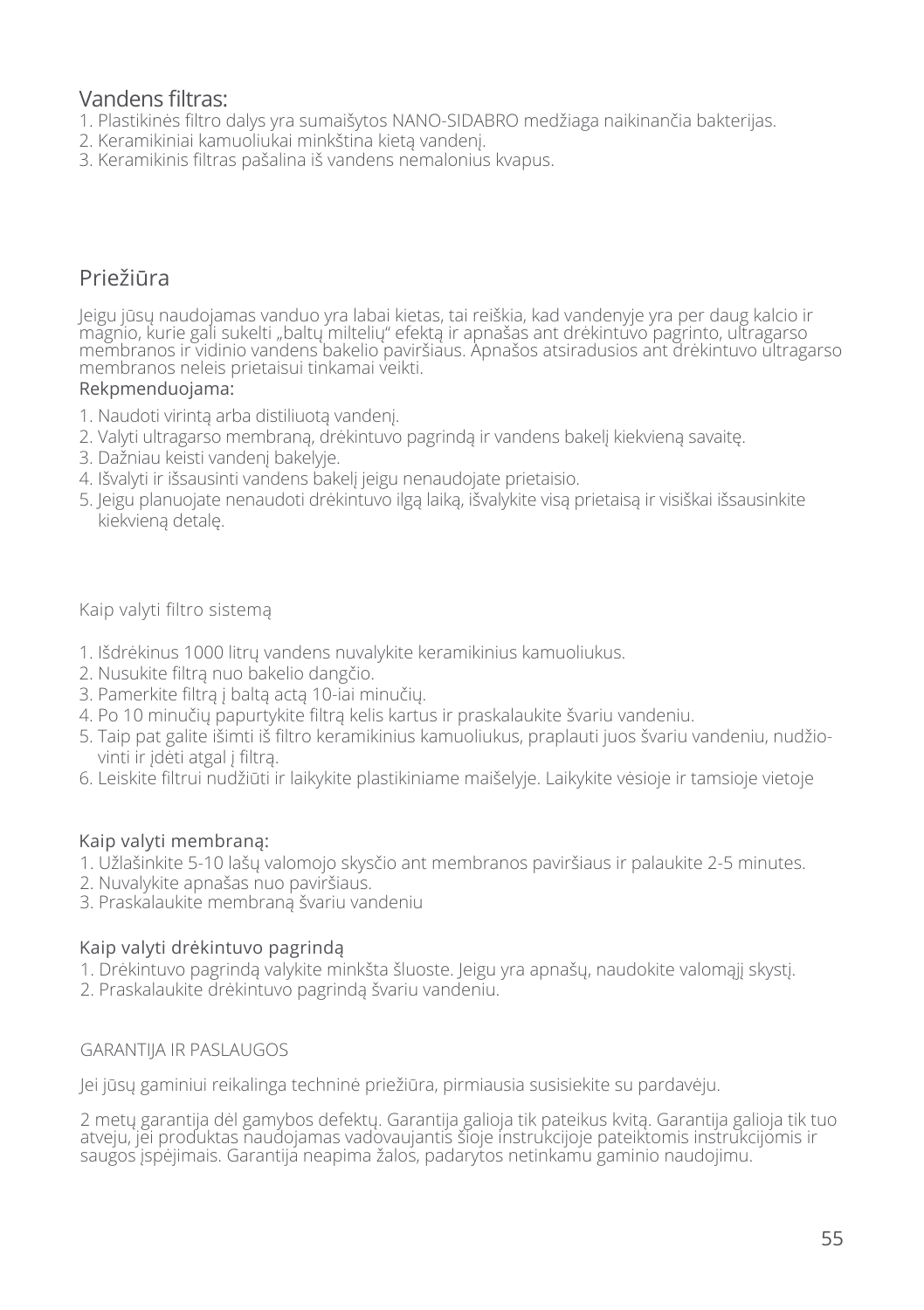### Vandens filtras:

- 1. Plastikinės filtro dalys yra sumaišytos NANO-SIDABRO medžiaga naikinančia bakterijas.
- 2. Keramikiniai kamuoliukai minkština kietą vandenį.
- 3. Keramikinis filtras pašalina iš vandens nemalonius kvapus.

## Priežiūra

Jeigu jūsų naudojamas vanduo yra labai kietas, tai reiškia, kad vandenyje yra per daug kalcio ir magnio, kurie gali sukelti "baltų miltelių" efektą ir apnašas ant drėkintuvo pagrinto, ultragarso membranos ir vidinio vandens bakelio paviršiaus. Apnašos atsiradusios ant drėkintuvo ultragarso membranos neleis prietaisui tinkamai veikti.

#### Rekpmenduojama:

- 1. Naudoti virintą arba distiliuotą vandenį.
- 2. Valyti ultragarso membraną, drėkintuvo pagrindą ir vandens bakelį kiekvieną savaitę.
- 3. Dažniau keisti vandenį bakelyje.
- 4. Išvalyti ir išsausinti vandens bakelį jeigu nenaudojate prietaisio.
- 5. Jeigu planuojate nenaudoti drėkintuvo ilgą laiką, išvalykite visą prietaisą ir visiškai išsausinkite kiekvieną detalę.

#### Kaip valyti filtro sistemą

- 1. Išdrėkinus 1000 litrų vandens nuvalykite keramikinius kamuoliukus.
- 2. Nusukite filtrą nuo bakelio dangčio.
- 3. Pamerkite filtrą į baltą actą 10-iai minučių.
- 4. Po 10 minučių papurtykite filtrą kelis kartus ir praskalaukite švariu vandeniu.
- 5. Taip pat galite išimti iš filtro keramikinius kamuoliukus, praplauti juos švariu vandeniu, nudžiovinti ir įdėti atgal į filtrą.
- 6. Leiskite filtrui nudžiūti ir laikykite plastikiniame maišelyje. Laikykite vėsioje ir tamsioje vietoje

#### Kaip valyti membraną:

- 1. Užlašinkite 5-10 lašų valomojo skysčio ant membranos paviršiaus ir palaukite 2-5 minutes.
- 2. Nuvalykite apnašas nuo paviršiaus.
- 3. Praskalaukite membraną švariu vandeniu

#### Kaip valyti drėkintuvo pagrindą

- 1. Drėkintuvo pagrindą valykite minkšta šluoste. Jeigu yra apnašų, naudokite valomąjį skystį.
- 2. Praskalaukite drėkintuvo pagrindą švariu vandeniu.

#### GARANTIJA IR PASLAUGOS

Jei jūsų gaminiui reikalinga techninė priežiūra, pirmiausia susisiekite su pardavėju.

2 metų garantija dėl gamybos defektų. Garantija galioja tik pateikus kvitą. Garantija galioja tik tuo atveju, jei produktas naudojamas vadovaujantis šioje instrukcijoje pateiktomis instrukcijomis ir saugos įspėjimais. Garantija neapima žalos, padarytos netinkamu gaminio naudojimu.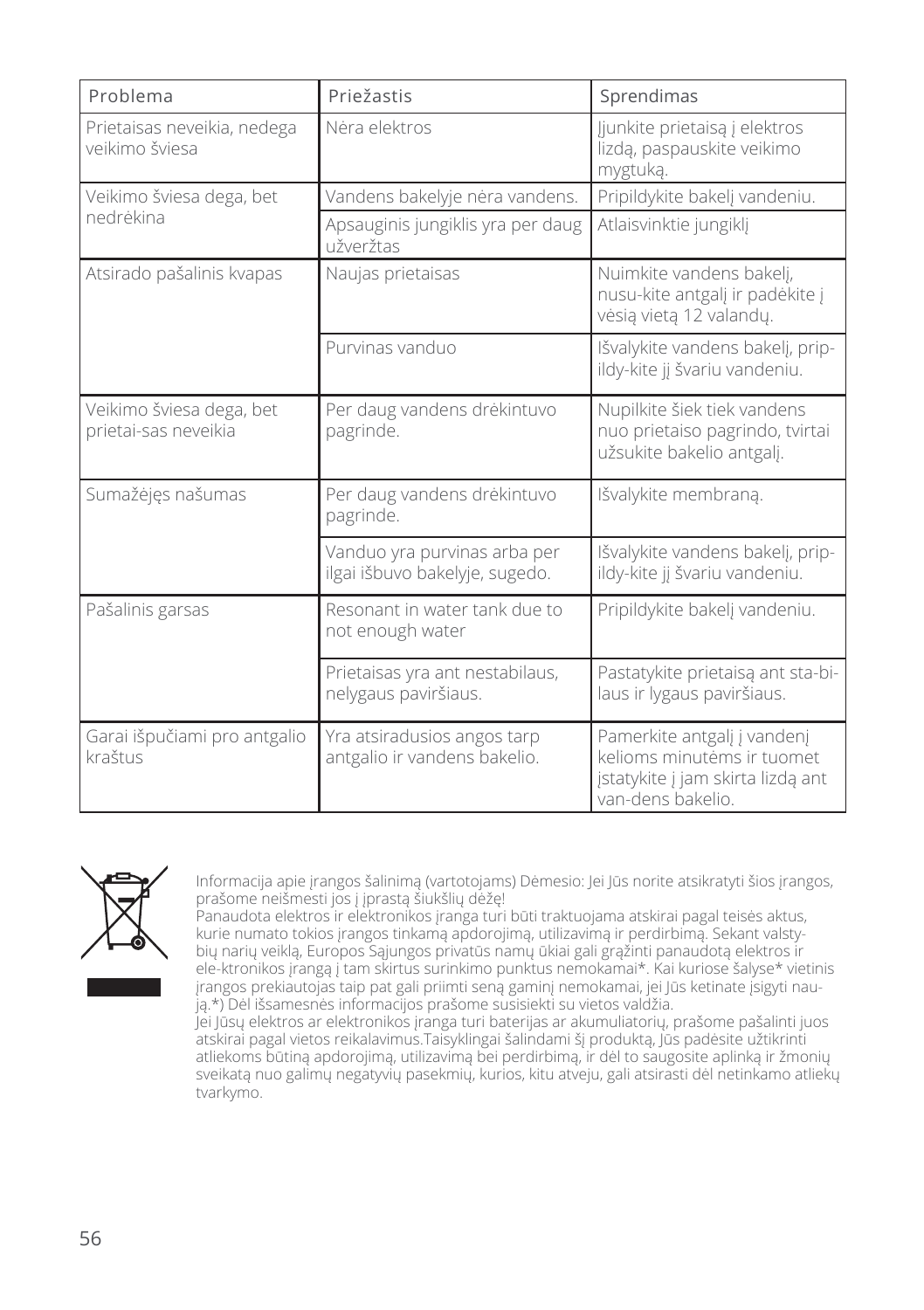| Problema                                         | Priežastis                                                     | Sprendimas                                                                                                          |
|--------------------------------------------------|----------------------------------------------------------------|---------------------------------------------------------------------------------------------------------------------|
| Prietaisas neveikia, nedega<br>veikimo šviesa    | Nėra elektros                                                  | ljunkite prietaisą į elektros<br>lizdą, paspauskite veikimo<br>mygtuką.                                             |
| Veikimo šviesa dega, bet                         | Vandens bakelyje nėra vandens.                                 | Pripildykite bakelj vandeniu.                                                                                       |
| nedrėkina                                        | Apsauginis jungiklis yra per daug<br>užveržtas                 | Atlaisvinktie jungiklj                                                                                              |
| Atsirado pašalinis kvapas                        | Naujas prietaisas                                              | Nuimkite vandens bakelj,<br>nusu-kite antgalj ir padėkite į<br>vėsią vietą 12 valandų.                              |
|                                                  | Purvinas vanduo                                                | Išvalykite vandens bakelį, prip-<br>ildy-kite ji švariu vandeniu.                                                   |
| Veikimo šviesa dega, bet<br>prietai-sas neveikia | Per daug vandens drėkintuvo<br>pagrinde.                       | Nupilkite šiek tiek vandens<br>nuo prietaiso pagrindo, tvirtai<br>užsukite bakelio antgalj.                         |
| Sumažėjęs našumas                                | Per daug vandens drėkintuvo<br>pagrinde.                       | Išvalykite membraną.                                                                                                |
|                                                  | Vanduo yra purvinas arba per<br>ilgai išbuvo bakelyje, sugedo. | Išvalykite vandens bakelj, prip-<br>ildy-kite jį švariu vandeniu.                                                   |
| Pašalinis garsas                                 | Resonant in water tank due to<br>not enough water              | Pripildykite bakelj vandeniu.                                                                                       |
|                                                  | Prietaisas yra ant nestabilaus,<br>nelygaus paviršiaus.        | Pastatykite prietaisą ant sta-bi-<br>laus ir lygaus paviršiaus.                                                     |
| Garai išpučiami pro antgalio<br>kraštus          | Yra atsiradusios angos tarp<br>antgalio ir vandens bakelio.    | Pamerkite antgalj i vandenj<br>kelioms minutėms ir tuomet<br>jstatykite j jam skirta lizdą ant<br>van-dens bakelio. |



Informacija apie įrangos šalinimą (vartotojams) Dėmesio: Jei Jūs norite atsikratyti šios įrangos, prašome neišmesti jos į įprastą šiukšlių dėžę!

Panaudota elektros ir elektronikos įranga turi būti traktuojama atskirai pagal teisės aktus, kurie numato tokios įrangos tinkamą apdorojimą, utilizavimą ir perdirbimą. Sekant valstybių narių veiklą, Europos Sąjungos privatūs namų ūkiai gali grąžinti panaudotą elektros ir ele-ktronikos įrangą į tam skirtus surinkimo punktus nemokamai\*. Kai kuriose šalyse\* vietinis įrangos prekiautojas taip pat gali priimti seną gaminį nemokamai, jei Jūs ketinate įsigyti naują.\*) Dėl išsamesnės informacijos prašome susisiekti su vietos valdžia.

Jei Jūsų elektros ar elektronikos įranga turi baterijas ar akumuliatorių, prašome pašalinti juos atskirai pagal vietos reikalavimus.Taisyklingai šalindami šį produktą, Jūs padėsite užtikrinti atliekoms būtiną apdorojimą, utilizavimą bei perdirbimą, ir dėl to saugosite aplinką ir žmonių sveikatą nuo galimų negatyvių pasekmių, kurios, kitu atveju, gali atsirasti dėl netinkamo atliekų tvarkymo.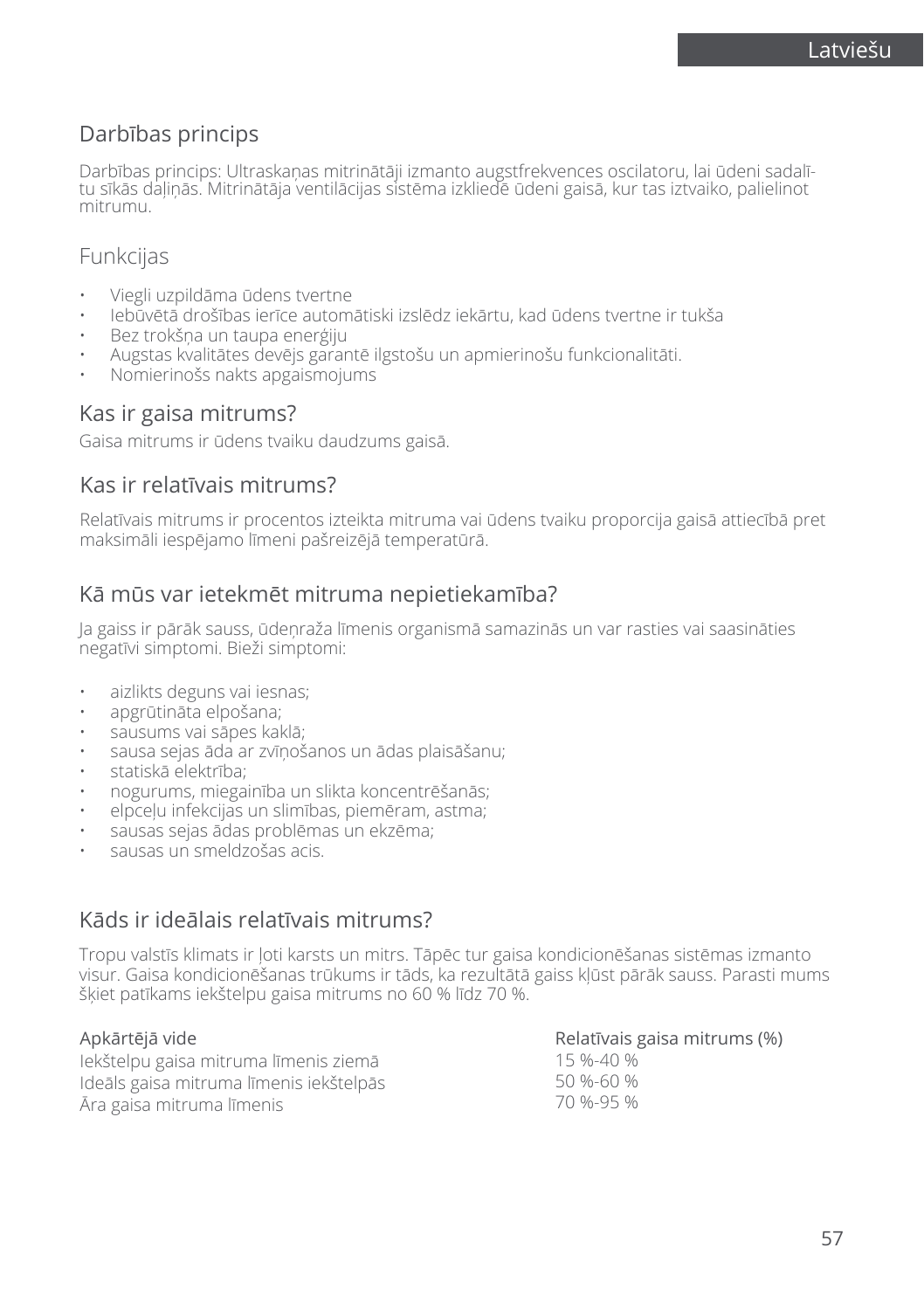## Darbības princips

Darbības princips: Ultraskaņas mitrinātāji izmanto augstfrekvences oscilatoru, lai ūdeni sadalī-<br>tu sīkās dalinās. Mitrinātāja ventilācijas sistēma izkliedē ūdeni gaisā, kur tas iztvaiko, palielinot mitrumu.

## **Funkcijas**

- Viegli uzpildāma ūdens tvertne
- Iebūvētā drošības ierīce automātiski izslēdz iekārtu, kad ūdens tvertne ir tukša
- Bez trokšņa un taupa enerģiju
- Augstas kvalitātes devējs garantē ilgstošu un apmierinošu funkcionalitāti.
- Nomierinošs nakts apgaismojums

### Kas ir gaisa mitrums?

Gaisa mitrums ir ūdens tvaiku daudzums gaisā.

### Kas ir relatīvais mitrums?

Relatīvais mitrums ir procentos izteikta mitruma vai ūdens tvaiku proporcija gaisā attiecībā pret maksimāli iespējamo līmeni pašreizējā temperatūrā.

## Kā mūs var ietekmēt mitruma nepietiekamība?

Ja gaiss ir pārāk sauss, ūdeņraža līmenis organismā samazinās un var rasties vai saasināties negatīvi simptomi. Bieži simptomi:

- aizlikts deguns vai iesnas;
- apgrūtināta elpošana;
- sausums vai sāpes kaklā;
- sausa sejas āda ar zvīņošanos un ādas plaisāšanu;
- statiskā elektrība;
- nogurums, miegainība un slikta koncentrēšanās;
- elpceļu infekcijas un slimības, piemēram, astma;
- sausas sejas ādas problēmas un ekzēma;
- sausas un smeldzošas acis.

## Kāds ir ideālais relatīvais mitrums?

Tropu valstīs klimats ir ļoti karsts un mitrs. Tāpēc tur gaisa kondicionēšanas sistēmas izmanto visur. Gaisa kondicionēšanas trūkums ir tāds, ka rezultātā gaiss kļūst pārāk sauss. Parasti mums šķiet patīkams iekštelpu gaisa mitrums no 60 % līdz 70 %.

#### Apkārtējā vide

Iekštelpu gaisa mitruma līmenis ziemā Ideāls gaisa mitruma līmenis iekštelpās Āra gaisa mitruma līmenis

#### Relatīvais gaisa mitrums (%)

15 %-40 % 50 %-60 % 70 %-95 %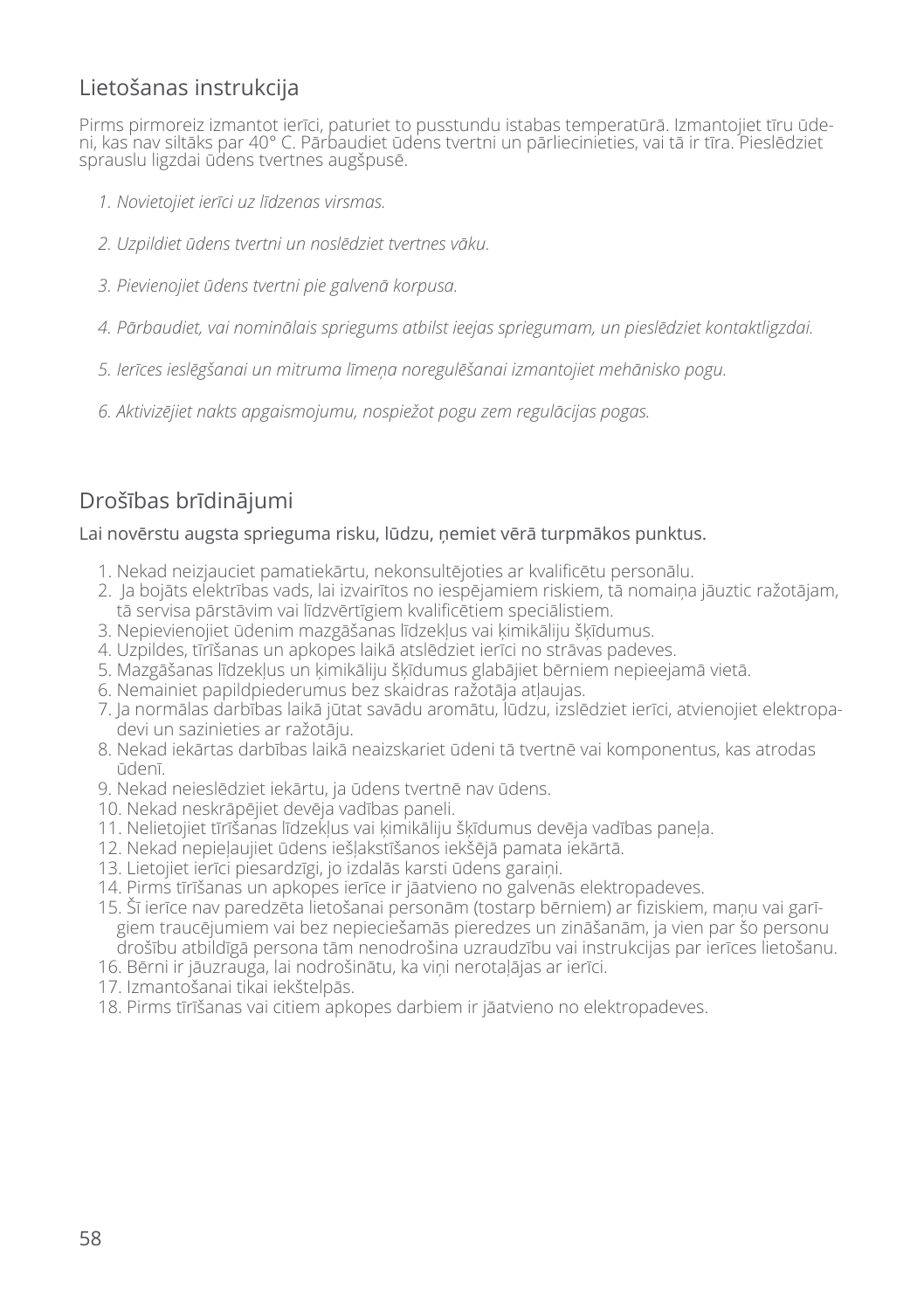## Lietošanas instrukcija

Pirms pirmoreiz izmantot ierīci, paturiet to pusstundu istabas temperatūrā. Izmantojiet tīru ūdeni, kas nav siltāks par 40° C. Pārbaudiet ūdens tvertni un pārliecinieties, vai tā ir tīra. Pieslēdziet sprauslu ligzdai ūdens tvertnes augšpusē.

- *1. Novietojiet ierīci uz līdzenas virsmas.*
- *2. Uzpildiet ūdens tvertni un noslēdziet tvertnes vāku.*
- *3. Pievienojiet ūdens tvertni pie galvenā korpusa.*
- *4. Pārbaudiet, vai nominālais spriegums atbilst ieejas spriegumam, un pieslēdziet kontaktligzdai.*
- *5. Ierīces ieslēgšanai un mitruma līmeņa noregulēšanai izmantojiet mehānisko pogu.*
- *6. Aktivizējiet nakts apgaismojumu, nospiežot pogu zem regulācijas pogas.*

## Drošības brīdinājumi

#### Lai novērstu augsta sprieguma risku, lūdzu, ņemiet vērā turpmākos punktus.

- 1. Nekad neizjauciet pamatiekārtu, nekonsultējoties ar kvalificētu personālu.
- 2. Ja bojāts elektrības vads, lai izvairītos no iespējamiem riskiem, tā nomaiņa jāuztic ražotājam, tā servisa pārstāvim vai līdzvērtīgiem kvalificētiem speciālistiem.
- 3. Nepievienojiet ūdenim mazgāšanas līdzekļus vai ķimikāliju šķīdumus.
- 4. Uzpildes, tīrīšanas un apkopes laikā atslēdziet ierīci no strāvas padeves.
- 5. Mazgāšanas līdzekļus un ķimikāliju šķīdumus glabājiet bērniem nepieejamā vietā.
- 6. Nemainiet papildpiederumus bez skaidras ražotāja atļaujas.
- 7. Ja normālas darbības laikā jūtat savādu aromātu, lūdzu, izslēdziet ierīci, atvienojiet elektropadevi un sazinieties ar ražotāju.
- 8. Nekad iekārtas darbības laikā neaizskariet ūdeni tā tvertnē vai komponentus, kas atrodas ūdenī.
- 9. Nekad neieslēdziet iekārtu, ja ūdens tvertnē nav ūdens.
- 10. Nekad neskrāpējiet devēja vadības paneli.
- 11. Nelietojiet tīrīšanas līdzekļus vai ķimikāliju šķīdumus devēja vadības paneļa.
- 12. Nekad nepieļaujiet ūdens iešļakstīšanos iekšējā pamata iekārtā.
- 13. Lietojiet ierīci piesardzīgi, jo izdalās karsti ūdens garaiņi.
- 14. Pirms tīrīšanas un apkopes ierīce ir jāatvieno no galvenās elektropadeves.
- 15. Šī ierīce nav paredzēta lietošanai personām (tostarp bērniem) ar fiziskiem, maņu vai garīgiem traucējumiem vai bez nepieciešamās pieredzes un zināšanām, ja vien par šo personu drošību atbildīgā persona tām nenodrošina uzraudzību vai instrukcijas par ierīces lietošanu.
- 16. Bērni ir jāuzrauga, lai nodrošinātu, ka viņi nerotaļājas ar ierīci.
- 17. Izmantošanai tikai iekštelpās.
- 18. Pirms tīrīšanas vai citiem apkopes darbiem ir jāatvieno no elektropadeves.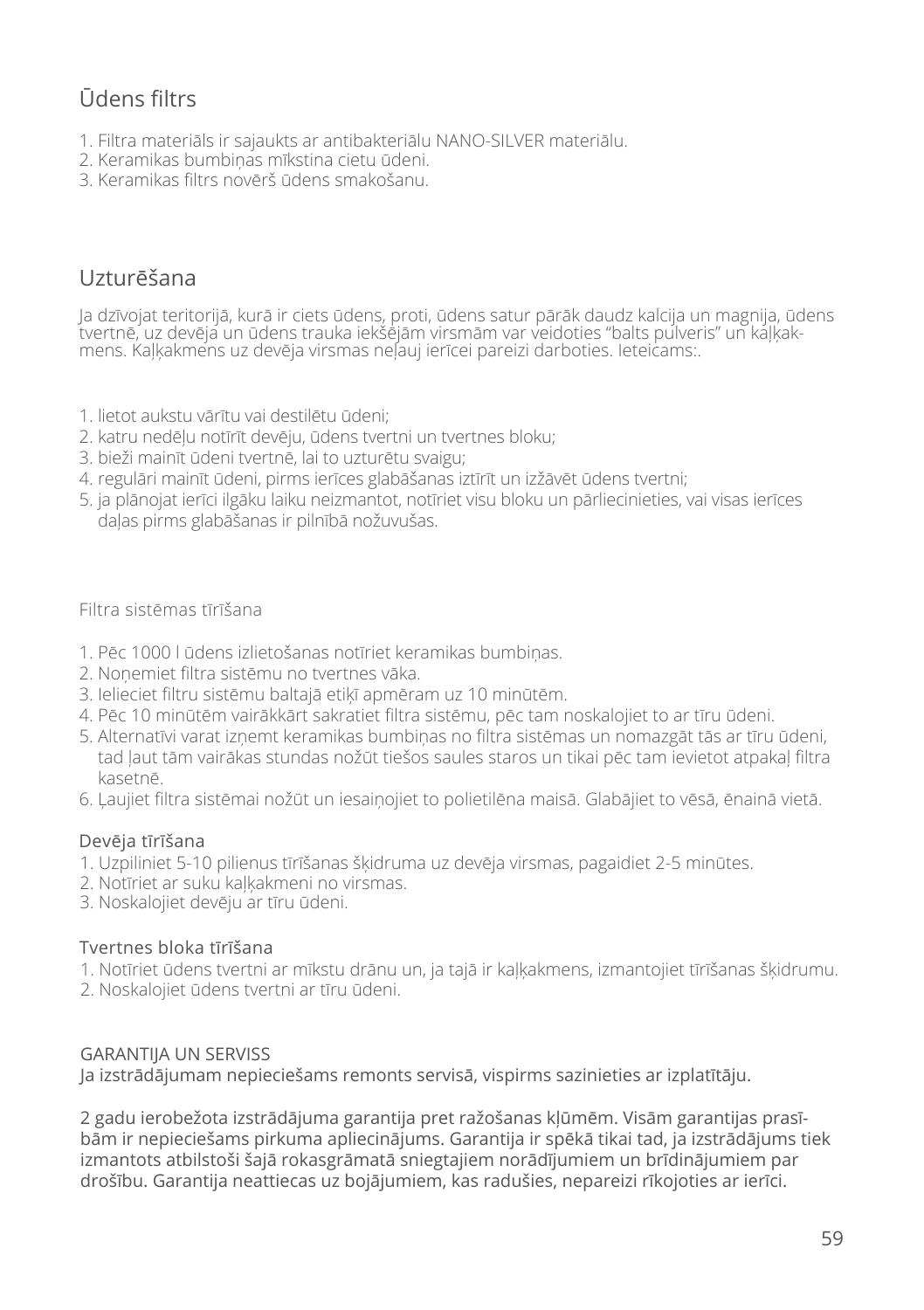## Ūdens filtrs

- 1. Filtra materiāls ir sajaukts ar antibakteriālu NANO-SILVER materiālu.
- 2. Keramikas bumbiņas mīkstina cietu ūdeni.
- 3. Keramikas filtrs novērš ūdens smakošanu.

## Uzturēšana

Ja dzīvojat teritorijā, kurā ir ciets ūdens, proti, ūdens satur pārāk daudz kalcija un magnija, ūdens tvertnē, uz devēja un ūdens trauka iekšējām virsmām var veidoties "balts pulveris" un kaļķakmens. Kaļķakmens uz devēja virsmas neļauj ierīcei pareizi darboties. Ieteicams:.

- 1. lietot aukstu vārītu vai destilētu ūdeni;
- 2. katru nedēļu notīrīt devēju, ūdens tvertni un tvertnes bloku;
- 3. bieži mainīt ūdeni tvertnē, lai to uzturētu svaigu;
- 4. regulāri mainīt ūdeni, pirms ierīces glabāšanas iztīrīt un izžāvēt ūdens tvertni;
- 5. ja plānojat ierīci ilgāku laiku neizmantot, notīriet visu bloku un pārliecinieties, vai visas ierīces daļas pirms glabāšanas ir pilnībā nožuvušas.

#### Filtra sistēmas tīrīšana

- 1. Pēc 1000 l ūdens izlietošanas notīriet keramikas bumbiņas.
- 2. Noņemiet filtra sistēmu no tvertnes vāka.
- 3. Ielieciet filtru sistēmu baltajā etiķī apmēram uz 10 minūtēm.
- 4. Pēc 10 minūtēm vairākkārt sakratiet filtra sistēmu, pēc tam noskalojiet to ar tīru ūdeni.
- 5. Alternatīvi varat izņemt keramikas bumbiņas no filtra sistēmas un nomazgāt tās ar tīru ūdeni, tad ļaut tām vairākas stundas nožūt tiešos saules staros un tikai pēc tam ievietot atpakaļ filtra kasetnē.
- 6. Ļaujiet filtra sistēmai nožūt un iesaiņojiet to polietilēna maisā. Glabājiet to vēsā, ēnainā vietā.

#### Devēja tīrīšana

- 1. Uzpiliniet 5-10 pilienus tīrīšanas šķidruma uz devēja virsmas, pagaidiet 2-5 minūtes.
- 2. Notīriet ar suku kaļķakmeni no virsmas.
- 3. Noskalojiet devēju ar tīru ūdeni.

#### Tvertnes bloka tīrīšana

- 1. Notīriet ūdens tvertni ar mīkstu drānu un, ja tajā ir kaļķakmens, izmantojiet tīrīšanas šķidrumu.
- 2. Noskalojiet ūdens tvertni ar tīru ūdeni.

#### GARANTIJA UN SERVISS

Ja izstrādājumam nepieciešams remonts servisā, vispirms sazinieties ar izplatītāju.

2 gadu ierobežota izstrādājuma garantija pret ražošanas kļūmēm. Visām garantijas prasībām ir nepieciešams pirkuma apliecinājums. Garantija ir spēkā tikai tad, ja izstrādājums tiek izmantots atbilstoši šajā rokasgrāmatā sniegtajiem norādījumiem un brīdinājumiem par drošību. Garantija neattiecas uz bojājumiem, kas radušies, nepareizi rīkojoties ar ierīci.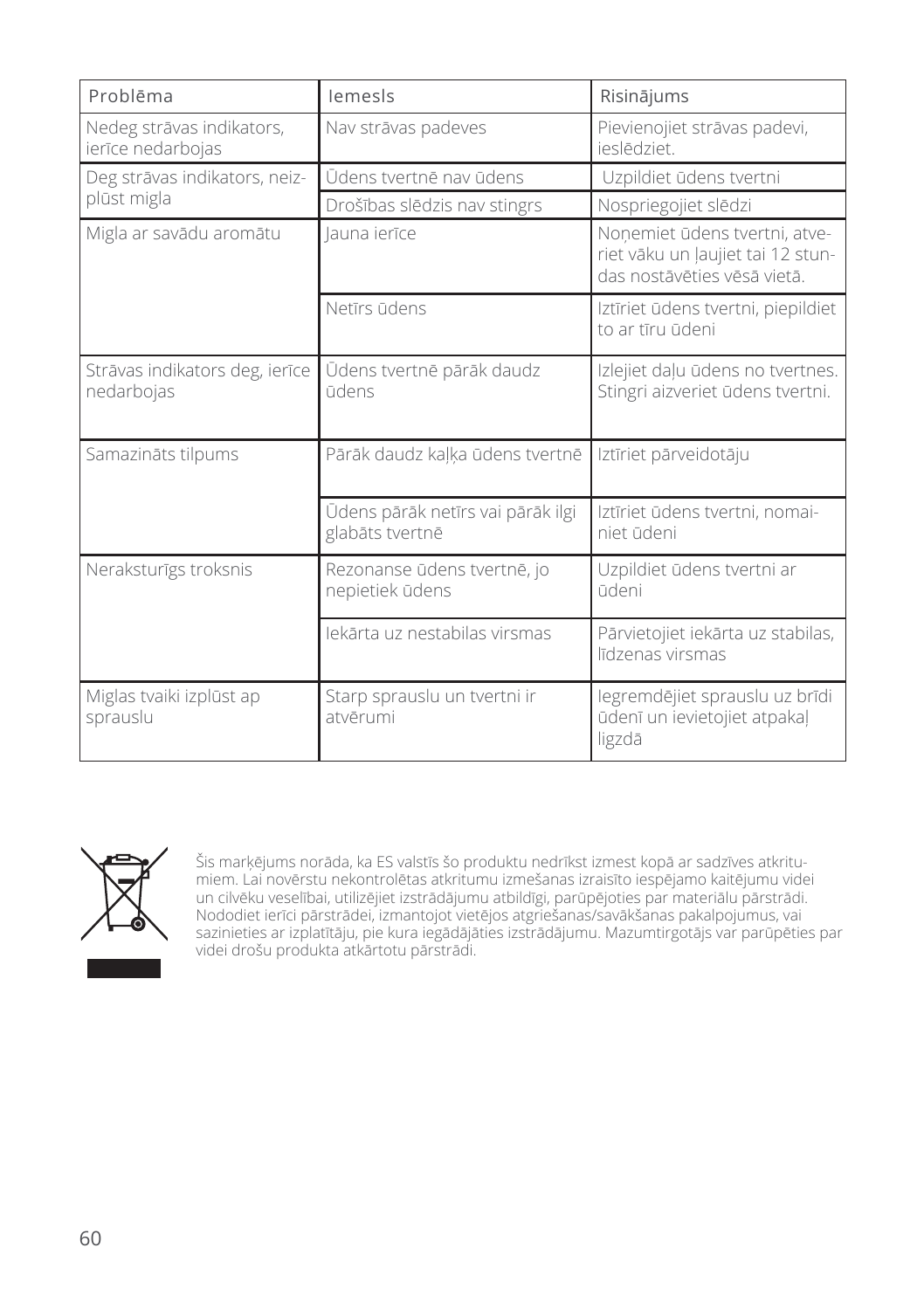| Problēma                                       | lemesls                                              | Risinājums                                                                                        |
|------------------------------------------------|------------------------------------------------------|---------------------------------------------------------------------------------------------------|
| Nedeg strāvas indikators,<br>ierīce nedarbojas | Nav strāvas padeves                                  | Pievienojiet strāvas padevi,<br>ieslēdziet.                                                       |
| Deg strāvas indikators, neiz-                  | Ūdens tvertnē nav ūdens                              | Uzpildiet ūdens tvertni                                                                           |
| plūst migla                                    | Drošības slēdzis nav stingrs                         | Nospriegojiet slēdzi                                                                              |
| Migla ar savādu aromātu                        | launa ierīce                                         | Nonemiet ūdens tvertni, atve-<br>riet vāku un ļaujiet tai 12 stun-<br>das nostāvēties vēsā vietā. |
|                                                | Netīrs ūdens                                         | Iztīriet ūdens tvertni, piepildiet<br>to ar tīru ūdeni                                            |
| Strāvas indikators deg, ierīce<br>nedarbojas   | Ūdens tvertnē pārāk daudz<br>ūdens                   | Izlejiet daļu ūdens no tvertnes.<br>Stingri aizveriet ūdens tvertni.                              |
| Samazināts tilpums                             | Pārāk daudz kaļķa ūdens tvertnē                      | Iztīriet pārveidotāju                                                                             |
|                                                | Ūdens pārāk netīrs vai pārāk ilgi<br>glabāts tvertnē | Iztīriet ūdens tvertni, nomai-<br>niet ūdeni                                                      |
| Neraksturīgs troksnis                          | Rezonanse ūdens tvertnē, jo<br>nepietiek ūdens       | Uzpildiet ūdens tvertni ar<br>ūdeni                                                               |
|                                                | lekārta uz nestabilas virsmas                        | Pārvietojiet iekārta uz stabilas,<br>līdzenas virsmas                                             |
| Miglas tvaiki izplūst ap<br>sprauslu           | Starp sprauslu un tvertni ir<br>atvērumi             | legremdējiet sprauslu uz brīdi<br>ūdenī un ievietojiet atpakal<br>ligzdā                          |



Šis marķējums norāda, ka ES valstīs šo produktu nedrīkst izmest kopā ar sadzīves atkritumiem. Lai novērstu nekontrolētas atkritumu izmešanas izraisīto iespējamo kaitējumu videi un cilvēku veselībai, utilizējiet izstrādājumu atbildīgi, parūpējoties par materiālu pārstrādi. Nododiet ierīci pārstrādei, izmantojot vietējos atgriešanas/savākšanas pakalpojumus, vai sazinieties ar izplatītāju, pie kura iegādājāties izstrādājumu. Mazumtirgotājs var parūpēties par videi drošu produkta atkārtotu pārstrādi.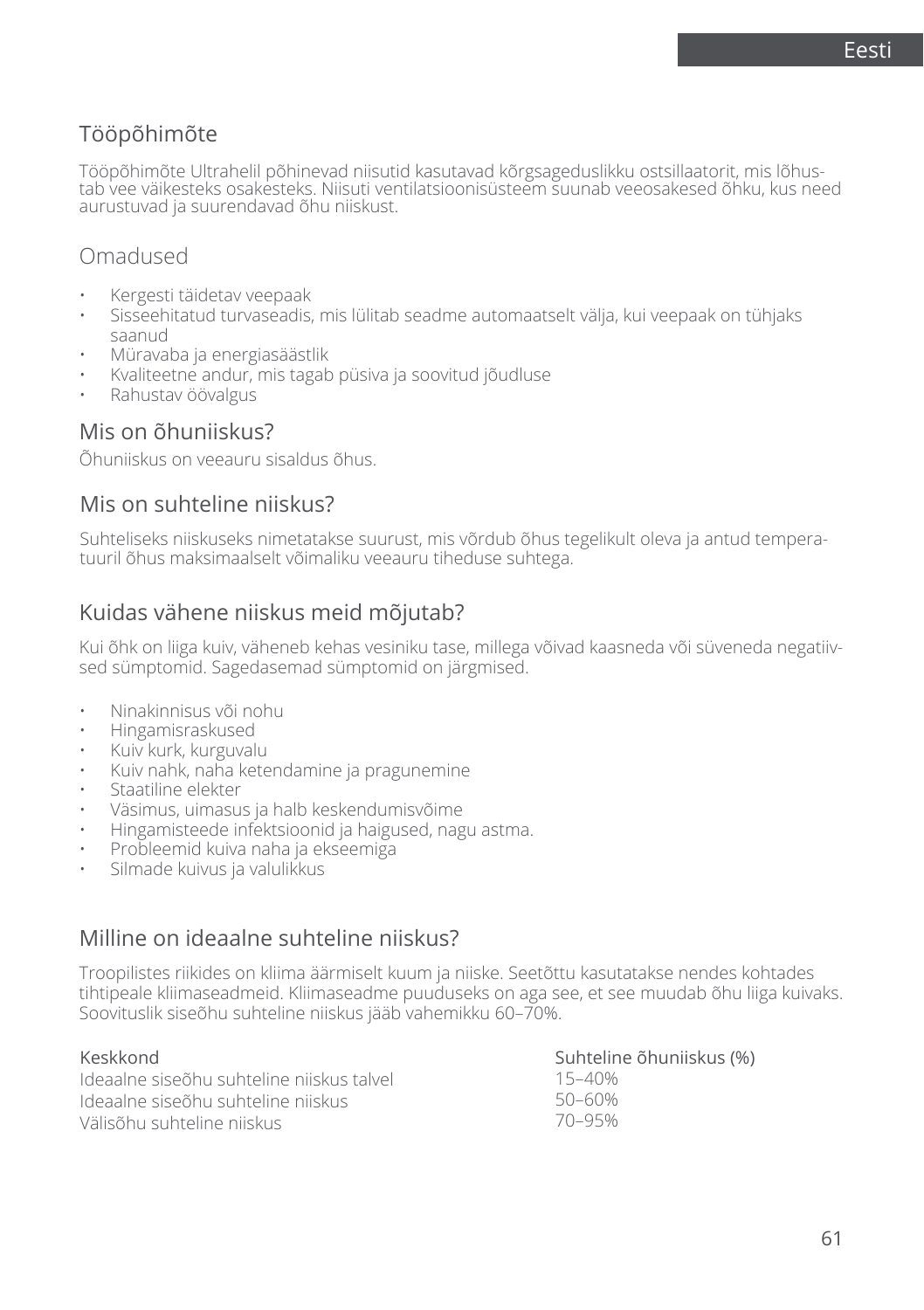## Tööpõhimõte

Tööpõhimõte Ultrahelil põhinevad niisutid kasutavad kõrgsageduslikku ostsillaatorit, mis lõhus-<br>tab vee väikesteks osakesteks. Niisuti ventilatsioonisüsteem suunab veeosakesed õhku, kus need aurustuvad ja suurendavad õhu niiskust.

## Omadused

- Kergesti täidetav veepaak
- Sisseehitatud turvaseadis, mis lülitab seadme automaatselt välja, kui veepaak on tühjaks saanud
- Müravaba ja energiasäästlik
- Kvaliteetne andur, mis tagab püsiva ja soovitud jõudluse
- Rahustav öövalgus

### Mis on õhuniiskus?

Õhuniiskus on veeauru sisaldus õhus.

### Mis on suhteline niiskus?

Suhteliseks niiskuseks nimetatakse suurust, mis võrdub õhus tegelikult oleva ja antud temperatuuril õhus maksimaalselt võimaliku veeauru tiheduse suhtega.

### Kuidas vähene niiskus meid mõjutab?

Kui õhk on liiga kuiv, väheneb kehas vesiniku tase, millega võivad kaasneda või süveneda negatiivsed sümptomid. Sagedasemad sümptomid on järgmised.

- Ninakinnisus või nohu
- Hingamisraskused
- Kuiv kurk, kurguvalu
- Kuiv nahk, naha ketendamine ja pragunemine
- Staatiline elekter
- Väsimus, uimasus ja halb keskendumisvõime
- Hingamisteede infektsioonid ja haigused, nagu astma.
- Probleemid kuiva naha ja ekseemiga
- Silmade kuivus ja valulikkus

### Milline on ideaalne suhteline niiskus?

Troopilistes riikides on kliima äärmiselt kuum ja niiske. Seetõttu kasutatakse nendes kohtades tihtipeale kliimaseadmeid. Kliimaseadme puuduseks on aga see, et see muudab õhu liiga kuivaks. Soovituslik siseõhu suhteline niiskus jääb vahemikku 60–70%.

#### Keskkond

Ideaalne siseõhu suhteline niiskus talvel Ideaalne siseõhu suhteline niiskus Välisõhu suhteline niiskus Suhteline õhuniiskus (%) 15–40% 50–60% 70–95%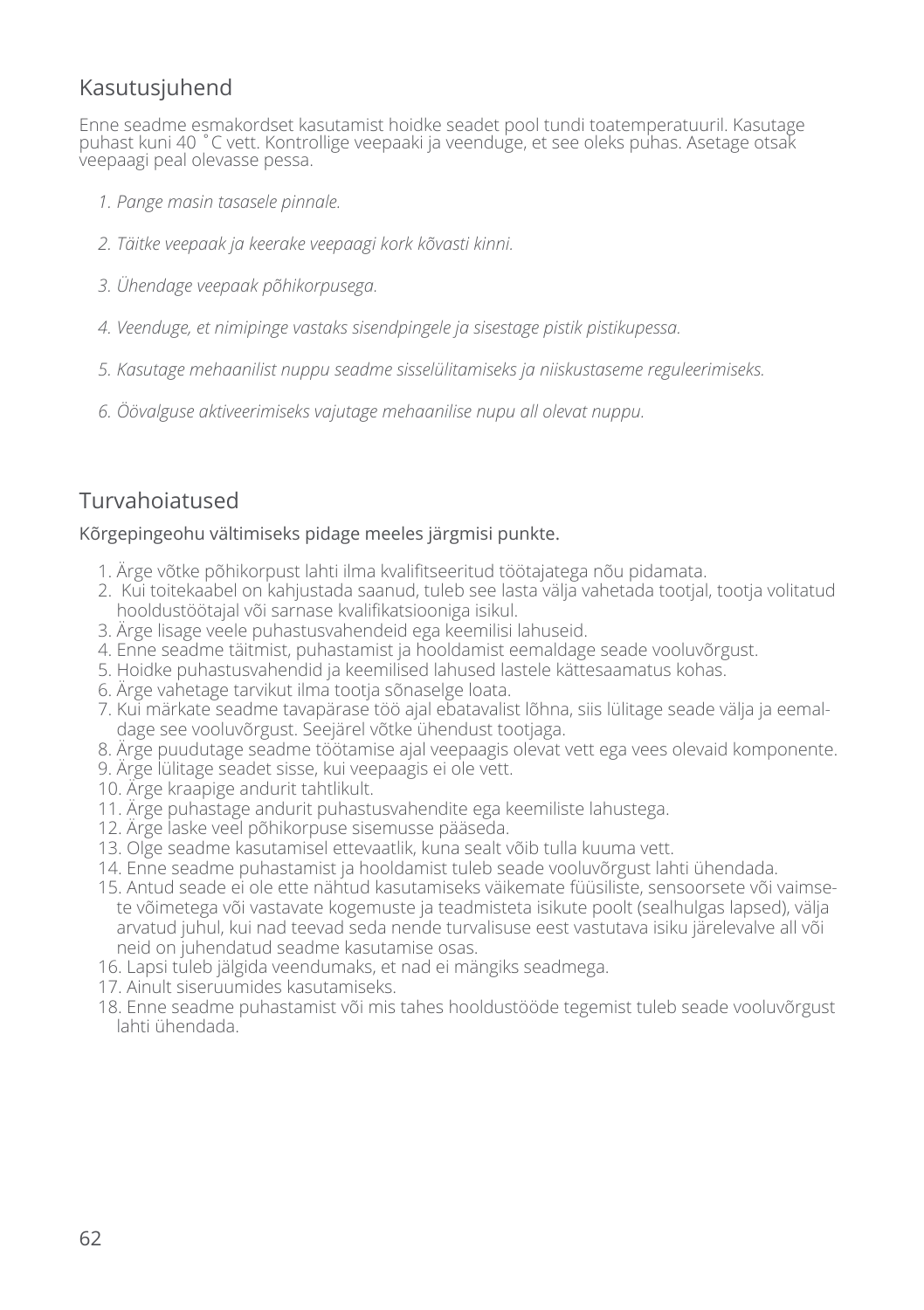## Kasutusjuhend

Enne seadme esmakordset kasutamist hoidke seadet pool tundi toatemperatuuril. Kasutage puhast kuni 40 ˚C vett. Kontrollige veepaaki ja veenduge, et see oleks puhas. Asetage otsak veepaagi peal olevasse pessa.

- *1. Pange masin tasasele pinnale.*
- *2. Täitke veepaak ja keerake veepaagi kork kõvasti kinni.*
- *3. Ühendage veepaak põhikorpusega.*
- *4. Veenduge, et nimipinge vastaks sisendpingele ja sisestage pistik pistikupessa.*
- *5. Kasutage mehaanilist nuppu seadme sisselülitamiseks ja niiskustaseme reguleerimiseks.*
- *6. Öövalguse aktiveerimiseks vajutage mehaanilise nupu all olevat nuppu.*

## Turvahoiatused

#### Kõrgepingeohu vältimiseks pidage meeles järgmisi punkte.

- 1. Ärge võtke põhikorpust lahti ilma kvalifitseeritud töötajatega nõu pidamata.
- 2. Kui toitekaabel on kahjustada saanud, tuleb see lasta välja vahetada tootjal, tootja volitatud hooldustöötajal või sarnase kvalifikatsiooniga isikul.
- 3. Ärge lisage veele puhastusvahendeid ega keemilisi lahuseid.
- 4. Enne seadme täitmist, puhastamist ja hooldamist eemaldage seade vooluvõrgust.
- 5. Hoidke puhastusvahendid ja keemilised lahused lastele kättesaamatus kohas.
- 6. Ärge vahetage tarvikut ilma tootja sõnaselge loata.
- 7. Kui märkate seadme tavapärase töö ajal ebatavalist lõhna, siis lülitage seade välja ja eemaldage see vooluvõrgust. Seejärel võtke ühendust tootjaga.
- 8. Ärge puudutage seadme töötamise ajal veepaagis olevat vett ega vees olevaid komponente.
- 9. Ärge lülitage seadet sisse, kui veepaagis ei ole vett.
- 10. Ärge kraapige andurit tahtlikult.
- 11. Ärge puhastage andurit puhastusvahendite ega keemiliste lahustega.
- 12. Ärge laske veel põhikorpuse sisemusse pääseda.
- 13. Olge seadme kasutamisel ettevaatlik, kuna sealt võib tulla kuuma vett.
- 14. Enne seadme puhastamist ja hooldamist tuleb seade vooluvõrgust lahti ühendada.
- 15. Antud seade ei ole ette nähtud kasutamiseks väikemate füüsiliste, sensoorsete või vaimsete võimetega või vastavate kogemuste ja teadmisteta isikute poolt (sealhulgas lapsed), välja arvatud juhul, kui nad teevad seda nende turvalisuse eest vastutava isiku järelevalve all või neid on juhendatud seadme kasutamise osas.
- 16. Lapsi tuleb jälgida veendumaks, et nad ei mängiks seadmega.
- 17. Ainult siseruumides kasutamiseks.
- 18. Enne seadme puhastamist või mis tahes hooldustööde tegemist tuleb seade vooluvõrgust lahti ühendada.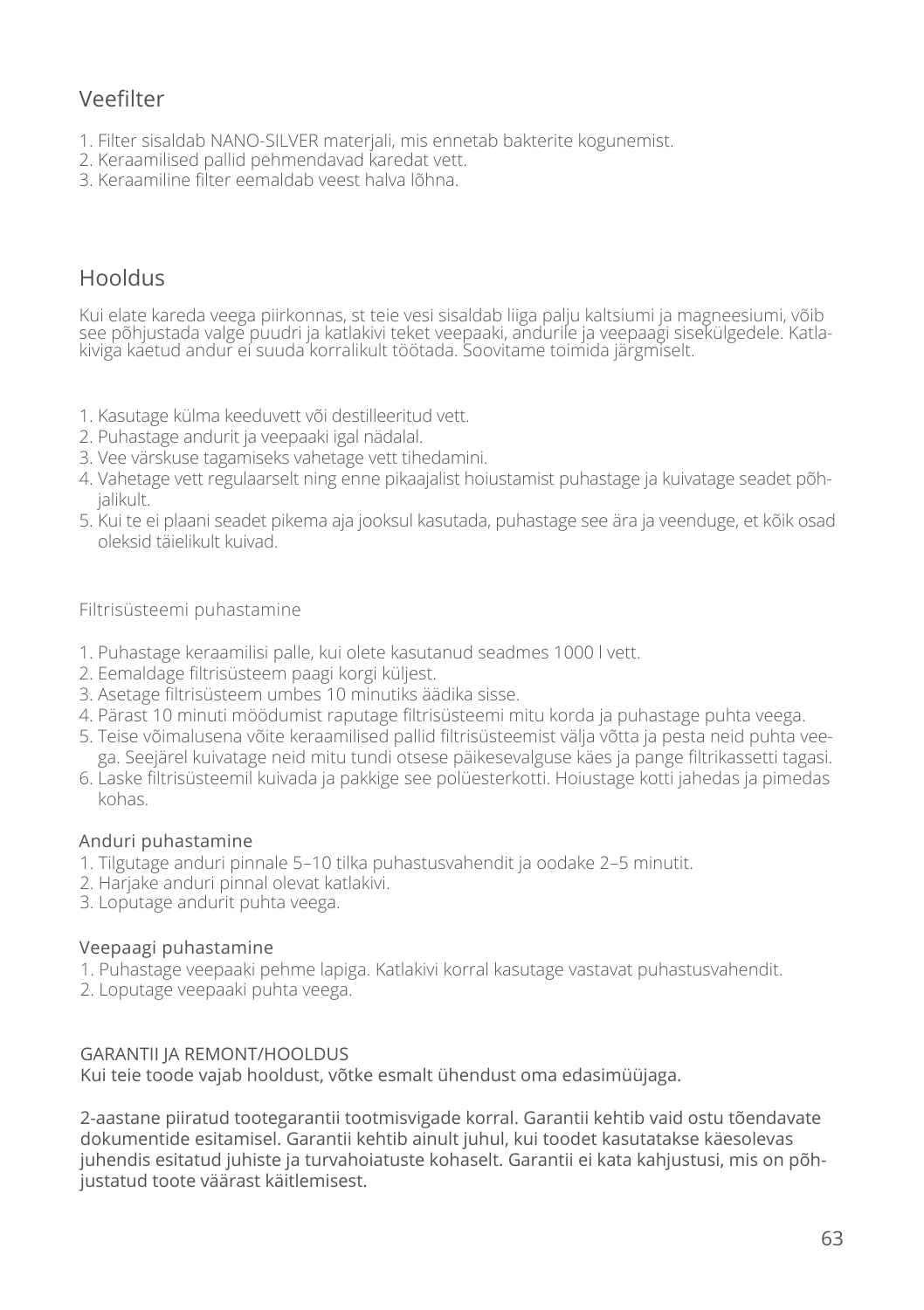## Veefilter

- 1. Filter sisaldab NANO-SILVER materjali, mis ennetab bakterite kogunemist.
- 2. Keraamilised pallid pehmendavad karedat vett.
- 3. Keraamiline filter eemaldab veest halva lõhna.

## Hooldus

Kui elate kareda veega piirkonnas, st teie vesi sisaldab liiga palju kaltsiumi ja magneesiumi, võib see põhjustada valge puudri ja katlakivi teket veepaaki, andurile ja veepaagi sisekülgedele. Katlakiviga kaetud andur ei suuda korralikult töötada. Soovitame toimida järgmiselt.

- 1. Kasutage külma keeduvett või destilleeritud vett.
- 2. Puhastage andurit ja veepaaki igal nädalal.
- 3. Vee värskuse tagamiseks vahetage vett tihedamini.
- 4. Vahetage vett regulaarselt ning enne pikaajalist hoiustamist puhastage ja kuivatage seadet põhjalikult.
- 5. Kui te ei plaani seadet pikema aja jooksul kasutada, puhastage see ära ja veenduge, et kõik osad oleksid täielikult kuivad.

Filtrisüsteemi puhastamine

- 1. Puhastage keraamilisi palle, kui olete kasutanud seadmes 1000 l vett.
- 2. Eemaldage filtrisüsteem paagi korgi küljest.
- 3. Asetage filtrisüsteem umbes 10 minutiks äädika sisse.
- 4. Pärast 10 minuti möödumist raputage filtrisüsteemi mitu korda ja puhastage puhta veega.
- 5. Teise võimalusena võite keraamilised pallid filtrisüsteemist välja võtta ja pesta neid puhta veega. Seejärel kuivatage neid mitu tundi otsese päikesevalguse käes ja pange filtrikassetti tagasi.
- 6. Laske filtrisüsteemil kuivada ja pakkige see polüesterkotti. Hoiustage kotti jahedas ja pimedas kohas.

#### Anduri puhastamine

- 1. Tilgutage anduri pinnale 5–10 tilka puhastusvahendit ja oodake 2–5 minutit.
- 2. Harjake anduri pinnal olevat katlakivi.
- 3. Loputage andurit puhta veega.

#### Veepaagi puhastamine

- 1. Puhastage veepaaki pehme lapiga. Katlakivi korral kasutage vastavat puhastusvahendit.
- 2. Loputage veepaaki puhta veega.

#### GARANTII JA REMONT/HOOLDUS

Kui teie toode vajab hooldust, võtke esmalt ühendust oma edasimüüjaga.

2-aastane piiratud tootegarantii tootmisvigade korral. Garantii kehtib vaid ostu tõendavate dokumentide esitamisel. Garantii kehtib ainult juhul, kui toodet kasutatakse käesolevas juhendis esitatud juhiste ja turvahoiatuste kohaselt. Garantii ei kata kahjustusi, mis on põhjustatud toote väärast käitlemisest.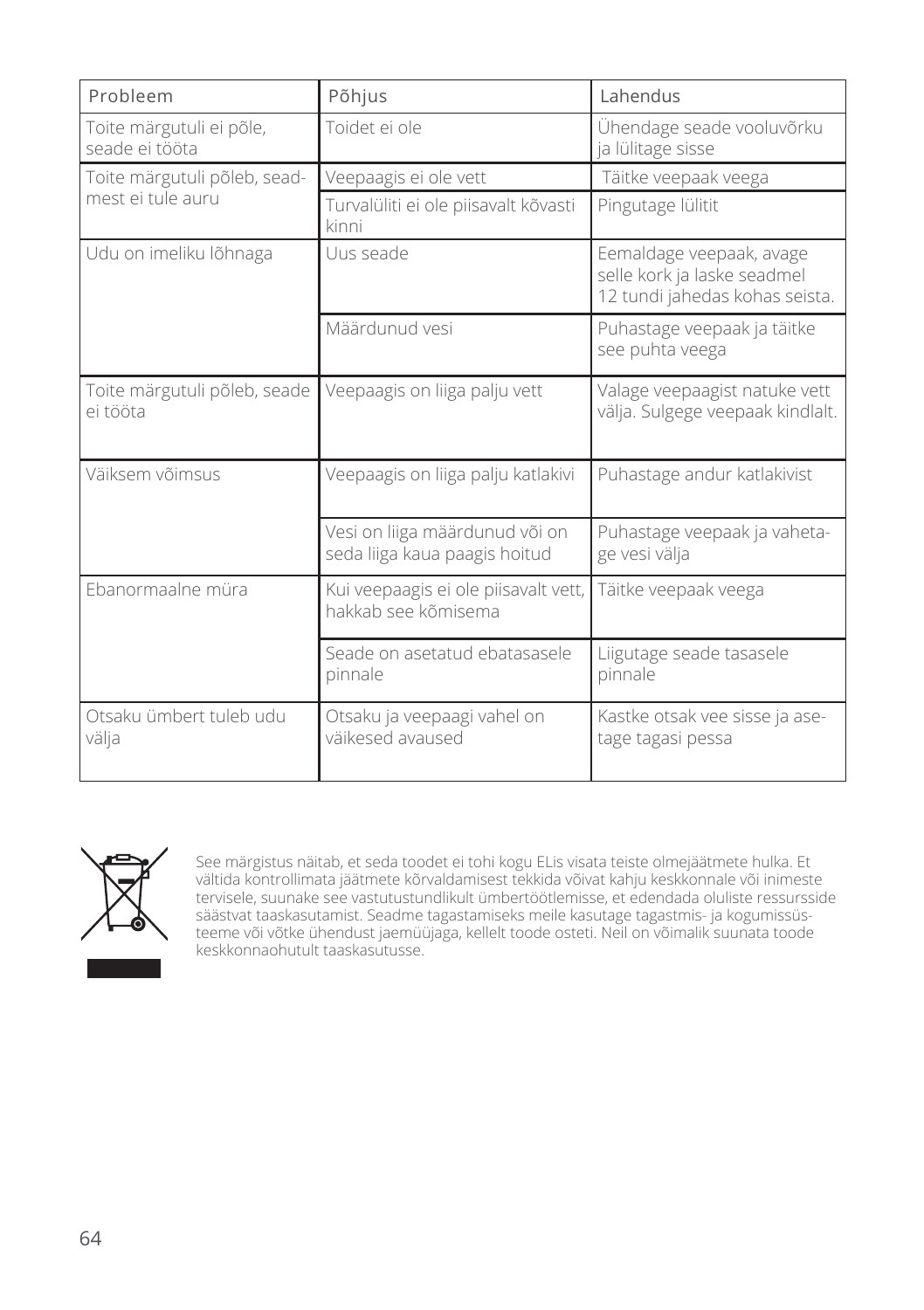| Probleem                                   | Põhjus                                                          | Lahendus                                                                                  |
|--------------------------------------------|-----------------------------------------------------------------|-------------------------------------------------------------------------------------------|
| Toite märgutuli ei põle,<br>seade ei tööta | Toidet ei ole                                                   | Ühendage seade vooluvõrku<br>ja lülitage sisse                                            |
| Toite märgutuli põleb, sead-               | Veepaagis ei ole vett                                           | Täitke veepaak veega                                                                      |
| mest ei tule auru                          | Turvalüliti ei ole piisavalt kõvasti<br>kinni                   | Pingutage lülitit                                                                         |
| Udu on imeliku lõhnaga                     | Uus seade                                                       | Eemaldage veepaak, avage<br>selle kork ja laske seadmel<br>12 tundi jahedas kohas seista. |
|                                            | Määrdunud vesi                                                  | Puhastage veepaak ja täitke<br>see puhta veega                                            |
| Toite märgutuli põleb, seade<br>ei tööta   | Veepaagis on liiga palju vett                                   | Valage veepaagist natuke vett<br>välja. Sulgege veepaak kindlalt.                         |
| Väiksem võimsus                            | Veepaagis on liiga palju katlakivi                              | Puhastage andur katlakivist                                                               |
|                                            | Vesi on liiga määrdunud või on<br>seda liiga kaua paagis hoitud | Puhastage veepaak ja vaheta-<br>ge vesi välja                                             |
| Ebanormaalne müra                          | Kui veepaagis ei ole piisavalt vett,<br>hakkab see kõmisema     | Täitke veepaak veega                                                                      |
|                                            | Seade on asetatud ebatasasele<br>pinnale                        | Liigutage seade tasasele<br>pinnale                                                       |
| Otsaku ümbert tuleb udu<br>välja           | Otsaku ja veepaagi vahel on<br>väikesed avaused                 | Kastke otsak vee sisse ja ase-<br>tage tagasi pessa                                       |



See märgistus näitab, et seda toodet ei tohi kogu ELis visata teiste olmejäätmete hulka. Et vältida kontrollimata jäätmete kõrvaldamisest tekkida võivat kahju keskkonnale või inimeste tervisele, suunake see vastutustundlikult ümbertöötlemisse, et edendada oluliste ressursside säästvat taaskasutamist. Seadme tagastamiseks meile kasutage tagastmis- ja kogumissüsteeme või võtke ühendust jaemüüjaga, kellelt toode osteti. Neil on võimalik suunata toode keskkonnaohutult taaskasutusse.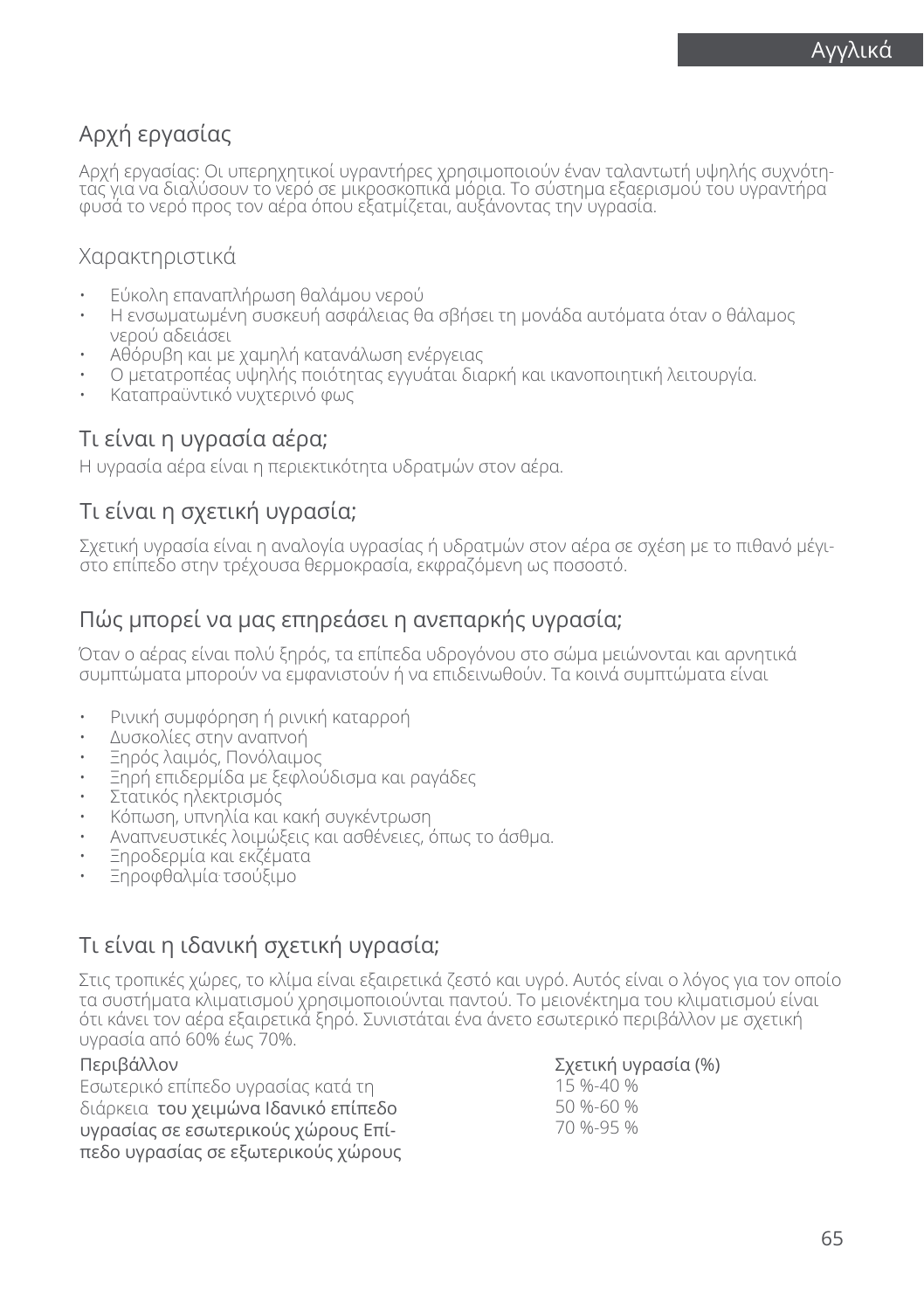## Αρχή εργασίας

Αρχή εργασίας: Οι υπερηχητικοί υγραντήρες χρησιμοποιούν έναν ταλαντωτή υψηλής συχνότη-<br>τας για να διαλύσουν το νερό σε μικροσκοπικά μόρια. Το σύστημα εξαερισμού του υγραντήρα φυσά το νερό προς τον αέρα όπου εξατμίζεται, αυξάνοντας την υγρασία.

### Χαρακτηριστικά

- Εύκολη επαναπλήρωση θαλάμου νερού
- Η ενσωματωμένη συσκευή ασφάλειας θα σβήσει τη μονάδα αυτόματα όταν ο θάλαμος νερού αδειάσει
- Αθόρυβη και με χαμηλή κατανάλωση ενέργειας
- Ο μετατροπέας υψηλής ποιότητας εγγυάται διαρκή και ικανοποιητική λειτουργία.
- Καταπραϋντικό νυχτερινό φως

## Τι είναι η υγρασία αέρα;

Η υγρασία αέρα είναι η περιεκτικότητα υδρατμών στον αέρα.

## Τι είναι η σχετική υγρασία;

Σχετική υγρασία είναι η αναλογία υγρασίας ή υδρατμών στον αέρα σε σχέση με το πιθανό μέγιστο επίπεδο στην τρέχουσα θερμοκρασία, εκφραζόμενη ως ποσοστό.

## Πώς μπορεί να μας επηρεάσει η ανεπαρκής υγρασία;

Όταν ο αέρας είναι πολύ ξηρός, τα επίπεδα υδρογόνου στο σώμα μειώνονται και αρνητικά συμπτώματα μπορούν να εμφανιστούν ή να επιδεινωθούν. Τα κοινά συμπτώματα είναι

- Ρινική συμφόρηση ή ρινική καταρροή
- Δυσκολίες στην αναπνοή
- Ξηρός λαιμός, Πονόλαιμος
- Ξηρή επιδερμίδα με ξεφλούδισμα και ραγάδες
- Στατικός ηλεκτρισμός
- Κόπωση, υπνηλία και κακή συγκέντρωση
- Αναπνευστικές λοιμώξεις και ασθένειες, όπως το άσθμα.
- Ξηροδερμία και εκζέματα
- Ξηροφθαλμία. τσούξιμο

## Τι είναι η ιδανική σχετική υγρασία;

Στις τροπικές χώρες, το κλίμα είναι εξαιρετικά ζεστό και υγρό. Αυτός είναι ο λόγος για τον οποίο τα συστήματα κλιματισμού χρησιμοποιούνται παντού. Το μειονέκτημα του κλιματισμού είναι ότι κάνει τον αέρα εξαιρετικά ξηρό. Συνιστάται ένα άνετο εσωτερικό περιβάλλον με σχετική υγρασία από 60% έως 70%.

#### Περιβάλλον

Εσωτερικό επίπεδο υγρασίας κατά τη διάρκεια του χειμώνα Ιδανικό επίπεδο υγρασίας σε εσωτερικούς χώρους Επίπεδο υγρασίας σε εξωτερικούς χώρους Σχετική υγρασία (%) 15 %-40 % 50 %-60 % 70 %-95 %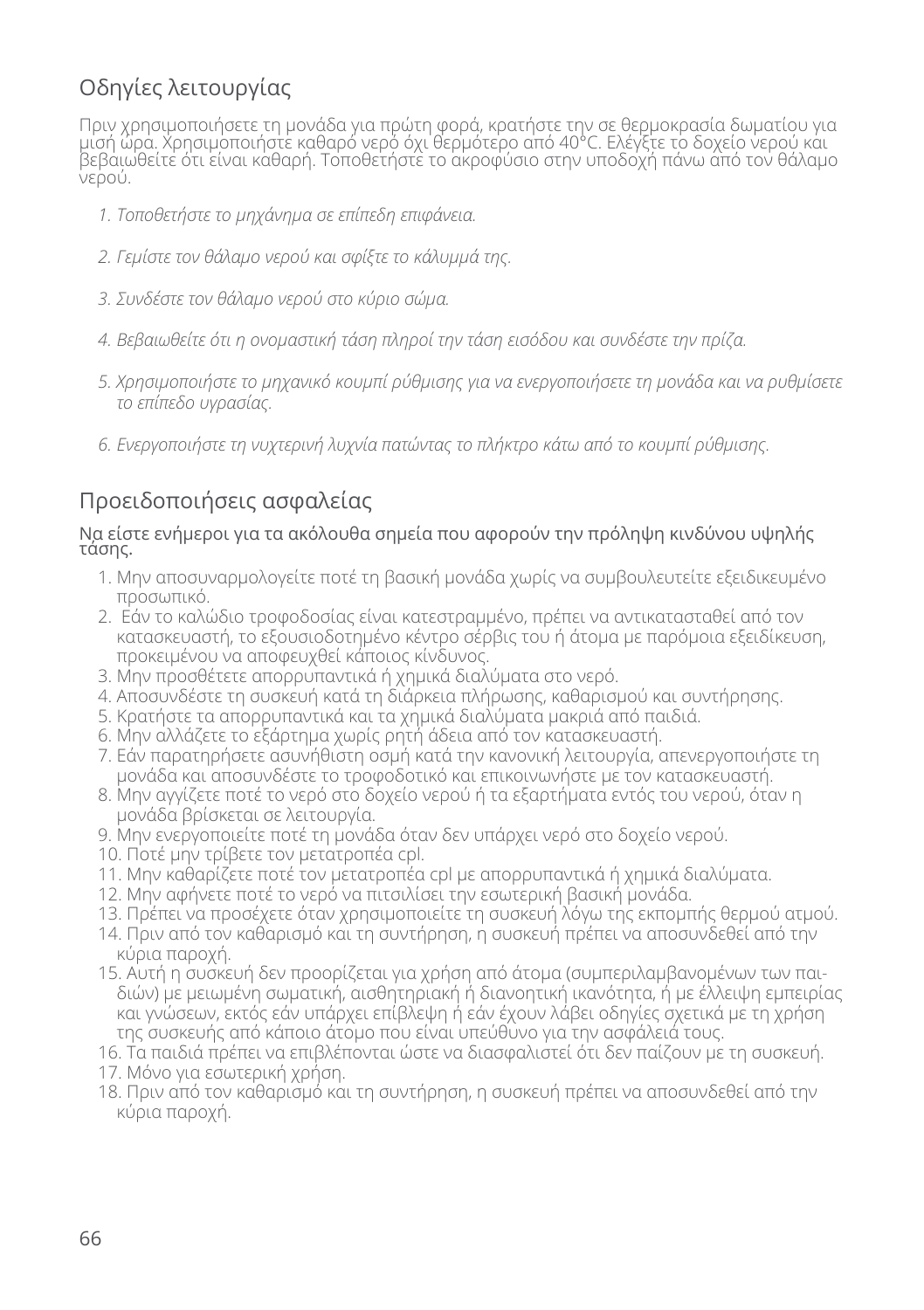## Οδηγίες λειτουργίας

Πριν χρησιμοποιήσετε τη μονάδα για πρώτη φορά, κρατήστε την σε θερμοκρασία δωματίου για μισή ώρα. Χρησιμοποιήστε καθαρό νερό όχι θερμότερο από 40°C. Ελέγξτε το δοχείο νερού και βεβαιωθείτε ότι είναι καθαρή. Τοποθετήστε το ακροφύσιο στην υποδοχή πάνω από τον θάλαμο νερού.

- *1. Τοποθετήστε το μηχάνημα σε επίπεδη επιφάνεια.*
- *2. Γεμίστε τον θάλαμο νερού και σφίξτε το κάλυμμά της.*
- *3. Συνδέστε τον θάλαμο νερού στο κύριο σώμα.*
- *4. Βεβαιωθείτε ότι η ονομαστική τάση πληροί την τάση εισόδου και συνδέστε την πρίζα.*
- *5. Χρησιμοποιήστε το μηχανικό κουμπί ρύθμισης για να ενεργοποιήσετε τη μονάδα και να ρυθμίσετε το επίπεδο υγρασίας.*
- *6. Ενεργοποιήστε τη νυχτερινή λυχνία πατώντας το πλήκτρο κάτω από το κουμπί ρύθμισης.*

## Προειδοποιήσεις ασφαλείας

#### Να είστε ενήμεροι για τα ακόλουθα σημεία που αφορούν την πρόληψη κινδύνου υψηλής τάσης.

- 1. Μην αποσυναρμολογείτε ποτέ τη βασική μονάδα χωρίς να συμβουλευτείτε εξειδικευμένο προσωπικό.
- 2. Εάν το καλώδιο τροφοδοσίας είναι κατεστραμμένο, πρέπει να αντικατασταθεί από τον κατασκευαστή, το εξουσιοδοτημένο κέντρο σέρβις του ή άτομα με παρόμοια εξειδίκευση, προκειμένου να αποφευχθεί κάποιος κίνδυνος.
- 3. Μην προσθέτετε απορρυπαντικά ή χημικά διαλύματα στο νερό.
- 4. Αποσυνδέστε τη συσκευή κατά τη διάρκεια πλήρωσης, καθαρισμού και συντήρησης.
- 5. Κρατήστε τα απορρυπαντικά και τα χημικά διαλύματα μακριά από παιδιά.
- 6. Μην αλλάζετε το εξάρτημα χωρίς ρητή άδεια από τον κατασκευαστή.
- 7. Εάν παρατηρήσετε ασυνήθιστη οσμή κατά την κανονική λειτουργία, απενεργοποιήστε τη μονάδα και αποσυνδέστε το τροφοδοτικό και επικοινωνήστε με τον κατασκευαστή.
- 8. Μην αγγίζετε ποτέ το νερό στο δοχείο νερού ή τα εξαρτήματα εντός του νερού, όταν η μονάδα βρίσκεται σε λειτουργία.
- 9. Μην ενεργοποιείτε ποτέ τη μονάδα όταν δεν υπάρχει νερό στο δοχείο νερού.
- 10. Ποτέ μην τρίβετε τον μετατροπέα cpl.
- 11. Μην καθαρίζετε ποτέ τον μετατροπέα cpl με απορρυπαντικά ή χημικά διαλύματα.
- 12. Μην αφήνετε ποτέ το νερό να πιτσιλίσει την εσωτερική βασική μονάδα.
- 13. Πρέπει να προσέχετε όταν χρησιμοποιείτε τη συσκευή λόγω της εκπομπής θερμού ατμού.
- 14. Πριν από τον καθαρισμό και τη συντήρηση, η συσκευή πρέπει να αποσυνδεθεί από την κύρια παροχή.
- 15. Αυτή η συσκευή δεν προορίζεται για χρήση από άτομα (συμπεριλαμβανομένων των παιδιών) με μειωμένη σωματική, αισθητηριακή ή διανοητική ικανότητα, ή με έλλειψη εμπειρίας και γνώσεων, εκτός εάν υπάρχει επίβλεψη ή εάν έχουν λάβει οδηγίες σχετικά με τη χρήση της συσκευής από κάποιο άτομο που είναι υπεύθυνο για την ασφάλειά τους.
- 16. Τα παιδιά πρέπει να επιβλέπονται ώστε να διασφαλιστεί ότι δεν παίζουν με τη συσκευή. 17. Μόνο για εσωτερική χρήση.
- 18. Πριν από τον καθαρισμό και τη συντήρηση, η συσκευή πρέπει να αποσυνδεθεί από την κύρια παροχή.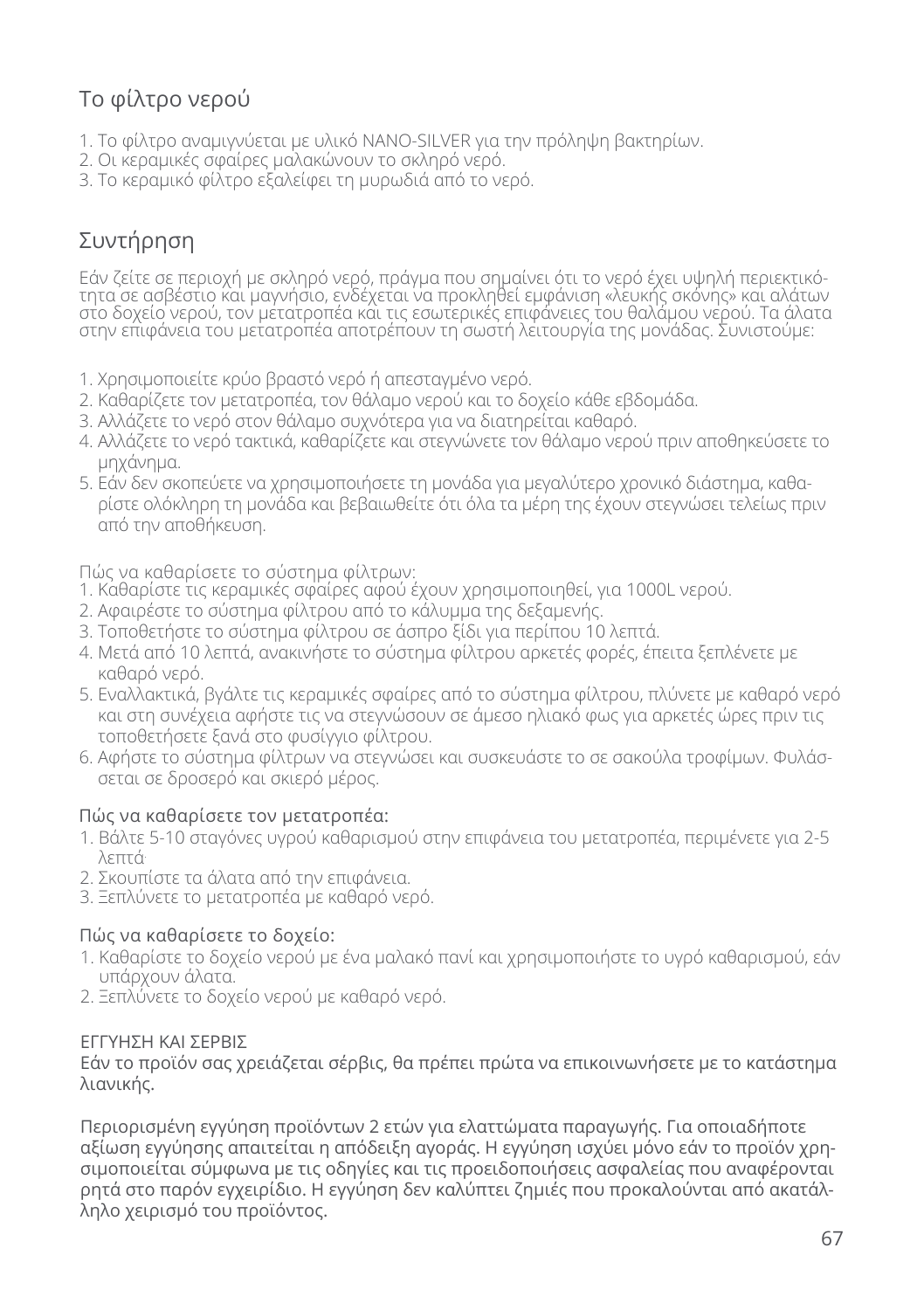## Το φίλτρο νερού

- 1. Το φίλτρο αναμιγνύεται με υλικό NANO-SILVER για την πρόληψη βακτηρίων.
- 2. Οι κεραμικές σφαίρες μαλακώνουν το σκληρό νερό.
- 3. Το κεραμικό φίλτρο εξαλείφει τη μυρωδιά από το νερό.

## Συντήρηση

Εάν ζείτε σε περιοχή με σκληρό νερό, πράγμα που σημαίνει ότι το νερό έχει υψηλή περιεκτικότητα σε ασβέστιο και μαγνήσιο, ενδέχεται να προκληθεί εμφάνιση «λευκής σκόνης» και αλάτων στο δοχείο νερού, τον μετατροπέα και τις εσωτερικές επιφάνειες του θαλάμου νερού. Τα άλατα στην επιφάνεια του μετατροπέα αποτρέπουν τη σωστή λειτουργία της μονάδας. Συνιστούμε:

- 1. Χρησιμοποιείτε κρύο βραστό νερό ή απεσταγμένο νερό.
- 2. Καθαρίζετε τον μετατροπέα, τον θάλαμο νερού και το δοχείο κάθε εβδομάδα.
- 3. Αλλάζετε το νερό στον θάλαμο συχνότερα για να διατηρείται καθαρό.
- 4. Αλλάζετε το νερό τακτικά, καθαρίζετε και στεγνώνετε τον θάλαμο νερού πριν αποθηκεύσετε το μηχάνημα.
- 5. Εάν δεν σκοπεύετε να χρησιμοποιήσετε τη μονάδα για μεγαλύτερο χρονικό διάστημα, καθαρίστε ολόκληρη τη μονάδα και βεβαιωθείτε ότι όλα τα μέρη της έχουν στεγνώσει τελείως πριν από την αποθήκευση.

Πώς να καθαρίσετε το σύστημα φίλτρων:

- 1. Καθαρίστε τις κεραμικές σφαίρες αφού έχουν χρησιμοποιηθεί, για 1000L νερού.
- 2. Αφαιρέστε το σύστημα φίλτρου από το κάλυμμα της δεξαμενής.
- 3. Τοποθετήστε το σύστημα φίλτρου σε άσπρο ξίδι για περίπου 10 λεπτά.
- 4. Μετά από 10 λεπτά, ανακινήστε το σύστημα φίλτρου αρκετές φορές, έπειτα ξεπλένετε με καθαρό νερό.
- 5. Εναλλακτικά, βγάλτε τις κεραμικές σφαίρες από το σύστημα φίλτρου, πλύνετε με καθαρό νερό και στη συνέχεια αφήστε τις να στεγνώσουν σε άμεσο ηλιακό φως για αρκετές ώρες πριν τις τοποθετήσετε ξανά στο φυσίγγιο φίλτρου.
- 6. Αφήστε το σύστημα φίλτρων να στεγνώσει και συσκευάστε το σε σακούλα τροφίμων. Φυλάσσεται σε δροσερό και σκιερό μέρος.

### Πώς να καθαρίσετε τον μετατροπέα:

- 1. Βάλτε 5-10 σταγόνες υγρού καθαρισμού στην επιφάνεια του μετατροπέα, περιμένετε για 2-5 λεπτά.
- 2. Σκουπίστε τα άλατα από την επιφάνεια.
- 3. Ξεπλύνετε το μετατροπέα με καθαρό νερό.

### Πώς να καθαρίσετε το δοχείο:

- 1. Καθαρίστε το δοχείο νερού με ένα μαλακό πανί και χρησιμοποιήστε το υγρό καθαρισμού, εάν υπάρχουν άλατα.
- 2. Ξεπλύνετε το δοχείο νερού με καθαρό νερό.

### ΕΓΓΥΗΣΗ ΚΑΙ ΣΕΡΒΙΣ

Εάν το προϊόν σας χρειάζεται σέρβις, θα πρέπει πρώτα να επικοινωνήσετε με το κατάστημα λιανικής.

Περιορισμένη εγγύηση προϊόντων 2 ετών για ελαττώματα παραγωγής. Για οποιαδήποτε αξίωση εγγύησης απαιτείται η απόδειξη αγοράς. Η εγγύηση ισχύει μόνο εάν το προϊόν χρησιμοποιείται σύμφωνα με τις οδηγίες και τις προειδοποιήσεις ασφαλείας που αναφέρονται ρητά στο παρόν εγχειρίδιο. Η εγγύηση δεν καλύπτει ζημιές που προκαλούνται από ακατάλληλο χειρισμό του προϊόντος.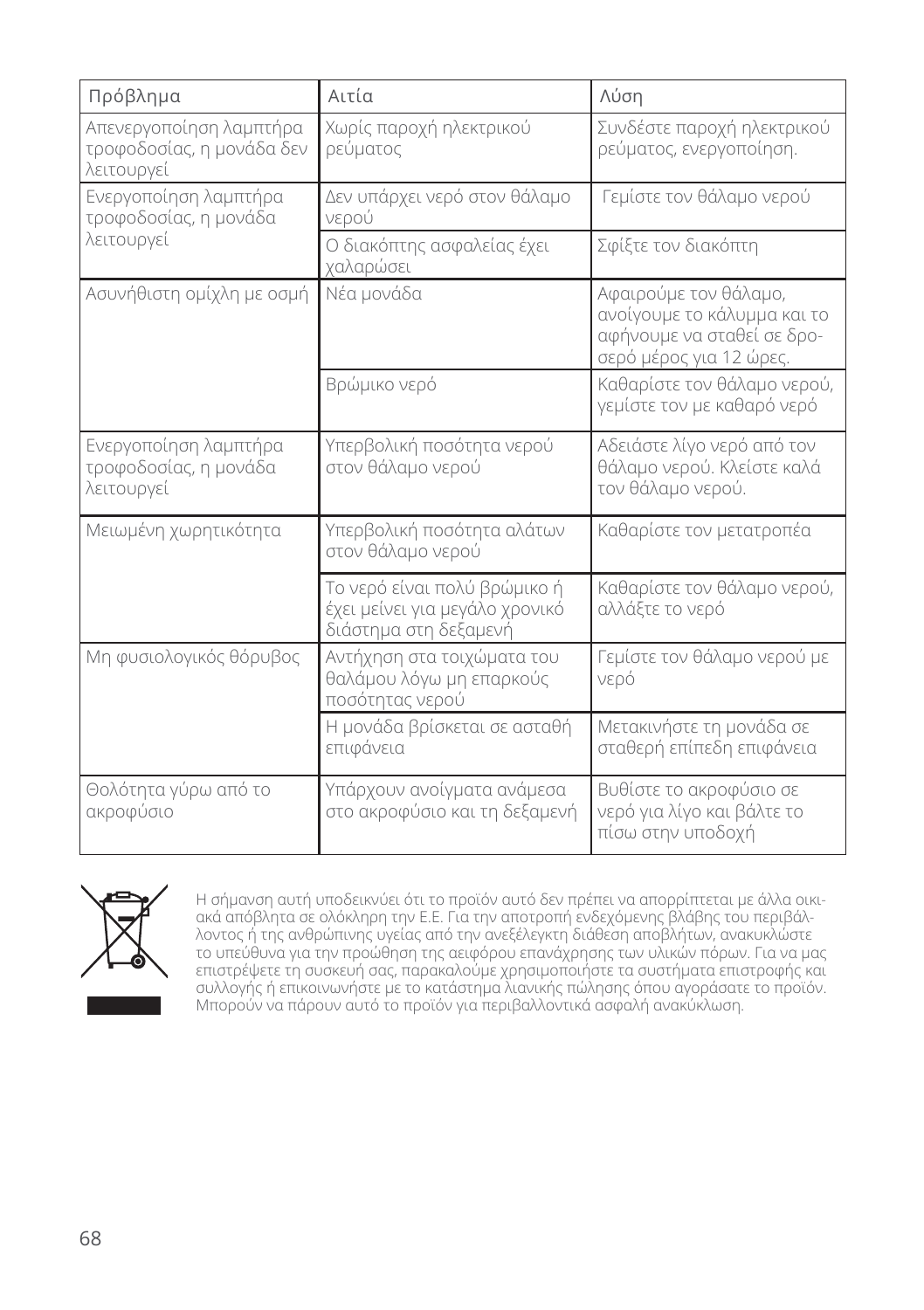| Πρόβλημα                                                           | Αιτία                                                                                   | Λύση                                                                                                          |
|--------------------------------------------------------------------|-----------------------------------------------------------------------------------------|---------------------------------------------------------------------------------------------------------------|
| Απενεργοποίηση λαμπτήρα<br>τροφοδοσίας, η μονάδα δεν<br>λειτουργεί | Χωρίς παροχή ηλεκτρικού<br>ρεύματος                                                     | Συνδέστε παροχή ηλεκτρικού<br>ρεύματος, ενεργοποίηση.                                                         |
| Ενεργοποίηση λαμπτήρα<br>τροφοδοσίας, η μονάδα                     | Δεν υπάρχει νερό στον θάλαμο<br>νερού                                                   | Γεμίστε τον θάλαμο νερού                                                                                      |
| λειτουργεί                                                         | Ο διακόπτης ασφαλείας έχει<br>χαλαρώσει                                                 | Σφίξτε τον διακόπτη                                                                                           |
| Ασυνήθιστη ομίχλη με οσμή                                          | Νέα μονάδα                                                                              | Αφαιρούμε τον θάλαμο,<br>ανοίγουμε το κάλυμμα και το<br>αφήνουμε να σταθεί σε δρο-<br>σερό μέρος για 12 ώρες. |
|                                                                    | Βρώμικο νερό                                                                            | Καθαρίστε τον θάλαμο νερού,<br>γεμίστε τον με καθαρό νερό                                                     |
| Ενεργοποίηση λαμπτήρα<br>τροφοδοσίας, η μονάδα<br>λειτουργεί       | Υπερβολική ποσότητα νερού<br>στον θάλαμο νερού                                          | Αδειάστε λίγο νερό από τον<br>θάλαμο νερού. Κλείστε καλά<br>τον θάλαμο νερού.                                 |
| Μειωμένη χωρητικότητα                                              | Υπερβολική ποσότητα αλάτων<br>στον θάλαμο νερού                                         | Καθαρίστε τον μετατροπέα                                                                                      |
|                                                                    | Το νερό είναι πολύ βρώμικο ή<br>έχει μείνει για μεγάλο χρονικό<br>διάστημα στη δεξαμενή | Καθαρίστε τον θάλαμο νερού,<br>αλλάξτε το νερό                                                                |
| Μη φυσιολογικός θόρυβος                                            | Αντήχηση στα τοιχώματα του<br>θαλάμου λόγω μη επαρκούς<br>ποσότητας νερού               | Γεμίστε τον θάλαμο νερού με<br>νερό                                                                           |
|                                                                    | Η μονάδα βρίσκεται σε ασταθή<br>επιφάνεια                                               | Μετακινήστε τη μονάδα σε<br>σταθερή επίπεδη επιφάνεια                                                         |
| Θολότητα γύρω από το<br>ακροφύσιο                                  | Υπάρχουν ανοίγματα ανάμεσα<br>στο ακροφύσιο και τη δεξαμενή                             | Βυθίστε το ακροφύσιο σε<br>νερό για λίγο και βάλτε το<br>πίσω στην υποδοχή                                    |



Η σήμανση αυτή υποδεικνύει ότι το προϊόν αυτό δεν πρέπει να απορρίπτεται με άλλα οικιακά απόβλητα σε ολόκληρη την Ε.Ε. Για την αποτροπή ενδεχόμενης βλάβης του περιβάλλοντος ή της ανθρώπινης υγείας από την ανεξέλεγκτη διάθεση αποβλήτων, ανακυκλώστε το υπεύθυνα για την προώθηση της αειφόρου επανάχρησης των υλικών πόρων. Για να μας επιστρέψετε τη συσκευή σας, παρακαλούμε χρησιμοποιήστε τα συστήματα επιστροφής και συλλογής ή επικοινωνήστε με το κατάστημα λιανικής πώλησης όπου αγοράσατε το προϊόν. Μπορούν να πάρουν αυτό το προϊόν για περιβαλλοντικά ασφαλή ανακύκλωση.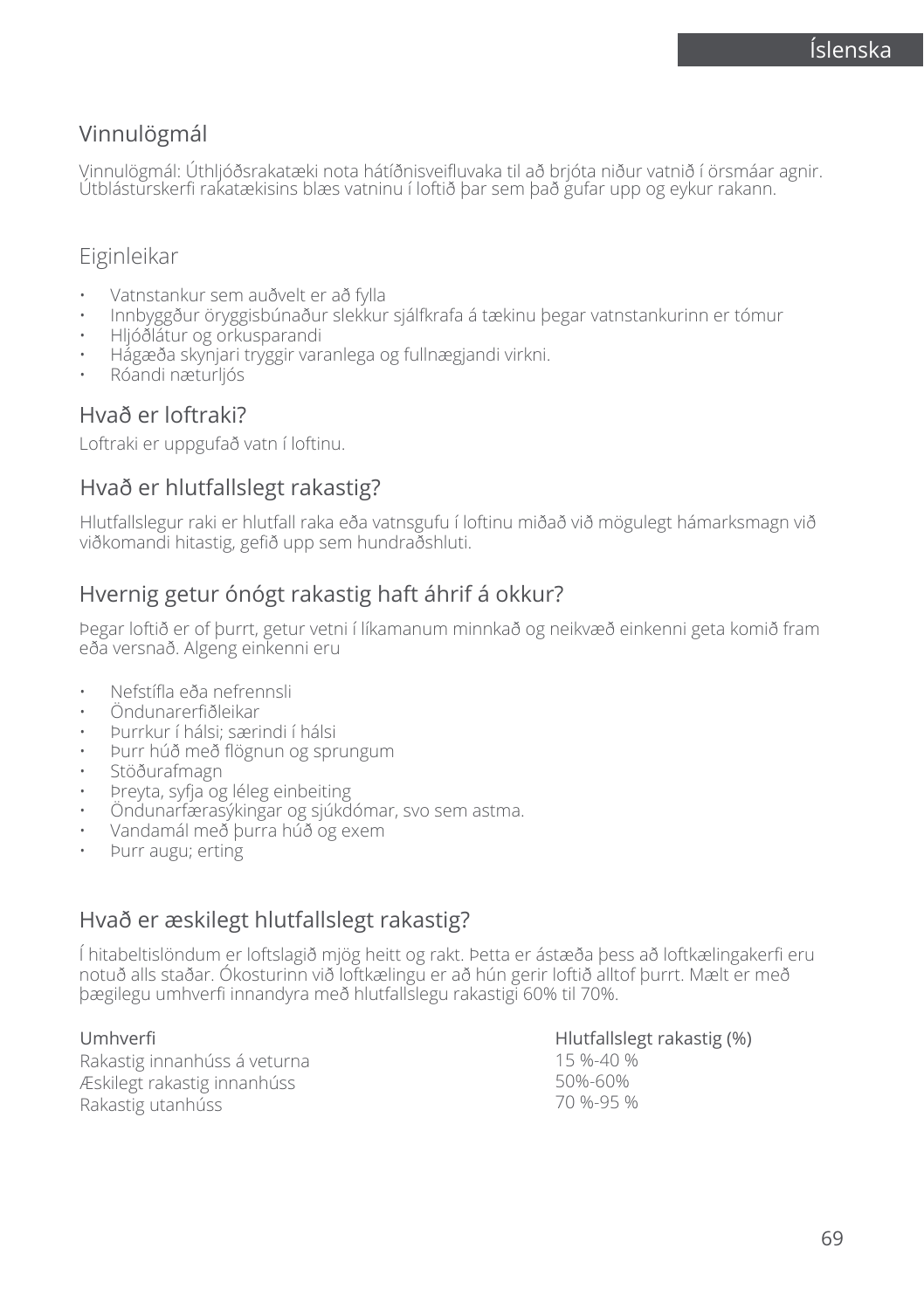## Vinnulögmál

Vinnulögmál: Úthljóðsrakatæki nota hátíðnisveifluvaka til að brjóta niður vatnið í örsmáar agnir. Útblásturskerfi rakatækisins blæs vatninu í loftið þar sem það gufar upp og eykur rakann.

## Eiginleikar

- Vatnstankur sem auðvelt er að fylla
- Innbyggður öryggisbúnaður slekkur sjálfkrafa á tækinu þegar vatnstankurinn er tómur
- Hljóðlátur og orkusparandi
- Hágæða skynjari tryggir varanlega og fullnægjandi virkni.
- Róandi næturljós

## Hvað er loftraki?

Loftraki er uppgufað vatn í loftinu.

### Hvað er hlutfallslegt rakastig?

Hlutfallslegur raki er hlutfall raka eða vatnsgufu í loftinu miðað við mögulegt hámarksmagn við viðkomandi hitastig, gefið upp sem hundraðshluti.

## Hvernig getur ónógt rakastig haft áhrif á okkur?

Þegar loftið er of þurrt, getur vetni í líkamanum minnkað og neikvæð einkenni geta komið fram eða versnað. Algeng einkenni eru

- Nefstífla eða nefrennsli
- Öndunarerfiðleikar
- Þurrkur í hálsi; særindi í hálsi
- Þurr húð með flögnun og sprungum
- Stöðurafmagn
- Þreyta, syfja og léleg einbeiting
- Öndunarfærasýkingar og sjúkdómar, svo sem astma.
- Vandamál með þurra húð og exem
- Þurr augu; erting

## Hvað er æskilegt hlutfallslegt rakastig?

Í hitabeltislöndum er loftslagið mjög heitt og rakt. Þetta er ástæða þess að loftkælingakerfi eru notuð alls staðar. Ókosturinn við loftkælingu er að hún gerir loftið alltof þurrt. Mælt er með þægilegu umhverfi innandyra með hlutfallslegu rakastigi 60% til 70%.

Umhverfi Rakastig innanhúss á veturna Æskilegt rakastig innanhúss Rakastig utanhúss

Hlutfallslegt rakastig (%) 15 %-40 % 50%-60% 70 %-95 %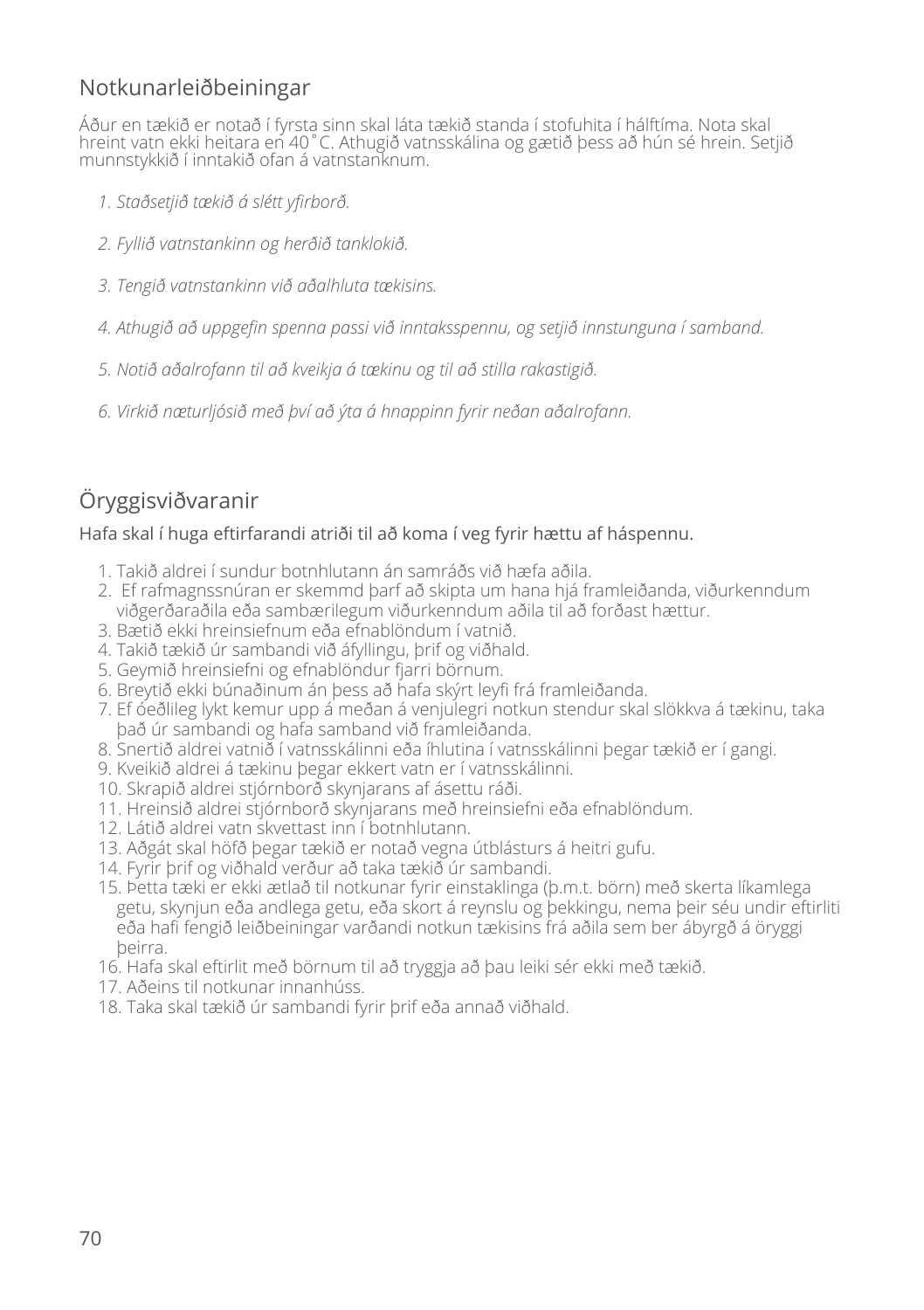## Notkunarleiðbeiningar

Áður en tækið er notað í fyrsta sinn skal láta tækið standa í stofuhita í hálftíma. Nota skal hreint vatn ekki heitara en 40°C. Athugið vatnsskálina og gætið þess að hún sé hrein. Setjið munnstykkið í inntakið ofan á vatnstanknum.

- *1. Staðsetjið tækið á slétt yfirborð.*
- *2. Fyllið vatnstankinn og herðið tanklokið.*
- *3. Tengið vatnstankinn við aðalhluta tækisins.*
- *4. Athugið að uppgefin spenna passi við inntaksspennu, og setjið innstunguna í samband.*
- *5. Notið aðalrofann til að kveikja á tækinu og til að stilla rakastigið.*
- *6. Virkið næturljósið með því að ýta á hnappinn fyrir neðan aðalrofann.*

## Öryggisviðvaranir

#### Hafa skal í huga eftirfarandi atriði til að koma í veg fyrir hættu af háspennu.

- 1. Takið aldrei í sundur botnhlutann án samráðs við hæfa aðila.
- 2. Ef rafmagnssnúran er skemmd þarf að skipta um hana hjá framleiðanda, viðurkenndum viðgerðaraðila eða sambærilegum viðurkenndum aðila til að forðast hættur.
- 3. Bætið ekki hreinsiefnum eða efnablöndum í vatnið.
- 4. Takið tækið úr sambandi við áfyllingu, þrif og viðhald.
- 5. Geymið hreinsiefni og efnablöndur fjarri börnum.
- 6. Breytið ekki búnaðinum án þess að hafa skýrt leyfi frá framleiðanda.
- 7. Ef óeðlileg lykt kemur upp á meðan á venjulegri notkun stendur skal slökkva á tækinu, taka það úr sambandi og hafa samband við framleiðanda.
- 8. Snertið aldrei vatnið í vatnsskálinni eða íhlutina í vatnsskálinni þegar tækið er í gangi.
- 9. Kveikið aldrei á tækinu þegar ekkert vatn er í vatnsskálinni.
- 10. Skrapið aldrei stjórnborð skynjarans af ásettu ráði.
- 11. Hreinsið aldrei stjórnborð skynjarans með hreinsiefni eða efnablöndum.
- 12. Látið aldrei vatn skvettast inn í botnhlutann.
- 13. Aðgát skal höfð þegar tækið er notað vegna útblásturs á heitri gufu.
- 14. Fyrir þrif og viðhald verður að taka tækið úr sambandi.
- 15. Þetta tæki er ekki ætlað til notkunar fyrir einstaklinga (þ.m.t. börn) með skerta líkamlega getu, skynjun eða andlega getu, eða skort á reynslu og þekkingu, nema þeir séu undir eftirliti eða hafi fengið leiðbeiningar varðandi notkun tækisins frá aðila sem ber ábyrgð á öryggi þeirra.
- 16. Hafa skal eftirlit með börnum til að tryggja að þau leiki sér ekki með tækið.
- 17. Aðeins til notkunar innanhúss.
- 18. Taka skal tækið úr sambandi fyrir þrif eða annað viðhald.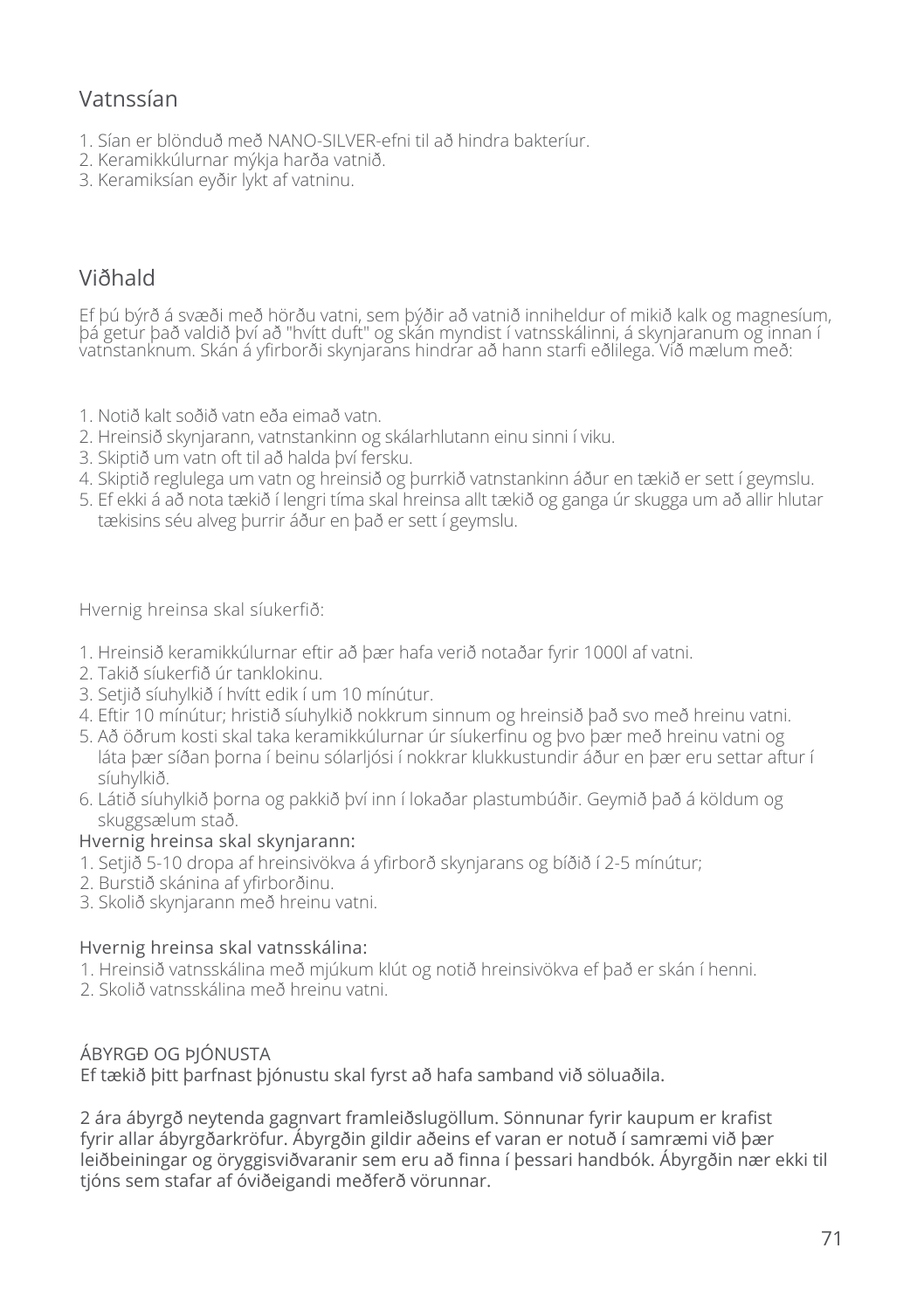## Vatnssían

- 1. Sían er blönduð með NANO-SILVER-efni til að hindra bakteríur.
- 2. Keramikkúlurnar mýkja harða vatnið.
- 3. Keramiksían eyðir lykt af vatninu.

## Viðhald

Ef þú býrð á svæði með hörðu vatni, sem þýðir að vatnið inniheldur of mikið kalk og magnesíum, þá getur það valdið því að "hvítt duft" og skán myndist í vatnsskálinni, á skynjaranum og innan í vatnstanknum. Skán á yfirborði skynjarans hindrar að hann starfi eðlilega. Við mælum með:

- 1. Notið kalt soðið vatn eða eimað vatn.
- 2. Hreinsið skynjarann, vatnstankinn og skálarhlutann einu sinni í viku.
- 3. Skiptið um vatn oft til að halda því fersku.
- 4. Skiptið reglulega um vatn og hreinsið og þurrkið vatnstankinn áður en tækið er sett í geymslu.
- 5. Ef ekki á að nota tækið í lengri tíma skal hreinsa allt tækið og ganga úr skugga um að allir hlutar tækisins séu alveg þurrir áður en það er sett í geymslu.

Hvernig hreinsa skal síukerfið:

- 1. Hreinsið keramikkúlurnar eftir að þær hafa verið notaðar fyrir 1000l af vatni.
- 2. Takið síukerfið úr tanklokinu.
- 3. Setjið síuhylkið í hvítt edik í um 10 mínútur.
- 4. Eftir 10 mínútur; hristið síuhylkið nokkrum sinnum og hreinsið það svo með hreinu vatni.
- 5. Að öðrum kosti skal taka keramikkúlurnar úr síukerfinu og þvo þær með hreinu vatni og láta þær síðan þorna í beinu sólarljósi í nokkrar klukkustundir áður en þær eru settar aftur í síuhylkið.
- 6. Látið síuhylkið þorna og pakkið því inn í lokaðar plastumbúðir. Geymið það á köldum og skuggsælum stað.

#### Hvernig hreinsa skal skynjarann:

- 1. Setjið 5-10 dropa af hreinsivökva á yfirborð skynjarans og bíðið í 2-5 mínútur;
- 2. Burstið skánina af yfirborðinu.
- 3. Skolið skynjarann með hreinu vatni.

#### Hvernig hreinsa skal vatnsskálina:

- 1. Hreinsið vatnsskálina með mjúkum klút og notið hreinsivökva ef það er skán í henni.
- 2. Skolið vatnsskálina með hreinu vatni.

#### ÁBYRGÐ OG ÞJÓNUSTA

Ef tækið þitt þarfnast þjónustu skal fyrst að hafa samband við söluaðila.

2 ára ábyrgð neytenda gagnvart framleiðslugöllum. Sönnunar fyrir kaupum er krafist fyrir allar ábyrgðarkröfur. Ábyrgðin gildir aðeins ef varan er notuð í samræmi við þær leiðbeiningar og öryggisviðvaranir sem eru að finna í þessari handbók. Ábyrgðin nær ekki til tjóns sem stafar af óviðeigandi meðferð vörunnar.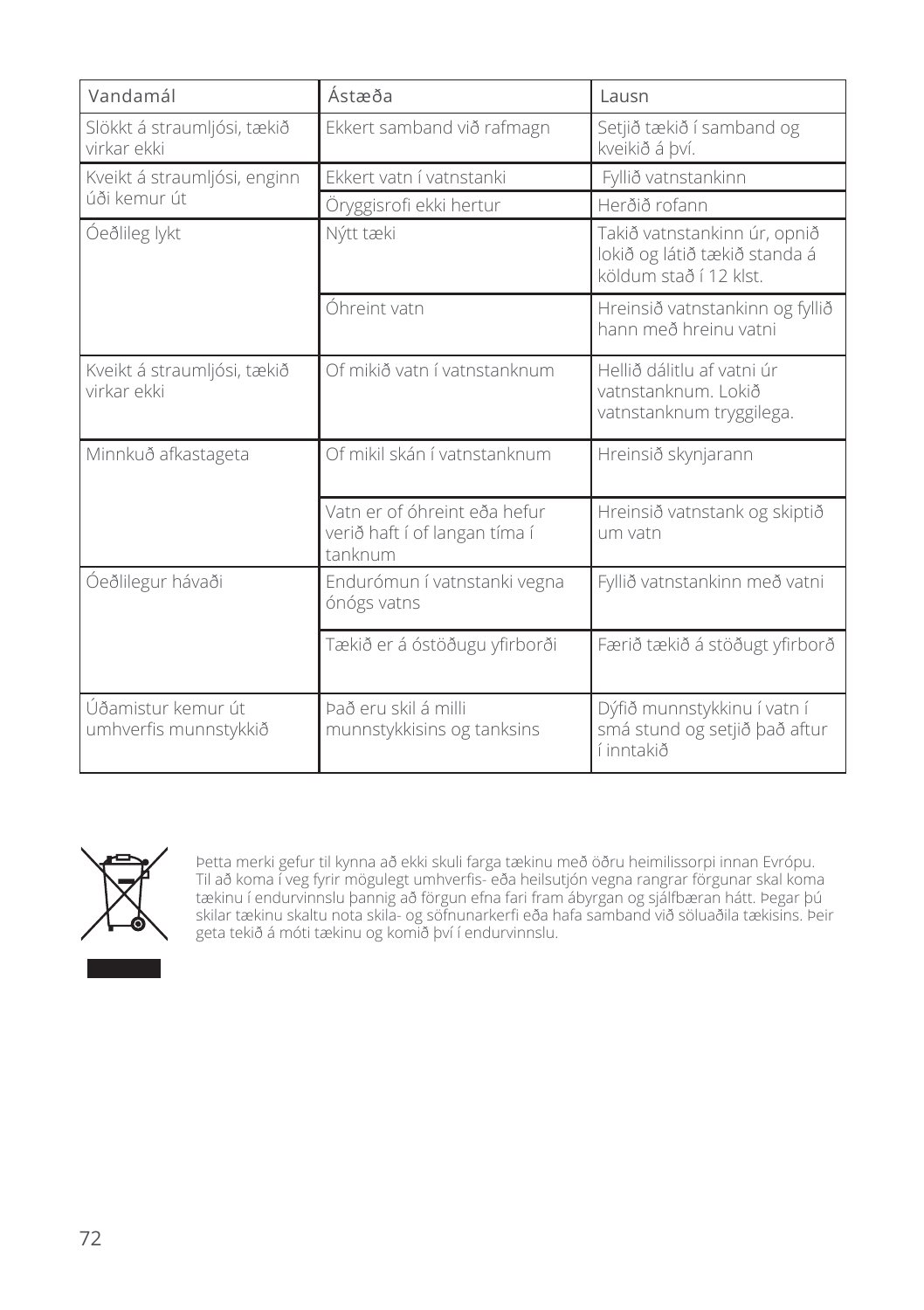| Vandamál                                    | Ástæða                                                                   | Lausn                                                                                   |
|---------------------------------------------|--------------------------------------------------------------------------|-----------------------------------------------------------------------------------------|
| Slökkt á straumljósi, tækið<br>virkar ekki  | Ekkert samband við rafmagn                                               | Setjið tækið í samband og<br>kveikið á bví.                                             |
| Kveikt á straumljósi, enginn                | Ekkert vatn í vatnstanki                                                 | Fyllið vatnstankinn                                                                     |
| úði kemur út                                | Öryggisrofi ekki hertur                                                  | Herðið rofann                                                                           |
| Óeðlileg lykt                               | Nýtt tæki                                                                | Takið vatnstankinn úr, opnið<br>lokið og látið tækið standa á<br>köldum stað í 12 klst. |
|                                             | Óhreint vatn                                                             | Hreinsið vatnstankinn og fyllið<br>hann með hreinu vatni                                |
| Kveikt á straumljósi, tækið<br>virkar ekki  | Of mikið vatn í vatnstanknum                                             | Hellið dálitlu af vatni úr<br>vatnstanknum. Lokið<br>vatnstanknum tryggilega.           |
| Minnkuð afkastageta                         | Of mikil skán í vatnstanknum                                             | Hreinsið skynjarann                                                                     |
|                                             | Vatn er of óhreint eða hefur<br>verið haft í of langan tíma í<br>tanknum | Hreinsið vatnstank og skiptið<br>um vatn                                                |
| Óeðlilegur hávaði                           | Endurómun í vatnstanki vegna<br>ónógs vatns                              | Fyllið vatnstankinn með vatni                                                           |
|                                             | Tækið er á óstöðugu yfirborði                                            | Færið tækið á stöðugt yfirborð                                                          |
| Úðamistur kemur út<br>umhverfis munnstykkið | Það eru skil á milli<br>munnstykkisins og tanksins                       | Dýfið munnstykkinu í vatn í<br>smá stund og setjið það aftur<br>í inntakið              |



Þetta merki gefur til kynna að ekki skuli farga tækinu með öðru heimilissorpi innan Evrópu. Til að koma í veg fyrir mögulegt umhverfis- eða heilsutjón vegna rangrar förgunar skal koma tækinu í endurvinnslu þannig að förgun efna fari fram ábyrgan og sjálfbæran hátt. Þegar þú skilar tækinu skaltu nota skila- og söfnunarkerfi eða hafa samband við söluaðila tækisins. Þeir geta tekið á móti tækinu og komið því í endurvinnslu.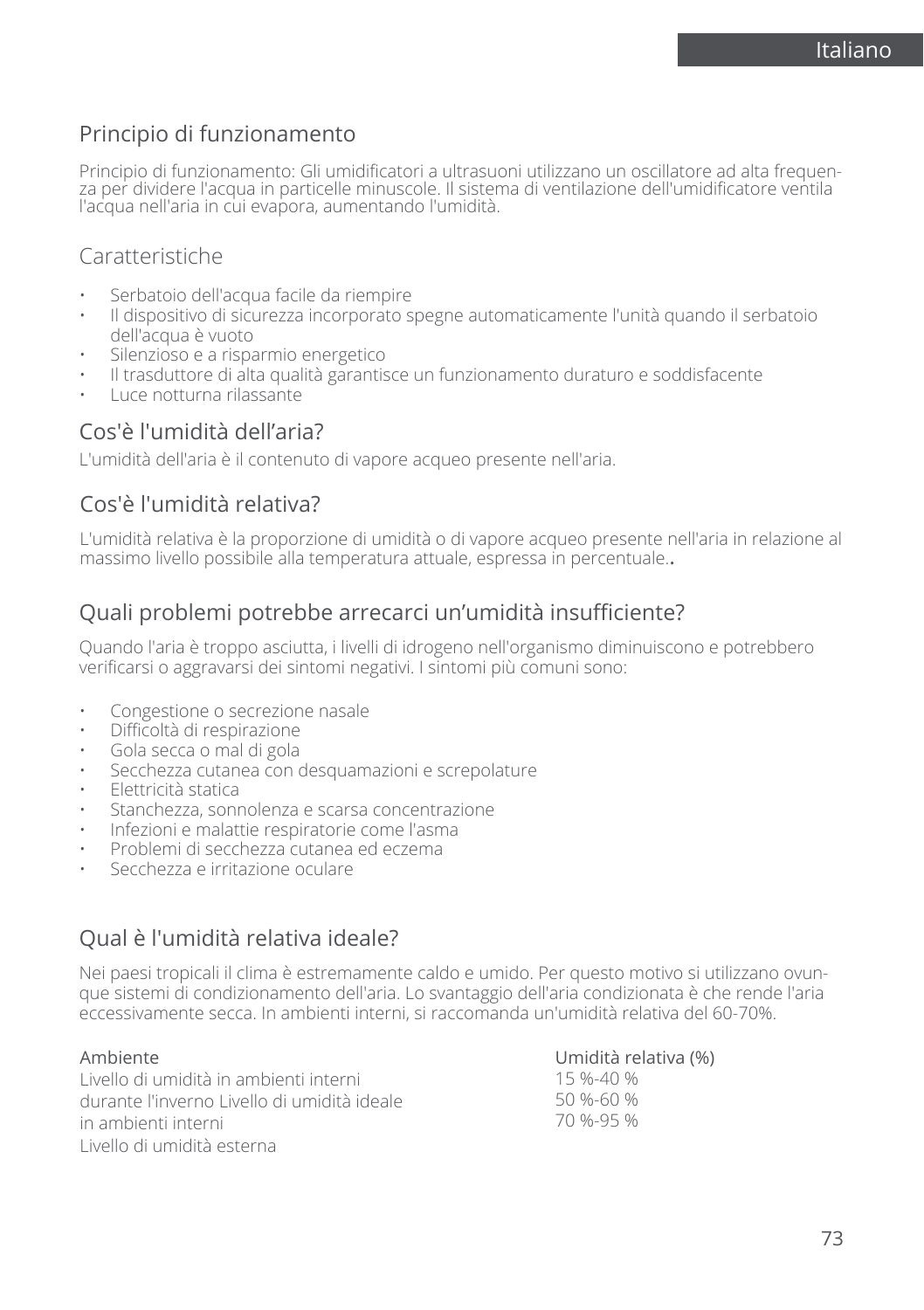## Principio di funzionamento

Principio di funzionamento: Gli umidificatori a ultrasuoni utilizzano un oscillatore ad alta frequen-<br>za per dividere l'acqua in particelle minuscole. Il sistema di ventilazione dell'umidificatore ventila l'acqua nell'aria in cui evapora, aumentando l'umidità.

## Caratteristiche

- Serbatoio dell'acqua facile da riempire
- Il dispositivo di sicurezza incorporato spegne automaticamente l'unità quando il serbatoio dell'acqua è vuoto
- Silenzioso e a risparmio energetico
- Il trasduttore di alta qualità garantisce un funzionamento duraturo e soddisfacente
- Luce notturna rilassante

### Cos'è l'umidità dell'aria?

L'umidità dell'aria è il contenuto di vapore acqueo presente nell'aria.

## Cos'è l'umidità relativa?

L'umidità relativa è la proporzione di umidità o di vapore acqueo presente nell'aria in relazione al massimo livello possibile alla temperatura attuale, espressa in percentuale..

## Quali problemi potrebbe arrecarci un'umidità insufficiente?

Quando l'aria è troppo asciutta, i livelli di idrogeno nell'organismo diminuiscono e potrebbero verificarsi o aggravarsi dei sintomi negativi. I sintomi più comuni sono:

- Congestione o secrezione nasale
- Difficoltà di respirazione
- Gola secca o mal di gola
- Secchezza cutanea con desquamazioni e screpolature
- Elettricità statica
- Stanchezza, sonnolenza e scarsa concentrazione
- Infezioni e malattie respiratorie come l'asma
- Problemi di secchezza cutanea ed eczema
- Secchezza e irritazione oculare

## Qual è l'umidità relativa ideale?

Nei paesi tropicali il clima è estremamente caldo e umido. Per questo motivo si utilizzano ovunque sistemi di condizionamento dell'aria. Lo svantaggio dell'aria condizionata è che rende l'aria eccessivamente secca. In ambienti interni, si raccomanda un'umidità relativa del 60-70%.

#### Ambiente

Livello di umidità in ambienti interni durante l'inverno Livello di umidità ideale in ambienti interni Livello di umidità esterna

Umidità relativa (%) 15 %-40 %

50 %-60 % 70 %-95 %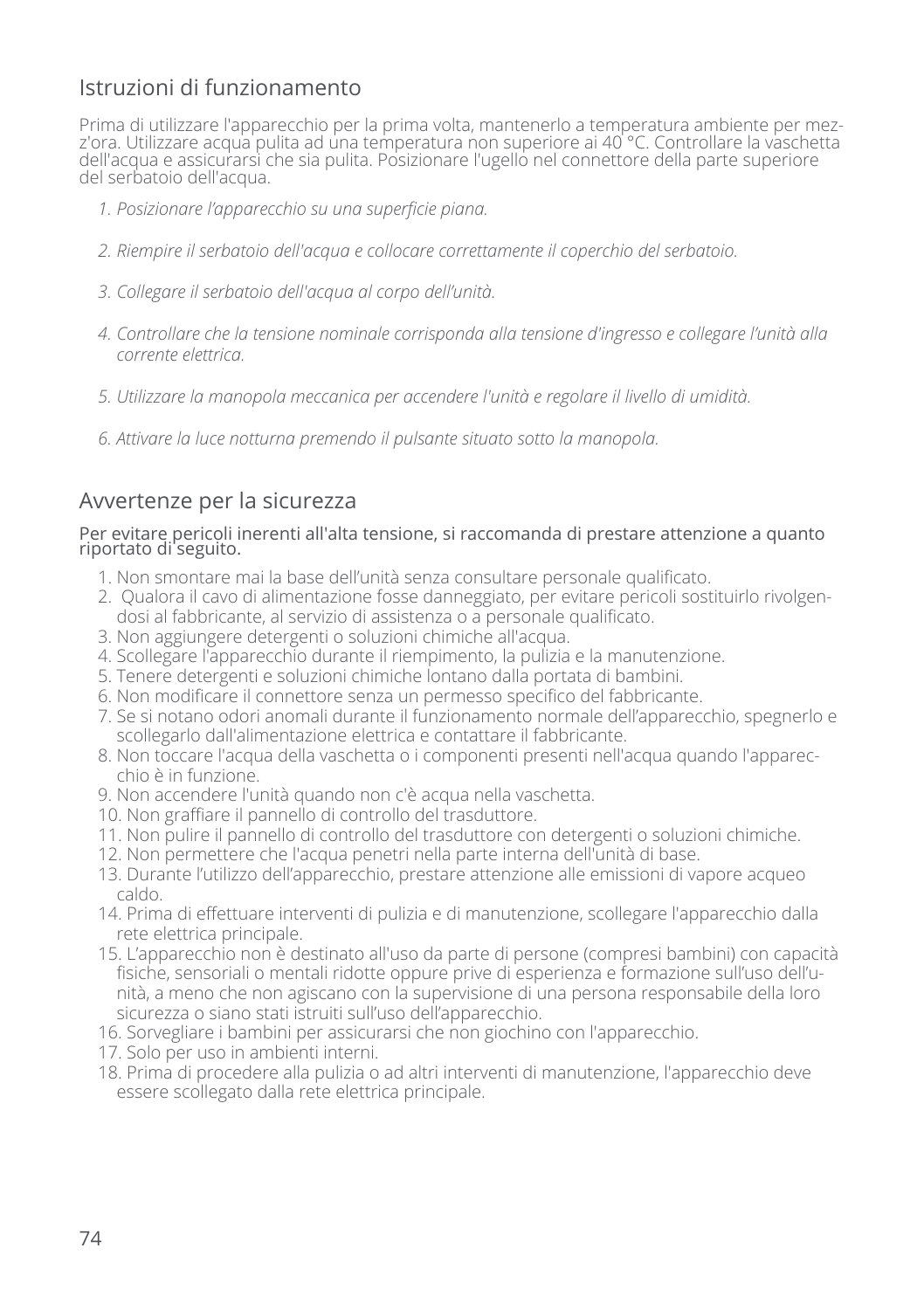## Istruzioni di funzionamento

Prima di utilizzare l'apparecchio per la prima volta, mantenerlo a temperatura ambiente per mezz'ora. Utilizzare acqua pulita ad una temperatura non superiore ai 40 °C. Controllare la vaschetta dell'acqua e assicurarsi che sia pulita. Posizionare l'ugello nel connettore della parte superiore del serbatoio dell'acqua.

- *1. Posizionare l'apparecchio su una superficie piana.*
- *2. Riempire il serbatoio dell'acqua e collocare correttamente il coperchio del serbatoio.*
- *3. Collegare il serbatoio dell'acqua al corpo dell'unità.*
- *4. Controllare che la tensione nominale corrisponda alla tensione d'ingresso e collegare l'unità alla corrente elettrica.*
- *5. Utilizzare la manopola meccanica per accendere l'unità e regolare il livello di umidità.*
- *6. Attivare la luce notturna premendo il pulsante situato sotto la manopola.*

## Avvertenze per la sicurezza

#### Per evitare pericoli inerenti all'alta tensione, si raccomanda di prestare attenzione a quanto riportato di seguito.

- 1. Non smontare mai la base dell'unità senza consultare personale qualificato.
- 2. Qualora il cavo di alimentazione fosse danneggiato, per evitare pericoli sostituirlo rivolgendosi al fabbricante, al servizio di assistenza o a personale qualificato.
- 3. Non aggiungere detergenti o soluzioni chimiche all'acqua.
- 4. Scollegare l'apparecchio durante il riempimento, la pulizia e la manutenzione.
- 5. Tenere detergenti e soluzioni chimiche lontano dalla portata di bambini.
- 6. Non modificare il connettore senza un permesso specifico del fabbricante.
- 7. Se si notano odori anomali durante il funzionamento normale dell'apparecchio, spegnerlo e scollegarlo dall'alimentazione elettrica e contattare il fabbricante.
- 8. Non toccare l'acqua della vaschetta o i componenti presenti nell'acqua quando l'apparecchio è in funzione.
- 9. Non accendere l'unità quando non c'è acqua nella vaschetta.
- 10. Non graffiare il pannello di controllo del trasduttore.
- 11. Non pulire il pannello di controllo del trasduttore con detergenti o soluzioni chimiche.
- 12. Non permettere che l'acqua penetri nella parte interna dell'unità di base.
- 13. Durante l'utilizzo dell'apparecchio, prestare attenzione alle emissioni di vapore acqueo caldo.
- 14. Prima di effettuare interventi di pulizia e di manutenzione, scollegare l'apparecchio dalla rete elettrica principale.
- 15. L'apparecchio non è destinato all'uso da parte di persone (compresi bambini) con capacità fisiche, sensoriali o mentali ridotte oppure prive di esperienza e formazione sull'uso dell'unità, a meno che non agiscano con la supervisione di una persona responsabile della loro sicurezza o siano stati istruiti sull'uso dell'apparecchio.
- 16. Sorvegliare i bambini per assicurarsi che non giochino con l'apparecchio.
- 17. Solo per uso in ambienti interni.
- 18. Prima di procedere alla pulizia o ad altri interventi di manutenzione, l'apparecchio deve essere scollegato dalla rete elettrica principale.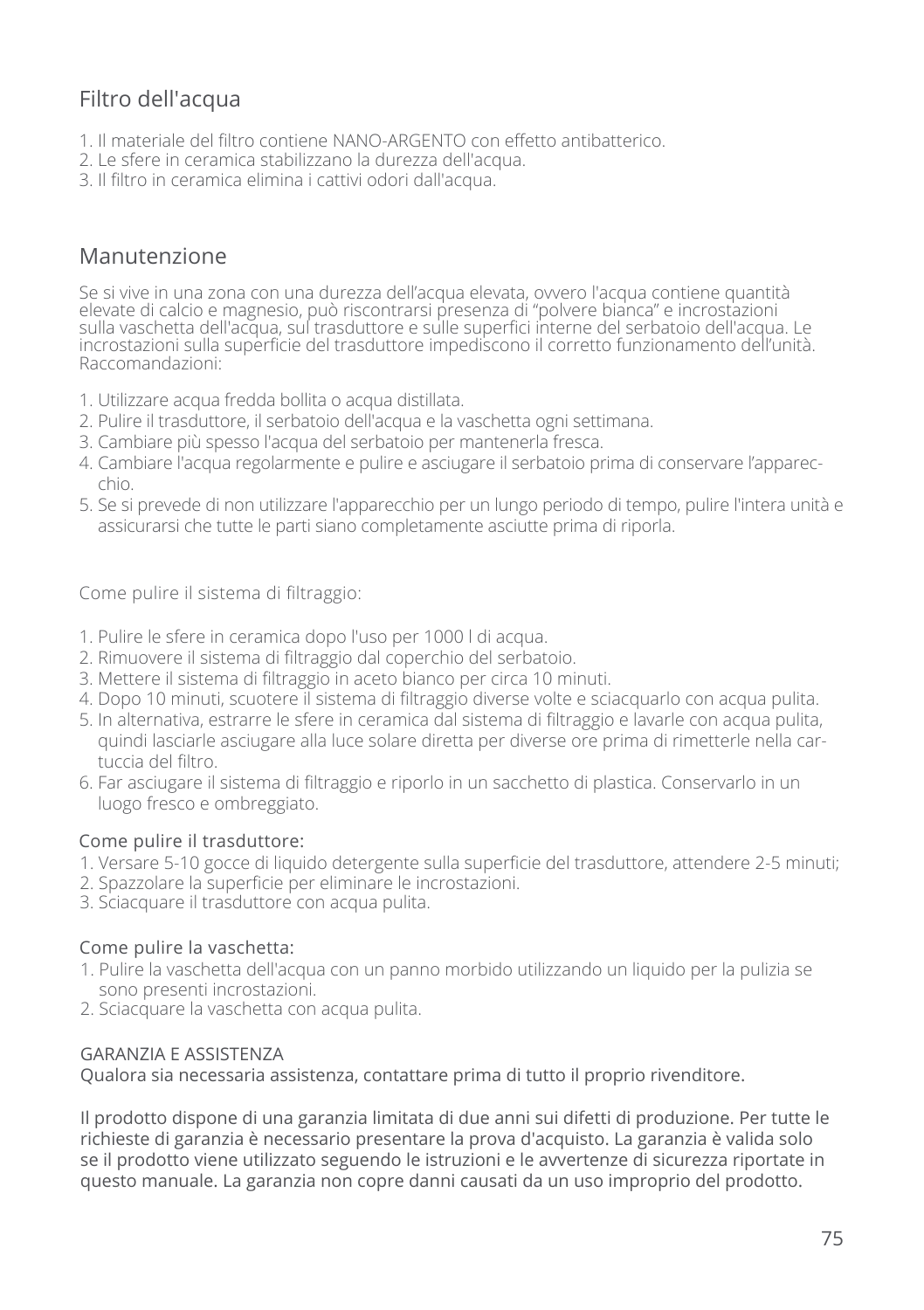# Filtro dell'acqua

- 1. Il materiale del filtro contiene NANO-ARGENTO con effetto antibatterico.
- 2. Le sfere in ceramica stabilizzano la durezza dell'acqua.
- 3. Il filtro in ceramica elimina i cattivi odori dall'acqua.

### Manutenzione

Se si vive in una zona con una durezza dell'acqua elevata, ovvero l'acqua contiene quantità elevate di calcio e magnesio, può riscontrarsi presenza di "polvere bianca" e incrostazioni sulla vaschetta dell'acqua, sul trasduttore e sulle superfici interne del serbatoio dell'acqua. Le incrostazioni sulla superficie del trasduttore impediscono il corretto funzionamento dell'unità. Raccomandazioni:

- 1. Utilizzare acqua fredda bollita o acqua distillata.
- 2. Pulire il trasduttore, il serbatoio dell'acqua e la vaschetta ogni settimana.
- 3. Cambiare più spesso l'acqua del serbatoio per mantenerla fresca.
- 4. Cambiare l'acqua regolarmente e pulire e asciugare il serbatoio prima di conservare l'apparecchio.
- 5. Se si prevede di non utilizzare l'apparecchio per un lungo periodo di tempo, pulire l'intera unità e assicurarsi che tutte le parti siano completamente asciutte prima di riporla.

Come pulire il sistema di filtraggio:

- 1. Pulire le sfere in ceramica dopo l'uso per 1000 l di acqua.
- 2. Rimuovere il sistema di filtraggio dal coperchio del serbatoio.
- 3. Mettere il sistema di filtraggio in aceto bianco per circa 10 minuti.
- 4. Dopo 10 minuti, scuotere il sistema di filtraggio diverse volte e sciacquarlo con acqua pulita.
- 5. In alternativa, estrarre le sfere in ceramica dal sistema di filtraggio e lavarle con acqua pulita, quindi lasciarle asciugare alla luce solare diretta per diverse ore prima di rimetterle nella cartuccia del filtro.
- 6. Far asciugare il sistema di filtraggio e riporlo in un sacchetto di plastica. Conservarlo in un luogo fresco e ombreggiato.

#### Come pulire il trasduttore:

- 1. Versare 5-10 gocce di liquido detergente sulla superficie del trasduttore, attendere 2-5 minuti;
- 2. Spazzolare la superficie per eliminare le incrostazioni.
- 3. Sciacquare il trasduttore con acqua pulita.

#### Come pulire la vaschetta:

- 1. Pulire la vaschetta dell'acqua con un panno morbido utilizzando un liquido per la pulizia se sono presenti incrostazioni.
- 2. Sciacquare la vaschetta con acqua pulita.

#### GARANZIA E ASSISTENZA

Qualora sia necessaria assistenza, contattare prima di tutto il proprio rivenditore.

Il prodotto dispone di una garanzia limitata di due anni sui difetti di produzione. Per tutte le richieste di garanzia è necessario presentare la prova d'acquisto. La garanzia è valida solo se il prodotto viene utilizzato seguendo le istruzioni e le avvertenze di sicurezza riportate in questo manuale. La garanzia non copre danni causati da un uso improprio del prodotto.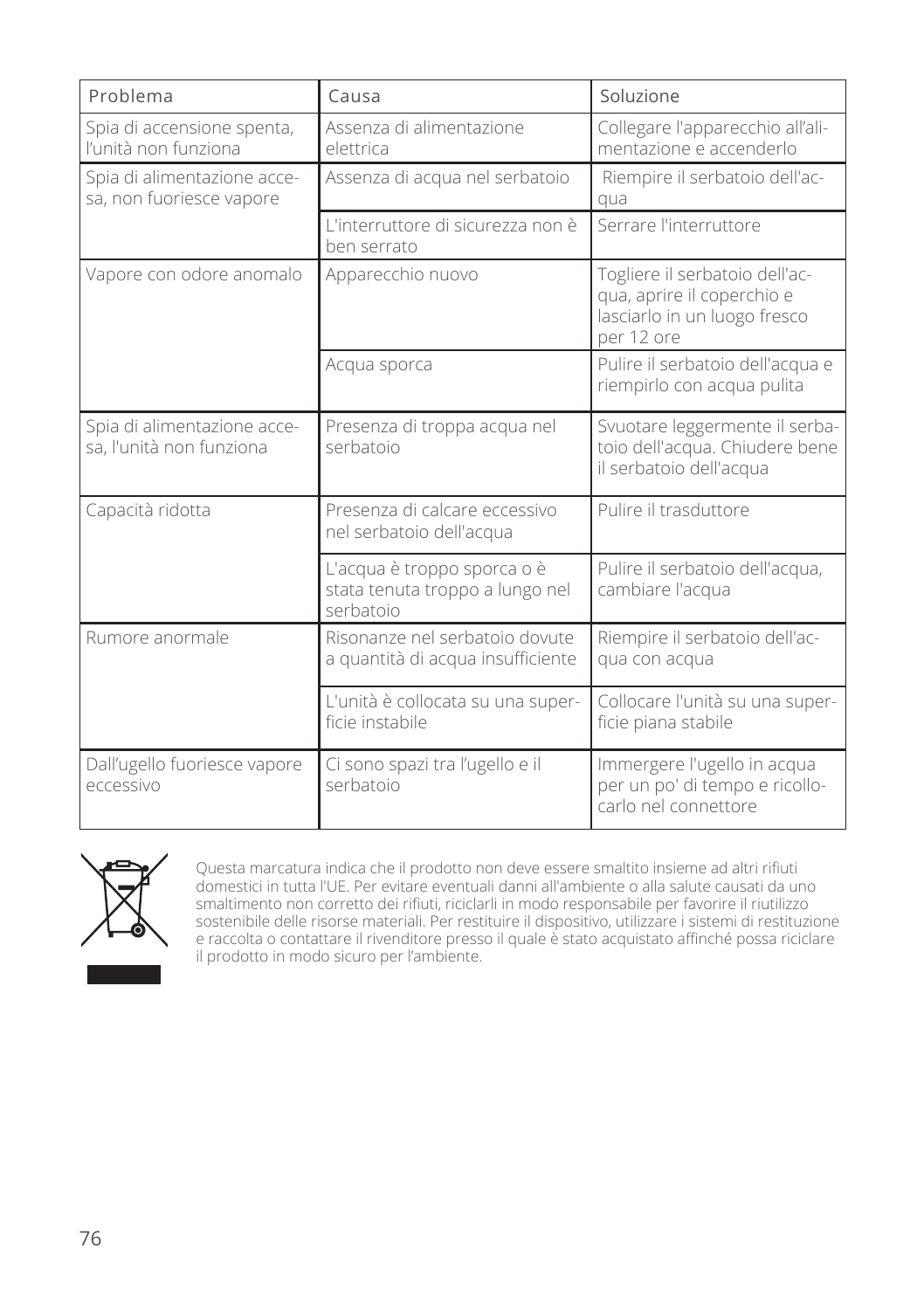| Problema                                                | Causa                                                                       | Soluzione                                                                                                  |
|---------------------------------------------------------|-----------------------------------------------------------------------------|------------------------------------------------------------------------------------------------------------|
| Spia di accensione spenta,<br>l'unità non funziona      | Assenza di alimentazione<br>elettrica                                       | Collegare l'apparecchio all'ali-<br>mentazione e accenderlo                                                |
| Spia di alimentazione acce-<br>sa, non fuoriesce vapore | Assenza di acqua nel serbatoio                                              | Riempire il serbatoio dell'ac-<br>qua                                                                      |
|                                                         | L'interruttore di sicurezza non è<br>ben serrato                            | Serrare l'interruttore                                                                                     |
| Vapore con odore anomalo                                | Apparecchio nuovo                                                           | Togliere il serbatoio dell'ac-<br>qua, aprire il coperchio e<br>lasciarlo in un luogo fresco<br>per 12 ore |
|                                                         | Acqua sporca                                                                | Pulire il serbatoio dell'acqua e<br>riempirlo con acqua pulita                                             |
| Spia di alimentazione acce-<br>sa, l'unità non funziona | Presenza di troppa acqua nel<br>serbatoio                                   | Svuotare leggermente il serba-<br>toio dell'acqua. Chiudere bene<br>il serbatoio dell'acqua                |
| Capacità ridotta                                        | Presenza di calcare eccessivo<br>nel serbatoio dell'acqua                   | Pulire il trasduttore                                                                                      |
|                                                         | L'acqua è troppo sporca o è<br>stata tenuta troppo a lungo nel<br>serbatoio | Pulire il serbatoio dell'acqua,<br>cambiare l'acqua                                                        |
| Rumore anormale                                         | Risonanze nel serbatoio dovute<br>a quantità di acqua insufficiente         | Riempire il serbatoio dell'ac-<br>qua con acqua                                                            |
|                                                         | L'unità è collocata su una super-<br>ficie instabile                        | Collocare l'unità su una super-<br>ficie piana stabile                                                     |
| Dall'ugello fuoriesce vapore<br>eccessivo               | Ci sono spazi tra l'ugello e il<br>serbatoio                                | Immergere l'ugello in acqua<br>per un po' di tempo e ricollo-<br>carlo nel connettore                      |



Questa marcatura indica che il prodotto non deve essere smaltito insieme ad altri rifiuti domestici in tutta l'UE. Per evitare eventuali danni all'ambiente o alla salute causati da uno smaltimento non corretto dei rifiuti, riciclarli in modo responsabile per favorire il riutilizzo sostenibile delle risorse materiali. Per restituire il dispositivo, utilizzare i sistemi di restituzione e raccolta o contattare il rivenditore presso il quale è stato acquistato affinché possa riciclare il prodotto in modo sicuro per l'ambiente.



76